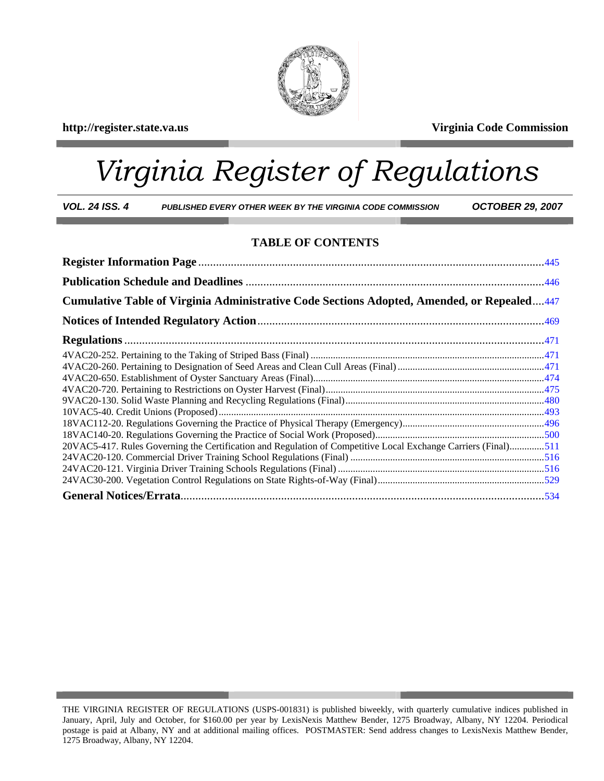## **http://register.state.va.us Virginia Code Commission**



# *Virginia Register of Regulations*

*VOL. 24 ISS. 4 PUBLISHED EVERY OTHER WEEK BY THE VIRGINIA CODE COMMISSION OCTOBER 29, 2007* 

## **TABLE OF CONTENTS**

| Cumulative Table of Virginia Administrative Code Sections Adopted, Amended, or Repealed447                     |  |
|----------------------------------------------------------------------------------------------------------------|--|
|                                                                                                                |  |
|                                                                                                                |  |
|                                                                                                                |  |
|                                                                                                                |  |
|                                                                                                                |  |
|                                                                                                                |  |
|                                                                                                                |  |
|                                                                                                                |  |
|                                                                                                                |  |
|                                                                                                                |  |
| 20VAC5-417. Rules Governing the Certification and Regulation of Competitive Local Exchange Carriers (Final)511 |  |
|                                                                                                                |  |
|                                                                                                                |  |
|                                                                                                                |  |
|                                                                                                                |  |

THE VIRGINIA REGISTER OF REGULATIONS (USPS-001831) is published biweekly, with quarterly cumulative indices published in January, April, July and October, for \$160.00 per year by LexisNexis Matthew Bender, 1275 Broadway, Albany, NY 12204. Periodical postage is paid at Albany, NY and at additional mailing offices. POSTMASTER: Send address changes to LexisNexis Matthew Bender, 1275 Broadway, Albany, NY 12204.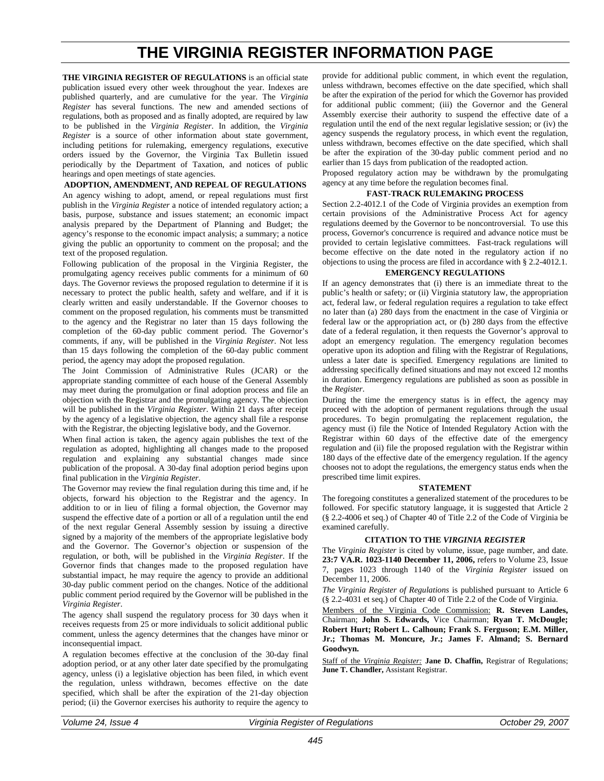## **THE VIRGINIA REGISTER INFORMATION PAGE**

<span id="page-1-0"></span>**THE VIRGINIA REGISTER OF REGULATIONS** is an official state publication issued every other week throughout the year. Indexes are published quarterly, and are cumulative for the year. The *Virginia Register* has several functions. The new and amended sections of regulations, both as proposed and as finally adopted, are required by law to be published in the *Virginia Register*. In addition, the *Virginia Register* is a source of other information about state government, including petitions for rulemaking, emergency regulations, executive orders issued by the Governor, the Virginia Tax Bulletin issued periodically by the Department of Taxation, and notices of public hearings and open meetings of state agencies.

#### **ADOPTION, AMENDMENT, AND REPEAL OF REGULATIONS**

An agency wishing to adopt, amend, or repeal regulations must first publish in the *Virginia Register* a notice of intended regulatory action; a basis, purpose, substance and issues statement; an economic impact analysis prepared by the Department of Planning and Budget; the agency's response to the economic impact analysis; a summary; a notice giving the public an opportunity to comment on the proposal; and the text of the proposed regulation.

Following publication of the proposal in the Virginia Register, the promulgating agency receives public comments for a minimum of 60 days. The Governor reviews the proposed regulation to determine if it is necessary to protect the public health, safety and welfare, and if it is clearly written and easily understandable. If the Governor chooses to comment on the proposed regulation, his comments must be transmitted to the agency and the Registrar no later than 15 days following the completion of the 60-day public comment period. The Governor's comments, if any, will be published in the *Virginia Register*. Not less than 15 days following the completion of the 60-day public comment period, the agency may adopt the proposed regulation.

The Joint Commission of Administrative Rules (JCAR) or the appropriate standing committee of each house of the General Assembly may meet during the promulgation or final adoption process and file an objection with the Registrar and the promulgating agency. The objection will be published in the *Virginia Register*. Within 21 days after receipt by the agency of a legislative objection, the agency shall file a response with the Registrar, the objecting legislative body, and the Governor.

When final action is taken, the agency again publishes the text of the regulation as adopted, highlighting all changes made to the proposed regulation and explaining any substantial changes made since publication of the proposal. A 30-day final adoption period begins upon final publication in the *Virginia Register*.

The Governor may review the final regulation during this time and, if he objects, forward his objection to the Registrar and the agency. In addition to or in lieu of filing a formal objection, the Governor may suspend the effective date of a portion or all of a regulation until the end of the next regular General Assembly session by issuing a directive signed by a majority of the members of the appropriate legislative body and the Governor. The Governor's objection or suspension of the regulation, or both, will be published in the *Virginia Register*. If the Governor finds that changes made to the proposed regulation have substantial impact, he may require the agency to provide an additional 30-day public comment period on the changes. Notice of the additional public comment period required by the Governor will be published in the *Virginia Register*.

The agency shall suspend the regulatory process for 30 days when it receives requests from 25 or more individuals to solicit additional public comment, unless the agency determines that the changes have minor or inconsequential impact.

A regulation becomes effective at the conclusion of the 30-day final adoption period, or at any other later date specified by the promulgating agency, unless (i) a legislative objection has been filed, in which event the regulation, unless withdrawn, becomes effective on the date specified, which shall be after the expiration of the 21-day objection period; (ii) the Governor exercises his authority to require the agency to provide for additional public comment, in which event the regulation, unless withdrawn, becomes effective on the date specified, which shall be after the expiration of the period for which the Governor has provided for additional public comment; (iii) the Governor and the General Assembly exercise their authority to suspend the effective date of a regulation until the end of the next regular legislative session; or (iv) the agency suspends the regulatory process, in which event the regulation, unless withdrawn, becomes effective on the date specified, which shall be after the expiration of the 30-day public comment period and no earlier than 15 days from publication of the readopted action.

Proposed regulatory action may be withdrawn by the promulgating agency at any time before the regulation becomes final.

#### **FAST-TRACK RULEMAKING PROCESS**

Section 2.2-4012.1 of the Code of Virginia provides an exemption from certain provisions of the Administrative Process Act for agency regulations deemed by the Governor to be noncontroversial. To use this process, Governor's concurrence is required and advance notice must be provided to certain legislative committees. Fast-track regulations will become effective on the date noted in the regulatory action if no objections to using the process are filed in accordance with § 2.2-4012.1.

#### **EMERGENCY REGULATIONS**

If an agency demonstrates that (i) there is an immediate threat to the public's health or safety; or (ii) Virginia statutory law, the appropriation act, federal law, or federal regulation requires a regulation to take effect no later than (a) 280 days from the enactment in the case of Virginia or federal law or the appropriation act, or (b) 280 days from the effective date of a federal regulation, it then requests the Governor's approval to adopt an emergency regulation. The emergency regulation becomes operative upon its adoption and filing with the Registrar of Regulations, unless a later date is specified. Emergency regulations are limited to addressing specifically defined situations and may not exceed 12 months in duration. Emergency regulations are published as soon as possible in the *Register*.

During the time the emergency status is in effect, the agency may proceed with the adoption of permanent regulations through the usual procedures. To begin promulgating the replacement regulation, the agency must (i) file the Notice of Intended Regulatory Action with the Registrar within 60 days of the effective date of the emergency regulation and (ii) file the proposed regulation with the Registrar within 180 days of the effective date of the emergency regulation. If the agency chooses not to adopt the regulations, the emergency status ends when the prescribed time limit expires.

#### **STATEMENT**

The foregoing constitutes a generalized statement of the procedures to be followed. For specific statutory language, it is suggested that Article 2 (§ 2.2-4006 et seq.) of Chapter 40 of Title 2.2 of the Code of Virginia be examined carefully.

#### **CITATION TO THE** *VIRGINIA REGISTER*

The *Virginia Register* is cited by volume, issue, page number, and date. **23:7 VA.R. 1023-1140 December 11, 2006,** refers to Volume 23, Issue 7, pages 1023 through 1140 of the *Virginia Register* issued on December 11, 2006.

*The Virginia Register of Regulations* is published pursuant to Article 6 (§ 2.2-4031 et seq.) of Chapter 40 of Title 2.2 of the Code of Virginia.

Members of the Virginia Code Commission: **R. Steven Landes,** Chairman; **John S. Edwards,** Vice Chairman; **Ryan T. McDougle; Robert Hurt; Robert L. Calhoun; Frank S. Ferguson; E.M. Miller, Jr.; Thomas M. Moncure, Jr.; James F. Almand; S. Bernard Goodwyn.** 

Staff of the *Virginia Register:* **Jane D. Chaffin,** Registrar of Regulations; **June T. Chandler,** Assistant Registrar.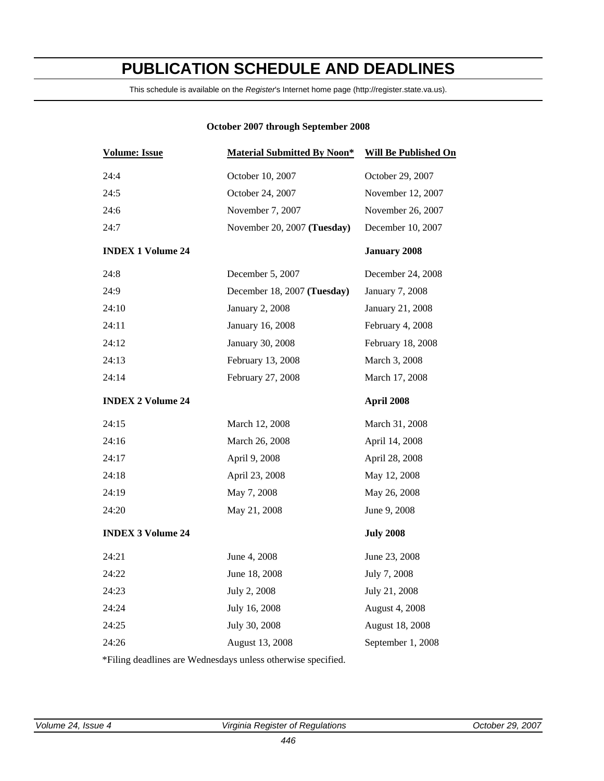## <span id="page-2-0"></span>**PUBLICATION SCHEDULE AND DEADLINES**

This schedule is available on the *Register*'s Internet home page (http://register.state.va.us).

## **October 2007 through September 2008**

| <b>Volume: Issue</b>     | <b>Material Submitted By Noon*</b> | <b>Will Be Published On</b> |
|--------------------------|------------------------------------|-----------------------------|
| 24:4                     | October 10, 2007                   | October 29, 2007            |
| 24:5                     | October 24, 2007                   | November 12, 2007           |
| 24:6                     | November 7, 2007                   | November 26, 2007           |
| 24:7                     | November 20, 2007 (Tuesday)        | December 10, 2007           |
| <b>INDEX 1 Volume 24</b> |                                    | <b>January 2008</b>         |
| 24:8                     | December 5, 2007                   | December 24, 2008           |
| 24:9                     | December 18, 2007 (Tuesday)        | January 7, 2008             |
| 24:10                    | <b>January 2, 2008</b>             | January 21, 2008            |
| 24:11                    | January 16, 2008                   | February 4, 2008            |
| 24:12                    | January 30, 2008                   | February 18, 2008           |
| 24:13                    | February 13, 2008                  | March 3, 2008               |
| 24:14                    | February 27, 2008                  | March 17, 2008              |
| <b>INDEX 2 Volume 24</b> |                                    | April 2008                  |
| 24:15                    | March 12, 2008                     | March 31, 2008              |
| 24:16                    | March 26, 2008                     | April 14, 2008              |
| 24:17                    | April 9, 2008                      | April 28, 2008              |
| 24:18                    | April 23, 2008                     | May 12, 2008                |
| 24:19                    | May 7, 2008                        | May 26, 2008                |
| 24:20                    | May 21, 2008                       | June 9, 2008                |
| <b>INDEX 3 Volume 24</b> |                                    | <b>July 2008</b>            |
| 24:21                    | June 4, 2008                       | June 23, 2008               |
| 24:22                    | June 18, 2008                      | July 7, 2008                |
| 24:23                    | July 2, 2008                       | July 21, 2008               |
| 24:24                    | July 16, 2008                      | August 4, 2008              |
| 24:25                    | July 30, 2008                      | August 18, 2008             |
| 24:26                    | August 13, 2008                    | September 1, 2008           |
|                          |                                    |                             |

\*Filing deadlines are Wednesdays unless otherwise specified.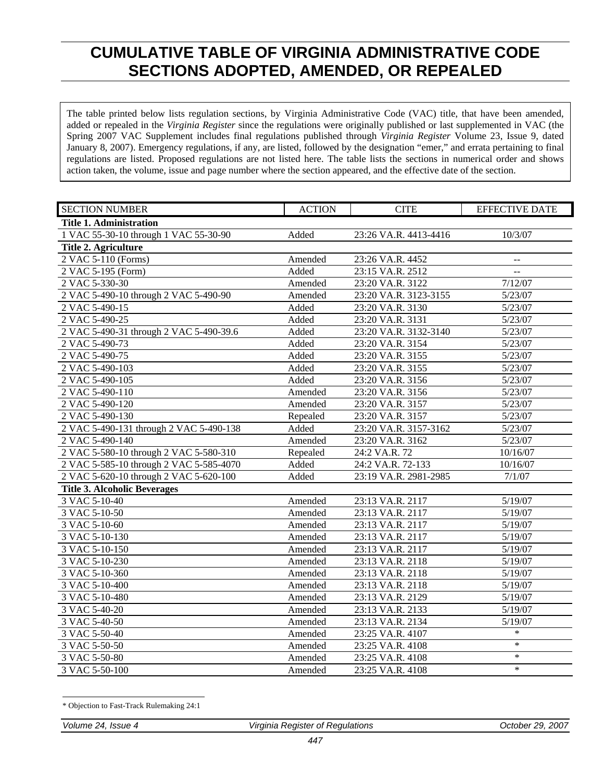## <span id="page-3-0"></span>**CUMULATIVE TABLE OF VIRGINIA ADMINISTRATIVE CODE SECTIONS ADOPTED, AMENDED, OR REPEALED**

The table printed below lists regulation sections, by Virginia Administrative Code (VAC) title, that have been amended, added or repealed in the *Virginia Register* since the regulations were originally published or last supplemented in VAC (the Spring 2007 VAC Supplement includes final regulations published through *Virginia Register* Volume 23, Issue 9, dated January 8, 2007). Emergency regulations, if any, are listed, followed by the designation "emer," and errata pertaining to final regulations are listed. Proposed regulations are not listed here. The table lists the sections in numerical order and shows action taken, the volume, issue and page number where the section appeared, and the effective date of the section.

| <b>SECTION NUMBER</b>                   | <b>ACTION</b> | <b>CITE</b>           | <b>EFFECTIVE DATE</b> |
|-----------------------------------------|---------------|-----------------------|-----------------------|
| <b>Title 1. Administration</b>          |               |                       |                       |
| 1 VAC 55-30-10 through 1 VAC 55-30-90   | Added         | 23:26 VA.R. 4413-4416 | 10/3/07               |
| Title 2. Agriculture                    |               |                       |                       |
| 2 VAC 5-110 (Forms)                     | Amended       | 23:26 VA.R. 4452      | $-$                   |
| 2 VAC 5-195 (Form)                      | Added         | 23:15 VA.R. 2512      | $\overline{a}$        |
| 2 VAC 5-330-30                          | Amended       | 23:20 VA.R. 3122      | 7/12/07               |
| 2 VAC 5-490-10 through 2 VAC 5-490-90   | Amended       | 23:20 VA.R. 3123-3155 | 5/23/07               |
| 2 VAC 5-490-15                          | Added         | 23:20 VA.R. 3130      | 5/23/07               |
| 2 VAC 5-490-25                          | Added         | 23:20 VA.R. 3131      | 5/23/07               |
| 2 VAC 5-490-31 through 2 VAC 5-490-39.6 | Added         | 23:20 VA.R. 3132-3140 | 5/23/07               |
| 2 VAC 5-490-73                          | Added         | 23:20 VA.R. 3154      | 5/23/07               |
| 2 VAC 5-490-75                          | Added         | 23:20 VA.R. 3155      | 5/23/07               |
| 2 VAC 5-490-103                         | Added         | 23:20 VA.R. 3155      | 5/23/07               |
| 2 VAC 5-490-105                         | Added         | 23:20 VA.R. 3156      | 5/23/07               |
| 2 VAC 5-490-110                         | Amended       | 23:20 VA.R. 3156      | 5/23/07               |
| 2 VAC 5-490-120                         | Amended       | 23:20 VA.R. 3157      | 5/23/07               |
| 2 VAC 5-490-130                         | Repealed      | 23:20 VA.R. 3157      | 5/23/07               |
| 2 VAC 5-490-131 through 2 VAC 5-490-138 | Added         | 23:20 VA.R. 3157-3162 | 5/23/07               |
| 2 VAC 5-490-140                         | Amended       | 23:20 VA.R. 3162      | 5/23/07               |
| 2 VAC 5-580-10 through 2 VAC 5-580-310  | Repealed      | 24:2 VA.R. 72         | 10/16/07              |
| 2 VAC 5-585-10 through 2 VAC 5-585-4070 | Added         | 24:2 VA.R. 72-133     | 10/16/07              |
| 2 VAC 5-620-10 through 2 VAC 5-620-100  | Added         | 23:19 VA.R. 2981-2985 | 7/1/07                |
| <b>Title 3. Alcoholic Beverages</b>     |               |                       |                       |
| 3 VAC 5-10-40                           | Amended       | 23:13 VA.R. 2117      | 5/19/07               |
| 3 VAC 5-10-50                           | Amended       | 23:13 VA.R. 2117      | 5/19/07               |
| 3 VAC 5-10-60                           | Amended       | 23:13 VA.R. 2117      | 5/19/07               |
| 3 VAC 5-10-130                          | Amended       | 23:13 VA.R. 2117      | 5/19/07               |
| 3 VAC 5-10-150                          | Amended       | 23:13 VA.R. 2117      | 5/19/07               |
| 3 VAC 5-10-230                          | Amended       | 23:13 VA.R. 2118      | 5/19/07               |
| 3 VAC 5-10-360                          | Amended       | 23:13 VA.R. 2118      | 5/19/07               |
| 3 VAC 5-10-400                          | Amended       | 23:13 VA.R. 2118      | 5/19/07               |
| 3 VAC 5-10-480                          | Amended       | 23:13 VA.R. 2129      | 5/19/07               |
| 3 VAC 5-40-20                           | Amended       | 23:13 VA.R. 2133      | 5/19/07               |
| 3 VAC 5-40-50                           | Amended       | 23:13 VA.R. 2134      | 5/19/07               |
| 3 VAC 5-50-40                           | Amended       | 23:25 VA.R. 4107      | $\ast$                |
| 3 VAC 5-50-50                           | Amended       | 23:25 VA.R. 4108      | $\ast$                |
| 3 VAC 5-50-80                           | Amended       | 23:25 VA.R. 4108      | $\ast$                |
| 3 VAC 5-50-100                          | Amended       | 23:25 VA.R. 4108      | $\ast$                |

<sup>-</sup>\* Objection to Fast-Track Rulemaking 24:1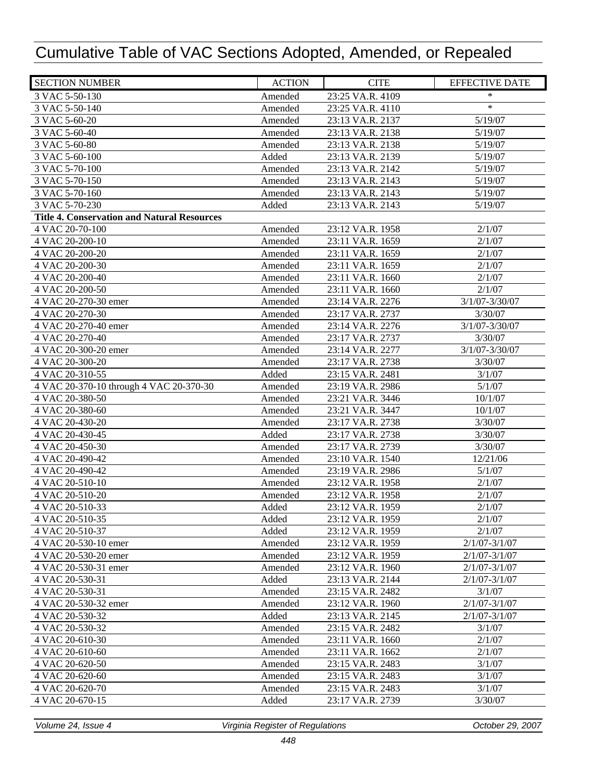| <b>SECTION NUMBER</b>                              | <b>ACTION</b> | <b>CITE</b>      | <b>EFFECTIVE DATE</b> |
|----------------------------------------------------|---------------|------------------|-----------------------|
| 3 VAC 5-50-130                                     | Amended       | 23:25 VA.R. 4109 | *                     |
| 3 VAC 5-50-140                                     | Amended       | 23:25 VA.R. 4110 | $\ast$                |
| 3 VAC 5-60-20                                      | Amended       | 23:13 VA.R. 2137 | 5/19/07               |
| 3 VAC 5-60-40                                      | Amended       | 23:13 VA.R. 2138 | 5/19/07               |
| 3 VAC 5-60-80                                      | Amended       | 23:13 VA.R. 2138 | 5/19/07               |
| 3 VAC 5-60-100                                     | Added         | 23:13 VA.R. 2139 | 5/19/07               |
| 3 VAC 5-70-100                                     | Amended       | 23:13 VA.R. 2142 | 5/19/07               |
| 3 VAC 5-70-150                                     | Amended       | 23:13 VA.R. 2143 | 5/19/07               |
| 3 VAC 5-70-160                                     | Amended       | 23:13 VA.R. 2143 | 5/19/07               |
| 3 VAC 5-70-230                                     | Added         | 23:13 VA.R. 2143 | 5/19/07               |
| <b>Title 4. Conservation and Natural Resources</b> |               |                  |                       |
| 4 VAC 20-70-100                                    | Amended       | 23:12 VA.R. 1958 | 2/1/07                |
| 4 VAC 20-200-10                                    | Amended       | 23:11 VA.R. 1659 | 2/1/07                |
| 4 VAC 20-200-20                                    | Amended       | 23:11 VA.R. 1659 | 2/1/07                |
| 4 VAC 20-200-30                                    | Amended       | 23:11 VA.R. 1659 | 2/1/07                |
| 4 VAC 20-200-40                                    | Amended       | 23:11 VA.R. 1660 | 2/1/07                |
| 4 VAC 20-200-50                                    | Amended       | 23:11 VA.R. 1660 | 2/1/07                |
| 4 VAC 20-270-30 emer                               | Amended       | 23:14 VA.R. 2276 | $3/1/07 - 3/30/07$    |
| 4 VAC 20-270-30                                    | Amended       | 23:17 VA.R. 2737 | 3/30/07               |
| 4 VAC 20-270-40 emer                               | Amended       | 23:14 VA.R. 2276 | $3/1/07 - 3/30/07$    |
| 4 VAC 20-270-40                                    | Amended       | 23:17 VA.R. 2737 | 3/30/07               |
| 4 VAC 20-300-20 emer                               | Amended       | 23:14 VA.R. 2277 | $3/1/07 - 3/30/07$    |
| 4 VAC 20-300-20                                    | Amended       | 23:17 VA.R. 2738 | 3/30/07               |
| 4 VAC 20-310-55                                    | Added         | 23:15 VA.R. 2481 | 3/1/07                |
| 4 VAC 20-370-10 through 4 VAC 20-370-30            | Amended       | 23:19 VA.R. 2986 | 5/1/07                |
| 4 VAC 20-380-50                                    | Amended       | 23:21 VA.R. 3446 | 10/1/07               |
| 4 VAC 20-380-60                                    | Amended       | 23:21 VA.R. 3447 | 10/1/07               |
| 4 VAC 20-430-20                                    | Amended       | 23:17 VA.R. 2738 | 3/30/07               |
| 4 VAC 20-430-45                                    | Added         | 23:17 VA.R. 2738 | 3/30/07               |
| 4 VAC 20-450-30                                    | Amended       | 23:17 VA.R. 2739 | 3/30/07               |
| 4 VAC 20-490-42                                    | Amended       | 23:10 VA.R. 1540 | 12/21/06              |
| 4 VAC 20-490-42                                    | Amended       | 23:19 VA.R. 2986 | 5/1/07                |
| 4 VAC 20-510-10                                    | Amended       | 23:12 VA.R. 1958 | 2/1/07                |
| 4 VAC 20-510-20                                    | Amended       | 23:12 VA.R. 1958 | 2/1/07                |
| 4 VAC 20-510-33                                    | Added         | 23:12 VA.R. 1959 | 2/1/07                |
| 4 VAC 20-510-35                                    | Added         | 23:12 VA.R. 1959 | 2/1/07                |
| 4 VAC 20-510-37                                    | Added         | 23:12 VA.R. 1959 | 2/1/07                |
| 4 VAC 20-530-10 emer                               | Amended       | 23:12 VA.R. 1959 | $2/1/07 - 3/1/07$     |
| 4 VAC 20-530-20 emer                               | Amended       | 23:12 VA.R. 1959 | $2/1/07 - 3/1/07$     |
| 4 VAC 20-530-31 emer                               | Amended       | 23:12 VA.R. 1960 | $2/1/07 - 3/1/07$     |
| 4 VAC 20-530-31                                    | Added         | 23:13 VA.R. 2144 | $2/1/07 - 3/1/07$     |
| 4 VAC 20-530-31                                    | Amended       | 23:15 VA.R. 2482 | 3/1/07                |
| 4 VAC 20-530-32 emer                               | Amended       | 23:12 VA.R. 1960 | $2/1/07 - 3/1/07$     |
| 4 VAC 20-530-32                                    | Added         | 23:13 VA.R. 2145 | $2/1/07 - 3/1/07$     |
| 4 VAC 20-530-32                                    | Amended       | 23:15 VA.R. 2482 | 3/1/07                |
| 4 VAC 20-610-30                                    | Amended       | 23:11 VA.R. 1660 | 2/1/07                |
| 4 VAC 20-610-60                                    | Amended       | 23:11 VA.R. 1662 | 2/1/07                |
| 4 VAC 20-620-50                                    | Amended       | 23:15 VA.R. 2483 | 3/1/07                |
| 4 VAC 20-620-60                                    | Amended       | 23:15 VA.R. 2483 | 3/1/07                |
| 4 VAC 20-620-70                                    | Amended       | 23:15 VA.R. 2483 | 3/1/07                |
| 4 VAC 20-670-15                                    | Added         | 23:17 VA.R. 2739 | 3/30/07               |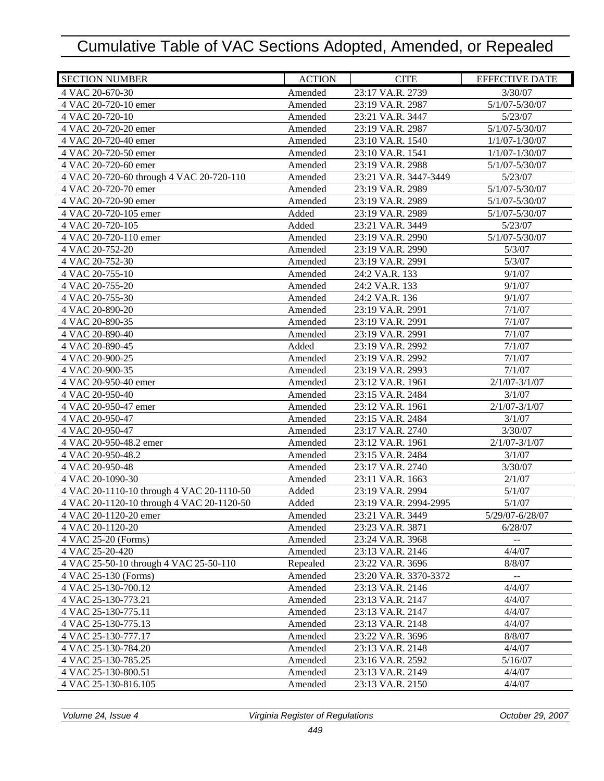| <b>SECTION NUMBER</b>                     | <b>ACTION</b> | <b>CITE</b>           | <b>EFFECTIVE DATE</b>    |
|-------------------------------------------|---------------|-----------------------|--------------------------|
| 4 VAC 20-670-30                           | Amended       | 23:17 VA.R. 2739      | 3/30/07                  |
| 4 VAC 20-720-10 emer                      | Amended       | 23:19 VA.R. 2987      | $5/1/07 - 5/30/07$       |
| 4 VAC 20-720-10                           | Amended       | 23:21 VA.R. 3447      | 5/23/07                  |
| 4 VAC 20-720-20 emer                      | Amended       | 23:19 VA.R. 2987      | 5/1/07-5/30/07           |
| 4 VAC 20-720-40 emer                      | Amended       | 23:10 VA.R. 1540      | $1/1/07 - 1/30/07$       |
| 4 VAC 20-720-50 emer                      | Amended       | 23:10 VA.R. 1541      | $1/1/07 - 1/30/07$       |
| 4 VAC 20-720-60 emer                      | Amended       | 23:19 VA.R. 2988      | 5/1/07-5/30/07           |
| 4 VAC 20-720-60 through 4 VAC 20-720-110  | Amended       | 23:21 VA.R. 3447-3449 | 5/23/07                  |
| 4 VAC 20-720-70 emer                      | Amended       | 23:19 VA.R. 2989      | 5/1/07-5/30/07           |
| 4 VAC 20-720-90 emer                      | Amended       | 23:19 VA.R. 2989      | 5/1/07-5/30/07           |
| 4 VAC 20-720-105 emer                     | Added         | 23:19 VA.R. 2989      | 5/1/07-5/30/07           |
| 4 VAC 20-720-105                          | Added         | 23:21 VA.R. 3449      | 5/23/07                  |
| 4 VAC 20-720-110 emer                     | Amended       | 23:19 VA.R. 2990      | 5/1/07-5/30/07           |
| 4 VAC 20-752-20                           | Amended       | 23:19 VA.R. 2990      | 5/3/07                   |
| 4 VAC 20-752-30                           | Amended       | 23:19 VA.R. 2991      | 5/3/07                   |
| 4 VAC 20-755-10                           | Amended       | 24:2 VA.R. 133        | 9/1/07                   |
| 4 VAC 20-755-20                           | Amended       | 24:2 VA.R. 133        | 9/1/07                   |
| 4 VAC 20-755-30                           | Amended       | 24:2 VA.R. 136        | 9/1/07                   |
| 4 VAC 20-890-20                           | Amended       | 23:19 VA.R. 2991      | 7/1/07                   |
| 4 VAC 20-890-35                           | Amended       | 23:19 VA.R. 2991      | 7/1/07                   |
| 4 VAC 20-890-40                           | Amended       | 23:19 VA.R. 2991      | 7/1/07                   |
| 4 VAC 20-890-45                           | Added         | 23:19 VA.R. 2992      | 7/1/07                   |
| 4 VAC 20-900-25                           | Amended       | 23:19 VA.R. 2992      | 7/1/07                   |
| 4 VAC 20-900-35                           | Amended       | 23:19 VA.R. 2993      | 7/1/07                   |
| 4 VAC 20-950-40 emer                      | Amended       | 23:12 VA.R. 1961      | $2/1/07 - 3/1/07$        |
| 4 VAC 20-950-40                           | Amended       | 23:15 VA.R. 2484      | 3/1/07                   |
| 4 VAC 20-950-47 emer                      | Amended       | 23:12 VA.R. 1961      | $2/1/07 - 3/1/07$        |
| 4 VAC 20-950-47                           | Amended       | 23:15 VA.R. 2484      | 3/1/07                   |
| 4 VAC 20-950-47                           | Amended       | 23:17 VA.R. 2740      | 3/30/07                  |
| 4 VAC 20-950-48.2 emer                    | Amended       | 23:12 VA.R. 1961      | $2/1/07 - 3/1/07$        |
| 4 VAC 20-950-48.2                         | Amended       | 23:15 VA.R. 2484      | 3/1/07                   |
| 4 VAC 20-950-48                           | Amended       | 23:17 VA.R. 2740      | 3/30/07                  |
| 4 VAC 20-1090-30                          | Amended       | 23:11 VA.R. 1663      | 2/1/07                   |
| 4 VAC 20-1110-10 through 4 VAC 20-1110-50 | Added         | 23:19 VA.R. 2994      | 5/1/07                   |
| 4 VAC 20-1120-10 through 4 VAC 20-1120-50 | Added         | 23:19 VA.R. 2994-2995 | 5/1/07                   |
| 4 VAC 20-1120-20 emer                     | Amended       | 23:21 VA.R. 3449      | 5/29/07-6/28/07          |
| 4 VAC 20-1120-20                          | Amended       | 23:23 VA.R. 3871      | 6/28/07                  |
| 4 VAC 25-20 (Forms)                       | Amended       | 23:24 VA.R. 3968      | $-$                      |
| 4 VAC 25-20-420                           | Amended       | 23:13 VA.R. 2146      | 4/4/07                   |
| 4 VAC 25-50-10 through 4 VAC 25-50-110    | Repealed      | 23:22 VA.R. 3696      | 8/8/07                   |
| 4 VAC 25-130 (Forms)                      | Amended       | 23:20 VA.R. 3370-3372 | $\overline{\phantom{a}}$ |
| 4 VAC 25-130-700.12                       | Amended       | 23:13 VA.R. 2146      | 4/4/07                   |
| 4 VAC 25-130-773.21                       | Amended       | 23:13 VA.R. 2147      | 4/4/07                   |
| 4 VAC 25-130-775.11                       | Amended       | 23:13 VA.R. 2147      | 4/4/07                   |
| 4 VAC 25-130-775.13                       | Amended       | 23:13 VA.R. 2148      | 4/4/07                   |
| 4 VAC 25-130-777.17                       | Amended       | 23:22 VA.R. 3696      | 8/8/07                   |
| 4 VAC 25-130-784.20                       | Amended       | 23:13 VA.R. 2148      | 4/4/07                   |
| 4 VAC 25-130-785.25                       | Amended       | 23:16 VA.R. 2592      | 5/16/07                  |
| 4 VAC 25-130-800.51                       | Amended       | 23:13 VA.R. 2149      | 4/4/07                   |
| 4 VAC 25-130-816.105                      | Amended       | 23:13 VA.R. 2150      | 4/4/07                   |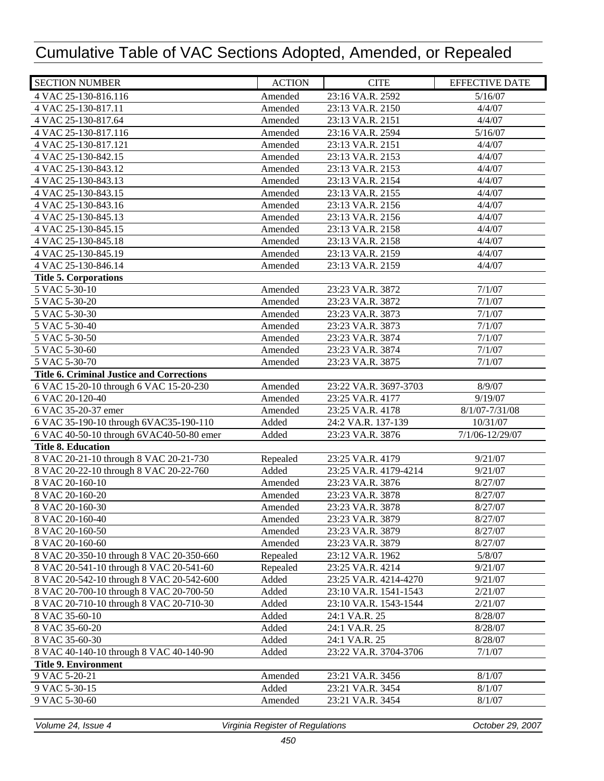| <b>SECTION NUMBER</b>                            | <b>ACTION</b> | <b>CITE</b>           | <b>EFFECTIVE DATE</b> |
|--------------------------------------------------|---------------|-----------------------|-----------------------|
| 4 VAC 25-130-816.116                             | Amended       | 23:16 VA.R. 2592      | 5/16/07               |
| 4 VAC 25-130-817.11                              | Amended       | 23:13 VA.R. 2150      | 4/4/07                |
| 4 VAC 25-130-817.64                              | Amended       | 23:13 VA.R. 2151      | 4/4/07                |
| 4 VAC 25-130-817.116                             | Amended       | 23:16 VA.R. 2594      | 5/16/07               |
| 4 VAC 25-130-817.121                             | Amended       | 23:13 VA.R. 2151      | 4/4/07                |
| 4 VAC 25-130-842.15                              | Amended       | 23:13 VA.R. 2153      | 4/4/07                |
| 4 VAC 25-130-843.12                              | Amended       | 23:13 VA.R. 2153      | 4/4/07                |
| 4 VAC 25-130-843.13                              | Amended       | 23:13 VA.R. 2154      | 4/4/07                |
| 4 VAC 25-130-843.15                              | Amended       | 23:13 VA.R. 2155      | 4/4/07                |
| 4 VAC 25-130-843.16                              | Amended       | 23:13 VA.R. 2156      | 4/4/07                |
| 4 VAC 25-130-845.13                              | Amended       | 23:13 VA.R. 2156      | 4/4/07                |
| 4 VAC 25-130-845.15                              | Amended       | 23:13 VA.R. 2158      | 4/4/07                |
| 4 VAC 25-130-845.18                              | Amended       | 23:13 VA.R. 2158      | 4/4/07                |
| 4 VAC 25-130-845.19                              | Amended       | 23:13 VA.R. 2159      | 4/4/07                |
| 4 VAC 25-130-846.14                              | Amended       | 23:13 VA.R. 2159      | 4/4/07                |
| <b>Title 5. Corporations</b>                     |               |                       |                       |
| 5 VAC 5-30-10                                    | Amended       | 23:23 VA.R. 3872      | 7/1/07                |
| 5 VAC 5-30-20                                    | Amended       | 23:23 VA.R. 3872      | 7/1/07                |
| 5 VAC 5-30-30                                    | Amended       | 23:23 VA.R. 3873      | 7/1/07                |
| 5 VAC 5-30-40                                    | Amended       | 23:23 VA.R. 3873      | 7/1/07                |
| 5 VAC 5-30-50                                    | Amended       | 23:23 VA.R. 3874      | 7/1/07                |
| 5 VAC 5-30-60                                    | Amended       | 23:23 VA.R. 3874      | 7/1/07                |
| 5 VAC 5-30-70                                    | Amended       | 23:23 VA.R. 3875      | 7/1/07                |
| <b>Title 6. Criminal Justice and Corrections</b> |               |                       |                       |
| 6 VAC 15-20-10 through 6 VAC 15-20-230           | Amended       | 23:22 VA.R. 3697-3703 | 8/9/07                |
| 6 VAC 20-120-40                                  | Amended       | 23:25 VA.R. 4177      | 9/19/07               |
| 6 VAC 35-20-37 emer                              | Amended       | 23:25 VA.R. 4178      | 8/1/07-7/31/08        |
| 6 VAC 35-190-10 through 6VAC35-190-110           | Added         | 24:2 VA.R. 137-139    | 10/31/07              |
| 6 VAC 40-50-10 through 6VAC40-50-80 emer         | Added         | 23:23 VA.R. 3876      | 7/1/06-12/29/07       |
| <b>Title 8. Education</b>                        |               |                       |                       |
| 8 VAC 20-21-10 through 8 VAC 20-21-730           | Repealed      | 23:25 VA.R. 4179      | 9/21/07               |
| 8 VAC 20-22-10 through 8 VAC 20-22-760           | Added         | 23:25 VA.R. 4179-4214 | 9/21/07               |
| 8 VAC 20-160-10                                  | Amended       | 23:23 VA.R. 3876      | 8/27/07               |
| 8 VAC 20-160-20                                  | Amended       | 23:23 VA.R. 3878      | 8/27/07               |
| 8 VAC 20-160-30                                  | Amended       | 23:23 VA.R. 3878      | 8/27/07               |
| 8 VAC 20-160-40                                  | Amended       | 23:23 VA.R. 3879      | 8/27/07               |
| 8 VAC 20-160-50                                  | Amended       | 23:23 VA.R. 3879      | 8/27/07               |
| 8 VAC 20-160-60                                  | Amended       | 23:23 VA.R. 3879      | 8/27/07               |
| 8 VAC 20-350-10 through 8 VAC 20-350-660         | Repealed      | 23:12 VA.R. 1962      | 5/8/07                |
| 8 VAC 20-541-10 through 8 VAC 20-541-60          | Repealed      | 23:25 VA.R. 4214      | 9/21/07               |
| 8 VAC 20-542-10 through 8 VAC 20-542-600         | Added         | 23:25 VA.R. 4214-4270 | 9/21/07               |
| 8 VAC 20-700-10 through 8 VAC 20-700-50          | Added         | 23:10 VA.R. 1541-1543 | 2/21/07               |
| 8 VAC 20-710-10 through 8 VAC 20-710-30          | Added         | 23:10 VA.R. 1543-1544 | 2/21/07               |
| 8 VAC 35-60-10                                   | Added         | 24:1 VA.R. 25         | 8/28/07               |
| 8 VAC 35-60-20                                   | Added         | 24:1 VA.R. 25         | 8/28/07               |
| 8 VAC 35-60-30                                   | Added         | 24:1 VA.R. 25         | 8/28/07               |
| 8 VAC 40-140-10 through 8 VAC 40-140-90          | Added         | 23:22 VA.R. 3704-3706 | 7/1/07                |
| <b>Title 9. Environment</b>                      |               |                       |                       |
| 9 VAC 5-20-21                                    | Amended       | 23:21 VA.R. 3456      | 8/1/07                |
| 9 VAC 5-30-15                                    | Added         | 23:21 VA.R. 3454      | 8/1/07                |
| 9 VAC 5-30-60                                    | Amended       | 23:21 VA.R. 3454      | 8/1/07                |
|                                                  |               |                       |                       |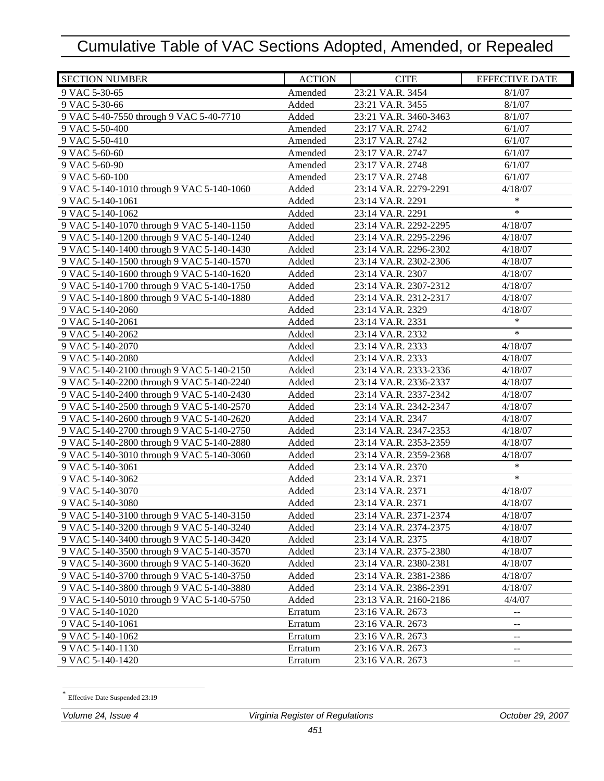| <b>SECTION NUMBER</b>                     | <b>ACTION</b> | <b>CITE</b>           | <b>EFFECTIVE DATE</b>                         |
|-------------------------------------------|---------------|-----------------------|-----------------------------------------------|
| 9 VAC 5-30-65                             | Amended       | 23:21 VA.R. 3454      | 8/1/07                                        |
| 9 VAC 5-30-66                             | Added         | 23:21 VA.R. 3455      | 8/1/07                                        |
| 9 VAC 5-40-7550 through 9 VAC 5-40-7710   | Added         | 23:21 VA.R. 3460-3463 | 8/1/07                                        |
| 9 VAC 5-50-400                            | Amended       | 23:17 VA.R. 2742      | 6/1/07                                        |
| 9 VAC 5-50-410                            | Amended       | 23:17 VA.R. 2742      | 6/1/07                                        |
| 9 VAC 5-60-60                             | Amended       | 23:17 VA.R. 2747      | 6/1/07                                        |
| 9 VAC 5-60-90                             | Amended       | 23:17 VA.R. 2748      | 6/1/07                                        |
| 9 VAC 5-60-100                            | Amended       | 23:17 VA.R. 2748      | 6/1/07                                        |
| 9 VAC 5-140-1010 through 9 VAC 5-140-1060 | Added         | 23:14 VA.R. 2279-2291 | 4/18/07                                       |
| 9 VAC 5-140-1061                          | Added         | 23:14 VA.R. 2291      | $\ast$                                        |
| 9 VAC 5-140-1062                          | Added         | 23:14 VA.R. 2291      | $\ast$                                        |
| 9 VAC 5-140-1070 through 9 VAC 5-140-1150 | Added         | 23:14 VA.R. 2292-2295 | 4/18/07                                       |
| 9 VAC 5-140-1200 through 9 VAC 5-140-1240 | Added         | 23:14 VA.R. 2295-2296 | 4/18/07                                       |
| 9 VAC 5-140-1400 through 9 VAC 5-140-1430 | Added         | 23:14 VA.R. 2296-2302 | 4/18/07                                       |
| 9 VAC 5-140-1500 through 9 VAC 5-140-1570 | Added         | 23:14 VA.R. 2302-2306 | 4/18/07                                       |
| 9 VAC 5-140-1600 through 9 VAC 5-140-1620 | Added         | 23:14 VA.R. 2307      | 4/18/07                                       |
| 9 VAC 5-140-1700 through 9 VAC 5-140-1750 | Added         | 23:14 VA.R. 2307-2312 | 4/18/07                                       |
| 9 VAC 5-140-1800 through 9 VAC 5-140-1880 | Added         | 23:14 VA.R. 2312-2317 | 4/18/07                                       |
| 9 VAC 5-140-2060                          | Added         | 23:14 VA.R. 2329      | 4/18/07                                       |
| 9 VAC 5-140-2061                          | Added         | 23:14 VA.R. 2331      | ∗                                             |
| 9 VAC 5-140-2062                          | Added         | 23:14 VA.R. 2332      | $\ast$                                        |
| 9 VAC 5-140-2070                          | Added         | 23:14 VA.R. 2333      | 4/18/07                                       |
| 9 VAC 5-140-2080                          | Added         | 23:14 VA.R. 2333      | 4/18/07                                       |
| 9 VAC 5-140-2100 through 9 VAC 5-140-2150 | Added         | 23:14 VA.R. 2333-2336 | 4/18/07                                       |
| 9 VAC 5-140-2200 through 9 VAC 5-140-2240 | Added         | 23:14 VA.R. 2336-2337 | 4/18/07                                       |
| 9 VAC 5-140-2400 through 9 VAC 5-140-2430 | Added         | 23:14 VA.R. 2337-2342 | 4/18/07                                       |
| 9 VAC 5-140-2500 through 9 VAC 5-140-2570 | Added         | 23:14 VA.R. 2342-2347 | 4/18/07                                       |
| 9 VAC 5-140-2600 through 9 VAC 5-140-2620 | Added         | 23:14 VA.R. 2347      | 4/18/07                                       |
| 9 VAC 5-140-2700 through 9 VAC 5-140-2750 | Added         | 23:14 VA.R. 2347-2353 | 4/18/07                                       |
| 9 VAC 5-140-2800 through 9 VAC 5-140-2880 | Added         | 23:14 VA.R. 2353-2359 | 4/18/07                                       |
| 9 VAC 5-140-3010 through 9 VAC 5-140-3060 | Added         | 23:14 VA.R. 2359-2368 | 4/18/07                                       |
| 9 VAC 5-140-3061                          | Added         | 23:14 VA.R. 2370      | $\ast$                                        |
| 9 VAC 5-140-3062                          | Added         | 23:14 VA.R. 2371      | $\ast$                                        |
| 9 VAC 5-140-3070                          | Added         | 23:14 VA.R. 2371      | 4/18/07                                       |
| 9 VAC 5-140-3080                          | Added         | 23:14 VA.R. 2371      | 4/18/07                                       |
| 9 VAC 5-140-3100 through 9 VAC 5-140-3150 | Added         | 23:14 VA.R. 2371-2374 | 4/18/07                                       |
| 9 VAC 5-140-3200 through 9 VAC 5-140-3240 | Added         | 23:14 VA.R. 2374-2375 | 4/18/07                                       |
| 9 VAC 5-140-3400 through 9 VAC 5-140-3420 | Added         | 23:14 VA.R. 2375      | 4/18/07                                       |
| 9 VAC 5-140-3500 through 9 VAC 5-140-3570 | Added         | 23:14 VA.R. 2375-2380 | 4/18/07                                       |
| 9 VAC 5-140-3600 through 9 VAC 5-140-3620 | Added         | 23:14 VA.R. 2380-2381 | 4/18/07                                       |
| 9 VAC 5-140-3700 through 9 VAC 5-140-3750 | Added         | 23:14 VA.R. 2381-2386 | 4/18/07                                       |
| 9 VAC 5-140-3800 through 9 VAC 5-140-3880 | Added         | 23:14 VA.R. 2386-2391 | 4/18/07                                       |
| 9 VAC 5-140-5010 through 9 VAC 5-140-5750 | Added         | 23:13 VA.R. 2160-2186 | 4/4/07                                        |
| 9 VAC 5-140-1020                          | Erratum       | 23:16 VA.R. 2673      | $-$                                           |
| 9 VAC 5-140-1061                          | Erratum       | 23:16 VA.R. 2673      | --                                            |
| 9 VAC 5-140-1062                          | Erratum       | 23:16 VA.R. 2673      | $\mathord{\hspace{1pt}\text{--}\hspace{1pt}}$ |
| 9 VAC 5-140-1130                          | Erratum       | 23:16 VA.R. 2673      | $\mathord{\hspace{1pt}\text{--}\hspace{1pt}}$ |
| 9 VAC 5-140-1420                          | Erratum       | 23:16 VA.R. 2673      | --                                            |

Effective Date Suspended 23:19

-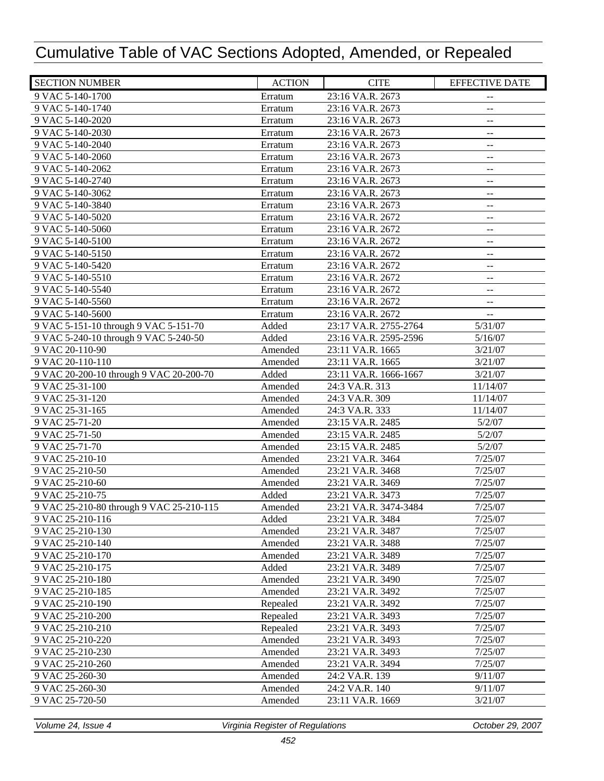| <b>SECTION NUMBER</b>                    | <b>ACTION</b> | <b>CITE</b>           | <b>EFFECTIVE DATE</b>                         |
|------------------------------------------|---------------|-----------------------|-----------------------------------------------|
| 9 VAC 5-140-1700                         | Erratum       | 23:16 VA.R. 2673      | $- \, -$                                      |
| 9 VAC 5-140-1740                         | Erratum       | 23:16 VA.R. 2673      | $\overline{\phantom{a}}$                      |
| 9 VAC 5-140-2020                         | Erratum       | 23:16 VA.R. 2673      | $-$                                           |
| 9 VAC 5-140-2030                         | Erratum       | 23:16 VA.R. 2673      | $\mathord{\hspace{1pt}\text{--}\hspace{1pt}}$ |
| 9 VAC 5-140-2040                         | Erratum       | 23:16 VA.R. 2673      | $- \, -$                                      |
| 9 VAC 5-140-2060                         | Erratum       | 23:16 VA.R. 2673      | $\mathcal{L} =$                               |
| 9 VAC 5-140-2062                         | Erratum       | 23:16 VA.R. 2673      | $\mathord{\hspace{1pt}\text{--}\hspace{1pt}}$ |
| 9 VAC 5-140-2740                         | Erratum       | 23:16 VA.R. 2673      | $\mathord{\hspace{1pt}\text{--}\hspace{1pt}}$ |
| 9 VAC 5-140-3062                         | Erratum       | 23:16 VA.R. 2673      | $-$                                           |
| 9 VAC 5-140-3840                         | Erratum       | 23:16 VA.R. 2673      | $-$                                           |
| 9 VAC 5-140-5020                         | Erratum       | 23:16 VA.R. 2672      | $-$                                           |
| 9 VAC 5-140-5060                         | Erratum       | 23:16 VA.R. 2672      | $\qquad \qquad -$                             |
| 9 VAC 5-140-5100                         | Erratum       | 23:16 VA.R. 2672      | $-$                                           |
| 9 VAC 5-140-5150                         | Erratum       | 23:16 VA.R. 2672      | $\mathrel{{-}-}$                              |
| 9 VAC 5-140-5420                         | Erratum       | 23:16 VA.R. 2672      | $- \, -$                                      |
| 9 VAC 5-140-5510                         | Erratum       | 23:16 VA.R. 2672      | $\mathrel{{-}-}$                              |
| 9 VAC 5-140-5540                         | Erratum       | 23:16 VA.R. 2672      | $-$                                           |
| 9 VAC 5-140-5560                         | Erratum       | 23:16 VA.R. 2672      | $- \, -$                                      |
| 9 VAC 5-140-5600                         | Erratum       | 23:16 VA.R. 2672      | $\mathord{\hspace{1pt}\text{--}\hspace{1pt}}$ |
| 9 VAC 5-151-10 through 9 VAC 5-151-70    | Added         | 23:17 VA.R. 2755-2764 | 5/31/07                                       |
| 9 VAC 5-240-10 through 9 VAC 5-240-50    | Added         | 23:16 VA.R. 2595-2596 | 5/16/07                                       |
| 9 VAC 20-110-90                          | Amended       | 23:11 VA.R. 1665      | 3/21/07                                       |
| 9 VAC 20-110-110                         | Amended       | 23:11 VA.R. 1665      | 3/21/07                                       |
| 9 VAC 20-200-10 through 9 VAC 20-200-70  | Added         | 23:11 VA.R. 1666-1667 | 3/21/07                                       |
| 9 VAC 25-31-100                          | Amended       | 24:3 VA.R. 313        | 11/14/07                                      |
| 9 VAC 25-31-120                          | Amended       | 24:3 VA.R. 309        | 11/14/07                                      |
| 9 VAC 25-31-165                          | Amended       | 24:3 VA.R. 333        | 11/14/07                                      |
| 9 VAC 25-71-20                           | Amended       | 23:15 VA.R. 2485      | 5/2/07                                        |
| 9 VAC 25-71-50                           | Amended       | 23:15 VA.R. 2485      | 5/2/07                                        |
| 9 VAC 25-71-70                           | Amended       | 23:15 VA.R. 2485      | 5/2/07                                        |
| 9 VAC 25-210-10                          | Amended       | 23:21 VA.R. 3464      | 7/25/07                                       |
| 9 VAC 25-210-50                          | Amended       | 23:21 VA.R. 3468      | 7/25/07                                       |
| 9 VAC 25-210-60                          | Amended       | 23:21 VA.R. 3469      | 7/25/07                                       |
| 9 VAC 25-210-75                          | Added         | 23:21 VA.R. 3473      | 7/25/07                                       |
| 9 VAC 25-210-80 through 9 VAC 25-210-115 | Amended       | 23:21 VA.R. 3474-3484 | 7/25/07                                       |
| 9 VAC 25-210-116                         | Added         | 23:21 VA.R. 3484      | 7/25/07                                       |
| 9 VAC 25-210-130                         | Amended       | 23:21 VA.R. 3487      | 7/25/07                                       |
| 9 VAC 25-210-140                         | Amended       | 23:21 VA.R. 3488      | 7/25/07                                       |
| 9 VAC 25-210-170                         | Amended       | 23:21 VA.R. 3489      | 7/25/07                                       |
| 9 VAC 25-210-175                         | Added         | 23:21 VA.R. 3489      | 7/25/07                                       |
| 9 VAC 25-210-180                         | Amended       | 23:21 VA.R. 3490      | 7/25/07                                       |
| 9 VAC 25-210-185                         | Amended       | 23:21 VA.R. 3492      | 7/25/07                                       |
| 9 VAC 25-210-190                         | Repealed      | 23:21 VA.R. 3492      | 7/25/07                                       |
| 9 VAC 25-210-200                         | Repealed      | 23:21 VA.R. 3493      | 7/25/07                                       |
| 9 VAC 25-210-210                         | Repealed      | 23:21 VA.R. 3493      | 7/25/07                                       |
| 9 VAC 25-210-220                         | Amended       | 23:21 VA.R. 3493      | 7/25/07                                       |
| 9 VAC 25-210-230                         | Amended       | 23:21 VA.R. 3493      | 7/25/07                                       |
| 9 VAC 25-210-260                         | Amended       | 23:21 VA.R. 3494      | 7/25/07                                       |
| 9 VAC 25-260-30                          | Amended       | 24:2 VA.R. 139        | 9/11/07                                       |
| 9 VAC 25-260-30                          | Amended       | 24:2 VA.R. 140        | 9/11/07                                       |
| 9 VAC 25-720-50                          | Amended       | 23:11 VA.R. 1669      | 3/21/07                                       |
|                                          |               |                       |                                               |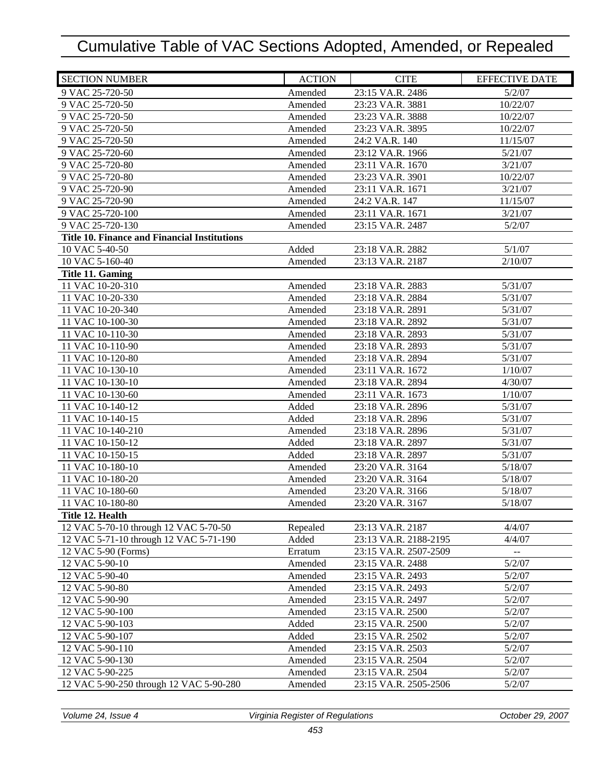| <b>SECTION NUMBER</b>                               | <b>ACTION</b> | <b>CITE</b>           | <b>EFFECTIVE DATE</b>                         |
|-----------------------------------------------------|---------------|-----------------------|-----------------------------------------------|
| 9 VAC 25-720-50                                     | Amended       | 23:15 VA.R. 2486      | 5/2/07                                        |
| 9 VAC 25-720-50                                     | Amended       | 23:23 VA.R. 3881      | 10/22/07                                      |
| 9 VAC 25-720-50                                     | Amended       | 23:23 VA.R. 3888      | 10/22/07                                      |
| 9 VAC 25-720-50                                     | Amended       | 23:23 VA.R. 3895      | 10/22/07                                      |
| 9 VAC 25-720-50                                     | Amended       | 24:2 VA.R. 140        | 11/15/07                                      |
| 9 VAC 25-720-60                                     | Amended       | 23:12 VA.R. 1966      | 5/21/07                                       |
| 9 VAC 25-720-80                                     | Amended       | 23:11 VA.R. 1670      | 3/21/07                                       |
| 9 VAC 25-720-80                                     | Amended       | 23:23 VA.R. 3901      | 10/22/07                                      |
| 9 VAC 25-720-90                                     | Amended       | 23:11 VA.R. 1671      | 3/21/07                                       |
| 9 VAC 25-720-90                                     | Amended       | 24:2 VA.R. 147        | 11/15/07                                      |
| 9 VAC 25-720-100                                    | Amended       | 23:11 VA.R. 1671      | 3/21/07                                       |
| 9 VAC 25-720-130                                    | Amended       | 23:15 VA.R. 2487      | 5/2/07                                        |
| <b>Title 10. Finance and Financial Institutions</b> |               |                       |                                               |
| 10 VAC 5-40-50                                      | Added         | 23:18 VA.R. 2882      | 5/1/07                                        |
| 10 VAC 5-160-40                                     | Amended       | 23:13 VA.R. 2187      | 2/10/07                                       |
| Title 11. Gaming                                    |               |                       |                                               |
| 11 VAC 10-20-310                                    | Amended       | 23:18 VA.R. 2883      | 5/31/07                                       |
| 11 VAC 10-20-330                                    | Amended       | 23:18 VA.R. 2884      | 5/31/07                                       |
| 11 VAC 10-20-340                                    | Amended       | 23:18 VA.R. 2891      | 5/31/07                                       |
| 11 VAC 10-100-30                                    | Amended       | 23:18 VA.R. 2892      | 5/31/07                                       |
| 11 VAC 10-110-30                                    | Amended       | 23:18 VA.R. 2893      | 5/31/07                                       |
| 11 VAC 10-110-90                                    | Amended       | 23:18 VA.R. 2893      | 5/31/07                                       |
| 11 VAC 10-120-80                                    | Amended       | 23:18 VA.R. 2894      | 5/31/07                                       |
| 11 VAC 10-130-10                                    | Amended       | 23:11 VA.R. 1672      | 1/10/07                                       |
| 11 VAC 10-130-10                                    | Amended       | 23:18 VA.R. 2894      | 4/30/07                                       |
| 11 VAC 10-130-60                                    | Amended       | 23:11 VA.R. 1673      | 1/10/07                                       |
| 11 VAC 10-140-12                                    | Added         | 23:18 VA.R. 2896      | 5/31/07                                       |
| 11 VAC 10-140-15                                    | Added         | 23:18 VA.R. 2896      | 5/31/07                                       |
| 11 VAC 10-140-210                                   | Amended       | 23:18 VA.R. 2896      | 5/31/07                                       |
| 11 VAC 10-150-12                                    | Added         | 23:18 VA.R. 2897      | 5/31/07                                       |
| 11 VAC 10-150-15                                    | Added         | 23:18 VA.R. 2897      | 5/31/07                                       |
| 11 VAC 10-180-10                                    | Amended       | 23:20 VA.R. 3164      | 5/18/07                                       |
| 11 VAC 10-180-20                                    | Amended       | 23:20 VA.R. 3164      | 5/18/07                                       |
| 11 VAC 10-180-60                                    | Amended       | 23:20 VA.R. 3166      | 5/18/07                                       |
| 11 VAC 10-180-80                                    | Amended       | 23:20 VA.R. 3167      | 5/18/07                                       |
| Title 12. Health                                    |               |                       |                                               |
| 12 VAC 5-70-10 through 12 VAC 5-70-50               | Repealed      | 23:13 VA.R. 2187      | 4/4/07                                        |
| 12 VAC 5-71-10 through 12 VAC 5-71-190              | Added         | 23:13 VA.R. 2188-2195 | 4/4/07                                        |
| 12 VAC 5-90 (Forms)                                 | Erratum       | 23:15 VA.R. 2507-2509 | $\mathord{\hspace{1pt}\text{--}\hspace{1pt}}$ |
| 12 VAC 5-90-10                                      | Amended       | 23:15 VA.R. 2488      | 5/2/07                                        |
| 12 VAC 5-90-40                                      | Amended       | 23:15 VA.R. 2493      | 5/2/07                                        |
| 12 VAC 5-90-80                                      | Amended       | 23:15 VA.R. 2493      | 5/2/07                                        |
| 12 VAC 5-90-90                                      | Amended       | 23:15 VA.R. 2497      | 5/2/07                                        |
| 12 VAC 5-90-100                                     | Amended       | 23:15 VA.R. 2500      | 5/2/07                                        |
| 12 VAC 5-90-103                                     | Added         | 23:15 VA.R. 2500      | 5/2/07                                        |
| 12 VAC 5-90-107                                     | Added         | 23:15 VA.R. 2502      | 5/2/07                                        |
| 12 VAC 5-90-110                                     | Amended       | 23:15 VA.R. 2503      | 5/2/07                                        |
| 12 VAC 5-90-130                                     | Amended       | 23:15 VA.R. 2504      | 5/2/07                                        |
| 12 VAC 5-90-225                                     | Amended       | 23:15 VA.R. 2504      | 5/2/07                                        |
| 12 VAC 5-90-250 through 12 VAC 5-90-280             | Amended       | 23:15 VA.R. 2505-2506 | 5/2/07                                        |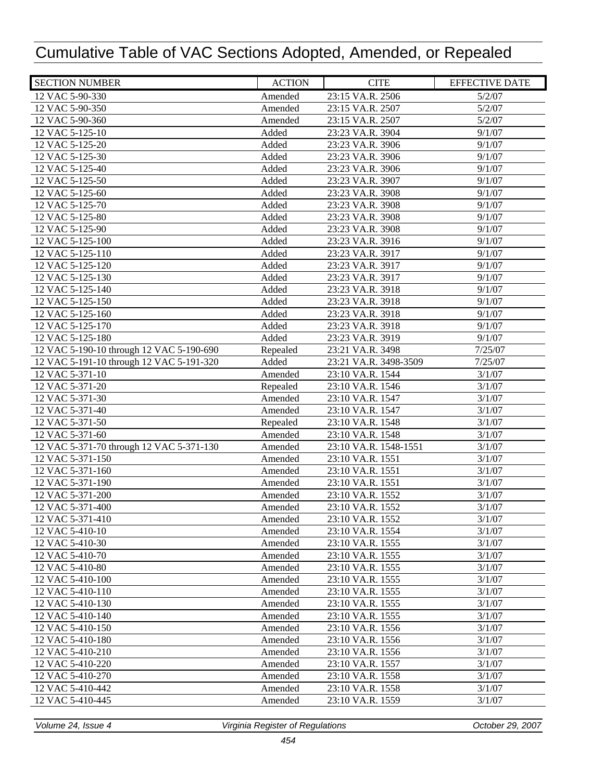| 23:15 VA.R. 2506<br>5/2/07<br>12 VAC 5-90-330<br>Amended<br>12 VAC 5-90-350<br>Amended<br>23:15 VA.R. 2507<br>5/2/07<br>12 VAC 5-90-360<br>Amended<br>23:15 VA.R. 2507<br>5/2/07<br>9/1/07<br>12 VAC 5-125-10<br>Added<br>23:23 VA.R. 3904<br>12 VAC 5-125-20<br>Added<br>23:23 VA.R. 3906<br>9/1/07<br>12 VAC 5-125-30<br>Added<br>23:23 VA.R. 3906<br>9/1/07<br>12 VAC 5-125-40<br>Added<br>9/1/07<br>23:23 VA.R. 3906<br>Added<br>12 VAC 5-125-50<br>23:23 VA.R. 3907<br>9/1/07<br>Added<br>12 VAC 5-125-60<br>23:23 VA.R. 3908<br>9/1/07<br>12 VAC 5-125-70<br>Added<br>23:23 VA.R. 3908<br>9/1/07<br>12 VAC 5-125-80<br>Added<br>9/1/07<br>23:23 VA.R. 3908<br>12 VAC 5-125-90<br>Added<br>23:23 VA.R. 3908<br>9/1/07<br>12 VAC 5-125-100<br>Added<br>23:23 VA.R. 3916<br>9/1/07<br>12 VAC 5-125-110<br>Added<br>23:23 VA.R. 3917<br>9/1/07<br>12 VAC 5-125-120<br>Added<br>23:23 VA.R. 3917<br>9/1/07<br>12 VAC 5-125-130<br>23:23 VA.R. 3917<br>Added<br>9/1/07<br>12 VAC 5-125-140<br>23:23 VA.R. 3918<br>Added<br>9/1/07<br>12 VAC 5-125-150<br>23:23 VA.R. 3918<br>9/1/07<br>Added<br>12 VAC 5-125-160<br>Added<br>23:23 VA.R. 3918<br>9/1/07<br>12 VAC 5-125-170<br>Added<br>9/1/07<br>23:23 VA.R. 3918<br>12 VAC 5-125-180<br>Added<br>23:23 VA.R. 3919<br>9/1/07<br>12 VAC 5-190-10 through 12 VAC 5-190-690<br>7/25/07<br>Repealed<br>23:21 VA.R. 3498<br>Added<br>12 VAC 5-191-10 through 12 VAC 5-191-320<br>7/25/07<br>23:21 VA.R. 3498-3509<br>12 VAC 5-371-10<br>Amended<br>23:10 VA.R. 1544<br>3/1/07<br>12 VAC 5-371-20<br>Repealed<br>23:10 VA.R. 1546<br>3/1/07<br>Amended<br>12 VAC 5-371-30<br>23:10 VA.R. 1547<br>3/1/07<br>Amended<br>12 VAC 5-371-40<br>23:10 VA.R. 1547<br>3/1/07<br>12 VAC 5-371-50<br>Repealed<br>23:10 VA.R. 1548<br>3/1/07<br>Amended<br>12 VAC 5-371-60<br>23:10 VA.R. 1548<br>3/1/07<br>12 VAC 5-371-70 through 12 VAC 5-371-130<br>Amended<br>23:10 VA.R. 1548-1551<br>3/1/07<br>12 VAC 5-371-150<br>Amended<br>3/1/07<br>23:10 VA.R. 1551<br>12 VAC 5-371-160<br>Amended<br>23:10 VA.R. 1551<br>3/1/07<br>12 VAC 5-371-190<br>Amended<br>23:10 VA.R. 1551<br>3/1/07<br>12 VAC 5-371-200<br>Amended<br>3/1/07<br>23:10 VA.R. 1552<br>12 VAC 5-371-400<br>Amended<br>23:10 VA.R. 1552<br>3/1/07<br>12 VAC 5-371-410<br>Amended<br>23:10 VA.R. 1552<br>3/1/07<br>12 VAC 5-410-10<br>3/1/07<br>Amended<br>23:10 VA.R. 1554<br>3/1/07<br>12 VAC 5-410-30<br>Amended<br>23:10 VA.R. 1555<br>3/1/07<br>12 VAC 5-410-70<br>Amended<br>23:10 VA.R. 1555<br>12 VAC 5-410-80<br>23:10 VA.R. 1555<br>3/1/07<br>Amended<br>3/1/07<br>12 VAC 5-410-100<br>23:10 VA.R. 1555<br>Amended<br>12 VAC 5-410-110<br>3/1/07<br>Amended<br>23:10 VA.R. 1555<br>12 VAC 5-410-130<br>23:10 VA.R. 1555<br>3/1/07<br>Amended<br>3/1/07<br>12 VAC 5-410-140<br>Amended<br>23:10 VA.R. 1555<br>12 VAC 5-410-150<br>3/1/07<br>Amended<br>23:10 VA.R. 1556<br>12 VAC 5-410-180<br>23:10 VA.R. 1556<br>3/1/07<br>Amended<br>3/1/07<br>12 VAC 5-410-210<br>Amended<br>23:10 VA.R. 1556<br>23:10 VA.R. 1557<br>3/1/07<br>12 VAC 5-410-220<br>Amended<br>Amended<br>3/1/07<br>12 VAC 5-410-270<br>23:10 VA.R. 1558<br>12 VAC 5-410-442<br>Amended<br>23:10 VA.R. 1558<br>3/1/07<br>12 VAC 5-410-445<br>Amended<br>23:10 VA.R. 1559<br>3/1/07 | <b>SECTION NUMBER</b> | <b>ACTION</b> | <b>CITE</b> | <b>EFFECTIVE DATE</b> |
|----------------------------------------------------------------------------------------------------------------------------------------------------------------------------------------------------------------------------------------------------------------------------------------------------------------------------------------------------------------------------------------------------------------------------------------------------------------------------------------------------------------------------------------------------------------------------------------------------------------------------------------------------------------------------------------------------------------------------------------------------------------------------------------------------------------------------------------------------------------------------------------------------------------------------------------------------------------------------------------------------------------------------------------------------------------------------------------------------------------------------------------------------------------------------------------------------------------------------------------------------------------------------------------------------------------------------------------------------------------------------------------------------------------------------------------------------------------------------------------------------------------------------------------------------------------------------------------------------------------------------------------------------------------------------------------------------------------------------------------------------------------------------------------------------------------------------------------------------------------------------------------------------------------------------------------------------------------------------------------------------------------------------------------------------------------------------------------------------------------------------------------------------------------------------------------------------------------------------------------------------------------------------------------------------------------------------------------------------------------------------------------------------------------------------------------------------------------------------------------------------------------------------------------------------------------------------------------------------------------------------------------------------------------------------------------------------------------------------------------------------------------------------------------------------------------------------------------------------------------------------------------------------------------------------------------------------------------------------------------------------------------------------------------------------------------------------------------------------------------------------------------------------------------------------------------------------------------------------------------------------------------|-----------------------|---------------|-------------|-----------------------|
|                                                                                                                                                                                                                                                                                                                                                                                                                                                                                                                                                                                                                                                                                                                                                                                                                                                                                                                                                                                                                                                                                                                                                                                                                                                                                                                                                                                                                                                                                                                                                                                                                                                                                                                                                                                                                                                                                                                                                                                                                                                                                                                                                                                                                                                                                                                                                                                                                                                                                                                                                                                                                                                                                                                                                                                                                                                                                                                                                                                                                                                                                                                                                                                                                                                                |                       |               |             |                       |
|                                                                                                                                                                                                                                                                                                                                                                                                                                                                                                                                                                                                                                                                                                                                                                                                                                                                                                                                                                                                                                                                                                                                                                                                                                                                                                                                                                                                                                                                                                                                                                                                                                                                                                                                                                                                                                                                                                                                                                                                                                                                                                                                                                                                                                                                                                                                                                                                                                                                                                                                                                                                                                                                                                                                                                                                                                                                                                                                                                                                                                                                                                                                                                                                                                                                |                       |               |             |                       |
|                                                                                                                                                                                                                                                                                                                                                                                                                                                                                                                                                                                                                                                                                                                                                                                                                                                                                                                                                                                                                                                                                                                                                                                                                                                                                                                                                                                                                                                                                                                                                                                                                                                                                                                                                                                                                                                                                                                                                                                                                                                                                                                                                                                                                                                                                                                                                                                                                                                                                                                                                                                                                                                                                                                                                                                                                                                                                                                                                                                                                                                                                                                                                                                                                                                                |                       |               |             |                       |
|                                                                                                                                                                                                                                                                                                                                                                                                                                                                                                                                                                                                                                                                                                                                                                                                                                                                                                                                                                                                                                                                                                                                                                                                                                                                                                                                                                                                                                                                                                                                                                                                                                                                                                                                                                                                                                                                                                                                                                                                                                                                                                                                                                                                                                                                                                                                                                                                                                                                                                                                                                                                                                                                                                                                                                                                                                                                                                                                                                                                                                                                                                                                                                                                                                                                |                       |               |             |                       |
|                                                                                                                                                                                                                                                                                                                                                                                                                                                                                                                                                                                                                                                                                                                                                                                                                                                                                                                                                                                                                                                                                                                                                                                                                                                                                                                                                                                                                                                                                                                                                                                                                                                                                                                                                                                                                                                                                                                                                                                                                                                                                                                                                                                                                                                                                                                                                                                                                                                                                                                                                                                                                                                                                                                                                                                                                                                                                                                                                                                                                                                                                                                                                                                                                                                                |                       |               |             |                       |
|                                                                                                                                                                                                                                                                                                                                                                                                                                                                                                                                                                                                                                                                                                                                                                                                                                                                                                                                                                                                                                                                                                                                                                                                                                                                                                                                                                                                                                                                                                                                                                                                                                                                                                                                                                                                                                                                                                                                                                                                                                                                                                                                                                                                                                                                                                                                                                                                                                                                                                                                                                                                                                                                                                                                                                                                                                                                                                                                                                                                                                                                                                                                                                                                                                                                |                       |               |             |                       |
|                                                                                                                                                                                                                                                                                                                                                                                                                                                                                                                                                                                                                                                                                                                                                                                                                                                                                                                                                                                                                                                                                                                                                                                                                                                                                                                                                                                                                                                                                                                                                                                                                                                                                                                                                                                                                                                                                                                                                                                                                                                                                                                                                                                                                                                                                                                                                                                                                                                                                                                                                                                                                                                                                                                                                                                                                                                                                                                                                                                                                                                                                                                                                                                                                                                                |                       |               |             |                       |
|                                                                                                                                                                                                                                                                                                                                                                                                                                                                                                                                                                                                                                                                                                                                                                                                                                                                                                                                                                                                                                                                                                                                                                                                                                                                                                                                                                                                                                                                                                                                                                                                                                                                                                                                                                                                                                                                                                                                                                                                                                                                                                                                                                                                                                                                                                                                                                                                                                                                                                                                                                                                                                                                                                                                                                                                                                                                                                                                                                                                                                                                                                                                                                                                                                                                |                       |               |             |                       |
|                                                                                                                                                                                                                                                                                                                                                                                                                                                                                                                                                                                                                                                                                                                                                                                                                                                                                                                                                                                                                                                                                                                                                                                                                                                                                                                                                                                                                                                                                                                                                                                                                                                                                                                                                                                                                                                                                                                                                                                                                                                                                                                                                                                                                                                                                                                                                                                                                                                                                                                                                                                                                                                                                                                                                                                                                                                                                                                                                                                                                                                                                                                                                                                                                                                                |                       |               |             |                       |
|                                                                                                                                                                                                                                                                                                                                                                                                                                                                                                                                                                                                                                                                                                                                                                                                                                                                                                                                                                                                                                                                                                                                                                                                                                                                                                                                                                                                                                                                                                                                                                                                                                                                                                                                                                                                                                                                                                                                                                                                                                                                                                                                                                                                                                                                                                                                                                                                                                                                                                                                                                                                                                                                                                                                                                                                                                                                                                                                                                                                                                                                                                                                                                                                                                                                |                       |               |             |                       |
|                                                                                                                                                                                                                                                                                                                                                                                                                                                                                                                                                                                                                                                                                                                                                                                                                                                                                                                                                                                                                                                                                                                                                                                                                                                                                                                                                                                                                                                                                                                                                                                                                                                                                                                                                                                                                                                                                                                                                                                                                                                                                                                                                                                                                                                                                                                                                                                                                                                                                                                                                                                                                                                                                                                                                                                                                                                                                                                                                                                                                                                                                                                                                                                                                                                                |                       |               |             |                       |
|                                                                                                                                                                                                                                                                                                                                                                                                                                                                                                                                                                                                                                                                                                                                                                                                                                                                                                                                                                                                                                                                                                                                                                                                                                                                                                                                                                                                                                                                                                                                                                                                                                                                                                                                                                                                                                                                                                                                                                                                                                                                                                                                                                                                                                                                                                                                                                                                                                                                                                                                                                                                                                                                                                                                                                                                                                                                                                                                                                                                                                                                                                                                                                                                                                                                |                       |               |             |                       |
|                                                                                                                                                                                                                                                                                                                                                                                                                                                                                                                                                                                                                                                                                                                                                                                                                                                                                                                                                                                                                                                                                                                                                                                                                                                                                                                                                                                                                                                                                                                                                                                                                                                                                                                                                                                                                                                                                                                                                                                                                                                                                                                                                                                                                                                                                                                                                                                                                                                                                                                                                                                                                                                                                                                                                                                                                                                                                                                                                                                                                                                                                                                                                                                                                                                                |                       |               |             |                       |
|                                                                                                                                                                                                                                                                                                                                                                                                                                                                                                                                                                                                                                                                                                                                                                                                                                                                                                                                                                                                                                                                                                                                                                                                                                                                                                                                                                                                                                                                                                                                                                                                                                                                                                                                                                                                                                                                                                                                                                                                                                                                                                                                                                                                                                                                                                                                                                                                                                                                                                                                                                                                                                                                                                                                                                                                                                                                                                                                                                                                                                                                                                                                                                                                                                                                |                       |               |             |                       |
|                                                                                                                                                                                                                                                                                                                                                                                                                                                                                                                                                                                                                                                                                                                                                                                                                                                                                                                                                                                                                                                                                                                                                                                                                                                                                                                                                                                                                                                                                                                                                                                                                                                                                                                                                                                                                                                                                                                                                                                                                                                                                                                                                                                                                                                                                                                                                                                                                                                                                                                                                                                                                                                                                                                                                                                                                                                                                                                                                                                                                                                                                                                                                                                                                                                                |                       |               |             |                       |
|                                                                                                                                                                                                                                                                                                                                                                                                                                                                                                                                                                                                                                                                                                                                                                                                                                                                                                                                                                                                                                                                                                                                                                                                                                                                                                                                                                                                                                                                                                                                                                                                                                                                                                                                                                                                                                                                                                                                                                                                                                                                                                                                                                                                                                                                                                                                                                                                                                                                                                                                                                                                                                                                                                                                                                                                                                                                                                                                                                                                                                                                                                                                                                                                                                                                |                       |               |             |                       |
|                                                                                                                                                                                                                                                                                                                                                                                                                                                                                                                                                                                                                                                                                                                                                                                                                                                                                                                                                                                                                                                                                                                                                                                                                                                                                                                                                                                                                                                                                                                                                                                                                                                                                                                                                                                                                                                                                                                                                                                                                                                                                                                                                                                                                                                                                                                                                                                                                                                                                                                                                                                                                                                                                                                                                                                                                                                                                                                                                                                                                                                                                                                                                                                                                                                                |                       |               |             |                       |
|                                                                                                                                                                                                                                                                                                                                                                                                                                                                                                                                                                                                                                                                                                                                                                                                                                                                                                                                                                                                                                                                                                                                                                                                                                                                                                                                                                                                                                                                                                                                                                                                                                                                                                                                                                                                                                                                                                                                                                                                                                                                                                                                                                                                                                                                                                                                                                                                                                                                                                                                                                                                                                                                                                                                                                                                                                                                                                                                                                                                                                                                                                                                                                                                                                                                |                       |               |             |                       |
|                                                                                                                                                                                                                                                                                                                                                                                                                                                                                                                                                                                                                                                                                                                                                                                                                                                                                                                                                                                                                                                                                                                                                                                                                                                                                                                                                                                                                                                                                                                                                                                                                                                                                                                                                                                                                                                                                                                                                                                                                                                                                                                                                                                                                                                                                                                                                                                                                                                                                                                                                                                                                                                                                                                                                                                                                                                                                                                                                                                                                                                                                                                                                                                                                                                                |                       |               |             |                       |
|                                                                                                                                                                                                                                                                                                                                                                                                                                                                                                                                                                                                                                                                                                                                                                                                                                                                                                                                                                                                                                                                                                                                                                                                                                                                                                                                                                                                                                                                                                                                                                                                                                                                                                                                                                                                                                                                                                                                                                                                                                                                                                                                                                                                                                                                                                                                                                                                                                                                                                                                                                                                                                                                                                                                                                                                                                                                                                                                                                                                                                                                                                                                                                                                                                                                |                       |               |             |                       |
|                                                                                                                                                                                                                                                                                                                                                                                                                                                                                                                                                                                                                                                                                                                                                                                                                                                                                                                                                                                                                                                                                                                                                                                                                                                                                                                                                                                                                                                                                                                                                                                                                                                                                                                                                                                                                                                                                                                                                                                                                                                                                                                                                                                                                                                                                                                                                                                                                                                                                                                                                                                                                                                                                                                                                                                                                                                                                                                                                                                                                                                                                                                                                                                                                                                                |                       |               |             |                       |
|                                                                                                                                                                                                                                                                                                                                                                                                                                                                                                                                                                                                                                                                                                                                                                                                                                                                                                                                                                                                                                                                                                                                                                                                                                                                                                                                                                                                                                                                                                                                                                                                                                                                                                                                                                                                                                                                                                                                                                                                                                                                                                                                                                                                                                                                                                                                                                                                                                                                                                                                                                                                                                                                                                                                                                                                                                                                                                                                                                                                                                                                                                                                                                                                                                                                |                       |               |             |                       |
|                                                                                                                                                                                                                                                                                                                                                                                                                                                                                                                                                                                                                                                                                                                                                                                                                                                                                                                                                                                                                                                                                                                                                                                                                                                                                                                                                                                                                                                                                                                                                                                                                                                                                                                                                                                                                                                                                                                                                                                                                                                                                                                                                                                                                                                                                                                                                                                                                                                                                                                                                                                                                                                                                                                                                                                                                                                                                                                                                                                                                                                                                                                                                                                                                                                                |                       |               |             |                       |
|                                                                                                                                                                                                                                                                                                                                                                                                                                                                                                                                                                                                                                                                                                                                                                                                                                                                                                                                                                                                                                                                                                                                                                                                                                                                                                                                                                                                                                                                                                                                                                                                                                                                                                                                                                                                                                                                                                                                                                                                                                                                                                                                                                                                                                                                                                                                                                                                                                                                                                                                                                                                                                                                                                                                                                                                                                                                                                                                                                                                                                                                                                                                                                                                                                                                |                       |               |             |                       |
|                                                                                                                                                                                                                                                                                                                                                                                                                                                                                                                                                                                                                                                                                                                                                                                                                                                                                                                                                                                                                                                                                                                                                                                                                                                                                                                                                                                                                                                                                                                                                                                                                                                                                                                                                                                                                                                                                                                                                                                                                                                                                                                                                                                                                                                                                                                                                                                                                                                                                                                                                                                                                                                                                                                                                                                                                                                                                                                                                                                                                                                                                                                                                                                                                                                                |                       |               |             |                       |
|                                                                                                                                                                                                                                                                                                                                                                                                                                                                                                                                                                                                                                                                                                                                                                                                                                                                                                                                                                                                                                                                                                                                                                                                                                                                                                                                                                                                                                                                                                                                                                                                                                                                                                                                                                                                                                                                                                                                                                                                                                                                                                                                                                                                                                                                                                                                                                                                                                                                                                                                                                                                                                                                                                                                                                                                                                                                                                                                                                                                                                                                                                                                                                                                                                                                |                       |               |             |                       |
|                                                                                                                                                                                                                                                                                                                                                                                                                                                                                                                                                                                                                                                                                                                                                                                                                                                                                                                                                                                                                                                                                                                                                                                                                                                                                                                                                                                                                                                                                                                                                                                                                                                                                                                                                                                                                                                                                                                                                                                                                                                                                                                                                                                                                                                                                                                                                                                                                                                                                                                                                                                                                                                                                                                                                                                                                                                                                                                                                                                                                                                                                                                                                                                                                                                                |                       |               |             |                       |
|                                                                                                                                                                                                                                                                                                                                                                                                                                                                                                                                                                                                                                                                                                                                                                                                                                                                                                                                                                                                                                                                                                                                                                                                                                                                                                                                                                                                                                                                                                                                                                                                                                                                                                                                                                                                                                                                                                                                                                                                                                                                                                                                                                                                                                                                                                                                                                                                                                                                                                                                                                                                                                                                                                                                                                                                                                                                                                                                                                                                                                                                                                                                                                                                                                                                |                       |               |             |                       |
|                                                                                                                                                                                                                                                                                                                                                                                                                                                                                                                                                                                                                                                                                                                                                                                                                                                                                                                                                                                                                                                                                                                                                                                                                                                                                                                                                                                                                                                                                                                                                                                                                                                                                                                                                                                                                                                                                                                                                                                                                                                                                                                                                                                                                                                                                                                                                                                                                                                                                                                                                                                                                                                                                                                                                                                                                                                                                                                                                                                                                                                                                                                                                                                                                                                                |                       |               |             |                       |
|                                                                                                                                                                                                                                                                                                                                                                                                                                                                                                                                                                                                                                                                                                                                                                                                                                                                                                                                                                                                                                                                                                                                                                                                                                                                                                                                                                                                                                                                                                                                                                                                                                                                                                                                                                                                                                                                                                                                                                                                                                                                                                                                                                                                                                                                                                                                                                                                                                                                                                                                                                                                                                                                                                                                                                                                                                                                                                                                                                                                                                                                                                                                                                                                                                                                |                       |               |             |                       |
|                                                                                                                                                                                                                                                                                                                                                                                                                                                                                                                                                                                                                                                                                                                                                                                                                                                                                                                                                                                                                                                                                                                                                                                                                                                                                                                                                                                                                                                                                                                                                                                                                                                                                                                                                                                                                                                                                                                                                                                                                                                                                                                                                                                                                                                                                                                                                                                                                                                                                                                                                                                                                                                                                                                                                                                                                                                                                                                                                                                                                                                                                                                                                                                                                                                                |                       |               |             |                       |
|                                                                                                                                                                                                                                                                                                                                                                                                                                                                                                                                                                                                                                                                                                                                                                                                                                                                                                                                                                                                                                                                                                                                                                                                                                                                                                                                                                                                                                                                                                                                                                                                                                                                                                                                                                                                                                                                                                                                                                                                                                                                                                                                                                                                                                                                                                                                                                                                                                                                                                                                                                                                                                                                                                                                                                                                                                                                                                                                                                                                                                                                                                                                                                                                                                                                |                       |               |             |                       |
|                                                                                                                                                                                                                                                                                                                                                                                                                                                                                                                                                                                                                                                                                                                                                                                                                                                                                                                                                                                                                                                                                                                                                                                                                                                                                                                                                                                                                                                                                                                                                                                                                                                                                                                                                                                                                                                                                                                                                                                                                                                                                                                                                                                                                                                                                                                                                                                                                                                                                                                                                                                                                                                                                                                                                                                                                                                                                                                                                                                                                                                                                                                                                                                                                                                                |                       |               |             |                       |
|                                                                                                                                                                                                                                                                                                                                                                                                                                                                                                                                                                                                                                                                                                                                                                                                                                                                                                                                                                                                                                                                                                                                                                                                                                                                                                                                                                                                                                                                                                                                                                                                                                                                                                                                                                                                                                                                                                                                                                                                                                                                                                                                                                                                                                                                                                                                                                                                                                                                                                                                                                                                                                                                                                                                                                                                                                                                                                                                                                                                                                                                                                                                                                                                                                                                |                       |               |             |                       |
|                                                                                                                                                                                                                                                                                                                                                                                                                                                                                                                                                                                                                                                                                                                                                                                                                                                                                                                                                                                                                                                                                                                                                                                                                                                                                                                                                                                                                                                                                                                                                                                                                                                                                                                                                                                                                                                                                                                                                                                                                                                                                                                                                                                                                                                                                                                                                                                                                                                                                                                                                                                                                                                                                                                                                                                                                                                                                                                                                                                                                                                                                                                                                                                                                                                                |                       |               |             |                       |
|                                                                                                                                                                                                                                                                                                                                                                                                                                                                                                                                                                                                                                                                                                                                                                                                                                                                                                                                                                                                                                                                                                                                                                                                                                                                                                                                                                                                                                                                                                                                                                                                                                                                                                                                                                                                                                                                                                                                                                                                                                                                                                                                                                                                                                                                                                                                                                                                                                                                                                                                                                                                                                                                                                                                                                                                                                                                                                                                                                                                                                                                                                                                                                                                                                                                |                       |               |             |                       |
|                                                                                                                                                                                                                                                                                                                                                                                                                                                                                                                                                                                                                                                                                                                                                                                                                                                                                                                                                                                                                                                                                                                                                                                                                                                                                                                                                                                                                                                                                                                                                                                                                                                                                                                                                                                                                                                                                                                                                                                                                                                                                                                                                                                                                                                                                                                                                                                                                                                                                                                                                                                                                                                                                                                                                                                                                                                                                                                                                                                                                                                                                                                                                                                                                                                                |                       |               |             |                       |
|                                                                                                                                                                                                                                                                                                                                                                                                                                                                                                                                                                                                                                                                                                                                                                                                                                                                                                                                                                                                                                                                                                                                                                                                                                                                                                                                                                                                                                                                                                                                                                                                                                                                                                                                                                                                                                                                                                                                                                                                                                                                                                                                                                                                                                                                                                                                                                                                                                                                                                                                                                                                                                                                                                                                                                                                                                                                                                                                                                                                                                                                                                                                                                                                                                                                |                       |               |             |                       |
|                                                                                                                                                                                                                                                                                                                                                                                                                                                                                                                                                                                                                                                                                                                                                                                                                                                                                                                                                                                                                                                                                                                                                                                                                                                                                                                                                                                                                                                                                                                                                                                                                                                                                                                                                                                                                                                                                                                                                                                                                                                                                                                                                                                                                                                                                                                                                                                                                                                                                                                                                                                                                                                                                                                                                                                                                                                                                                                                                                                                                                                                                                                                                                                                                                                                |                       |               |             |                       |
|                                                                                                                                                                                                                                                                                                                                                                                                                                                                                                                                                                                                                                                                                                                                                                                                                                                                                                                                                                                                                                                                                                                                                                                                                                                                                                                                                                                                                                                                                                                                                                                                                                                                                                                                                                                                                                                                                                                                                                                                                                                                                                                                                                                                                                                                                                                                                                                                                                                                                                                                                                                                                                                                                                                                                                                                                                                                                                                                                                                                                                                                                                                                                                                                                                                                |                       |               |             |                       |
|                                                                                                                                                                                                                                                                                                                                                                                                                                                                                                                                                                                                                                                                                                                                                                                                                                                                                                                                                                                                                                                                                                                                                                                                                                                                                                                                                                                                                                                                                                                                                                                                                                                                                                                                                                                                                                                                                                                                                                                                                                                                                                                                                                                                                                                                                                                                                                                                                                                                                                                                                                                                                                                                                                                                                                                                                                                                                                                                                                                                                                                                                                                                                                                                                                                                |                       |               |             |                       |
|                                                                                                                                                                                                                                                                                                                                                                                                                                                                                                                                                                                                                                                                                                                                                                                                                                                                                                                                                                                                                                                                                                                                                                                                                                                                                                                                                                                                                                                                                                                                                                                                                                                                                                                                                                                                                                                                                                                                                                                                                                                                                                                                                                                                                                                                                                                                                                                                                                                                                                                                                                                                                                                                                                                                                                                                                                                                                                                                                                                                                                                                                                                                                                                                                                                                |                       |               |             |                       |
|                                                                                                                                                                                                                                                                                                                                                                                                                                                                                                                                                                                                                                                                                                                                                                                                                                                                                                                                                                                                                                                                                                                                                                                                                                                                                                                                                                                                                                                                                                                                                                                                                                                                                                                                                                                                                                                                                                                                                                                                                                                                                                                                                                                                                                                                                                                                                                                                                                                                                                                                                                                                                                                                                                                                                                                                                                                                                                                                                                                                                                                                                                                                                                                                                                                                |                       |               |             |                       |
|                                                                                                                                                                                                                                                                                                                                                                                                                                                                                                                                                                                                                                                                                                                                                                                                                                                                                                                                                                                                                                                                                                                                                                                                                                                                                                                                                                                                                                                                                                                                                                                                                                                                                                                                                                                                                                                                                                                                                                                                                                                                                                                                                                                                                                                                                                                                                                                                                                                                                                                                                                                                                                                                                                                                                                                                                                                                                                                                                                                                                                                                                                                                                                                                                                                                |                       |               |             |                       |
|                                                                                                                                                                                                                                                                                                                                                                                                                                                                                                                                                                                                                                                                                                                                                                                                                                                                                                                                                                                                                                                                                                                                                                                                                                                                                                                                                                                                                                                                                                                                                                                                                                                                                                                                                                                                                                                                                                                                                                                                                                                                                                                                                                                                                                                                                                                                                                                                                                                                                                                                                                                                                                                                                                                                                                                                                                                                                                                                                                                                                                                                                                                                                                                                                                                                |                       |               |             |                       |
|                                                                                                                                                                                                                                                                                                                                                                                                                                                                                                                                                                                                                                                                                                                                                                                                                                                                                                                                                                                                                                                                                                                                                                                                                                                                                                                                                                                                                                                                                                                                                                                                                                                                                                                                                                                                                                                                                                                                                                                                                                                                                                                                                                                                                                                                                                                                                                                                                                                                                                                                                                                                                                                                                                                                                                                                                                                                                                                                                                                                                                                                                                                                                                                                                                                                |                       |               |             |                       |
|                                                                                                                                                                                                                                                                                                                                                                                                                                                                                                                                                                                                                                                                                                                                                                                                                                                                                                                                                                                                                                                                                                                                                                                                                                                                                                                                                                                                                                                                                                                                                                                                                                                                                                                                                                                                                                                                                                                                                                                                                                                                                                                                                                                                                                                                                                                                                                                                                                                                                                                                                                                                                                                                                                                                                                                                                                                                                                                                                                                                                                                                                                                                                                                                                                                                |                       |               |             |                       |
|                                                                                                                                                                                                                                                                                                                                                                                                                                                                                                                                                                                                                                                                                                                                                                                                                                                                                                                                                                                                                                                                                                                                                                                                                                                                                                                                                                                                                                                                                                                                                                                                                                                                                                                                                                                                                                                                                                                                                                                                                                                                                                                                                                                                                                                                                                                                                                                                                                                                                                                                                                                                                                                                                                                                                                                                                                                                                                                                                                                                                                                                                                                                                                                                                                                                |                       |               |             |                       |
|                                                                                                                                                                                                                                                                                                                                                                                                                                                                                                                                                                                                                                                                                                                                                                                                                                                                                                                                                                                                                                                                                                                                                                                                                                                                                                                                                                                                                                                                                                                                                                                                                                                                                                                                                                                                                                                                                                                                                                                                                                                                                                                                                                                                                                                                                                                                                                                                                                                                                                                                                                                                                                                                                                                                                                                                                                                                                                                                                                                                                                                                                                                                                                                                                                                                |                       |               |             |                       |
|                                                                                                                                                                                                                                                                                                                                                                                                                                                                                                                                                                                                                                                                                                                                                                                                                                                                                                                                                                                                                                                                                                                                                                                                                                                                                                                                                                                                                                                                                                                                                                                                                                                                                                                                                                                                                                                                                                                                                                                                                                                                                                                                                                                                                                                                                                                                                                                                                                                                                                                                                                                                                                                                                                                                                                                                                                                                                                                                                                                                                                                                                                                                                                                                                                                                |                       |               |             |                       |
|                                                                                                                                                                                                                                                                                                                                                                                                                                                                                                                                                                                                                                                                                                                                                                                                                                                                                                                                                                                                                                                                                                                                                                                                                                                                                                                                                                                                                                                                                                                                                                                                                                                                                                                                                                                                                                                                                                                                                                                                                                                                                                                                                                                                                                                                                                                                                                                                                                                                                                                                                                                                                                                                                                                                                                                                                                                                                                                                                                                                                                                                                                                                                                                                                                                                |                       |               |             |                       |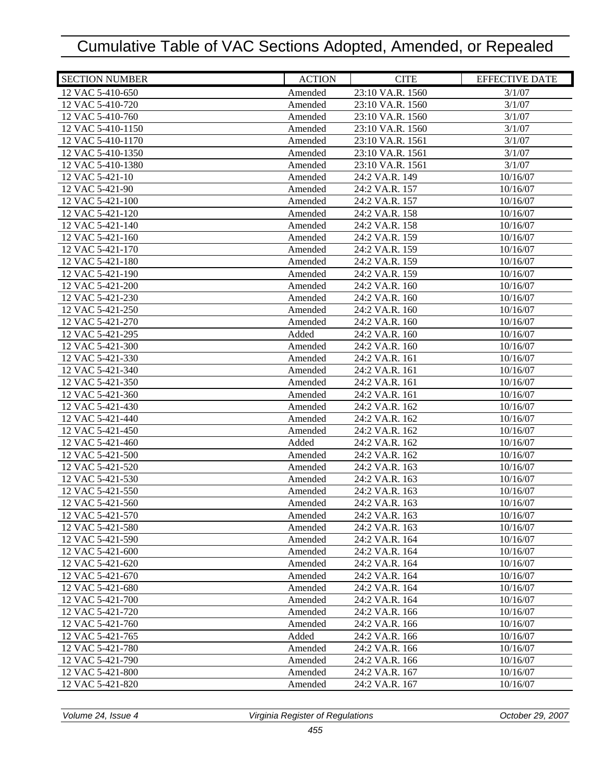| <b>SECTION NUMBER</b>                | <b>ACTION</b>      | <b>CITE</b>                      | <b>EFFECTIVE DATE</b> |
|--------------------------------------|--------------------|----------------------------------|-----------------------|
| 12 VAC 5-410-650                     | Amended            | 23:10 VA.R. 1560                 | 3/1/07                |
| 12 VAC 5-410-720                     | Amended            | 23:10 VA.R. 1560                 | 3/1/07                |
| 12 VAC 5-410-760                     | Amended            | 23:10 VA.R. 1560                 | 3/1/07                |
| 12 VAC 5-410-1150                    | Amended            | 23:10 VA.R. 1560                 | 3/1/07                |
| 12 VAC 5-410-1170                    | Amended            | 23:10 VA.R. 1561                 | 3/1/07                |
| 12 VAC 5-410-1350                    | Amended            | 23:10 VA.R. 1561                 | 3/1/07                |
| 12 VAC 5-410-1380                    | Amended            | 23:10 VA.R. 1561                 | 3/1/07                |
| 12 VAC 5-421-10                      | Amended            | 24:2 VA.R. 149                   | 10/16/07              |
| 12 VAC 5-421-90                      | Amended            | 24:2 VA.R. 157                   | 10/16/07              |
| 12 VAC 5-421-100                     | Amended            | 24:2 VA.R. 157                   | 10/16/07              |
| 12 VAC 5-421-120                     | Amended            | 24:2 VA.R. 158                   | 10/16/07              |
| 12 VAC 5-421-140                     | Amended            | 24:2 VA.R. 158                   | 10/16/07              |
| 12 VAC 5-421-160                     | Amended            | 24:2 VA.R. 159                   | 10/16/07              |
| 12 VAC 5-421-170                     | Amended            | 24:2 VA.R. 159                   | 10/16/07              |
| 12 VAC 5-421-180                     | Amended            | 24:2 VA.R. 159                   | 10/16/07              |
| 12 VAC 5-421-190                     | Amended            | 24:2 VA.R. 159                   | 10/16/07              |
| 12 VAC 5-421-200                     | Amended            | 24:2 VA.R. 160                   | 10/16/07              |
| 12 VAC 5-421-230                     | Amended            | 24:2 VA.R. 160                   | 10/16/07              |
| 12 VAC 5-421-250                     | Amended            | 24:2 VA.R. 160                   | 10/16/07              |
| 12 VAC 5-421-270                     | Amended            | 24:2 VA.R. 160                   | 10/16/07              |
| 12 VAC 5-421-295                     | Added              | 24:2 VA.R. 160                   | 10/16/07              |
| 12 VAC 5-421-300                     | Amended            | 24:2 VA.R. 160                   | 10/16/07              |
| 12 VAC 5-421-330                     | Amended            | 24:2 VA.R. 161                   | 10/16/07              |
| 12 VAC 5-421-340                     | Amended            | 24:2 VA.R. 161                   | 10/16/07              |
| 12 VAC 5-421-350                     | Amended            | 24:2 VA.R. 161                   | 10/16/07              |
| 12 VAC 5-421-360                     | Amended            | 24:2 VA.R. 161                   | 10/16/07              |
| 12 VAC 5-421-430                     | Amended            | 24:2 VA.R. 162                   | 10/16/07              |
| 12 VAC 5-421-440                     | Amended            | 24:2 VA.R. 162                   | 10/16/07              |
| 12 VAC 5-421-450                     | Amended            | 24:2 VA.R. 162                   | 10/16/07              |
| 12 VAC 5-421-460                     | Added              | 24:2 VA.R. 162                   | 10/16/07              |
| 12 VAC 5-421-500                     | Amended            | 24:2 VA.R. 162                   | 10/16/07              |
| 12 VAC 5-421-520                     | Amended            | 24:2 VA.R. 163                   | 10/16/07              |
| 12 VAC 5-421-530                     | Amended            | 24:2 VA.R. 163                   | 10/16/07              |
| 12 VAC 5-421-550                     | Amended            | 24:2 VA.R. 163                   | 10/16/07              |
| 12 VAC 5-421-560                     | Amended            | 24:2 VA.R. 163                   | 10/16/07              |
| 12 VAC 5-421-570                     | Amended            | 24:2 VA.R. 163                   | 10/16/07              |
| 12 VAC 5-421-580<br>12 VAC 5-421-590 | Amended            | 24:2 VA.R. 163<br>24:2 VA.R. 164 | 10/16/07              |
| 12 VAC 5-421-600                     | Amended<br>Amended | 24:2 VA.R. 164                   | 10/16/07<br>10/16/07  |
| 12 VAC 5-421-620                     | Amended            | 24:2 VA.R. 164                   | 10/16/07              |
| 12 VAC 5-421-670                     | Amended            | 24:2 VA.R. 164                   | 10/16/07              |
| 12 VAC 5-421-680                     | Amended            | 24:2 VA.R. 164                   | 10/16/07              |
| 12 VAC 5-421-700                     | Amended            | 24:2 VA.R. 164                   | 10/16/07              |
| 12 VAC 5-421-720                     | Amended            | 24:2 VA.R. 166                   | 10/16/07              |
| 12 VAC 5-421-760                     | Amended            | 24:2 VA.R. 166                   | 10/16/07              |
| 12 VAC 5-421-765                     | Added              | 24:2 VA.R. 166                   | 10/16/07              |
| 12 VAC 5-421-780                     | Amended            | 24:2 VA.R. 166                   | 10/16/07              |
| 12 VAC 5-421-790                     | Amended            | 24:2 VA.R. 166                   | 10/16/07              |
| 12 VAC 5-421-800                     | Amended            | 24:2 VA.R. 167                   | 10/16/07              |
| 12 VAC 5-421-820                     | Amended            | 24:2 VA.R. 167                   | 10/16/07              |
|                                      |                    |                                  |                       |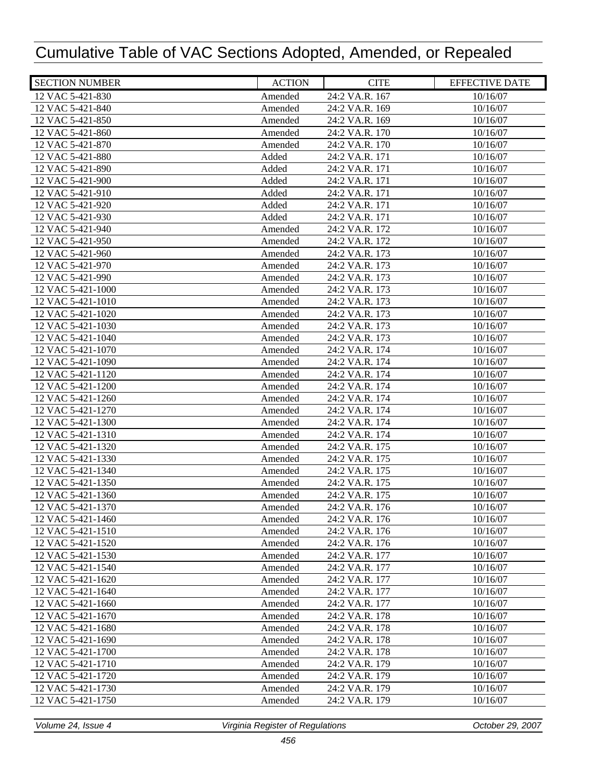| <b>SECTION NUMBER</b> | <b>ACTION</b> | <b>CITE</b>    | <b>EFFECTIVE DATE</b> |
|-----------------------|---------------|----------------|-----------------------|
| 12 VAC 5-421-830      | Amended       | 24:2 VA.R. 167 | 10/16/07              |
| 12 VAC 5-421-840      | Amended       | 24:2 VA.R. 169 | 10/16/07              |
| 12 VAC 5-421-850      | Amended       | 24:2 VA.R. 169 | 10/16/07              |
| 12 VAC 5-421-860      | Amended       | 24:2 VA.R. 170 | 10/16/07              |
| 12 VAC 5-421-870      | Amended       | 24:2 VA.R. 170 | 10/16/07              |
| 12 VAC 5-421-880      | Added         | 24:2 VA.R. 171 | 10/16/07              |
| 12 VAC 5-421-890      | Added         | 24:2 VA.R. 171 | 10/16/07              |
| 12 VAC 5-421-900      | Added         | 24:2 VA.R. 171 | 10/16/07              |
| 12 VAC 5-421-910      | Added         | 24:2 VA.R. 171 | 10/16/07              |
| 12 VAC 5-421-920      | Added         | 24:2 VA.R. 171 | 10/16/07              |
| 12 VAC 5-421-930      | Added         | 24:2 VA.R. 171 | 10/16/07              |
| 12 VAC 5-421-940      | Amended       | 24:2 VA.R. 172 | 10/16/07              |
| 12 VAC 5-421-950      | Amended       | 24:2 VA.R. 172 | 10/16/07              |
| 12 VAC 5-421-960      | Amended       | 24:2 VA.R. 173 | 10/16/07              |
| 12 VAC 5-421-970      | Amended       | 24:2 VA.R. 173 | 10/16/07              |
| 12 VAC 5-421-990      | Amended       | 24:2 VA.R. 173 | 10/16/07              |
| 12 VAC 5-421-1000     | Amended       | 24:2 VA.R. 173 | 10/16/07              |
| 12 VAC 5-421-1010     | Amended       | 24:2 VA.R. 173 | 10/16/07              |
| 12 VAC 5-421-1020     | Amended       | 24:2 VA.R. 173 | 10/16/07              |
| 12 VAC 5-421-1030     | Amended       | 24:2 VA.R. 173 | 10/16/07              |
| 12 VAC 5-421-1040     | Amended       | 24:2 VA.R. 173 | 10/16/07              |
| 12 VAC 5-421-1070     | Amended       | 24:2 VA.R. 174 | 10/16/07              |
| 12 VAC 5-421-1090     | Amended       | 24:2 VA.R. 174 | 10/16/07              |
| 12 VAC 5-421-1120     | Amended       | 24:2 VA.R. 174 | 10/16/07              |
| 12 VAC 5-421-1200     | Amended       | 24:2 VA.R. 174 | 10/16/07              |
| 12 VAC 5-421-1260     | Amended       | 24:2 VA.R. 174 | 10/16/07              |
| 12 VAC 5-421-1270     | Amended       | 24:2 VA.R. 174 | 10/16/07              |
| 12 VAC 5-421-1300     | Amended       | 24:2 VA.R. 174 | 10/16/07              |
| 12 VAC 5-421-1310     | Amended       | 24:2 VA.R. 174 | 10/16/07              |
| 12 VAC 5-421-1320     | Amended       | 24:2 VA.R. 175 | 10/16/07              |
| 12 VAC 5-421-1330     | Amended       | 24:2 VA.R. 175 | 10/16/07              |
| 12 VAC 5-421-1340     | Amended       | 24:2 VA.R. 175 | 10/16/07              |
| 12 VAC 5-421-1350     | Amended       | 24:2 VA.R. 175 | 10/16/07              |
| 12 VAC 5-421-1360     | Amended       | 24:2 VA.R. 175 | 10/16/07              |
| 12 VAC 5-421-1370     | Amended       | 24:2 VA.R. 176 | 10/16/07              |
| 12 VAC 5-421-1460     | Amended       | 24:2 VA.R. 176 | 10/16/07              |
| 12 VAC 5-421-1510     | Amended       | 24:2 VA.R. 176 | 10/16/07              |
| 12 VAC 5-421-1520     | Amended       | 24:2 VA.R. 176 | 10/16/07              |
| 12 VAC 5-421-1530     | Amended       | 24:2 VA.R. 177 | 10/16/07              |
| 12 VAC 5-421-1540     | Amended       | 24:2 VA.R. 177 | 10/16/07              |
| 12 VAC 5-421-1620     | Amended       | 24:2 VA.R. 177 | 10/16/07              |
| 12 VAC 5-421-1640     | Amended       | 24:2 VA.R. 177 | 10/16/07              |
| 12 VAC 5-421-1660     | Amended       | 24:2 VA.R. 177 | 10/16/07              |
| 12 VAC 5-421-1670     | Amended       | 24:2 VA.R. 178 | 10/16/07              |
| 12 VAC 5-421-1680     | Amended       | 24:2 VA.R. 178 | 10/16/07              |
| 12 VAC 5-421-1690     | Amended       | 24:2 VA.R. 178 | 10/16/07              |
| 12 VAC 5-421-1700     | Amended       | 24:2 VA.R. 178 | 10/16/07              |
| 12 VAC 5-421-1710     | Amended       | 24:2 VA.R. 179 | 10/16/07              |
| 12 VAC 5-421-1720     | Amended       | 24:2 VA.R. 179 | 10/16/07              |
| 12 VAC 5-421-1730     | Amended       | 24:2 VA.R. 179 | 10/16/07              |
| 12 VAC 5-421-1750     | Amended       | 24:2 VA.R. 179 | 10/16/07              |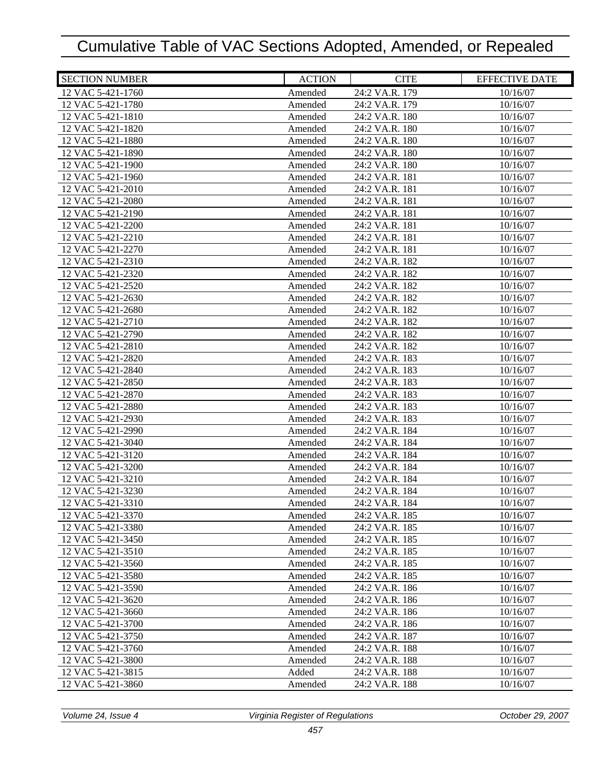| <b>SECTION NUMBER</b>                  | <b>ACTION</b>      | <b>CITE</b>                      | <b>EFFECTIVE DATE</b> |
|----------------------------------------|--------------------|----------------------------------|-----------------------|
| 12 VAC 5-421-1760                      | Amended            | 24:2 VA.R. 179                   | 10/16/07              |
| 12 VAC 5-421-1780                      | Amended            | 24:2 VA.R. 179                   | 10/16/07              |
| 12 VAC 5-421-1810                      | Amended            | 24:2 VA.R. 180                   | 10/16/07              |
| 12 VAC 5-421-1820                      | Amended            | 24:2 VA.R. 180                   | 10/16/07              |
| 12 VAC 5-421-1880                      | Amended            | 24:2 VA.R. 180                   | 10/16/07              |
| 12 VAC 5-421-1890                      | Amended            | 24:2 VA.R. 180                   | 10/16/07              |
| 12 VAC 5-421-1900                      | Amended            | 24:2 VA.R. 180                   | 10/16/07              |
| 12 VAC 5-421-1960                      | Amended            | 24:2 VA.R. 181                   | 10/16/07              |
| 12 VAC 5-421-2010                      | Amended            | 24:2 VA.R. 181                   | 10/16/07              |
| 12 VAC 5-421-2080                      | Amended            | 24:2 VA.R. 181                   | 10/16/07              |
| 12 VAC 5-421-2190                      | Amended            | 24:2 VA.R. 181                   | 10/16/07              |
| 12 VAC 5-421-2200                      | Amended            | 24:2 VA.R. 181                   | 10/16/07              |
| 12 VAC 5-421-2210                      | Amended            | 24:2 VA.R. 181                   | 10/16/07              |
| 12 VAC 5-421-2270                      | Amended            | 24:2 VA.R. 181                   | 10/16/07              |
| 12 VAC 5-421-2310                      | Amended            | 24:2 VA.R. 182                   | 10/16/07              |
| 12 VAC 5-421-2320                      | Amended            | 24:2 VA.R. 182                   | 10/16/07              |
| 12 VAC 5-421-2520                      | Amended            | 24:2 VA.R. 182                   | 10/16/07              |
| 12 VAC 5-421-2630                      | Amended            | 24:2 VA.R. 182                   | 10/16/07              |
| 12 VAC 5-421-2680                      | Amended            | 24:2 VA.R. 182                   | 10/16/07              |
| 12 VAC 5-421-2710                      | Amended            | 24:2 VA.R. 182                   | 10/16/07              |
| 12 VAC 5-421-2790                      | Amended            | 24:2 VA.R. 182                   | 10/16/07              |
| 12 VAC 5-421-2810                      | Amended            | 24:2 VA.R. 182                   | 10/16/07              |
| 12 VAC 5-421-2820                      | Amended            | 24:2 VA.R. 183                   | 10/16/07              |
| 12 VAC 5-421-2840                      | Amended            | 24:2 VA.R. 183                   | 10/16/07              |
| 12 VAC 5-421-2850                      | Amended            | 24:2 VA.R. 183                   | 10/16/07              |
| 12 VAC 5-421-2870                      | Amended            | 24:2 VA.R. 183                   | 10/16/07              |
| 12 VAC 5-421-2880                      | Amended            | 24:2 VA.R. 183                   | 10/16/07              |
| 12 VAC 5-421-2930                      | Amended            | 24:2 VA.R. 183                   | 10/16/07              |
| 12 VAC 5-421-2990                      | Amended            | 24:2 VA.R. 184                   | 10/16/07              |
| 12 VAC 5-421-3040                      | Amended            | 24:2 VA.R. 184                   | 10/16/07              |
| 12 VAC 5-421-3120                      | Amended            | 24:2 VA.R. 184                   | 10/16/07              |
| 12 VAC 5-421-3200                      | Amended            | 24:2 VA.R. 184                   | 10/16/07              |
| 12 VAC 5-421-3210                      | Amended            | 24:2 VA.R. 184                   | 10/16/07              |
| 12 VAC 5-421-3230                      | Amended            | 24:2 VA.R. 184                   | 10/16/07              |
| 12 VAC 5-421-3310                      | Amended            | 24:2 VA.R. 184                   | 10/16/07              |
| 12 VAC 5-421-3370                      | Amended            | 24:2 VA.R. 185                   | 10/16/07              |
| 12 VAC 5-421-3380                      | Amended            | 24:2 VA.R. 185                   | 10/16/07              |
| 12 VAC 5-421-3450<br>12 VAC 5-421-3510 | Amended            | 24:2 VA.R. 185<br>24:2 VA.R. 185 | 10/16/07              |
|                                        | Amended            |                                  | 10/16/07<br>10/16/07  |
| 12 VAC 5-421-3560<br>12 VAC 5-421-3580 | Amended            | 24:2 VA.R. 185                   |                       |
| 12 VAC 5-421-3590                      | Amended<br>Amended | 24:2 VA.R. 185<br>24:2 VA.R. 186 | 10/16/07<br>10/16/07  |
| 12 VAC 5-421-3620                      | Amended            | 24:2 VA.R. 186                   | 10/16/07              |
| 12 VAC 5-421-3660                      | Amended            | 24:2 VA.R. 186                   | 10/16/07              |
| 12 VAC 5-421-3700                      | Amended            | 24:2 VA.R. 186                   | 10/16/07              |
| 12 VAC 5-421-3750                      | Amended            | 24:2 VA.R. 187                   | 10/16/07              |
| 12 VAC 5-421-3760                      | Amended            | 24:2 VA.R. 188                   | 10/16/07              |
| 12 VAC 5-421-3800                      | Amended            | 24:2 VA.R. 188                   | 10/16/07              |
| 12 VAC 5-421-3815                      | Added              | 24:2 VA.R. 188                   | 10/16/07              |
| 12 VAC 5-421-3860                      | Amended            | 24:2 VA.R. 188                   | 10/16/07              |
|                                        |                    |                                  |                       |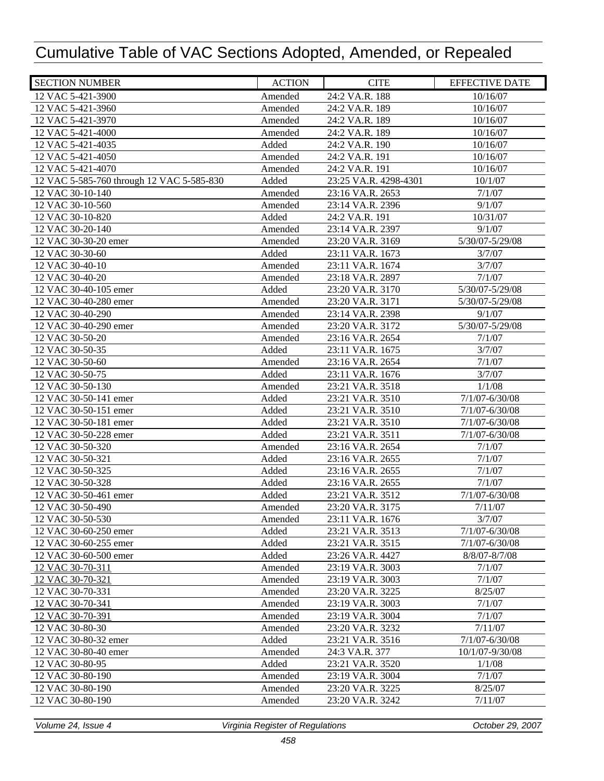| <b>SECTION NUMBER</b>                     | <b>ACTION</b> | <b>CITE</b>           | <b>EFFECTIVE DATE</b> |
|-------------------------------------------|---------------|-----------------------|-----------------------|
| 12 VAC 5-421-3900                         | Amended       | 24:2 VA.R. 188        | 10/16/07              |
| 12 VAC 5-421-3960                         | Amended       | 24:2 VA.R. 189        | 10/16/07              |
| 12 VAC 5-421-3970                         | Amended       | 24:2 VA.R. 189        | 10/16/07              |
| 12 VAC 5-421-4000                         | Amended       | 24:2 VA.R. 189        | 10/16/07              |
| 12 VAC 5-421-4035                         | Added         | 24:2 VA.R. 190        | 10/16/07              |
| 12 VAC 5-421-4050                         | Amended       | 24:2 VA.R. 191        | 10/16/07              |
| 12 VAC 5-421-4070                         | Amended       | 24:2 VA.R. 191        | 10/16/07              |
| 12 VAC 5-585-760 through 12 VAC 5-585-830 | Added         | 23:25 VA.R. 4298-4301 | 10/1/07               |
| 12 VAC 30-10-140                          | Amended       | 23:16 VA.R. 2653      | 7/1/07                |
| 12 VAC 30-10-560                          | Amended       | 23:14 VA.R. 2396      | 9/1/07                |
| 12 VAC 30-10-820                          | Added         | 24:2 VA.R. 191        | 10/31/07              |
| 12 VAC 30-20-140                          | Amended       | 23:14 VA.R. 2397      | 9/1/07                |
| 12 VAC 30-30-20 emer                      | Amended       | 23:20 VA.R. 3169      | 5/30/07-5/29/08       |
| 12 VAC 30-30-60                           | Added         | 23:11 VA.R. 1673      | 3/7/07                |
| 12 VAC 30-40-10                           | Amended       | 23:11 VA.R. 1674      | 3/7/07                |
| 12 VAC 30-40-20                           | Amended       | 23:18 VA.R. 2897      | 7/1/07                |
| 12 VAC 30-40-105 emer                     | Added         | 23:20 VA.R. 3170      | 5/30/07-5/29/08       |
| 12 VAC 30-40-280 emer                     | Amended       | 23:20 VA.R. 3171      | 5/30/07-5/29/08       |
| 12 VAC 30-40-290                          | Amended       | 23:14 VA.R. 2398      | 9/1/07                |
| 12 VAC 30-40-290 emer                     | Amended       | 23:20 VA.R. 3172      | 5/30/07-5/29/08       |
| 12 VAC 30-50-20                           | Amended       | 23:16 VA.R. 2654      | 7/1/07                |
| 12 VAC 30-50-35                           | Added         | 23:11 VA.R. 1675      | 3/7/07                |
| 12 VAC 30-50-60                           | Amended       | 23:16 VA.R. 2654      | 7/1/07                |
| 12 VAC 30-50-75                           | Added         | 23:11 VA.R. 1676      | 3/7/07                |
| 12 VAC 30-50-130                          | Amended       | 23:21 VA.R. 3518      | 1/1/08                |
| 12 VAC 30-50-141 emer                     | Added         | 23:21 VA.R. 3510      | $7/1/07 - 6/30/08$    |
| 12 VAC 30-50-151 emer                     | Added         | 23:21 VA.R. 3510      | 7/1/07-6/30/08        |
| 12 VAC 30-50-181 emer                     | Added         | 23:21 VA.R. 3510      | 7/1/07-6/30/08        |
| 12 VAC 30-50-228 emer                     | Added         | 23:21 VA.R. 3511      | 7/1/07-6/30/08        |
| 12 VAC 30-50-320                          | Amended       | 23:16 VA.R. 2654      | 7/1/07                |
| 12 VAC 30-50-321                          | Added         | 23:16 VA.R. 2655      | 7/1/07                |
| 12 VAC 30-50-325                          | Added         | 23:16 VA.R. 2655      | 7/1/07                |
| 12 VAC 30-50-328                          | Added         | 23:16 VA.R. 2655      | 7/1/07                |
| 12 VAC 30-50-461 emer                     | Added         | 23:21 VA.R. 3512      | $7/1/07 - 6/30/08$    |
| 12 VAC 30-50-490                          | Amended       | 23:20 VA.R. 3175      | 7/11/07               |
| 12 VAC 30-50-530                          | Amended       | 23:11 VA.R. 1676      | 3/7/07                |
| 12 VAC 30-60-250 emer                     | Added         | 23:21 VA.R. 3513      | $7/1/07 - 6/30/08$    |
| 12 VAC 30-60-255 emer                     | Added         | 23:21 VA.R. 3515      | $7/1/07 - 6/30/08$    |
| 12 VAC 30-60-500 emer                     | Added         | 23:26 VA.R. 4427      | 8/8/07-8/7/08         |
| 12 VAC 30-70-311                          | Amended       | 23:19 VA.R. 3003      | 7/1/07                |
| 12 VAC 30-70-321                          | Amended       | 23:19 VA.R. 3003      | 7/1/07                |
| 12 VAC 30-70-331                          | Amended       | 23:20 VA.R. 3225      | 8/25/07               |
| 12 VAC 30-70-341                          | Amended       | 23:19 VA.R. 3003      | 7/1/07                |
| 12 VAC 30-70-391                          | Amended       | 23:19 VA.R. 3004      | 7/1/07                |
| 12 VAC 30-80-30                           | Amended       | 23:20 VA.R. 3232      | 7/11/07               |
| 12 VAC 30-80-32 emer                      | Added         | 23:21 VA.R. 3516      | 7/1/07-6/30/08        |
| 12 VAC 30-80-40 emer                      | Amended       | 24:3 VA.R. 377        | 10/1/07-9/30/08       |
| 12 VAC 30-80-95                           | Added         | 23:21 VA.R. 3520      | 1/1/08                |
| 12 VAC 30-80-190                          | Amended       | 23:19 VA.R. 3004      | 7/1/07                |
| 12 VAC 30-80-190                          | Amended       | 23:20 VA.R. 3225      | 8/25/07               |
| 12 VAC 30-80-190                          | Amended       | 23:20 VA.R. 3242      | 7/11/07               |
|                                           |               |                       |                       |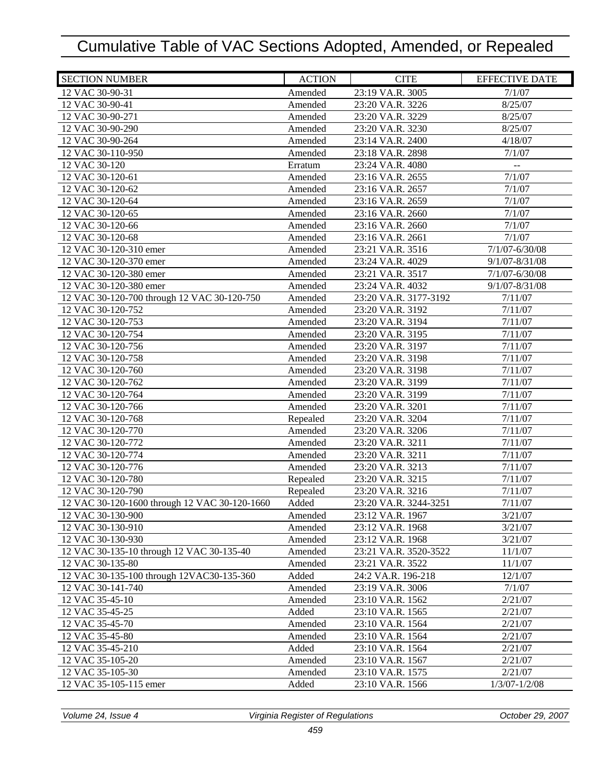| <b>SECTION NUMBER</b>                         | <b>ACTION</b> | <b>CITE</b>           | <b>EFFECTIVE DATE</b> |
|-----------------------------------------------|---------------|-----------------------|-----------------------|
| 12 VAC 30-90-31                               | Amended       | 23:19 VA.R. 3005      | 7/1/07                |
| 12 VAC 30-90-41                               | Amended       | 23:20 VA.R. 3226      | 8/25/07               |
| 12 VAC 30-90-271                              | Amended       | 23:20 VA.R. 3229      | 8/25/07               |
| 12 VAC 30-90-290                              | Amended       | 23:20 VA.R. 3230      | 8/25/07               |
| 12 VAC 30-90-264                              | Amended       | 23:14 VA.R. 2400      | 4/18/07               |
| 12 VAC 30-110-950                             | Amended       | 23:18 VA.R. 2898      | 7/1/07                |
| 12 VAC 30-120                                 | Erratum       | 23:24 VA.R. 4080      |                       |
| 12 VAC 30-120-61                              | Amended       | 23:16 VA.R. 2655      | 7/1/07                |
| 12 VAC 30-120-62                              | Amended       | 23:16 VA.R. 2657      | 7/1/07                |
| 12 VAC 30-120-64                              | Amended       | 23:16 VA.R. 2659      | 7/1/07                |
| 12 VAC 30-120-65                              | Amended       | 23:16 VA.R. 2660      | 7/1/07                |
| 12 VAC 30-120-66                              | Amended       | 23:16 VA.R. 2660      | 7/1/07                |
| 12 VAC 30-120-68                              | Amended       | 23:16 VA.R. 2661      | 7/1/07                |
| 12 VAC 30-120-310 emer                        | Amended       | 23:21 VA.R. 3516      | $7/1/07 - 6/30/08$    |
| 12 VAC 30-120-370 emer                        | Amended       | 23:24 VA.R. 4029      | $9/1/07 - 8/31/08$    |
| 12 VAC 30-120-380 emer                        | Amended       | 23:21 VA.R. 3517      | $7/1/07 - 6/30/08$    |
| 12 VAC 30-120-380 emer                        | Amended       | 23:24 VA.R. 4032      | $9/1/07 - 8/31/08$    |
| 12 VAC 30-120-700 through 12 VAC 30-120-750   | Amended       | 23:20 VA.R. 3177-3192 | 7/11/07               |
| 12 VAC 30-120-752                             | Amended       | 23:20 VA.R. 3192      | 7/11/07               |
| 12 VAC 30-120-753                             | Amended       | 23:20 VA.R. 3194      | 7/11/07               |
| 12 VAC 30-120-754                             | Amended       | 23:20 VA.R. 3195      | 7/11/07               |
| 12 VAC 30-120-756                             | Amended       | 23:20 VA.R. 3197      | 7/11/07               |
| 12 VAC 30-120-758                             | Amended       | 23:20 VA.R. 3198      | 7/11/07               |
| 12 VAC 30-120-760                             | Amended       | 23:20 VA.R. 3198      | 7/11/07               |
| 12 VAC 30-120-762                             | Amended       | 23:20 VA.R. 3199      | 7/11/07               |
| 12 VAC 30-120-764                             | Amended       | 23:20 VA.R. 3199      | 7/11/07               |
| 12 VAC 30-120-766                             | Amended       | 23:20 VA.R. 3201      | 7/11/07               |
| 12 VAC 30-120-768                             | Repealed      | 23:20 VA.R. 3204      | 7/11/07               |
| 12 VAC 30-120-770                             | Amended       | 23:20 VA.R. 3206      | 7/11/07               |
| 12 VAC 30-120-772                             | Amended       | 23:20 VA.R. 3211      | 7/11/07               |
| 12 VAC 30-120-774                             | Amended       | 23:20 VA.R. 3211      | 7/11/07               |
| 12 VAC 30-120-776                             | Amended       | 23:20 VA.R. 3213      | 7/11/07               |
| 12 VAC 30-120-780                             | Repealed      | 23:20 VA.R. 3215      | 7/11/07               |
| 12 VAC 30-120-790                             | Repealed      | 23:20 VA.R. 3216      | 7/11/07               |
| 12 VAC 30-120-1600 through 12 VAC 30-120-1660 | Added         | 23:20 VA.R. 3244-3251 | 7/11/07               |
| 12 VAC 30-130-900                             | Amended       | 23:12 VA.R. 1967      | 3/21/07               |
| 12 VAC 30-130-910                             | Amended       | 23:12 VA.R. 1968      | 3/21/07               |
| 12 VAC 30-130-930                             | Amended       | 23:12 VA.R. 1968      | 3/21/07               |
| 12 VAC 30-135-10 through 12 VAC 30-135-40     | Amended       | 23:21 VA.R. 3520-3522 | 11/1/07               |
| 12 VAC 30-135-80                              | Amended       | 23:21 VA.R. 3522      | 11/1/07               |
| 12 VAC 30-135-100 through 12VAC30-135-360     | Added         | 24:2 VA.R. 196-218    | 12/1/07               |
| 12 VAC 30-141-740                             | Amended       | 23:19 VA.R. 3006      | 7/1/07                |
| 12 VAC 35-45-10                               | Amended       | 23:10 VA.R. 1562      | 2/21/07               |
| 12 VAC 35-45-25                               | Added         | 23:10 VA.R. 1565      | 2/21/07               |
| 12 VAC 35-45-70                               | Amended       | 23:10 VA.R. 1564      | 2/21/07               |
| 12 VAC 35-45-80                               | Amended       | 23:10 VA.R. 1564      | 2/21/07               |
| 12 VAC 35-45-210                              | Added         | 23:10 VA.R. 1564      | 2/21/07               |
| 12 VAC 35-105-20                              | Amended       | 23:10 VA.R. 1567      | 2/21/07               |
| 12 VAC 35-105-30                              | Amended       | 23:10 VA.R. 1575      | 2/21/07               |
| 12 VAC 35-105-115 emer                        | Added         | 23:10 VA.R. 1566      | $1/3/07 - 1/2/08$     |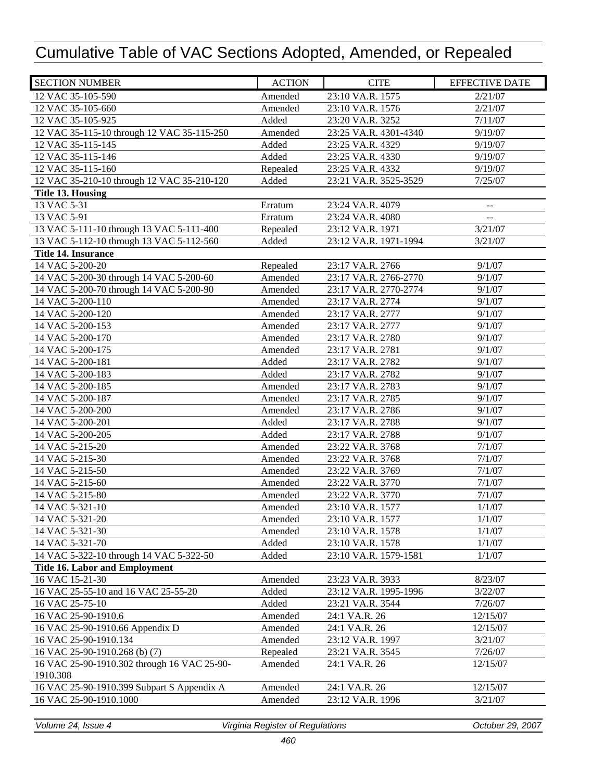| 12 VAC 35-105-590<br>Amended<br>23:10 VA.R. 1575<br>2/21/07<br>12 VAC 35-105-660<br>Amended<br>2/21/07<br>23:10 VA.R. 1576<br>12 VAC 35-105-925<br>Added<br>23:20 VA.R. 3252<br>7/11/07<br>12 VAC 35-115-10 through 12 VAC 35-115-250<br>Amended<br>23:25 VA.R. 4301-4340<br>9/19/07<br>12 VAC 35-115-145<br>Added<br>23:25 VA.R. 4329<br>9/19/07<br>Added<br>12 VAC 35-115-146<br>23:25 VA.R. 4330<br>9/19/07<br>12 VAC 35-115-160<br>23:25 VA.R. 4332<br>9/19/07<br>Repealed<br>12 VAC 35-210-10 through 12 VAC 35-210-120<br>Added<br>23:21 VA.R. 3525-3529<br>7/25/07<br><b>Title 13. Housing</b><br>13 VAC 5-31<br>23:24 VA.R. 4079<br>Erratum<br>$\overline{a}$<br>13 VAC 5-91<br>23:24 VA.R. 4080<br>Erratum<br>$-$<br>13 VAC 5-111-10 through 13 VAC 5-111-400<br>3/21/07<br>23:12 VA.R. 1971<br>Repealed<br>13 VAC 5-112-10 through 13 VAC 5-112-560<br>23:12 VA.R. 1971-1994<br>Added<br>3/21/07<br><b>Title 14. Insurance</b><br>14 VAC 5-200-20<br>23:17 VA.R. 2766<br>9/1/07<br>Repealed<br>14 VAC 5-200-30 through 14 VAC 5-200-60<br>Amended<br>23:17 VA.R. 2766-2770<br>9/1/07<br>14 VAC 5-200-70 through 14 VAC 5-200-90<br>Amended<br>23:17 VA.R. 2770-2774<br>9/1/07<br>14 VAC 5-200-110<br>23:17 VA.R. 2774<br>9/1/07<br>Amended<br>14 VAC 5-200-120<br>9/1/07<br>Amended<br>23:17 VA.R. 2777<br>23:17 VA.R. 2777<br>14 VAC 5-200-153<br>Amended<br>9/1/07<br>14 VAC 5-200-170<br>Amended<br>23:17 VA.R. 2780<br>9/1/07<br>14 VAC 5-200-175<br>Amended<br>23:17 VA.R. 2781<br>9/1/07<br>14 VAC 5-200-181<br>Added<br>23:17 VA.R. 2782<br>9/1/07<br>14 VAC 5-200-183<br>Added<br>23:17 VA.R. 2782<br>9/1/07<br>Amended<br>14 VAC 5-200-185<br>23:17 VA.R. 2783<br>9/1/07<br>Amended<br>9/1/07<br>14 VAC 5-200-187<br>23:17 VA.R. 2785<br>Amended<br>14 VAC 5-200-200<br>23:17 VA.R. 2786<br>9/1/07<br>14 VAC 5-200-201<br>Added<br>23:17 VA.R. 2788<br>9/1/07<br>14 VAC 5-200-205<br>Added<br>9/1/07<br>23:17 VA.R. 2788<br>14 VAC 5-215-20<br>Amended<br>23:22 VA.R. 3768<br>7/1/07<br>14 VAC 5-215-30<br>Amended<br>23:22 VA.R. 3768<br>7/1/07<br>7/1/07<br>14 VAC 5-215-50<br>Amended<br>23:22 VA.R. 3769<br>Amended<br>7/1/07<br>14 VAC 5-215-60<br>23:22 VA.R. 3770<br>14 VAC 5-215-80<br>23:22 VA.R. 3770<br>7/1/07<br>Amended<br>14 VAC 5-321-10<br>23:10 VA.R. 1577<br>1/1/07<br>Amended<br>14 VAC 5-321-20<br>23:10 VA.R. 1577<br>Amended<br>1/1/07<br>14 VAC 5-321-30<br>23:10 VA.R. 1578<br>1/1/07<br>Amended<br>14 VAC 5-321-70<br>23:10 VA.R. 1578<br>Added<br>1/1/07<br>14 VAC 5-322-10 through 14 VAC 5-322-50<br>23:10 VA.R. 1579-1581<br>Added<br>1/1/07<br><b>Title 16. Labor and Employment</b><br>16 VAC 15-21-30<br>23:23 VA.R. 3933<br>Amended<br>8/23/07<br>16 VAC 25-55-10 and 16 VAC 25-55-20<br>Added<br>3/22/07<br>23:12 VA.R. 1995-1996<br>16 VAC 25-75-10<br>Added<br>7/26/07<br>23:21 VA.R. 3544<br>16 VAC 25-90-1910.6<br>12/15/07<br>Amended<br>24:1 VA.R. 26<br>16 VAC 25-90-1910.66 Appendix D<br>Amended<br>24:1 VA.R. 26<br>12/15/07<br>16 VAC 25-90-1910.134<br>Amended<br>23:12 VA.R. 1997<br>3/21/07<br>16 VAC 25-90-1910.268 (b) (7)<br>Repealed<br>7/26/07<br>23:21 VA.R. 3545<br>16 VAC 25-90-1910.302 through 16 VAC 25-90-<br>Amended<br>24:1 VA.R. 26<br>12/15/07<br>1910.308<br>16 VAC 25-90-1910.399 Subpart S Appendix A<br>Amended<br>24:1 VA.R. 26<br>12/15/07<br>Amended<br>16 VAC 25-90-1910.1000<br>23:12 VA.R. 1996<br>3/21/07 | <b>SECTION NUMBER</b> | <b>ACTION</b> | <b>CITE</b> | <b>EFFECTIVE DATE</b> |
|---------------------------------------------------------------------------------------------------------------------------------------------------------------------------------------------------------------------------------------------------------------------------------------------------------------------------------------------------------------------------------------------------------------------------------------------------------------------------------------------------------------------------------------------------------------------------------------------------------------------------------------------------------------------------------------------------------------------------------------------------------------------------------------------------------------------------------------------------------------------------------------------------------------------------------------------------------------------------------------------------------------------------------------------------------------------------------------------------------------------------------------------------------------------------------------------------------------------------------------------------------------------------------------------------------------------------------------------------------------------------------------------------------------------------------------------------------------------------------------------------------------------------------------------------------------------------------------------------------------------------------------------------------------------------------------------------------------------------------------------------------------------------------------------------------------------------------------------------------------------------------------------------------------------------------------------------------------------------------------------------------------------------------------------------------------------------------------------------------------------------------------------------------------------------------------------------------------------------------------------------------------------------------------------------------------------------------------------------------------------------------------------------------------------------------------------------------------------------------------------------------------------------------------------------------------------------------------------------------------------------------------------------------------------------------------------------------------------------------------------------------------------------------------------------------------------------------------------------------------------------------------------------------------------------------------------------------------------------------------------------------------------------------------------------------------------------------------------------------------------------------------------------------------------------------------------------------------------------------------------------------------------------------------------------------------------------------------------------------------------------------------------------------|-----------------------|---------------|-------------|-----------------------|
|                                                                                                                                                                                                                                                                                                                                                                                                                                                                                                                                                                                                                                                                                                                                                                                                                                                                                                                                                                                                                                                                                                                                                                                                                                                                                                                                                                                                                                                                                                                                                                                                                                                                                                                                                                                                                                                                                                                                                                                                                                                                                                                                                                                                                                                                                                                                                                                                                                                                                                                                                                                                                                                                                                                                                                                                                                                                                                                                                                                                                                                                                                                                                                                                                                                                                                                                                                                                         |                       |               |             |                       |
|                                                                                                                                                                                                                                                                                                                                                                                                                                                                                                                                                                                                                                                                                                                                                                                                                                                                                                                                                                                                                                                                                                                                                                                                                                                                                                                                                                                                                                                                                                                                                                                                                                                                                                                                                                                                                                                                                                                                                                                                                                                                                                                                                                                                                                                                                                                                                                                                                                                                                                                                                                                                                                                                                                                                                                                                                                                                                                                                                                                                                                                                                                                                                                                                                                                                                                                                                                                                         |                       |               |             |                       |
|                                                                                                                                                                                                                                                                                                                                                                                                                                                                                                                                                                                                                                                                                                                                                                                                                                                                                                                                                                                                                                                                                                                                                                                                                                                                                                                                                                                                                                                                                                                                                                                                                                                                                                                                                                                                                                                                                                                                                                                                                                                                                                                                                                                                                                                                                                                                                                                                                                                                                                                                                                                                                                                                                                                                                                                                                                                                                                                                                                                                                                                                                                                                                                                                                                                                                                                                                                                                         |                       |               |             |                       |
|                                                                                                                                                                                                                                                                                                                                                                                                                                                                                                                                                                                                                                                                                                                                                                                                                                                                                                                                                                                                                                                                                                                                                                                                                                                                                                                                                                                                                                                                                                                                                                                                                                                                                                                                                                                                                                                                                                                                                                                                                                                                                                                                                                                                                                                                                                                                                                                                                                                                                                                                                                                                                                                                                                                                                                                                                                                                                                                                                                                                                                                                                                                                                                                                                                                                                                                                                                                                         |                       |               |             |                       |
|                                                                                                                                                                                                                                                                                                                                                                                                                                                                                                                                                                                                                                                                                                                                                                                                                                                                                                                                                                                                                                                                                                                                                                                                                                                                                                                                                                                                                                                                                                                                                                                                                                                                                                                                                                                                                                                                                                                                                                                                                                                                                                                                                                                                                                                                                                                                                                                                                                                                                                                                                                                                                                                                                                                                                                                                                                                                                                                                                                                                                                                                                                                                                                                                                                                                                                                                                                                                         |                       |               |             |                       |
|                                                                                                                                                                                                                                                                                                                                                                                                                                                                                                                                                                                                                                                                                                                                                                                                                                                                                                                                                                                                                                                                                                                                                                                                                                                                                                                                                                                                                                                                                                                                                                                                                                                                                                                                                                                                                                                                                                                                                                                                                                                                                                                                                                                                                                                                                                                                                                                                                                                                                                                                                                                                                                                                                                                                                                                                                                                                                                                                                                                                                                                                                                                                                                                                                                                                                                                                                                                                         |                       |               |             |                       |
|                                                                                                                                                                                                                                                                                                                                                                                                                                                                                                                                                                                                                                                                                                                                                                                                                                                                                                                                                                                                                                                                                                                                                                                                                                                                                                                                                                                                                                                                                                                                                                                                                                                                                                                                                                                                                                                                                                                                                                                                                                                                                                                                                                                                                                                                                                                                                                                                                                                                                                                                                                                                                                                                                                                                                                                                                                                                                                                                                                                                                                                                                                                                                                                                                                                                                                                                                                                                         |                       |               |             |                       |
|                                                                                                                                                                                                                                                                                                                                                                                                                                                                                                                                                                                                                                                                                                                                                                                                                                                                                                                                                                                                                                                                                                                                                                                                                                                                                                                                                                                                                                                                                                                                                                                                                                                                                                                                                                                                                                                                                                                                                                                                                                                                                                                                                                                                                                                                                                                                                                                                                                                                                                                                                                                                                                                                                                                                                                                                                                                                                                                                                                                                                                                                                                                                                                                                                                                                                                                                                                                                         |                       |               |             |                       |
|                                                                                                                                                                                                                                                                                                                                                                                                                                                                                                                                                                                                                                                                                                                                                                                                                                                                                                                                                                                                                                                                                                                                                                                                                                                                                                                                                                                                                                                                                                                                                                                                                                                                                                                                                                                                                                                                                                                                                                                                                                                                                                                                                                                                                                                                                                                                                                                                                                                                                                                                                                                                                                                                                                                                                                                                                                                                                                                                                                                                                                                                                                                                                                                                                                                                                                                                                                                                         |                       |               |             |                       |
|                                                                                                                                                                                                                                                                                                                                                                                                                                                                                                                                                                                                                                                                                                                                                                                                                                                                                                                                                                                                                                                                                                                                                                                                                                                                                                                                                                                                                                                                                                                                                                                                                                                                                                                                                                                                                                                                                                                                                                                                                                                                                                                                                                                                                                                                                                                                                                                                                                                                                                                                                                                                                                                                                                                                                                                                                                                                                                                                                                                                                                                                                                                                                                                                                                                                                                                                                                                                         |                       |               |             |                       |
|                                                                                                                                                                                                                                                                                                                                                                                                                                                                                                                                                                                                                                                                                                                                                                                                                                                                                                                                                                                                                                                                                                                                                                                                                                                                                                                                                                                                                                                                                                                                                                                                                                                                                                                                                                                                                                                                                                                                                                                                                                                                                                                                                                                                                                                                                                                                                                                                                                                                                                                                                                                                                                                                                                                                                                                                                                                                                                                                                                                                                                                                                                                                                                                                                                                                                                                                                                                                         |                       |               |             |                       |
|                                                                                                                                                                                                                                                                                                                                                                                                                                                                                                                                                                                                                                                                                                                                                                                                                                                                                                                                                                                                                                                                                                                                                                                                                                                                                                                                                                                                                                                                                                                                                                                                                                                                                                                                                                                                                                                                                                                                                                                                                                                                                                                                                                                                                                                                                                                                                                                                                                                                                                                                                                                                                                                                                                                                                                                                                                                                                                                                                                                                                                                                                                                                                                                                                                                                                                                                                                                                         |                       |               |             |                       |
|                                                                                                                                                                                                                                                                                                                                                                                                                                                                                                                                                                                                                                                                                                                                                                                                                                                                                                                                                                                                                                                                                                                                                                                                                                                                                                                                                                                                                                                                                                                                                                                                                                                                                                                                                                                                                                                                                                                                                                                                                                                                                                                                                                                                                                                                                                                                                                                                                                                                                                                                                                                                                                                                                                                                                                                                                                                                                                                                                                                                                                                                                                                                                                                                                                                                                                                                                                                                         |                       |               |             |                       |
|                                                                                                                                                                                                                                                                                                                                                                                                                                                                                                                                                                                                                                                                                                                                                                                                                                                                                                                                                                                                                                                                                                                                                                                                                                                                                                                                                                                                                                                                                                                                                                                                                                                                                                                                                                                                                                                                                                                                                                                                                                                                                                                                                                                                                                                                                                                                                                                                                                                                                                                                                                                                                                                                                                                                                                                                                                                                                                                                                                                                                                                                                                                                                                                                                                                                                                                                                                                                         |                       |               |             |                       |
|                                                                                                                                                                                                                                                                                                                                                                                                                                                                                                                                                                                                                                                                                                                                                                                                                                                                                                                                                                                                                                                                                                                                                                                                                                                                                                                                                                                                                                                                                                                                                                                                                                                                                                                                                                                                                                                                                                                                                                                                                                                                                                                                                                                                                                                                                                                                                                                                                                                                                                                                                                                                                                                                                                                                                                                                                                                                                                                                                                                                                                                                                                                                                                                                                                                                                                                                                                                                         |                       |               |             |                       |
|                                                                                                                                                                                                                                                                                                                                                                                                                                                                                                                                                                                                                                                                                                                                                                                                                                                                                                                                                                                                                                                                                                                                                                                                                                                                                                                                                                                                                                                                                                                                                                                                                                                                                                                                                                                                                                                                                                                                                                                                                                                                                                                                                                                                                                                                                                                                                                                                                                                                                                                                                                                                                                                                                                                                                                                                                                                                                                                                                                                                                                                                                                                                                                                                                                                                                                                                                                                                         |                       |               |             |                       |
|                                                                                                                                                                                                                                                                                                                                                                                                                                                                                                                                                                                                                                                                                                                                                                                                                                                                                                                                                                                                                                                                                                                                                                                                                                                                                                                                                                                                                                                                                                                                                                                                                                                                                                                                                                                                                                                                                                                                                                                                                                                                                                                                                                                                                                                                                                                                                                                                                                                                                                                                                                                                                                                                                                                                                                                                                                                                                                                                                                                                                                                                                                                                                                                                                                                                                                                                                                                                         |                       |               |             |                       |
|                                                                                                                                                                                                                                                                                                                                                                                                                                                                                                                                                                                                                                                                                                                                                                                                                                                                                                                                                                                                                                                                                                                                                                                                                                                                                                                                                                                                                                                                                                                                                                                                                                                                                                                                                                                                                                                                                                                                                                                                                                                                                                                                                                                                                                                                                                                                                                                                                                                                                                                                                                                                                                                                                                                                                                                                                                                                                                                                                                                                                                                                                                                                                                                                                                                                                                                                                                                                         |                       |               |             |                       |
|                                                                                                                                                                                                                                                                                                                                                                                                                                                                                                                                                                                                                                                                                                                                                                                                                                                                                                                                                                                                                                                                                                                                                                                                                                                                                                                                                                                                                                                                                                                                                                                                                                                                                                                                                                                                                                                                                                                                                                                                                                                                                                                                                                                                                                                                                                                                                                                                                                                                                                                                                                                                                                                                                                                                                                                                                                                                                                                                                                                                                                                                                                                                                                                                                                                                                                                                                                                                         |                       |               |             |                       |
|                                                                                                                                                                                                                                                                                                                                                                                                                                                                                                                                                                                                                                                                                                                                                                                                                                                                                                                                                                                                                                                                                                                                                                                                                                                                                                                                                                                                                                                                                                                                                                                                                                                                                                                                                                                                                                                                                                                                                                                                                                                                                                                                                                                                                                                                                                                                                                                                                                                                                                                                                                                                                                                                                                                                                                                                                                                                                                                                                                                                                                                                                                                                                                                                                                                                                                                                                                                                         |                       |               |             |                       |
|                                                                                                                                                                                                                                                                                                                                                                                                                                                                                                                                                                                                                                                                                                                                                                                                                                                                                                                                                                                                                                                                                                                                                                                                                                                                                                                                                                                                                                                                                                                                                                                                                                                                                                                                                                                                                                                                                                                                                                                                                                                                                                                                                                                                                                                                                                                                                                                                                                                                                                                                                                                                                                                                                                                                                                                                                                                                                                                                                                                                                                                                                                                                                                                                                                                                                                                                                                                                         |                       |               |             |                       |
|                                                                                                                                                                                                                                                                                                                                                                                                                                                                                                                                                                                                                                                                                                                                                                                                                                                                                                                                                                                                                                                                                                                                                                                                                                                                                                                                                                                                                                                                                                                                                                                                                                                                                                                                                                                                                                                                                                                                                                                                                                                                                                                                                                                                                                                                                                                                                                                                                                                                                                                                                                                                                                                                                                                                                                                                                                                                                                                                                                                                                                                                                                                                                                                                                                                                                                                                                                                                         |                       |               |             |                       |
|                                                                                                                                                                                                                                                                                                                                                                                                                                                                                                                                                                                                                                                                                                                                                                                                                                                                                                                                                                                                                                                                                                                                                                                                                                                                                                                                                                                                                                                                                                                                                                                                                                                                                                                                                                                                                                                                                                                                                                                                                                                                                                                                                                                                                                                                                                                                                                                                                                                                                                                                                                                                                                                                                                                                                                                                                                                                                                                                                                                                                                                                                                                                                                                                                                                                                                                                                                                                         |                       |               |             |                       |
|                                                                                                                                                                                                                                                                                                                                                                                                                                                                                                                                                                                                                                                                                                                                                                                                                                                                                                                                                                                                                                                                                                                                                                                                                                                                                                                                                                                                                                                                                                                                                                                                                                                                                                                                                                                                                                                                                                                                                                                                                                                                                                                                                                                                                                                                                                                                                                                                                                                                                                                                                                                                                                                                                                                                                                                                                                                                                                                                                                                                                                                                                                                                                                                                                                                                                                                                                                                                         |                       |               |             |                       |
|                                                                                                                                                                                                                                                                                                                                                                                                                                                                                                                                                                                                                                                                                                                                                                                                                                                                                                                                                                                                                                                                                                                                                                                                                                                                                                                                                                                                                                                                                                                                                                                                                                                                                                                                                                                                                                                                                                                                                                                                                                                                                                                                                                                                                                                                                                                                                                                                                                                                                                                                                                                                                                                                                                                                                                                                                                                                                                                                                                                                                                                                                                                                                                                                                                                                                                                                                                                                         |                       |               |             |                       |
|                                                                                                                                                                                                                                                                                                                                                                                                                                                                                                                                                                                                                                                                                                                                                                                                                                                                                                                                                                                                                                                                                                                                                                                                                                                                                                                                                                                                                                                                                                                                                                                                                                                                                                                                                                                                                                                                                                                                                                                                                                                                                                                                                                                                                                                                                                                                                                                                                                                                                                                                                                                                                                                                                                                                                                                                                                                                                                                                                                                                                                                                                                                                                                                                                                                                                                                                                                                                         |                       |               |             |                       |
|                                                                                                                                                                                                                                                                                                                                                                                                                                                                                                                                                                                                                                                                                                                                                                                                                                                                                                                                                                                                                                                                                                                                                                                                                                                                                                                                                                                                                                                                                                                                                                                                                                                                                                                                                                                                                                                                                                                                                                                                                                                                                                                                                                                                                                                                                                                                                                                                                                                                                                                                                                                                                                                                                                                                                                                                                                                                                                                                                                                                                                                                                                                                                                                                                                                                                                                                                                                                         |                       |               |             |                       |
|                                                                                                                                                                                                                                                                                                                                                                                                                                                                                                                                                                                                                                                                                                                                                                                                                                                                                                                                                                                                                                                                                                                                                                                                                                                                                                                                                                                                                                                                                                                                                                                                                                                                                                                                                                                                                                                                                                                                                                                                                                                                                                                                                                                                                                                                                                                                                                                                                                                                                                                                                                                                                                                                                                                                                                                                                                                                                                                                                                                                                                                                                                                                                                                                                                                                                                                                                                                                         |                       |               |             |                       |
|                                                                                                                                                                                                                                                                                                                                                                                                                                                                                                                                                                                                                                                                                                                                                                                                                                                                                                                                                                                                                                                                                                                                                                                                                                                                                                                                                                                                                                                                                                                                                                                                                                                                                                                                                                                                                                                                                                                                                                                                                                                                                                                                                                                                                                                                                                                                                                                                                                                                                                                                                                                                                                                                                                                                                                                                                                                                                                                                                                                                                                                                                                                                                                                                                                                                                                                                                                                                         |                       |               |             |                       |
|                                                                                                                                                                                                                                                                                                                                                                                                                                                                                                                                                                                                                                                                                                                                                                                                                                                                                                                                                                                                                                                                                                                                                                                                                                                                                                                                                                                                                                                                                                                                                                                                                                                                                                                                                                                                                                                                                                                                                                                                                                                                                                                                                                                                                                                                                                                                                                                                                                                                                                                                                                                                                                                                                                                                                                                                                                                                                                                                                                                                                                                                                                                                                                                                                                                                                                                                                                                                         |                       |               |             |                       |
|                                                                                                                                                                                                                                                                                                                                                                                                                                                                                                                                                                                                                                                                                                                                                                                                                                                                                                                                                                                                                                                                                                                                                                                                                                                                                                                                                                                                                                                                                                                                                                                                                                                                                                                                                                                                                                                                                                                                                                                                                                                                                                                                                                                                                                                                                                                                                                                                                                                                                                                                                                                                                                                                                                                                                                                                                                                                                                                                                                                                                                                                                                                                                                                                                                                                                                                                                                                                         |                       |               |             |                       |
|                                                                                                                                                                                                                                                                                                                                                                                                                                                                                                                                                                                                                                                                                                                                                                                                                                                                                                                                                                                                                                                                                                                                                                                                                                                                                                                                                                                                                                                                                                                                                                                                                                                                                                                                                                                                                                                                                                                                                                                                                                                                                                                                                                                                                                                                                                                                                                                                                                                                                                                                                                                                                                                                                                                                                                                                                                                                                                                                                                                                                                                                                                                                                                                                                                                                                                                                                                                                         |                       |               |             |                       |
|                                                                                                                                                                                                                                                                                                                                                                                                                                                                                                                                                                                                                                                                                                                                                                                                                                                                                                                                                                                                                                                                                                                                                                                                                                                                                                                                                                                                                                                                                                                                                                                                                                                                                                                                                                                                                                                                                                                                                                                                                                                                                                                                                                                                                                                                                                                                                                                                                                                                                                                                                                                                                                                                                                                                                                                                                                                                                                                                                                                                                                                                                                                                                                                                                                                                                                                                                                                                         |                       |               |             |                       |
|                                                                                                                                                                                                                                                                                                                                                                                                                                                                                                                                                                                                                                                                                                                                                                                                                                                                                                                                                                                                                                                                                                                                                                                                                                                                                                                                                                                                                                                                                                                                                                                                                                                                                                                                                                                                                                                                                                                                                                                                                                                                                                                                                                                                                                                                                                                                                                                                                                                                                                                                                                                                                                                                                                                                                                                                                                                                                                                                                                                                                                                                                                                                                                                                                                                                                                                                                                                                         |                       |               |             |                       |
|                                                                                                                                                                                                                                                                                                                                                                                                                                                                                                                                                                                                                                                                                                                                                                                                                                                                                                                                                                                                                                                                                                                                                                                                                                                                                                                                                                                                                                                                                                                                                                                                                                                                                                                                                                                                                                                                                                                                                                                                                                                                                                                                                                                                                                                                                                                                                                                                                                                                                                                                                                                                                                                                                                                                                                                                                                                                                                                                                                                                                                                                                                                                                                                                                                                                                                                                                                                                         |                       |               |             |                       |
|                                                                                                                                                                                                                                                                                                                                                                                                                                                                                                                                                                                                                                                                                                                                                                                                                                                                                                                                                                                                                                                                                                                                                                                                                                                                                                                                                                                                                                                                                                                                                                                                                                                                                                                                                                                                                                                                                                                                                                                                                                                                                                                                                                                                                                                                                                                                                                                                                                                                                                                                                                                                                                                                                                                                                                                                                                                                                                                                                                                                                                                                                                                                                                                                                                                                                                                                                                                                         |                       |               |             |                       |
|                                                                                                                                                                                                                                                                                                                                                                                                                                                                                                                                                                                                                                                                                                                                                                                                                                                                                                                                                                                                                                                                                                                                                                                                                                                                                                                                                                                                                                                                                                                                                                                                                                                                                                                                                                                                                                                                                                                                                                                                                                                                                                                                                                                                                                                                                                                                                                                                                                                                                                                                                                                                                                                                                                                                                                                                                                                                                                                                                                                                                                                                                                                                                                                                                                                                                                                                                                                                         |                       |               |             |                       |
|                                                                                                                                                                                                                                                                                                                                                                                                                                                                                                                                                                                                                                                                                                                                                                                                                                                                                                                                                                                                                                                                                                                                                                                                                                                                                                                                                                                                                                                                                                                                                                                                                                                                                                                                                                                                                                                                                                                                                                                                                                                                                                                                                                                                                                                                                                                                                                                                                                                                                                                                                                                                                                                                                                                                                                                                                                                                                                                                                                                                                                                                                                                                                                                                                                                                                                                                                                                                         |                       |               |             |                       |
|                                                                                                                                                                                                                                                                                                                                                                                                                                                                                                                                                                                                                                                                                                                                                                                                                                                                                                                                                                                                                                                                                                                                                                                                                                                                                                                                                                                                                                                                                                                                                                                                                                                                                                                                                                                                                                                                                                                                                                                                                                                                                                                                                                                                                                                                                                                                                                                                                                                                                                                                                                                                                                                                                                                                                                                                                                                                                                                                                                                                                                                                                                                                                                                                                                                                                                                                                                                                         |                       |               |             |                       |
|                                                                                                                                                                                                                                                                                                                                                                                                                                                                                                                                                                                                                                                                                                                                                                                                                                                                                                                                                                                                                                                                                                                                                                                                                                                                                                                                                                                                                                                                                                                                                                                                                                                                                                                                                                                                                                                                                                                                                                                                                                                                                                                                                                                                                                                                                                                                                                                                                                                                                                                                                                                                                                                                                                                                                                                                                                                                                                                                                                                                                                                                                                                                                                                                                                                                                                                                                                                                         |                       |               |             |                       |
|                                                                                                                                                                                                                                                                                                                                                                                                                                                                                                                                                                                                                                                                                                                                                                                                                                                                                                                                                                                                                                                                                                                                                                                                                                                                                                                                                                                                                                                                                                                                                                                                                                                                                                                                                                                                                                                                                                                                                                                                                                                                                                                                                                                                                                                                                                                                                                                                                                                                                                                                                                                                                                                                                                                                                                                                                                                                                                                                                                                                                                                                                                                                                                                                                                                                                                                                                                                                         |                       |               |             |                       |
|                                                                                                                                                                                                                                                                                                                                                                                                                                                                                                                                                                                                                                                                                                                                                                                                                                                                                                                                                                                                                                                                                                                                                                                                                                                                                                                                                                                                                                                                                                                                                                                                                                                                                                                                                                                                                                                                                                                                                                                                                                                                                                                                                                                                                                                                                                                                                                                                                                                                                                                                                                                                                                                                                                                                                                                                                                                                                                                                                                                                                                                                                                                                                                                                                                                                                                                                                                                                         |                       |               |             |                       |
|                                                                                                                                                                                                                                                                                                                                                                                                                                                                                                                                                                                                                                                                                                                                                                                                                                                                                                                                                                                                                                                                                                                                                                                                                                                                                                                                                                                                                                                                                                                                                                                                                                                                                                                                                                                                                                                                                                                                                                                                                                                                                                                                                                                                                                                                                                                                                                                                                                                                                                                                                                                                                                                                                                                                                                                                                                                                                                                                                                                                                                                                                                                                                                                                                                                                                                                                                                                                         |                       |               |             |                       |
|                                                                                                                                                                                                                                                                                                                                                                                                                                                                                                                                                                                                                                                                                                                                                                                                                                                                                                                                                                                                                                                                                                                                                                                                                                                                                                                                                                                                                                                                                                                                                                                                                                                                                                                                                                                                                                                                                                                                                                                                                                                                                                                                                                                                                                                                                                                                                                                                                                                                                                                                                                                                                                                                                                                                                                                                                                                                                                                                                                                                                                                                                                                                                                                                                                                                                                                                                                                                         |                       |               |             |                       |
|                                                                                                                                                                                                                                                                                                                                                                                                                                                                                                                                                                                                                                                                                                                                                                                                                                                                                                                                                                                                                                                                                                                                                                                                                                                                                                                                                                                                                                                                                                                                                                                                                                                                                                                                                                                                                                                                                                                                                                                                                                                                                                                                                                                                                                                                                                                                                                                                                                                                                                                                                                                                                                                                                                                                                                                                                                                                                                                                                                                                                                                                                                                                                                                                                                                                                                                                                                                                         |                       |               |             |                       |
|                                                                                                                                                                                                                                                                                                                                                                                                                                                                                                                                                                                                                                                                                                                                                                                                                                                                                                                                                                                                                                                                                                                                                                                                                                                                                                                                                                                                                                                                                                                                                                                                                                                                                                                                                                                                                                                                                                                                                                                                                                                                                                                                                                                                                                                                                                                                                                                                                                                                                                                                                                                                                                                                                                                                                                                                                                                                                                                                                                                                                                                                                                                                                                                                                                                                                                                                                                                                         |                       |               |             |                       |
|                                                                                                                                                                                                                                                                                                                                                                                                                                                                                                                                                                                                                                                                                                                                                                                                                                                                                                                                                                                                                                                                                                                                                                                                                                                                                                                                                                                                                                                                                                                                                                                                                                                                                                                                                                                                                                                                                                                                                                                                                                                                                                                                                                                                                                                                                                                                                                                                                                                                                                                                                                                                                                                                                                                                                                                                                                                                                                                                                                                                                                                                                                                                                                                                                                                                                                                                                                                                         |                       |               |             |                       |
|                                                                                                                                                                                                                                                                                                                                                                                                                                                                                                                                                                                                                                                                                                                                                                                                                                                                                                                                                                                                                                                                                                                                                                                                                                                                                                                                                                                                                                                                                                                                                                                                                                                                                                                                                                                                                                                                                                                                                                                                                                                                                                                                                                                                                                                                                                                                                                                                                                                                                                                                                                                                                                                                                                                                                                                                                                                                                                                                                                                                                                                                                                                                                                                                                                                                                                                                                                                                         |                       |               |             |                       |
|                                                                                                                                                                                                                                                                                                                                                                                                                                                                                                                                                                                                                                                                                                                                                                                                                                                                                                                                                                                                                                                                                                                                                                                                                                                                                                                                                                                                                                                                                                                                                                                                                                                                                                                                                                                                                                                                                                                                                                                                                                                                                                                                                                                                                                                                                                                                                                                                                                                                                                                                                                                                                                                                                                                                                                                                                                                                                                                                                                                                                                                                                                                                                                                                                                                                                                                                                                                                         |                       |               |             |                       |
|                                                                                                                                                                                                                                                                                                                                                                                                                                                                                                                                                                                                                                                                                                                                                                                                                                                                                                                                                                                                                                                                                                                                                                                                                                                                                                                                                                                                                                                                                                                                                                                                                                                                                                                                                                                                                                                                                                                                                                                                                                                                                                                                                                                                                                                                                                                                                                                                                                                                                                                                                                                                                                                                                                                                                                                                                                                                                                                                                                                                                                                                                                                                                                                                                                                                                                                                                                                                         |                       |               |             |                       |
|                                                                                                                                                                                                                                                                                                                                                                                                                                                                                                                                                                                                                                                                                                                                                                                                                                                                                                                                                                                                                                                                                                                                                                                                                                                                                                                                                                                                                                                                                                                                                                                                                                                                                                                                                                                                                                                                                                                                                                                                                                                                                                                                                                                                                                                                                                                                                                                                                                                                                                                                                                                                                                                                                                                                                                                                                                                                                                                                                                                                                                                                                                                                                                                                                                                                                                                                                                                                         |                       |               |             |                       |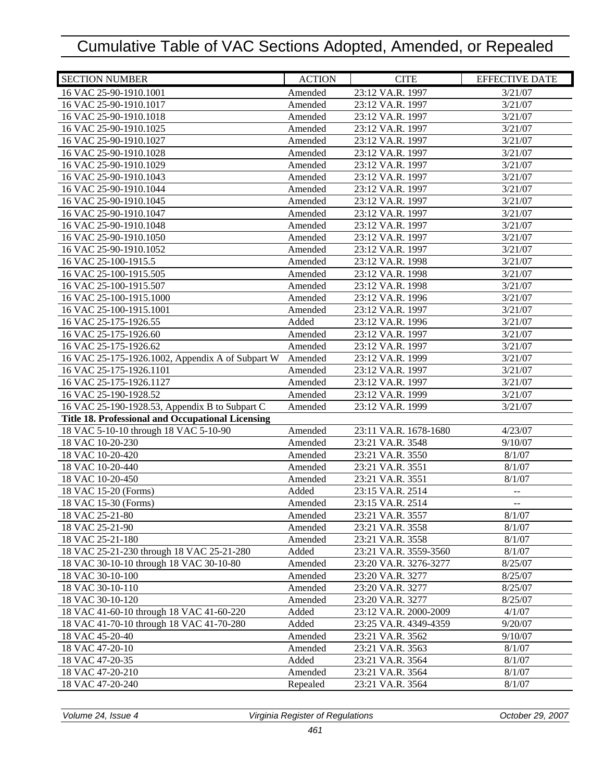| <b>SECTION NUMBER</b>                             | <b>ACTION</b> | <b>CITE</b>           | <b>EFFECTIVE DATE</b>    |
|---------------------------------------------------|---------------|-----------------------|--------------------------|
| 16 VAC 25-90-1910.1001                            | Amended       | 23:12 VA.R. 1997      | 3/21/07                  |
| 16 VAC 25-90-1910.1017                            | Amended       | 23:12 VA.R. 1997      | 3/21/07                  |
| 16 VAC 25-90-1910.1018                            | Amended       | 23:12 VA.R. 1997      | 3/21/07                  |
| 16 VAC 25-90-1910.1025                            | Amended       | 23:12 VA.R. 1997      | 3/21/07                  |
| 16 VAC 25-90-1910.1027                            | Amended       | 23:12 VA.R. 1997      | 3/21/07                  |
| 16 VAC 25-90-1910.1028                            | Amended       | 23:12 VA.R. 1997      | 3/21/07                  |
| 16 VAC 25-90-1910.1029                            | Amended       | 23:12 VA.R. 1997      | 3/21/07                  |
| 16 VAC 25-90-1910.1043                            | Amended       | 23:12 VA.R. 1997      | 3/21/07                  |
| 16 VAC 25-90-1910.1044                            | Amended       | 23:12 VA.R. 1997      | 3/21/07                  |
| 16 VAC 25-90-1910.1045                            | Amended       | 23:12 VA.R. 1997      | 3/21/07                  |
| 16 VAC 25-90-1910.1047                            | Amended       | 23:12 VA.R. 1997      | 3/21/07                  |
| 16 VAC 25-90-1910.1048                            | Amended       | 23:12 VA.R. 1997      | 3/21/07                  |
| 16 VAC 25-90-1910.1050                            | Amended       | 23:12 VA.R. 1997      | 3/21/07                  |
| 16 VAC 25-90-1910.1052                            | Amended       | 23:12 VA.R. 1997      | 3/21/07                  |
| 16 VAC 25-100-1915.5                              | Amended       | 23:12 VA.R. 1998      | 3/21/07                  |
| 16 VAC 25-100-1915.505                            | Amended       | 23:12 VA.R. 1998      | 3/21/07                  |
| 16 VAC 25-100-1915.507                            | Amended       | 23:12 VA.R. 1998      | 3/21/07                  |
| 16 VAC 25-100-1915.1000                           | Amended       | 23:12 VA.R. 1996      | 3/21/07                  |
| 16 VAC 25-100-1915.1001                           | Amended       | 23:12 VA.R. 1997      | 3/21/07                  |
| 16 VAC 25-175-1926.55                             | Added         | 23:12 VA.R. 1996      | 3/21/07                  |
| 16 VAC 25-175-1926.60                             | Amended       | 23:12 VA.R. 1997      | 3/21/07                  |
| 16 VAC 25-175-1926.62                             | Amended       | 23:12 VA.R. 1997      | 3/21/07                  |
| 16 VAC 25-175-1926.1002, Appendix A of Subpart W  | Amended       | 23:12 VA.R. 1999      | 3/21/07                  |
| 16 VAC 25-175-1926.1101                           | Amended       | 23:12 VA.R. 1997      | 3/21/07                  |
| 16 VAC 25-175-1926.1127                           | Amended       | 23:12 VA.R. 1997      | 3/21/07                  |
| 16 VAC 25-190-1928.52                             | Amended       | 23:12 VA.R. 1999      | 3/21/07                  |
| 16 VAC 25-190-1928.53, Appendix B to Subpart C    | Amended       | 23:12 VA.R. 1999      | 3/21/07                  |
| Title 18. Professional and Occupational Licensing |               |                       |                          |
| 18 VAC 5-10-10 through 18 VAC 5-10-90             | Amended       | 23:11 VA.R. 1678-1680 | 4/23/07                  |
| 18 VAC 10-20-230                                  | Amended       | 23:21 VA.R. 3548      | 9/10/07                  |
| 18 VAC 10-20-420                                  | Amended       | 23:21 VA.R. 3550      | 8/1/07                   |
| 18 VAC 10-20-440                                  | Amended       | 23:21 VA.R. 3551      | 8/1/07                   |
| 18 VAC 10-20-450                                  | Amended       | 23:21 VA.R. 3551      | 8/1/07                   |
| 18 VAC 15-20 (Forms)                              | Added         | 23:15 VA.R. 2514      | $\overline{\phantom{a}}$ |
| 18 VAC 15-30 (Forms)                              | Amended       | 23:15 VA.R. 2514      | $\mathbb{L} \mathbb{L}$  |
| 18 VAC 25-21-80                                   | Amended       | 23:21 VA.R. 3557      | 8/1/07                   |
| 18 VAC 25-21-90                                   | Amended       | 23:21 VA.R. 3558      | 8/1/07                   |
| 18 VAC 25-21-180                                  | Amended       | 23:21 VA.R. 3558      | 8/1/07                   |
| 18 VAC 25-21-230 through 18 VAC 25-21-280         | Added         | 23:21 VA.R. 3559-3560 | 8/1/07                   |
| 18 VAC 30-10-10 through 18 VAC 30-10-80           | Amended       | 23:20 VA.R. 3276-3277 | 8/25/07                  |
| 18 VAC 30-10-100                                  | Amended       | 23:20 VA.R. 3277      | 8/25/07                  |
| 18 VAC 30-10-110                                  | Amended       | 23:20 VA.R. 3277      | 8/25/07                  |
| 18 VAC 30-10-120                                  | Amended       | 23:20 VA.R. 3277      | 8/25/07                  |
| 18 VAC 41-60-10 through 18 VAC 41-60-220          | Added         | 23:12 VA.R. 2000-2009 | 4/1/07                   |
| 18 VAC 41-70-10 through 18 VAC 41-70-280          | Added         | 23:25 VA.R. 4349-4359 | 9/20/07                  |
| 18 VAC 45-20-40                                   | Amended       | 23:21 VA.R. 3562      | 9/10/07                  |
| 18 VAC 47-20-10                                   | Amended       | 23:21 VA.R. 3563      | 8/1/07                   |
| 18 VAC 47-20-35                                   | Added         | 23:21 VA.R. 3564      | 8/1/07                   |
| 18 VAC 47-20-210                                  | Amended       | 23:21 VA.R. 3564      | 8/1/07                   |
| 18 VAC 47-20-240                                  | Repealed      | 23:21 VA.R. 3564      | 8/1/07                   |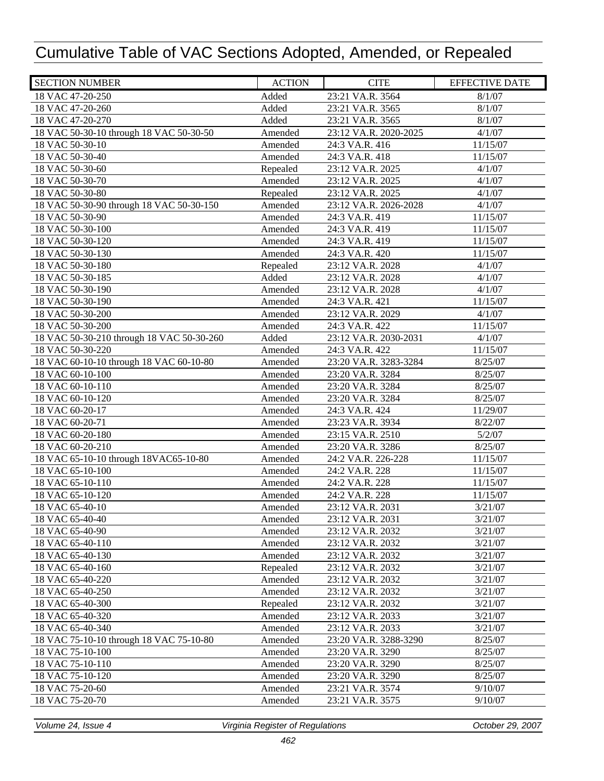| <b>SECTION NUMBER</b>                     | <b>ACTION</b> | <b>CITE</b>           | <b>EFFECTIVE DATE</b> |
|-------------------------------------------|---------------|-----------------------|-----------------------|
| 18 VAC 47-20-250                          | Added         | 23:21 VA.R. 3564      | 8/1/07                |
| 18 VAC 47-20-260                          | Added         | 23:21 VA.R. 3565      | 8/1/07                |
| 18 VAC 47-20-270                          | Added         | 23:21 VA.R. 3565      | 8/1/07                |
| 18 VAC 50-30-10 through 18 VAC 50-30-50   | Amended       | 23:12 VA.R. 2020-2025 | 4/1/07                |
| 18 VAC 50-30-10                           | Amended       | 24:3 VA.R. 416        | 11/15/07              |
| 18 VAC 50-30-40                           | Amended       | 24:3 VA.R. 418        | 11/15/07              |
| 18 VAC 50-30-60                           | Repealed      | 23:12 VA.R. 2025      | 4/1/07                |
| 18 VAC 50-30-70                           | Amended       | 23:12 VA.R. 2025      | 4/1/07                |
| 18 VAC 50-30-80                           | Repealed      | 23:12 VA.R. 2025      | 4/1/07                |
| 18 VAC 50-30-90 through 18 VAC 50-30-150  | Amended       | 23:12 VA.R. 2026-2028 | 4/1/07                |
| 18 VAC 50-30-90                           | Amended       | 24:3 VA.R. 419        | 11/15/07              |
| 18 VAC 50-30-100                          | Amended       | 24:3 VA.R. 419        | 11/15/07              |
| 18 VAC 50-30-120                          | Amended       | 24:3 VA.R. 419        | 11/15/07              |
| 18 VAC 50-30-130                          | Amended       | 24:3 VA.R. 420        | 11/15/07              |
| 18 VAC 50-30-180                          | Repealed      | 23:12 VA.R. 2028      | 4/1/07                |
| 18 VAC 50-30-185                          | Added         | 23:12 VA.R. 2028      | 4/1/07                |
| 18 VAC 50-30-190                          | Amended       | 23:12 VA.R. 2028      | 4/1/07                |
| 18 VAC 50-30-190                          | Amended       | 24:3 VA.R. 421        | 11/15/07              |
| 18 VAC 50-30-200                          | Amended       | 23:12 VA.R. 2029      | 4/1/07                |
| 18 VAC 50-30-200                          | Amended       | 24:3 VA.R. 422        | 11/15/07              |
| 18 VAC 50-30-210 through 18 VAC 50-30-260 | Added         | 23:12 VA.R. 2030-2031 | 4/1/07                |
| 18 VAC 50-30-220                          | Amended       | 24:3 VA.R. 422        | 11/15/07              |
| 18 VAC 60-10-10 through 18 VAC 60-10-80   | Amended       | 23:20 VA.R. 3283-3284 | 8/25/07               |
| 18 VAC 60-10-100                          | Amended       | 23:20 VA.R. 3284      | 8/25/07               |
| 18 VAC 60-10-110                          | Amended       | 23:20 VA.R. 3284      | 8/25/07               |
| 18 VAC 60-10-120                          | Amended       | 23:20 VA.R. 3284      | 8/25/07               |
| 18 VAC 60-20-17                           | Amended       | 24:3 VA.R. 424        | 11/29/07              |
| 18 VAC 60-20-71                           | Amended       | 23:23 VA.R. 3934      | 8/22/07               |
| 18 VAC 60-20-180                          | Amended       | 23:15 VA.R. 2510      | 5/2/07                |
| 18 VAC 60-20-210                          | Amended       | 23:20 VA.R. 3286      | 8/25/07               |
| 18 VAC 65-10-10 through 18VAC65-10-80     | Amended       | 24:2 VA.R. 226-228    | 11/15/07              |
| 18 VAC 65-10-100                          | Amended       | 24:2 VA.R. 228        | 11/15/07              |
| 18 VAC 65-10-110                          | Amended       | 24:2 VA.R. 228        | 11/15/07              |
| 18 VAC 65-10-120                          | Amended       | 24:2 VA.R. 228        | 11/15/07              |
| 18 VAC 65-40-10                           | Amended       | 23:12 VA.R. 2031      | 3/21/07               |
| 18 VAC 65-40-40                           | Amended       | 23:12 VA.R. 2031      | 3/21/07               |
| 18 VAC 65-40-90                           | Amended       | 23:12 VA.R. 2032      | 3/21/07               |
| 18 VAC 65-40-110                          | Amended       | 23:12 VA.R. 2032      | 3/21/07               |
| 18 VAC 65-40-130                          | Amended       | 23:12 VA.R. 2032      | 3/21/07               |
| 18 VAC 65-40-160                          | Repealed      | 23:12 VA.R. 2032      | 3/21/07               |
| 18 VAC 65-40-220                          | Amended       | 23:12 VA.R. 2032      | 3/21/07               |
| 18 VAC 65-40-250                          | Amended       | 23:12 VA.R. 2032      | 3/21/07               |
| 18 VAC 65-40-300                          | Repealed      | 23:12 VA.R. 2032      | 3/21/07               |
| 18 VAC 65-40-320                          | Amended       | 23:12 VA.R. 2033      | 3/21/07               |
| 18 VAC 65-40-340                          | Amended       | 23:12 VA.R. 2033      | 3/21/07               |
| 18 VAC 75-10-10 through 18 VAC 75-10-80   | Amended       | 23:20 VA.R. 3288-3290 | 8/25/07               |
| 18 VAC 75-10-100                          | Amended       | 23:20 VA.R. 3290      | 8/25/07               |
| 18 VAC 75-10-110                          | Amended       | 23:20 VA.R. 3290      | 8/25/07               |
| 18 VAC 75-10-120                          | Amended       | 23:20 VA.R. 3290      | 8/25/07               |
| 18 VAC 75-20-60                           | Amended       | 23:21 VA.R. 3574      | 9/10/07               |
| 18 VAC 75-20-70                           | Amended       | 23:21 VA.R. 3575      | 9/10/07               |
|                                           |               |                       |                       |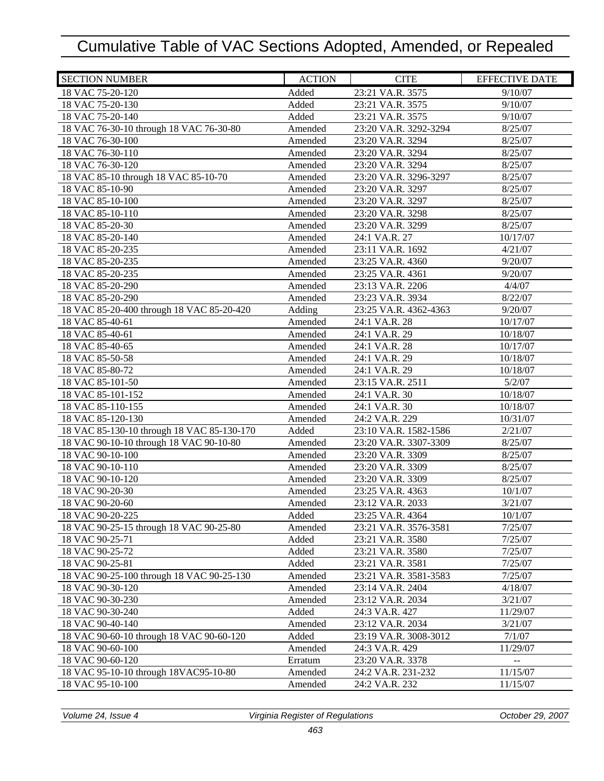| <b>SECTION NUMBER</b>                      | <b>ACTION</b> | <b>CITE</b>           | <b>EFFECTIVE DATE</b> |
|--------------------------------------------|---------------|-----------------------|-----------------------|
| 18 VAC 75-20-120                           | Added         | 23:21 VA.R. 3575      | 9/10/07               |
| 18 VAC 75-20-130                           | Added         | 23:21 VA.R. 3575      | 9/10/07               |
| 18 VAC 75-20-140                           | Added         | 23:21 VA.R. 3575      | 9/10/07               |
| 18 VAC 76-30-10 through 18 VAC 76-30-80    | Amended       | 23:20 VA.R. 3292-3294 | 8/25/07               |
| 18 VAC 76-30-100                           | Amended       | 23:20 VA.R. 3294      | 8/25/07               |
| 18 VAC 76-30-110                           | Amended       | 23:20 VA.R. 3294      | 8/25/07               |
| 18 VAC 76-30-120                           | Amended       | 23:20 VA.R. 3294      | 8/25/07               |
| 18 VAC 85-10 through 18 VAC 85-10-70       | Amended       | 23:20 VA.R. 3296-3297 | 8/25/07               |
| 18 VAC 85-10-90                            | Amended       | 23:20 VA.R. 3297      | 8/25/07               |
| 18 VAC 85-10-100                           | Amended       | 23:20 VA.R. 3297      | 8/25/07               |
| 18 VAC 85-10-110                           | Amended       | 23:20 VA.R. 3298      | 8/25/07               |
| 18 VAC 85-20-30                            | Amended       | 23:20 VA.R. 3299      | 8/25/07               |
| 18 VAC 85-20-140                           | Amended       | 24:1 VA.R. 27         | 10/17/07              |
| 18 VAC 85-20-235                           | Amended       | 23:11 VA.R. 1692      | 4/21/07               |
| 18 VAC 85-20-235                           | Amended       | 23:25 VA.R. 4360      | 9/20/07               |
| 18 VAC 85-20-235                           | Amended       | 23:25 VA.R. 4361      | 9/20/07               |
| 18 VAC 85-20-290                           | Amended       | 23:13 VA.R. 2206      | 4/4/07                |
| 18 VAC 85-20-290                           | Amended       | 23:23 VA.R. 3934      | 8/22/07               |
| 18 VAC 85-20-400 through 18 VAC 85-20-420  | Adding        | 23:25 VA.R. 4362-4363 | 9/20/07               |
| 18 VAC 85-40-61                            | Amended       | 24:1 VA.R. 28         | 10/17/07              |
| 18 VAC 85-40-61                            | Amended       | 24:1 VA.R. 29         | 10/18/07              |
| 18 VAC 85-40-65                            | Amended       | 24:1 VA.R. 28         | 10/17/07              |
| 18 VAC 85-50-58                            | Amended       | 24:1 VA.R. 29         | 10/18/07              |
| 18 VAC 85-80-72                            | Amended       | 24:1 VA.R. 29         | 10/18/07              |
| 18 VAC 85-101-50                           | Amended       | 23:15 VA.R. 2511      | 5/2/07                |
| 18 VAC 85-101-152                          | Amended       | 24:1 VA.R. 30         | 10/18/07              |
| 18 VAC 85-110-155                          | Amended       | 24:1 VA.R. 30         | 10/18/07              |
| 18 VAC 85-120-130                          | Amended       | 24:2 VA.R. 229        | 10/31/07              |
| 18 VAC 85-130-10 through 18 VAC 85-130-170 | Added         | 23:10 VA.R. 1582-1586 | 2/21/07               |
| 18 VAC 90-10-10 through 18 VAC 90-10-80    | Amended       | 23:20 VA.R. 3307-3309 | 8/25/07               |
| 18 VAC 90-10-100                           | Amended       | 23:20 VA.R. 3309      | 8/25/07               |
| 18 VAC 90-10-110                           | Amended       | 23:20 VA.R. 3309      | 8/25/07               |
| 18 VAC 90-10-120                           | Amended       | 23:20 VA.R. 3309      | 8/25/07               |
| 18 VAC 90-20-30                            | Amended       | 23:25 VA.R. 4363      | 10/1/07               |
| 18 VAC 90-20-60                            | Amended       | 23:12 VA.R. 2033      | 3/21/07               |
| 18 VAC 90-20-225                           | Added         | 23:25 VA.R. 4364      | 10/1/07               |
| 18 VAC 90-25-15 through 18 VAC 90-25-80    | Amended       | 23:21 VA.R. 3576-3581 | 7/25/07               |
| 18 VAC 90-25-71                            | Added         | 23:21 VA.R. 3580      | 7/25/07               |
| 18 VAC 90-25-72                            | Added         | 23:21 VA.R. 3580      | 7/25/07               |
| 18 VAC 90-25-81                            | Added         | 23:21 VA.R. 3581      | 7/25/07               |
| 18 VAC 90-25-100 through 18 VAC 90-25-130  | Amended       | 23:21 VA.R. 3581-3583 | 7/25/07               |
| 18 VAC 90-30-120                           | Amended       | 23:14 VA.R. 2404      | 4/18/07               |
| 18 VAC 90-30-230                           | Amended       | 23:12 VA.R. 2034      | 3/21/07               |
| 18 VAC 90-30-240                           | Added         | 24:3 VA.R. 427        | 11/29/07              |
| 18 VAC 90-40-140                           | Amended       | 23:12 VA.R. 2034      | 3/21/07               |
| 18 VAC 90-60-10 through 18 VAC 90-60-120   | Added         | 23:19 VA.R. 3008-3012 | 7/1/07                |
| 18 VAC 90-60-100                           | Amended       | 24:3 VA.R. 429        | 11/29/07              |
| 18 VAC 90-60-120                           | Erratum       | 23:20 VA.R. 3378      | --                    |
| 18 VAC 95-10-10 through 18 VAC 95-10-80    | Amended       | 24:2 VA.R. 231-232    | 11/15/07              |
| 18 VAC 95-10-100                           | Amended       | 24:2 VA.R. 232        | 11/15/07              |
|                                            |               |                       |                       |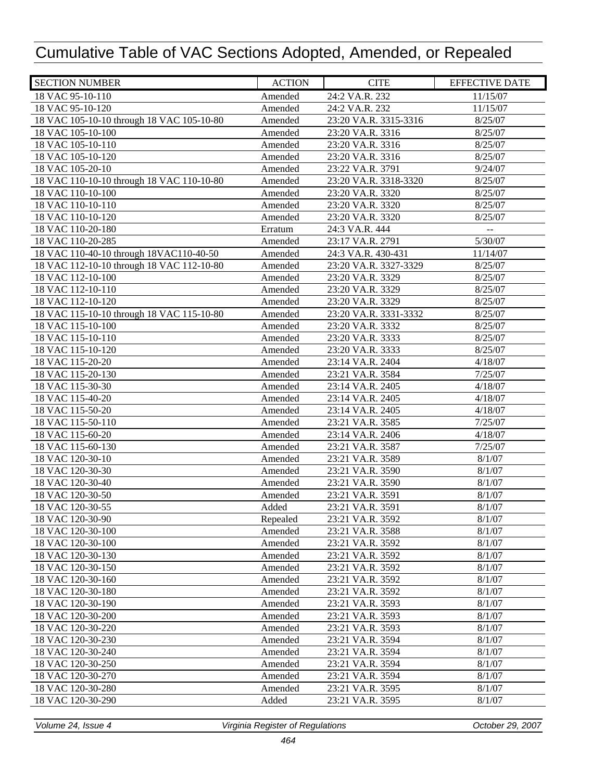| 24:2 VA.R. 232<br>18 VAC 95-10-110<br>Amended<br>11/15/07<br>18 VAC 95-10-120<br>Amended<br>24:2 VA.R. 232<br>11/15/07<br>18 VAC 105-10-10 through 18 VAC 105-10-80<br>Amended<br>23:20 VA.R. 3315-3316<br>8/25/07<br>18 VAC 105-10-100<br>23:20 VA.R. 3316<br>8/25/07<br>Amended<br>18 VAC 105-10-110<br>Amended<br>23:20 VA.R. 3316<br>8/25/07<br>18 VAC 105-10-120<br>Amended<br>23:20 VA.R. 3316<br>8/25/07<br>18 VAC 105-20-10<br>23:22 VA.R. 3791<br>Amended<br>9/24/07<br>18 VAC 110-10-10 through 18 VAC 110-10-80<br>Amended<br>23:20 VA.R. 3318-3320<br>8/25/07<br>18 VAC 110-10-100<br>Amended<br>23:20 VA.R. 3320<br>8/25/07<br>18 VAC 110-10-110<br>23:20 VA.R. 3320<br>8/25/07<br>Amended<br>18 VAC 110-10-120<br>23:20 VA.R. 3320<br>8/25/07<br>Amended<br>18 VAC 110-20-180<br>24:3 VA.R. 444<br>Erratum<br>18 VAC 110-20-285<br>5/30/07<br>23:17 VA.R. 2791<br>Amended<br>18 VAC 110-40-10 through 18VAC110-40-50<br>24:3 VA.R. 430-431<br>Amended<br>11/14/07<br>18 VAC 112-10-10 through 18 VAC 112-10-80<br>23:20 VA.R. 3327-3329<br>8/25/07<br>Amended<br>18 VAC 112-10-100<br>23:20 VA.R. 3329<br>8/25/07<br>Amended<br>18 VAC 112-10-110<br>Amended<br>23:20 VA.R. 3329<br>8/25/07<br>18 VAC 112-10-120<br>Amended<br>23:20 VA.R. 3329<br>8/25/07<br>18 VAC 115-10-10 through 18 VAC 115-10-80<br>Amended<br>23:20 VA.R. 3331-3332<br>8/25/07<br>18 VAC 115-10-100<br>Amended<br>8/25/07<br>23:20 VA.R. 3332<br>18 VAC 115-10-110<br>23:20 VA.R. 3333<br>8/25/07<br>Amended<br>18 VAC 115-10-120<br>Amended<br>23:20 VA.R. 3333<br>8/25/07<br>18 VAC 115-20-20<br>Amended<br>23:14 VA.R. 2404<br>4/18/07<br>18 VAC 115-20-130<br>7/25/07<br>Amended<br>23:21 VA.R. 3584<br>18 VAC 115-30-30<br>Amended<br>23:14 VA.R. 2405<br>4/18/07<br>18 VAC 115-40-20<br>Amended<br>23:14 VA.R. 2405<br>4/18/07<br>18 VAC 115-50-20<br>Amended<br>23:14 VA.R. 2405<br>4/18/07<br>18 VAC 115-50-110<br>Amended<br>7/25/07<br>23:21 VA.R. 3585<br>18 VAC 115-60-20<br>Amended<br>23:14 VA.R. 2406<br>4/18/07<br>18 VAC 115-60-130<br>Amended<br>23:21 VA.R. 3587<br>7/25/07<br>18 VAC 120-30-10<br>Amended<br>23:21 VA.R. 3589<br>8/1/07<br>18 VAC 120-30-30<br>Amended<br>23:21 VA.R. 3590<br>8/1/07<br>18 VAC 120-30-40<br>Amended<br>23:21 VA.R. 3590<br>8/1/07<br>8/1/07<br>18 VAC 120-30-50<br>Amended<br>23:21 VA.R. 3591<br>18 VAC 120-30-55<br>23:21 VA.R. 3591<br>8/1/07<br>Added<br>18 VAC 120-30-90<br>Repealed<br>23:21 VA.R. 3592<br>8/1/07<br>18 VAC 120-30-100<br>23:21 VA.R. 3588<br>8/1/07<br>Amended<br>8/1/07<br>18 VAC 120-30-100<br>Amended<br>23:21 VA.R. 3592<br>18 VAC 120-30-130<br>8/1/07<br>Amended<br>23:21 VA.R. 3592<br>18 VAC 120-30-150<br>8/1/07<br>23:21 VA.R. 3592<br>Amended<br>18 VAC 120-30-160<br>8/1/07<br>Amended<br>23:21 VA.R. 3592<br>18 VAC 120-30-180<br>8/1/07<br>Amended<br>23:21 VA.R. 3592<br>18 VAC 120-30-190<br>8/1/07<br>Amended<br>23:21 VA.R. 3593<br>18 VAC 120-30-200<br>Amended<br>8/1/07<br>23:21 VA.R. 3593<br>18 VAC 120-30-220<br>Amended<br>23:21 VA.R. 3593<br>8/1/07<br>18 VAC 120-30-230<br>Amended<br>23:21 VA.R. 3594<br>8/1/07<br>Amended<br>8/1/07<br>18 VAC 120-30-240<br>23:21 VA.R. 3594<br>18 VAC 120-30-250<br>Amended<br>8/1/07<br>23:21 VA.R. 3594<br>18 VAC 120-30-270<br>Amended<br>23:21 VA.R. 3594<br>8/1/07<br>18 VAC 120-30-280<br>Amended<br>23:21 VA.R. 3595<br>8/1/07<br>18 VAC 120-30-290<br>Added<br>23:21 VA.R. 3595<br>8/1/07 | <b>SECTION NUMBER</b> | <b>ACTION</b> | <b>CITE</b> | <b>EFFECTIVE DATE</b> |
|-----------------------------------------------------------------------------------------------------------------------------------------------------------------------------------------------------------------------------------------------------------------------------------------------------------------------------------------------------------------------------------------------------------------------------------------------------------------------------------------------------------------------------------------------------------------------------------------------------------------------------------------------------------------------------------------------------------------------------------------------------------------------------------------------------------------------------------------------------------------------------------------------------------------------------------------------------------------------------------------------------------------------------------------------------------------------------------------------------------------------------------------------------------------------------------------------------------------------------------------------------------------------------------------------------------------------------------------------------------------------------------------------------------------------------------------------------------------------------------------------------------------------------------------------------------------------------------------------------------------------------------------------------------------------------------------------------------------------------------------------------------------------------------------------------------------------------------------------------------------------------------------------------------------------------------------------------------------------------------------------------------------------------------------------------------------------------------------------------------------------------------------------------------------------------------------------------------------------------------------------------------------------------------------------------------------------------------------------------------------------------------------------------------------------------------------------------------------------------------------------------------------------------------------------------------------------------------------------------------------------------------------------------------------------------------------------------------------------------------------------------------------------------------------------------------------------------------------------------------------------------------------------------------------------------------------------------------------------------------------------------------------------------------------------------------------------------------------------------------------------------------------------------------------------------------------------------------------------------------------------------------------------------------------------------------------------------------------------------------------------------------------------------------------------------------|-----------------------|---------------|-------------|-----------------------|
|                                                                                                                                                                                                                                                                                                                                                                                                                                                                                                                                                                                                                                                                                                                                                                                                                                                                                                                                                                                                                                                                                                                                                                                                                                                                                                                                                                                                                                                                                                                                                                                                                                                                                                                                                                                                                                                                                                                                                                                                                                                                                                                                                                                                                                                                                                                                                                                                                                                                                                                                                                                                                                                                                                                                                                                                                                                                                                                                                                                                                                                                                                                                                                                                                                                                                                                                                                                                                                   |                       |               |             |                       |
|                                                                                                                                                                                                                                                                                                                                                                                                                                                                                                                                                                                                                                                                                                                                                                                                                                                                                                                                                                                                                                                                                                                                                                                                                                                                                                                                                                                                                                                                                                                                                                                                                                                                                                                                                                                                                                                                                                                                                                                                                                                                                                                                                                                                                                                                                                                                                                                                                                                                                                                                                                                                                                                                                                                                                                                                                                                                                                                                                                                                                                                                                                                                                                                                                                                                                                                                                                                                                                   |                       |               |             |                       |
|                                                                                                                                                                                                                                                                                                                                                                                                                                                                                                                                                                                                                                                                                                                                                                                                                                                                                                                                                                                                                                                                                                                                                                                                                                                                                                                                                                                                                                                                                                                                                                                                                                                                                                                                                                                                                                                                                                                                                                                                                                                                                                                                                                                                                                                                                                                                                                                                                                                                                                                                                                                                                                                                                                                                                                                                                                                                                                                                                                                                                                                                                                                                                                                                                                                                                                                                                                                                                                   |                       |               |             |                       |
|                                                                                                                                                                                                                                                                                                                                                                                                                                                                                                                                                                                                                                                                                                                                                                                                                                                                                                                                                                                                                                                                                                                                                                                                                                                                                                                                                                                                                                                                                                                                                                                                                                                                                                                                                                                                                                                                                                                                                                                                                                                                                                                                                                                                                                                                                                                                                                                                                                                                                                                                                                                                                                                                                                                                                                                                                                                                                                                                                                                                                                                                                                                                                                                                                                                                                                                                                                                                                                   |                       |               |             |                       |
|                                                                                                                                                                                                                                                                                                                                                                                                                                                                                                                                                                                                                                                                                                                                                                                                                                                                                                                                                                                                                                                                                                                                                                                                                                                                                                                                                                                                                                                                                                                                                                                                                                                                                                                                                                                                                                                                                                                                                                                                                                                                                                                                                                                                                                                                                                                                                                                                                                                                                                                                                                                                                                                                                                                                                                                                                                                                                                                                                                                                                                                                                                                                                                                                                                                                                                                                                                                                                                   |                       |               |             |                       |
|                                                                                                                                                                                                                                                                                                                                                                                                                                                                                                                                                                                                                                                                                                                                                                                                                                                                                                                                                                                                                                                                                                                                                                                                                                                                                                                                                                                                                                                                                                                                                                                                                                                                                                                                                                                                                                                                                                                                                                                                                                                                                                                                                                                                                                                                                                                                                                                                                                                                                                                                                                                                                                                                                                                                                                                                                                                                                                                                                                                                                                                                                                                                                                                                                                                                                                                                                                                                                                   |                       |               |             |                       |
|                                                                                                                                                                                                                                                                                                                                                                                                                                                                                                                                                                                                                                                                                                                                                                                                                                                                                                                                                                                                                                                                                                                                                                                                                                                                                                                                                                                                                                                                                                                                                                                                                                                                                                                                                                                                                                                                                                                                                                                                                                                                                                                                                                                                                                                                                                                                                                                                                                                                                                                                                                                                                                                                                                                                                                                                                                                                                                                                                                                                                                                                                                                                                                                                                                                                                                                                                                                                                                   |                       |               |             |                       |
|                                                                                                                                                                                                                                                                                                                                                                                                                                                                                                                                                                                                                                                                                                                                                                                                                                                                                                                                                                                                                                                                                                                                                                                                                                                                                                                                                                                                                                                                                                                                                                                                                                                                                                                                                                                                                                                                                                                                                                                                                                                                                                                                                                                                                                                                                                                                                                                                                                                                                                                                                                                                                                                                                                                                                                                                                                                                                                                                                                                                                                                                                                                                                                                                                                                                                                                                                                                                                                   |                       |               |             |                       |
|                                                                                                                                                                                                                                                                                                                                                                                                                                                                                                                                                                                                                                                                                                                                                                                                                                                                                                                                                                                                                                                                                                                                                                                                                                                                                                                                                                                                                                                                                                                                                                                                                                                                                                                                                                                                                                                                                                                                                                                                                                                                                                                                                                                                                                                                                                                                                                                                                                                                                                                                                                                                                                                                                                                                                                                                                                                                                                                                                                                                                                                                                                                                                                                                                                                                                                                                                                                                                                   |                       |               |             |                       |
|                                                                                                                                                                                                                                                                                                                                                                                                                                                                                                                                                                                                                                                                                                                                                                                                                                                                                                                                                                                                                                                                                                                                                                                                                                                                                                                                                                                                                                                                                                                                                                                                                                                                                                                                                                                                                                                                                                                                                                                                                                                                                                                                                                                                                                                                                                                                                                                                                                                                                                                                                                                                                                                                                                                                                                                                                                                                                                                                                                                                                                                                                                                                                                                                                                                                                                                                                                                                                                   |                       |               |             |                       |
|                                                                                                                                                                                                                                                                                                                                                                                                                                                                                                                                                                                                                                                                                                                                                                                                                                                                                                                                                                                                                                                                                                                                                                                                                                                                                                                                                                                                                                                                                                                                                                                                                                                                                                                                                                                                                                                                                                                                                                                                                                                                                                                                                                                                                                                                                                                                                                                                                                                                                                                                                                                                                                                                                                                                                                                                                                                                                                                                                                                                                                                                                                                                                                                                                                                                                                                                                                                                                                   |                       |               |             |                       |
|                                                                                                                                                                                                                                                                                                                                                                                                                                                                                                                                                                                                                                                                                                                                                                                                                                                                                                                                                                                                                                                                                                                                                                                                                                                                                                                                                                                                                                                                                                                                                                                                                                                                                                                                                                                                                                                                                                                                                                                                                                                                                                                                                                                                                                                                                                                                                                                                                                                                                                                                                                                                                                                                                                                                                                                                                                                                                                                                                                                                                                                                                                                                                                                                                                                                                                                                                                                                                                   |                       |               |             |                       |
|                                                                                                                                                                                                                                                                                                                                                                                                                                                                                                                                                                                                                                                                                                                                                                                                                                                                                                                                                                                                                                                                                                                                                                                                                                                                                                                                                                                                                                                                                                                                                                                                                                                                                                                                                                                                                                                                                                                                                                                                                                                                                                                                                                                                                                                                                                                                                                                                                                                                                                                                                                                                                                                                                                                                                                                                                                                                                                                                                                                                                                                                                                                                                                                                                                                                                                                                                                                                                                   |                       |               |             |                       |
|                                                                                                                                                                                                                                                                                                                                                                                                                                                                                                                                                                                                                                                                                                                                                                                                                                                                                                                                                                                                                                                                                                                                                                                                                                                                                                                                                                                                                                                                                                                                                                                                                                                                                                                                                                                                                                                                                                                                                                                                                                                                                                                                                                                                                                                                                                                                                                                                                                                                                                                                                                                                                                                                                                                                                                                                                                                                                                                                                                                                                                                                                                                                                                                                                                                                                                                                                                                                                                   |                       |               |             |                       |
|                                                                                                                                                                                                                                                                                                                                                                                                                                                                                                                                                                                                                                                                                                                                                                                                                                                                                                                                                                                                                                                                                                                                                                                                                                                                                                                                                                                                                                                                                                                                                                                                                                                                                                                                                                                                                                                                                                                                                                                                                                                                                                                                                                                                                                                                                                                                                                                                                                                                                                                                                                                                                                                                                                                                                                                                                                                                                                                                                                                                                                                                                                                                                                                                                                                                                                                                                                                                                                   |                       |               |             |                       |
|                                                                                                                                                                                                                                                                                                                                                                                                                                                                                                                                                                                                                                                                                                                                                                                                                                                                                                                                                                                                                                                                                                                                                                                                                                                                                                                                                                                                                                                                                                                                                                                                                                                                                                                                                                                                                                                                                                                                                                                                                                                                                                                                                                                                                                                                                                                                                                                                                                                                                                                                                                                                                                                                                                                                                                                                                                                                                                                                                                                                                                                                                                                                                                                                                                                                                                                                                                                                                                   |                       |               |             |                       |
|                                                                                                                                                                                                                                                                                                                                                                                                                                                                                                                                                                                                                                                                                                                                                                                                                                                                                                                                                                                                                                                                                                                                                                                                                                                                                                                                                                                                                                                                                                                                                                                                                                                                                                                                                                                                                                                                                                                                                                                                                                                                                                                                                                                                                                                                                                                                                                                                                                                                                                                                                                                                                                                                                                                                                                                                                                                                                                                                                                                                                                                                                                                                                                                                                                                                                                                                                                                                                                   |                       |               |             |                       |
|                                                                                                                                                                                                                                                                                                                                                                                                                                                                                                                                                                                                                                                                                                                                                                                                                                                                                                                                                                                                                                                                                                                                                                                                                                                                                                                                                                                                                                                                                                                                                                                                                                                                                                                                                                                                                                                                                                                                                                                                                                                                                                                                                                                                                                                                                                                                                                                                                                                                                                                                                                                                                                                                                                                                                                                                                                                                                                                                                                                                                                                                                                                                                                                                                                                                                                                                                                                                                                   |                       |               |             |                       |
|                                                                                                                                                                                                                                                                                                                                                                                                                                                                                                                                                                                                                                                                                                                                                                                                                                                                                                                                                                                                                                                                                                                                                                                                                                                                                                                                                                                                                                                                                                                                                                                                                                                                                                                                                                                                                                                                                                                                                                                                                                                                                                                                                                                                                                                                                                                                                                                                                                                                                                                                                                                                                                                                                                                                                                                                                                                                                                                                                                                                                                                                                                                                                                                                                                                                                                                                                                                                                                   |                       |               |             |                       |
|                                                                                                                                                                                                                                                                                                                                                                                                                                                                                                                                                                                                                                                                                                                                                                                                                                                                                                                                                                                                                                                                                                                                                                                                                                                                                                                                                                                                                                                                                                                                                                                                                                                                                                                                                                                                                                                                                                                                                                                                                                                                                                                                                                                                                                                                                                                                                                                                                                                                                                                                                                                                                                                                                                                                                                                                                                                                                                                                                                                                                                                                                                                                                                                                                                                                                                                                                                                                                                   |                       |               |             |                       |
|                                                                                                                                                                                                                                                                                                                                                                                                                                                                                                                                                                                                                                                                                                                                                                                                                                                                                                                                                                                                                                                                                                                                                                                                                                                                                                                                                                                                                                                                                                                                                                                                                                                                                                                                                                                                                                                                                                                                                                                                                                                                                                                                                                                                                                                                                                                                                                                                                                                                                                                                                                                                                                                                                                                                                                                                                                                                                                                                                                                                                                                                                                                                                                                                                                                                                                                                                                                                                                   |                       |               |             |                       |
|                                                                                                                                                                                                                                                                                                                                                                                                                                                                                                                                                                                                                                                                                                                                                                                                                                                                                                                                                                                                                                                                                                                                                                                                                                                                                                                                                                                                                                                                                                                                                                                                                                                                                                                                                                                                                                                                                                                                                                                                                                                                                                                                                                                                                                                                                                                                                                                                                                                                                                                                                                                                                                                                                                                                                                                                                                                                                                                                                                                                                                                                                                                                                                                                                                                                                                                                                                                                                                   |                       |               |             |                       |
|                                                                                                                                                                                                                                                                                                                                                                                                                                                                                                                                                                                                                                                                                                                                                                                                                                                                                                                                                                                                                                                                                                                                                                                                                                                                                                                                                                                                                                                                                                                                                                                                                                                                                                                                                                                                                                                                                                                                                                                                                                                                                                                                                                                                                                                                                                                                                                                                                                                                                                                                                                                                                                                                                                                                                                                                                                                                                                                                                                                                                                                                                                                                                                                                                                                                                                                                                                                                                                   |                       |               |             |                       |
|                                                                                                                                                                                                                                                                                                                                                                                                                                                                                                                                                                                                                                                                                                                                                                                                                                                                                                                                                                                                                                                                                                                                                                                                                                                                                                                                                                                                                                                                                                                                                                                                                                                                                                                                                                                                                                                                                                                                                                                                                                                                                                                                                                                                                                                                                                                                                                                                                                                                                                                                                                                                                                                                                                                                                                                                                                                                                                                                                                                                                                                                                                                                                                                                                                                                                                                                                                                                                                   |                       |               |             |                       |
|                                                                                                                                                                                                                                                                                                                                                                                                                                                                                                                                                                                                                                                                                                                                                                                                                                                                                                                                                                                                                                                                                                                                                                                                                                                                                                                                                                                                                                                                                                                                                                                                                                                                                                                                                                                                                                                                                                                                                                                                                                                                                                                                                                                                                                                                                                                                                                                                                                                                                                                                                                                                                                                                                                                                                                                                                                                                                                                                                                                                                                                                                                                                                                                                                                                                                                                                                                                                                                   |                       |               |             |                       |
|                                                                                                                                                                                                                                                                                                                                                                                                                                                                                                                                                                                                                                                                                                                                                                                                                                                                                                                                                                                                                                                                                                                                                                                                                                                                                                                                                                                                                                                                                                                                                                                                                                                                                                                                                                                                                                                                                                                                                                                                                                                                                                                                                                                                                                                                                                                                                                                                                                                                                                                                                                                                                                                                                                                                                                                                                                                                                                                                                                                                                                                                                                                                                                                                                                                                                                                                                                                                                                   |                       |               |             |                       |
|                                                                                                                                                                                                                                                                                                                                                                                                                                                                                                                                                                                                                                                                                                                                                                                                                                                                                                                                                                                                                                                                                                                                                                                                                                                                                                                                                                                                                                                                                                                                                                                                                                                                                                                                                                                                                                                                                                                                                                                                                                                                                                                                                                                                                                                                                                                                                                                                                                                                                                                                                                                                                                                                                                                                                                                                                                                                                                                                                                                                                                                                                                                                                                                                                                                                                                                                                                                                                                   |                       |               |             |                       |
|                                                                                                                                                                                                                                                                                                                                                                                                                                                                                                                                                                                                                                                                                                                                                                                                                                                                                                                                                                                                                                                                                                                                                                                                                                                                                                                                                                                                                                                                                                                                                                                                                                                                                                                                                                                                                                                                                                                                                                                                                                                                                                                                                                                                                                                                                                                                                                                                                                                                                                                                                                                                                                                                                                                                                                                                                                                                                                                                                                                                                                                                                                                                                                                                                                                                                                                                                                                                                                   |                       |               |             |                       |
|                                                                                                                                                                                                                                                                                                                                                                                                                                                                                                                                                                                                                                                                                                                                                                                                                                                                                                                                                                                                                                                                                                                                                                                                                                                                                                                                                                                                                                                                                                                                                                                                                                                                                                                                                                                                                                                                                                                                                                                                                                                                                                                                                                                                                                                                                                                                                                                                                                                                                                                                                                                                                                                                                                                                                                                                                                                                                                                                                                                                                                                                                                                                                                                                                                                                                                                                                                                                                                   |                       |               |             |                       |
|                                                                                                                                                                                                                                                                                                                                                                                                                                                                                                                                                                                                                                                                                                                                                                                                                                                                                                                                                                                                                                                                                                                                                                                                                                                                                                                                                                                                                                                                                                                                                                                                                                                                                                                                                                                                                                                                                                                                                                                                                                                                                                                                                                                                                                                                                                                                                                                                                                                                                                                                                                                                                                                                                                                                                                                                                                                                                                                                                                                                                                                                                                                                                                                                                                                                                                                                                                                                                                   |                       |               |             |                       |
|                                                                                                                                                                                                                                                                                                                                                                                                                                                                                                                                                                                                                                                                                                                                                                                                                                                                                                                                                                                                                                                                                                                                                                                                                                                                                                                                                                                                                                                                                                                                                                                                                                                                                                                                                                                                                                                                                                                                                                                                                                                                                                                                                                                                                                                                                                                                                                                                                                                                                                                                                                                                                                                                                                                                                                                                                                                                                                                                                                                                                                                                                                                                                                                                                                                                                                                                                                                                                                   |                       |               |             |                       |
|                                                                                                                                                                                                                                                                                                                                                                                                                                                                                                                                                                                                                                                                                                                                                                                                                                                                                                                                                                                                                                                                                                                                                                                                                                                                                                                                                                                                                                                                                                                                                                                                                                                                                                                                                                                                                                                                                                                                                                                                                                                                                                                                                                                                                                                                                                                                                                                                                                                                                                                                                                                                                                                                                                                                                                                                                                                                                                                                                                                                                                                                                                                                                                                                                                                                                                                                                                                                                                   |                       |               |             |                       |
|                                                                                                                                                                                                                                                                                                                                                                                                                                                                                                                                                                                                                                                                                                                                                                                                                                                                                                                                                                                                                                                                                                                                                                                                                                                                                                                                                                                                                                                                                                                                                                                                                                                                                                                                                                                                                                                                                                                                                                                                                                                                                                                                                                                                                                                                                                                                                                                                                                                                                                                                                                                                                                                                                                                                                                                                                                                                                                                                                                                                                                                                                                                                                                                                                                                                                                                                                                                                                                   |                       |               |             |                       |
|                                                                                                                                                                                                                                                                                                                                                                                                                                                                                                                                                                                                                                                                                                                                                                                                                                                                                                                                                                                                                                                                                                                                                                                                                                                                                                                                                                                                                                                                                                                                                                                                                                                                                                                                                                                                                                                                                                                                                                                                                                                                                                                                                                                                                                                                                                                                                                                                                                                                                                                                                                                                                                                                                                                                                                                                                                                                                                                                                                                                                                                                                                                                                                                                                                                                                                                                                                                                                                   |                       |               |             |                       |
|                                                                                                                                                                                                                                                                                                                                                                                                                                                                                                                                                                                                                                                                                                                                                                                                                                                                                                                                                                                                                                                                                                                                                                                                                                                                                                                                                                                                                                                                                                                                                                                                                                                                                                                                                                                                                                                                                                                                                                                                                                                                                                                                                                                                                                                                                                                                                                                                                                                                                                                                                                                                                                                                                                                                                                                                                                                                                                                                                                                                                                                                                                                                                                                                                                                                                                                                                                                                                                   |                       |               |             |                       |
|                                                                                                                                                                                                                                                                                                                                                                                                                                                                                                                                                                                                                                                                                                                                                                                                                                                                                                                                                                                                                                                                                                                                                                                                                                                                                                                                                                                                                                                                                                                                                                                                                                                                                                                                                                                                                                                                                                                                                                                                                                                                                                                                                                                                                                                                                                                                                                                                                                                                                                                                                                                                                                                                                                                                                                                                                                                                                                                                                                                                                                                                                                                                                                                                                                                                                                                                                                                                                                   |                       |               |             |                       |
|                                                                                                                                                                                                                                                                                                                                                                                                                                                                                                                                                                                                                                                                                                                                                                                                                                                                                                                                                                                                                                                                                                                                                                                                                                                                                                                                                                                                                                                                                                                                                                                                                                                                                                                                                                                                                                                                                                                                                                                                                                                                                                                                                                                                                                                                                                                                                                                                                                                                                                                                                                                                                                                                                                                                                                                                                                                                                                                                                                                                                                                                                                                                                                                                                                                                                                                                                                                                                                   |                       |               |             |                       |
|                                                                                                                                                                                                                                                                                                                                                                                                                                                                                                                                                                                                                                                                                                                                                                                                                                                                                                                                                                                                                                                                                                                                                                                                                                                                                                                                                                                                                                                                                                                                                                                                                                                                                                                                                                                                                                                                                                                                                                                                                                                                                                                                                                                                                                                                                                                                                                                                                                                                                                                                                                                                                                                                                                                                                                                                                                                                                                                                                                                                                                                                                                                                                                                                                                                                                                                                                                                                                                   |                       |               |             |                       |
|                                                                                                                                                                                                                                                                                                                                                                                                                                                                                                                                                                                                                                                                                                                                                                                                                                                                                                                                                                                                                                                                                                                                                                                                                                                                                                                                                                                                                                                                                                                                                                                                                                                                                                                                                                                                                                                                                                                                                                                                                                                                                                                                                                                                                                                                                                                                                                                                                                                                                                                                                                                                                                                                                                                                                                                                                                                                                                                                                                                                                                                                                                                                                                                                                                                                                                                                                                                                                                   |                       |               |             |                       |
|                                                                                                                                                                                                                                                                                                                                                                                                                                                                                                                                                                                                                                                                                                                                                                                                                                                                                                                                                                                                                                                                                                                                                                                                                                                                                                                                                                                                                                                                                                                                                                                                                                                                                                                                                                                                                                                                                                                                                                                                                                                                                                                                                                                                                                                                                                                                                                                                                                                                                                                                                                                                                                                                                                                                                                                                                                                                                                                                                                                                                                                                                                                                                                                                                                                                                                                                                                                                                                   |                       |               |             |                       |
|                                                                                                                                                                                                                                                                                                                                                                                                                                                                                                                                                                                                                                                                                                                                                                                                                                                                                                                                                                                                                                                                                                                                                                                                                                                                                                                                                                                                                                                                                                                                                                                                                                                                                                                                                                                                                                                                                                                                                                                                                                                                                                                                                                                                                                                                                                                                                                                                                                                                                                                                                                                                                                                                                                                                                                                                                                                                                                                                                                                                                                                                                                                                                                                                                                                                                                                                                                                                                                   |                       |               |             |                       |
|                                                                                                                                                                                                                                                                                                                                                                                                                                                                                                                                                                                                                                                                                                                                                                                                                                                                                                                                                                                                                                                                                                                                                                                                                                                                                                                                                                                                                                                                                                                                                                                                                                                                                                                                                                                                                                                                                                                                                                                                                                                                                                                                                                                                                                                                                                                                                                                                                                                                                                                                                                                                                                                                                                                                                                                                                                                                                                                                                                                                                                                                                                                                                                                                                                                                                                                                                                                                                                   |                       |               |             |                       |
|                                                                                                                                                                                                                                                                                                                                                                                                                                                                                                                                                                                                                                                                                                                                                                                                                                                                                                                                                                                                                                                                                                                                                                                                                                                                                                                                                                                                                                                                                                                                                                                                                                                                                                                                                                                                                                                                                                                                                                                                                                                                                                                                                                                                                                                                                                                                                                                                                                                                                                                                                                                                                                                                                                                                                                                                                                                                                                                                                                                                                                                                                                                                                                                                                                                                                                                                                                                                                                   |                       |               |             |                       |
|                                                                                                                                                                                                                                                                                                                                                                                                                                                                                                                                                                                                                                                                                                                                                                                                                                                                                                                                                                                                                                                                                                                                                                                                                                                                                                                                                                                                                                                                                                                                                                                                                                                                                                                                                                                                                                                                                                                                                                                                                                                                                                                                                                                                                                                                                                                                                                                                                                                                                                                                                                                                                                                                                                                                                                                                                                                                                                                                                                                                                                                                                                                                                                                                                                                                                                                                                                                                                                   |                       |               |             |                       |
|                                                                                                                                                                                                                                                                                                                                                                                                                                                                                                                                                                                                                                                                                                                                                                                                                                                                                                                                                                                                                                                                                                                                                                                                                                                                                                                                                                                                                                                                                                                                                                                                                                                                                                                                                                                                                                                                                                                                                                                                                                                                                                                                                                                                                                                                                                                                                                                                                                                                                                                                                                                                                                                                                                                                                                                                                                                                                                                                                                                                                                                                                                                                                                                                                                                                                                                                                                                                                                   |                       |               |             |                       |
|                                                                                                                                                                                                                                                                                                                                                                                                                                                                                                                                                                                                                                                                                                                                                                                                                                                                                                                                                                                                                                                                                                                                                                                                                                                                                                                                                                                                                                                                                                                                                                                                                                                                                                                                                                                                                                                                                                                                                                                                                                                                                                                                                                                                                                                                                                                                                                                                                                                                                                                                                                                                                                                                                                                                                                                                                                                                                                                                                                                                                                                                                                                                                                                                                                                                                                                                                                                                                                   |                       |               |             |                       |
|                                                                                                                                                                                                                                                                                                                                                                                                                                                                                                                                                                                                                                                                                                                                                                                                                                                                                                                                                                                                                                                                                                                                                                                                                                                                                                                                                                                                                                                                                                                                                                                                                                                                                                                                                                                                                                                                                                                                                                                                                                                                                                                                                                                                                                                                                                                                                                                                                                                                                                                                                                                                                                                                                                                                                                                                                                                                                                                                                                                                                                                                                                                                                                                                                                                                                                                                                                                                                                   |                       |               |             |                       |
|                                                                                                                                                                                                                                                                                                                                                                                                                                                                                                                                                                                                                                                                                                                                                                                                                                                                                                                                                                                                                                                                                                                                                                                                                                                                                                                                                                                                                                                                                                                                                                                                                                                                                                                                                                                                                                                                                                                                                                                                                                                                                                                                                                                                                                                                                                                                                                                                                                                                                                                                                                                                                                                                                                                                                                                                                                                                                                                                                                                                                                                                                                                                                                                                                                                                                                                                                                                                                                   |                       |               |             |                       |
|                                                                                                                                                                                                                                                                                                                                                                                                                                                                                                                                                                                                                                                                                                                                                                                                                                                                                                                                                                                                                                                                                                                                                                                                                                                                                                                                                                                                                                                                                                                                                                                                                                                                                                                                                                                                                                                                                                                                                                                                                                                                                                                                                                                                                                                                                                                                                                                                                                                                                                                                                                                                                                                                                                                                                                                                                                                                                                                                                                                                                                                                                                                                                                                                                                                                                                                                                                                                                                   |                       |               |             |                       |
|                                                                                                                                                                                                                                                                                                                                                                                                                                                                                                                                                                                                                                                                                                                                                                                                                                                                                                                                                                                                                                                                                                                                                                                                                                                                                                                                                                                                                                                                                                                                                                                                                                                                                                                                                                                                                                                                                                                                                                                                                                                                                                                                                                                                                                                                                                                                                                                                                                                                                                                                                                                                                                                                                                                                                                                                                                                                                                                                                                                                                                                                                                                                                                                                                                                                                                                                                                                                                                   |                       |               |             |                       |
|                                                                                                                                                                                                                                                                                                                                                                                                                                                                                                                                                                                                                                                                                                                                                                                                                                                                                                                                                                                                                                                                                                                                                                                                                                                                                                                                                                                                                                                                                                                                                                                                                                                                                                                                                                                                                                                                                                                                                                                                                                                                                                                                                                                                                                                                                                                                                                                                                                                                                                                                                                                                                                                                                                                                                                                                                                                                                                                                                                                                                                                                                                                                                                                                                                                                                                                                                                                                                                   |                       |               |             |                       |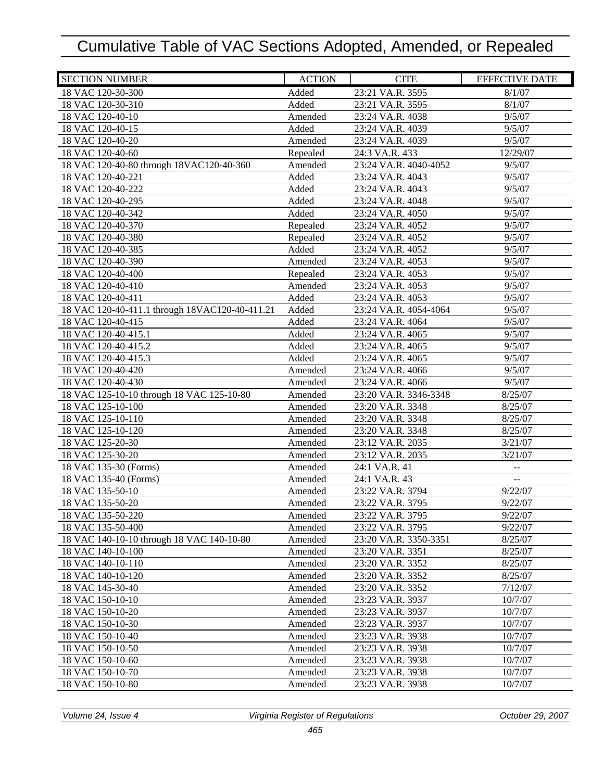| <b>SECTION NUMBER</b>                          | <b>ACTION</b> | <b>CITE</b>           | <b>EFFECTIVE DATE</b>                         |
|------------------------------------------------|---------------|-----------------------|-----------------------------------------------|
| 18 VAC 120-30-300                              | Added         | 23:21 VA.R. 3595      | 8/1/07                                        |
| 18 VAC 120-30-310                              | Added         | 23:21 VA.R. 3595      | 8/1/07                                        |
| 18 VAC 120-40-10                               | Amended       | 23:24 VA.R. 4038      | 9/5/07                                        |
| 18 VAC 120-40-15                               | Added         | 23:24 VA.R. 4039      | 9/5/07                                        |
| 18 VAC 120-40-20                               | Amended       | 23:24 VA.R. 4039      | 9/5/07                                        |
| 18 VAC 120-40-60                               | Repealed      | 24:3 VA.R. 433        | 12/29/07                                      |
| 18 VAC 120-40-80 through 18VAC120-40-360       | Amended       | 23:24 VA.R. 4040-4052 | 9/5/07                                        |
| 18 VAC 120-40-221                              | Added         | 23:24 VA.R. 4043      | 9/5/07                                        |
| 18 VAC 120-40-222                              | Added         | 23:24 VA.R. 4043      | 9/5/07                                        |
| 18 VAC 120-40-295                              | Added         | 23:24 VA.R. 4048      | 9/5/07                                        |
| 18 VAC 120-40-342                              | Added         | 23:24 VA.R. 4050      | 9/5/07                                        |
| 18 VAC 120-40-370                              | Repealed      | 23:24 VA.R. 4052      | 9/5/07                                        |
| 18 VAC 120-40-380                              | Repealed      | 23:24 VA.R. 4052      | 9/5/07                                        |
| 18 VAC 120-40-385                              | Added         | 23:24 VA.R. 4052      | 9/5/07                                        |
| 18 VAC 120-40-390                              | Amended       | 23:24 VA.R. 4053      | 9/5/07                                        |
| 18 VAC 120-40-400                              | Repealed      | 23:24 VA.R. 4053      | 9/5/07                                        |
| 18 VAC 120-40-410                              | Amended       | 23:24 VA.R. 4053      | 9/5/07                                        |
| 18 VAC 120-40-411                              | Added         | 23:24 VA.R. 4053      | 9/5/07                                        |
| 18 VAC 120-40-411.1 through 18VAC120-40-411.21 | Added         | 23:24 VA.R. 4054-4064 | 9/5/07                                        |
| 18 VAC 120-40-415                              | Added         | 23:24 VA.R. 4064      | 9/5/07                                        |
| 18 VAC 120-40-415.1                            | Added         | 23:24 VA.R. 4065      | 9/5/07                                        |
| 18 VAC 120-40-415.2                            | Added         | 23:24 VA.R. 4065      | 9/5/07                                        |
| 18 VAC 120-40-415.3                            | Added         | 23:24 VA.R. 4065      | 9/5/07                                        |
| 18 VAC 120-40-420                              | Amended       | 23:24 VA.R. 4066      | 9/5/07                                        |
| 18 VAC 120-40-430                              | Amended       | 23:24 VA.R. 4066      | 9/5/07                                        |
| 18 VAC 125-10-10 through 18 VAC 125-10-80      | Amended       | 23:20 VA.R. 3346-3348 | 8/25/07                                       |
| 18 VAC 125-10-100                              | Amended       | 23:20 VA.R. 3348      | 8/25/07                                       |
| 18 VAC 125-10-110                              | Amended       | 23:20 VA.R. 3348      | 8/25/07                                       |
| 18 VAC 125-10-120                              | Amended       | 23:20 VA.R. 3348      | 8/25/07                                       |
| 18 VAC 125-20-30                               | Amended       | 23:12 VA.R. 2035      | 3/21/07                                       |
| 18 VAC 125-30-20                               | Amended       | 23:12 VA.R. 2035      | 3/21/07                                       |
| 18 VAC 135-30 (Forms)                          | Amended       | 24:1 VA.R. 41         | ÷÷                                            |
| 18 VAC 135-40 (Forms)                          | Amended       | 24:1 VA.R. 43         | $\mathord{\hspace{1pt}\text{--}\hspace{1pt}}$ |
| 18 VAC 135-50-10                               | Amended       | 23:22 VA.R. 3794      | 9/22/07                                       |
| 18 VAC 135-50-20                               | Amended       | 23:22 VA.R. 3795      | 9/22/07                                       |
| 18 VAC 135-50-220                              | Amended       | 23:22 VA.R. 3795      | 9/22/07                                       |
| 18 VAC 135-50-400                              | Amended       | 23:22 VA.R. 3795      | 9/22/07                                       |
| 18 VAC 140-10-10 through 18 VAC 140-10-80      | Amended       | 23:20 VA.R. 3350-3351 | 8/25/07                                       |
| 18 VAC 140-10-100                              | Amended       | 23:20 VA.R. 3351      | 8/25/07                                       |
| 18 VAC 140-10-110                              | Amended       | 23:20 VA.R. 3352      | 8/25/07                                       |
| 18 VAC 140-10-120                              | Amended       | 23:20 VA.R. 3352      | 8/25/07                                       |
| 18 VAC 145-30-40                               | Amended       | 23:20 VA.R. 3352      | 7/12/07                                       |
| 18 VAC 150-10-10                               | Amended       | 23:23 VA.R. 3937      | 10/7/07                                       |
| 18 VAC 150-10-20                               | Amended       | 23:23 VA.R. 3937      | 10/7/07                                       |
| 18 VAC 150-10-30                               | Amended       | 23:23 VA.R. 3937      | 10/7/07                                       |
| 18 VAC 150-10-40                               | Amended       | 23:23 VA.R. 3938      | 10/7/07                                       |
| 18 VAC 150-10-50                               | Amended       | 23:23 VA.R. 3938      | 10/7/07                                       |
| 18 VAC 150-10-60                               | Amended       | 23:23 VA.R. 3938      | 10/7/07                                       |
| 18 VAC 150-10-70                               | Amended       | 23:23 VA.R. 3938      | 10/7/07                                       |
| 18 VAC 150-10-80                               | Amended       | 23:23 VA.R. 3938      | 10/7/07                                       |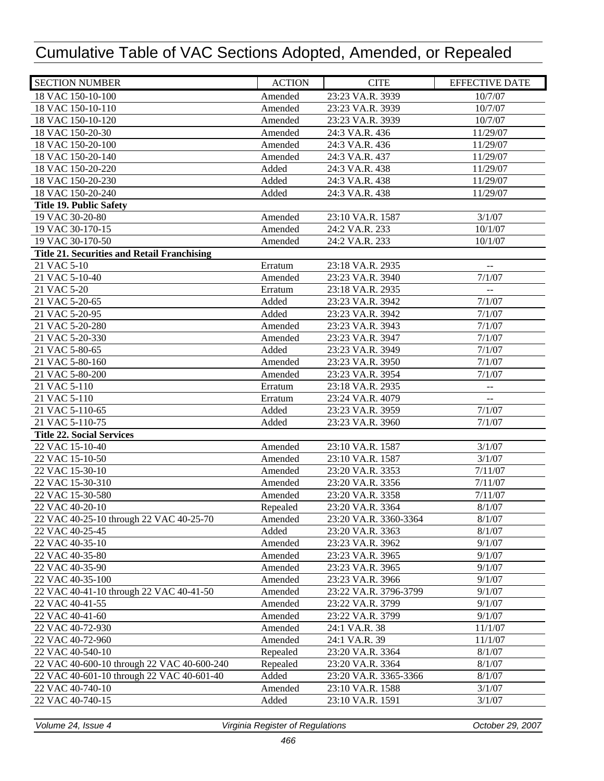| <b>SECTION NUMBER</b>                              | <b>ACTION</b> | <b>CITE</b>           | <b>EFFECTIVE DATE</b>                         |
|----------------------------------------------------|---------------|-----------------------|-----------------------------------------------|
| 18 VAC 150-10-100                                  | Amended       | 23:23 VA.R. 3939      | 10/7/07                                       |
| 18 VAC 150-10-110                                  | Amended       | 23:23 VA.R. 3939      | 10/7/07                                       |
| 18 VAC 150-10-120                                  | Amended       | 23:23 VA.R. 3939      | 10/7/07                                       |
| 18 VAC 150-20-30                                   | Amended       | 24:3 VA.R. 436        | 11/29/07                                      |
| 18 VAC 150-20-100                                  | Amended       | 24:3 VA.R. 436        | 11/29/07                                      |
| 18 VAC 150-20-140                                  | Amended       | 24:3 VA.R. 437        | 11/29/07                                      |
| 18 VAC 150-20-220                                  | Added         | 24:3 VA.R. 438        | 11/29/07                                      |
| 18 VAC 150-20-230                                  | Added         | 24:3 VA.R. 438        | 11/29/07                                      |
| 18 VAC 150-20-240                                  | Added         | 24:3 VA.R. 438        | 11/29/07                                      |
| <b>Title 19. Public Safety</b>                     |               |                       |                                               |
| 19 VAC 30-20-80                                    | Amended       | 23:10 VA.R. 1587      | 3/1/07                                        |
| 19 VAC 30-170-15                                   | Amended       | 24:2 VA.R. 233        | 10/1/07                                       |
| 19 VAC 30-170-50                                   | Amended       | 24:2 VA.R. 233        | 10/1/07                                       |
| <b>Title 21. Securities and Retail Franchising</b> |               |                       |                                               |
| 21 VAC 5-10                                        | Erratum       | 23:18 VA.R. 2935      | $\mathord{\hspace{1pt}\text{--}\hspace{1pt}}$ |
| 21 VAC 5-10-40                                     | Amended       | 23:23 VA.R. 3940      | 7/1/07                                        |
| 21 VAC 5-20                                        | Erratum       | 23:18 VA.R. 2935      | $\mathbb{Z}^2$                                |
| 21 VAC 5-20-65                                     | Added         | 23:23 VA.R. 3942      | 7/1/07                                        |
| 21 VAC 5-20-95                                     | Added         | 23:23 VA.R. 3942      | 7/1/07                                        |
| 21 VAC 5-20-280                                    | Amended       | 23:23 VA.R. 3943      | 7/1/07                                        |
| 21 VAC 5-20-330                                    | Amended       | 23:23 VA.R. 3947      | 7/1/07                                        |
| 21 VAC 5-80-65                                     | Added         | 23:23 VA.R. 3949      | 7/1/07                                        |
| 21 VAC 5-80-160                                    | Amended       | 23:23 VA.R. 3950      | 7/1/07                                        |
| 21 VAC 5-80-200                                    | Amended       | 23:23 VA.R. 3954      | 7/1/07                                        |
| 21 VAC 5-110                                       | Erratum       | 23:18 VA.R. 2935      | $\overline{\phantom{m}}$                      |
| 21 VAC 5-110                                       | Erratum       | 23:24 VA.R. 4079      | $\mathord{\hspace{1pt}\text{--}\hspace{1pt}}$ |
| 21 VAC 5-110-65                                    | Added         | 23:23 VA.R. 3959      | 7/1/07                                        |
| 21 VAC 5-110-75                                    | Added         | 23:23 VA.R. 3960      | 7/1/07                                        |
| <b>Title 22. Social Services</b>                   |               |                       |                                               |
| 22 VAC 15-10-40                                    | Amended       | 23:10 VA.R. 1587      | 3/1/07                                        |
| 22 VAC 15-10-50                                    | Amended       | 23:10 VA.R. 1587      | 3/1/07                                        |
| 22 VAC 15-30-10                                    | Amended       | 23:20 VA.R. 3353      | 7/11/07                                       |
| 22 VAC 15-30-310                                   | Amended       | 23:20 VA.R. 3356      | 7/11/07                                       |
| 22 VAC 15-30-580                                   | Amended       | 23:20 VA.R. 3358      | 7/11/07                                       |
| 22 VAC 40-20-10                                    | Repealed      | 23:20 VA.R. 3364      | 8/1/07                                        |
| 22 VAC 40-25-10 through 22 VAC 40-25-70            | Amended       | 23:20 VA.R. 3360-3364 | 8/1/07                                        |
| 22 VAC 40-25-45                                    | Added         | 23:20 VA.R. 3363      | 8/1/07                                        |
| 22 VAC 40-35-10                                    | Amended       | 23:23 VA.R. 3962      | 9/1/07                                        |
| 22 VAC 40-35-80                                    | Amended       | 23:23 VA.R. 3965      | 9/1/07                                        |
| 22 VAC 40-35-90                                    | Amended       | 23:23 VA.R. 3965      | 9/1/07                                        |
| 22 VAC 40-35-100                                   | Amended       | 23:23 VA.R. 3966      | 9/1/07                                        |
| 22 VAC 40-41-10 through 22 VAC 40-41-50            | Amended       | 23:22 VA.R. 3796-3799 | 9/1/07                                        |
| 22 VAC 40-41-55                                    | Amended       | 23:22 VA.R. 3799      | 9/1/07                                        |
| 22 VAC 40-41-60                                    | Amended       | 23:22 VA.R. 3799      | 9/1/07                                        |
| 22 VAC 40-72-930                                   | Amended       | 24:1 VA.R. 38         | 11/1/07                                       |
| 22 VAC 40-72-960                                   | Amended       | 24:1 VA.R. 39         | 11/1/07                                       |
| 22 VAC 40-540-10                                   | Repealed      | 23:20 VA.R. 3364      | 8/1/07                                        |
| 22 VAC 40-600-10 through 22 VAC 40-600-240         | Repealed      | 23:20 VA.R. 3364      | 8/1/07                                        |
| 22 VAC 40-601-10 through 22 VAC 40-601-40          | Added         | 23:20 VA.R. 3365-3366 | 8/1/07                                        |
| 22 VAC 40-740-10                                   | Amended       | 23:10 VA.R. 1588      | 3/1/07                                        |
| 22 VAC 40-740-15                                   | Added         | 23:10 VA.R. 1591      | 3/1/07                                        |
|                                                    |               |                       |                                               |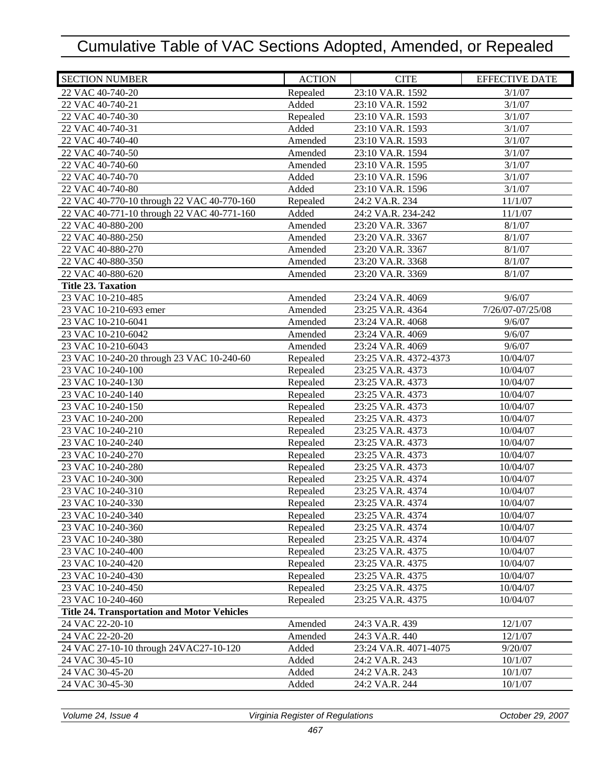| <b>SECTION NUMBER</b>                              | <b>ACTION</b> | <b>CITE</b>           | <b>EFFECTIVE DATE</b> |
|----------------------------------------------------|---------------|-----------------------|-----------------------|
| 22 VAC 40-740-20                                   | Repealed      | 23:10 VA.R. 1592      | 3/1/07                |
| 22 VAC 40-740-21                                   | Added         | 23:10 VA.R. 1592      | 3/1/07                |
| 22 VAC 40-740-30                                   | Repealed      | 23:10 VA.R. 1593      | 3/1/07                |
| 22 VAC 40-740-31                                   | Added         | 23:10 VA.R. 1593      | 3/1/07                |
| 22 VAC 40-740-40                                   | Amended       | 23:10 VA.R. 1593      | 3/1/07                |
| 22 VAC 40-740-50                                   | Amended       | 23:10 VA.R. 1594      | 3/1/07                |
| 22 VAC 40-740-60                                   | Amended       | 23:10 VA.R. 1595      | 3/1/07                |
| 22 VAC 40-740-70                                   | Added         | 23:10 VA.R. 1596      | 3/1/07                |
| 22 VAC 40-740-80                                   | Added         | 23:10 VA.R. 1596      | 3/1/07                |
| 22 VAC 40-770-10 through 22 VAC 40-770-160         | Repealed      | 24:2 VA.R. 234        | 11/1/07               |
| 22 VAC 40-771-10 through 22 VAC 40-771-160         | Added         | 24:2 VA.R. 234-242    | 11/1/07               |
| 22 VAC 40-880-200                                  | Amended       | 23:20 VA.R. 3367      | 8/1/07                |
| 22 VAC 40-880-250                                  | Amended       | 23:20 VA.R. 3367      | 8/1/07                |
| 22 VAC 40-880-270                                  | Amended       | 23:20 VA.R. 3367      | 8/1/07                |
| 22 VAC 40-880-350                                  | Amended       | 23:20 VA.R. 3368      | 8/1/07                |
| 22 VAC 40-880-620                                  | Amended       | 23:20 VA.R. 3369      | 8/1/07                |
| <b>Title 23. Taxation</b>                          |               |                       |                       |
| 23 VAC 10-210-485                                  | Amended       | 23:24 VA.R. 4069      | 9/6/07                |
| 23 VAC 10-210-693 emer                             | Amended       | 23:25 VA.R. 4364      | 7/26/07-07/25/08      |
| 23 VAC 10-210-6041                                 | Amended       | 23:24 VA.R. 4068      | 9/6/07                |
| 23 VAC 10-210-6042                                 | Amended       | 23:24 VA.R. 4069      | 9/6/07                |
| 23 VAC 10-210-6043                                 | Amended       | 23:24 VA.R. 4069      | 9/6/07                |
| 23 VAC 10-240-20 through 23 VAC 10-240-60          | Repealed      | 23:25 VA.R. 4372-4373 | 10/04/07              |
| 23 VAC 10-240-100                                  | Repealed      | 23:25 VA.R. 4373      | 10/04/07              |
| 23 VAC 10-240-130                                  | Repealed      | 23:25 VA.R. 4373      | 10/04/07              |
| 23 VAC 10-240-140                                  | Repealed      | 23:25 VA.R. 4373      | 10/04/07              |
| 23 VAC 10-240-150                                  | Repealed      | 23:25 VA.R. 4373      | 10/04/07              |
| 23 VAC 10-240-200                                  | Repealed      | 23:25 VA.R. 4373      | 10/04/07              |
| 23 VAC 10-240-210                                  | Repealed      | 23:25 VA.R. 4373      | 10/04/07              |
| 23 VAC 10-240-240                                  | Repealed      | 23:25 VA.R. 4373      | 10/04/07              |
| 23 VAC 10-240-270                                  | Repealed      | 23:25 VA.R. 4373      | 10/04/07              |
| 23 VAC 10-240-280                                  | Repealed      | 23:25 VA.R. 4373      | 10/04/07              |
| 23 VAC 10-240-300                                  | Repealed      | 23:25 VA.R. 4374      | 10/04/07              |
| 23 VAC 10-240-310                                  | Repealed      | 23:25 VA.R. 4374      | 10/04/07              |
| 23 VAC 10-240-330                                  | Repealed      | 23:25 VA.R. 4374      | 10/04/07              |
| 23 VAC 10-240-340                                  | Repealed      | 23:25 VA.R. 4374      | 10/04/07              |
| 23 VAC 10-240-360                                  | Repealed      | 23:25 VA.R. 4374      | 10/04/07              |
| 23 VAC 10-240-380                                  | Repealed      | 23:25 VA.R. 4374      | 10/04/07              |
| 23 VAC 10-240-400                                  | Repealed      | 23:25 VA.R. 4375      | 10/04/07              |
| 23 VAC 10-240-420                                  | Repealed      | 23:25 VA.R. 4375      | 10/04/07              |
| 23 VAC 10-240-430                                  | Repealed      | 23:25 VA.R. 4375      | 10/04/07              |
| 23 VAC 10-240-450                                  | Repealed      | 23:25 VA.R. 4375      | 10/04/07              |
| 23 VAC 10-240-460                                  | Repealed      | 23:25 VA.R. 4375      | 10/04/07              |
| <b>Title 24. Transportation and Motor Vehicles</b> |               |                       |                       |
| 24 VAC 22-20-10                                    | Amended       | 24:3 VA.R. 439        | 12/1/07               |
| 24 VAC 22-20-20                                    | Amended       | 24:3 VA.R. 440        | 12/1/07               |
| 24 VAC 27-10-10 through 24VAC27-10-120             | Added         | 23:24 VA.R. 4071-4075 | 9/20/07               |
| 24 VAC 30-45-10                                    | Added         | 24:2 VA.R. 243        | 10/1/07               |
| 24 VAC 30-45-20                                    | Added         | 24:2 VA.R. 243        | 10/1/07               |
| 24 VAC 30-45-30                                    | Added         | 24:2 VA.R. 244        | 10/1/07               |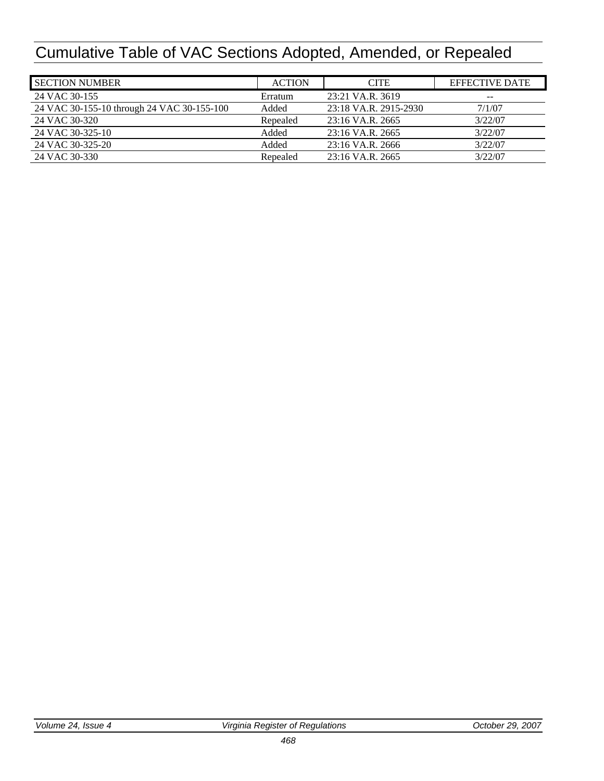| <b>SECTION NUMBER</b>                      | <b>ACTION</b> | <b>CITE</b>           | <b>EFFECTIVE DATE</b> |
|--------------------------------------------|---------------|-----------------------|-----------------------|
| 24 VAC 30-155                              | Erratum       | 23:21 VA.R. 3619      | $- -$                 |
| 24 VAC 30-155-10 through 24 VAC 30-155-100 | Added         | 23:18 VA.R. 2915-2930 | 7/1/07                |
| 24 VAC 30-320                              | Repealed      | $23:16$ VA.R. $2665$  | 3/22/07               |
| 24 VAC 30-325-10                           | Added         | 23:16 VA.R. 2665      | 3/22/07               |
| 24 VAC 30-325-20                           | Added         | 23:16 VA.R. 2666      | 3/22/07               |
| 24 VAC 30-330                              | Repealed      | $23:16$ VA.R. $2665$  | 3/22/07               |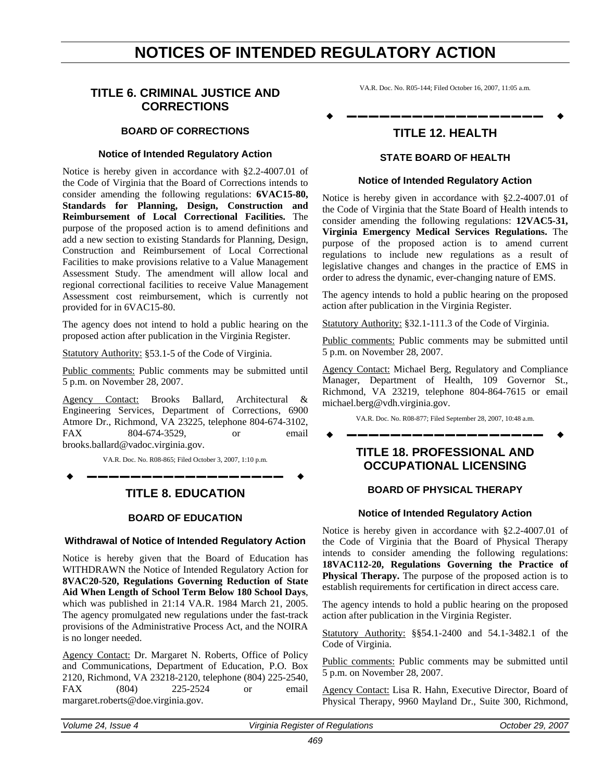## **NOTICES OF INTENDED REGULATORY ACTION**

## <span id="page-25-0"></span>**TITLE 6. CRIMINAL JUSTICE AND CORRECTIONS**

## **BOARD OF CORRECTIONS**

### **Notice of Intended Regulatory Action**

Notice is hereby given in accordance with §2.2-4007.01 of the Code of Virginia that the Board of Corrections intends to consider amending the following regulations: **6VAC15-80, Standards for Planning, Design, Construction and Reimbursement of Local Correctional Facilities.** The purpose of the proposed action is to amend definitions and add a new section to existing Standards for Planning, Design, Construction and Reimbursement of Local Correctional Facilities to make provisions relative to a Value Management Assessment Study. The amendment will allow local and regional correctional facilities to receive Value Management Assessment cost reimbursement, which is currently not provided for in 6VAC15-80.

The agency does not intend to hold a public hearing on the proposed action after publication in the Virginia Register.

Statutory Authority: §53.1-5 of the Code of Virginia.

Public comments: Public comments may be submitted until 5 p.m. on November 28, 2007.

Agency Contact: Brooks Ballard, Architectural & Engineering Services, Department of Corrections, 6900 Atmore Dr., Richmond, VA 23225, telephone 804-674-3102, FAX 804-674-3529, or email brooks.ballard@vadoc.virginia.gov.

VA.R. Doc. No. R08-865; Filed October 3, 2007, 1:10 p.m.

**––––––––––––––––––**

## **TITLE 8. EDUCATION**

## **BOARD OF EDUCATION**

### **Withdrawal of Notice of Intended Regulatory Action**

Notice is hereby given that the Board of Education has WITHDRAWN the Notice of Intended Regulatory Action for **8VAC20-520, Regulations Governing Reduction of State Aid When Length of School Term Below 180 School Days**, which was published in 21:14 VA.R. 1984 March 21, 2005. The agency promulgated new regulations under the fast-track provisions of the Administrative Process Act, and the NOIRA is no longer needed.

Agency Contact: Dr. Margaret N. Roberts, Office of Policy and Communications, Department of Education, P.O. Box 2120, Richmond, VA 23218-2120, telephone (804) 225-2540, FAX (804) 225-2524 or email margaret.roberts@doe.virginia.gov.

VA.R. Doc. No. R05-144; Filed October 16, 2007, 11:05 a.m.

## **––––––––––––––––––**

## **TITLE 12. HEALTH**

## **STATE BOARD OF HEALTH**

#### **Notice of Intended Regulatory Action**

Notice is hereby given in accordance with §2.2-4007.01 of the Code of Virginia that the State Board of Health intends to consider amending the following regulations: **12VAC5-31, Virginia Emergency Medical Services Regulations.** The purpose of the proposed action is to amend current regulations to include new regulations as a result of legislative changes and changes in the practice of EMS in order to adress the dynamic, ever-changing nature of EMS.

The agency intends to hold a public hearing on the proposed action after publication in the Virginia Register.

Statutory Authority: §32.1-111.3 of the Code of Virginia.

Public comments: Public comments may be submitted until 5 p.m. on November 28, 2007.

Agency Contact: Michael Berg, Regulatory and Compliance Manager, Department of Health, 109 Governor St., Richmond, VA 23219, telephone 804-864-7615 or email michael.berg@vdh.virginia.gov.

VA.R. Doc. No. R08-877; Filed September 28, 2007, 10:48 a.m. **––––––––––––––––––**

> **TITLE 18. PROFESSIONAL AND OCCUPATIONAL LICENSING**

#### **BOARD OF PHYSICAL THERAPY**

#### **Notice of Intended Regulatory Action**

Notice is hereby given in accordance with §2.2-4007.01 of the Code of Virginia that the Board of Physical Therapy intends to consider amending the following regulations: **18VAC112-20, Regulations Governing the Practice of Physical Therapy.** The purpose of the proposed action is to establish requirements for certification in direct access care.

The agency intends to hold a public hearing on the proposed action after publication in the Virginia Register.

Statutory Authority: §§54.1-2400 and 54.1-3482.1 of the Code of Virginia.

Public comments: Public comments may be submitted until 5 p.m. on November 28, 2007.

Agency Contact: Lisa R. Hahn, Executive Director, Board of Physical Therapy, 9960 Mayland Dr., Suite 300, Richmond,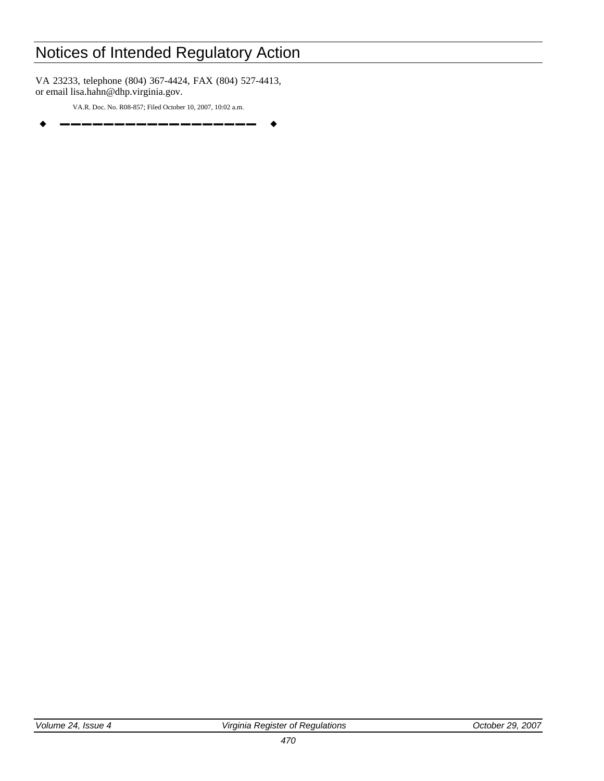VA 23233, telephone (804) 367-4424, FAX (804) 527-4413, or email lisa.hahn@dhp.virginia.gov.

VA.R. Doc. No. R08-857; Filed October 10, 2007, 10:02 a.m. **––––––––––––––––––**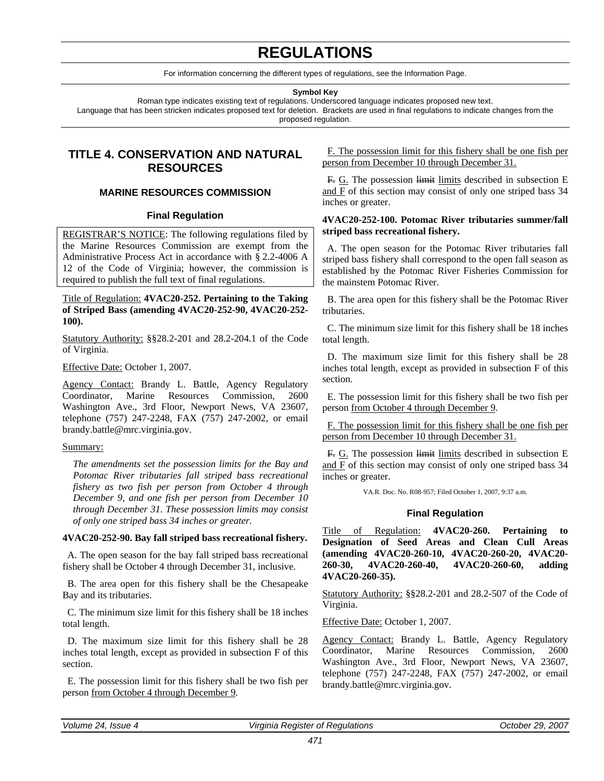## **REGULATIONS**

For information concerning the different types of regulations, see the Information Page.

**Symbol Key** 

<span id="page-27-0"></span>Roman type indicates existing text of regulations. Underscored language indicates proposed new text. Language that has been stricken indicates proposed text for deletion. Brackets are used in final regulations to indicate changes from the proposed regulation.

## **TITLE 4. CONSERVATION AND NATURAL RESOURCES**

## **MARINE RESOURCES COMMISSION**

### **Final Regulation**

REGISTRAR'S NOTICE: The following regulations filed by the Marine Resources Commission are exempt from the Administrative Process Act in accordance with § 2.2-4006 A 12 of the Code of Virginia; however, the commission is required to publish the full text of final regulations.

Title of Regulation: **4VAC20-252. Pertaining to the Taking of Striped Bass (amending 4VAC20-252-90, 4VAC20-252- 100).**

Statutory Authority: §§28.2-201 and 28.2-204.1 of the Code of Virginia.

Effective Date: October 1, 2007.

Agency Contact: Brandy L. Battle, Agency Regulatory Coordinator, Marine Resources Commission, 2600 Washington Ave., 3rd Floor, Newport News, VA 23607, telephone (757) 247-2248, FAX (757) 247-2002, or email brandy.battle@mrc.virginia.gov.

### Summary:

*The amendments set the possession limits for the Bay and Potomac River tributaries fall striped bass recreational fishery as two fish per person from October 4 through December 9, and one fish per person from December 10 through December 31. These possession limits may consist of only one striped bass 34 inches or greater.* 

### **4VAC20-252-90. Bay fall striped bass recreational fishery.**

A. The open season for the bay fall striped bass recreational fishery shall be October 4 through December 31, inclusive.

B. The area open for this fishery shall be the Chesapeake Bay and its tributaries.

C. The minimum size limit for this fishery shall be 18 inches total length.

D. The maximum size limit for this fishery shall be 28 inches total length, except as provided in subsection F of this section.

E. The possession limit for this fishery shall be two fish per person from October 4 through December 9.

F. The possession limit for this fishery shall be one fish per person from December 10 through December 31.

F. G. The possession limit limits described in subsection E and F of this section may consist of only one striped bass 34 inches or greater.

### **4VAC20-252-100. Potomac River tributaries summer/fall striped bass recreational fishery.**

A. The open season for the Potomac River tributaries fall striped bass fishery shall correspond to the open fall season as established by the Potomac River Fisheries Commission for the mainstem Potomac River.

B. The area open for this fishery shall be the Potomac River tributaries.

C. The minimum size limit for this fishery shall be 18 inches total length.

D. The maximum size limit for this fishery shall be 28 inches total length, except as provided in subsection F of this section.

E. The possession limit for this fishery shall be two fish per person from October 4 through December 9.

F. The possession limit for this fishery shall be one fish per person from December 10 through December 31.

F. G. The possession limit limits described in subsection E and F of this section may consist of only one striped bass 34 inches or greater.

VA.R. Doc. No. R08-957; Filed October 1, 2007, 9:37 a.m.

### **Final Regulation**

Title of Regulation: **4VAC20-260. Pertaining to Designation of Seed Areas and Clean Cull Areas (amending 4VAC20-260-10, 4VAC20-260-20, 4VAC20- 260-30, 4VAC20-260-40, 4VAC20-260-60, adding 4VAC20-260-35).**

Statutory Authority: §§28.2-201 and 28.2-507 of the Code of Virginia.

Effective Date: October 1, 2007.

Agency Contact: Brandy L. Battle, Agency Regulatory Coordinator, Marine Resources Commission, 2600 Washington Ave., 3rd Floor, Newport News, VA 23607, telephone (757) 247-2248, FAX (757) 247-2002, or email brandy.battle@mrc.virginia.gov.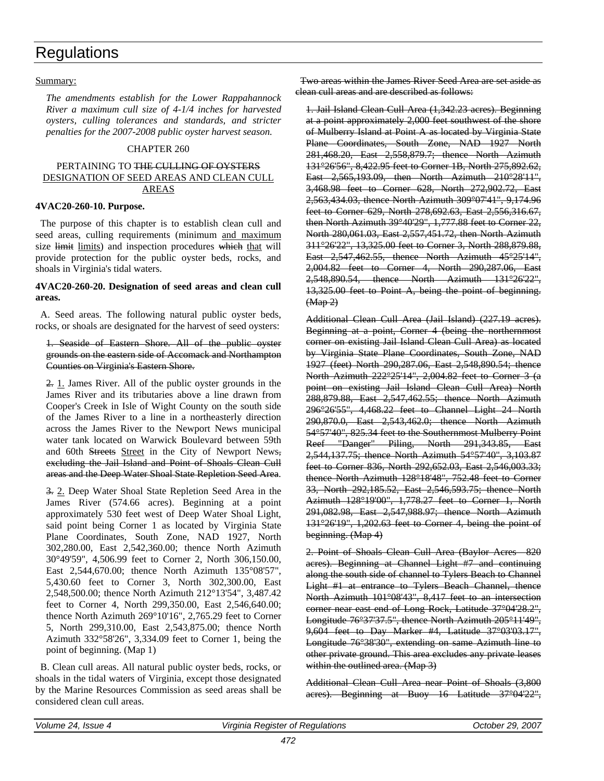### Summary:

*The amendments establish for the Lower Rappahannock River a maximum cull size of 4-1/4 inches for harvested oysters, culling tolerances and standards, and stricter penalties for the 2007-2008 public oyster harvest season.*

### CHAPTER 260

### PERTAINING TO THE CULLING OF OYSTERS DESIGNATION OF SEED AREAS AND CLEAN CULL AREAS

### **4VAC20-260-10. Purpose.**

The purpose of this chapter is to establish clean cull and seed areas, culling requirements (minimum and maximum size limit limits) and inspection procedures which that will provide protection for the public oyster beds, rocks, and shoals in Virginia's tidal waters.

### **4VAC20-260-20. Designation of seed areas and clean cull areas.**

A. Seed areas. The following natural public oyster beds, rocks, or shoals are designated for the harvest of seed oysters:

### 1. Seaside of Eastern Shore. All of the public oyster grounds on the eastern side of Accomack and Northampton Counties on Virginia's Eastern Shore.

2. 1. James River. All of the public oyster grounds in the James River and its tributaries above a line drawn from Cooper's Creek in Isle of Wight County on the south side of the James River to a line in a northeasterly direction across the James River to the Newport News municipal water tank located on Warwick Boulevard between 59th and 60th Streets Street in the City of Newport News, excluding the Jail Island and Point of Shoals Clean Cull areas and the Deep Water Shoal State Repletion Seed Area.

3. 2. Deep Water Shoal State Repletion Seed Area in the James River (574.66 acres). Beginning at a point approximately 530 feet west of Deep Water Shoal Light, said point being Corner 1 as located by Virginia State Plane Coordinates, South Zone, NAD 1927, North 302,280.00, East 2,542,360.00; thence North Azimuth 30°49'59", 4,506.99 feet to Corner 2, North 306,150.00, East 2,544,670.00; thence North Azimuth 135°08'57", 5,430.60 feet to Corner 3, North 302,300.00, East 2,548,500.00; thence North Azimuth 212°13'54", 3,487.42 feet to Corner 4, North 299,350.00, East 2,546,640.00; thence North Azimuth 269°10'16", 2,765.29 feet to Corner 5, North 299,310.00, East 2,543,875.00; thence North Azimuth 332°58'26", 3,334.09 feet to Corner 1, being the point of beginning. (Map 1)

B. Clean cull areas. All natural public oyster beds, rocks, or shoals in the tidal waters of Virginia, except those designated by the Marine Resources Commission as seed areas shall be considered clean cull areas.

Two areas within the James River Seed Area are set aside as clean cull areas and are described as follows:

1. Jail Island Clean Cull Area (1,342.23 acres). Beginning at a point approximately 2,000 feet southwest of the shore of Mulberry Island at Point A as located by Virginia State Plane Coordinates, South Zone, NAD 1927 North 281,468.20, East 2,558,879.7; thence North Azimuth 131°26'56", 8,422.95 feet to Corner 1B, North 275,892.62, East 2,565,193.09, then North Azimuth 210°28'11", 3,468.98 feet to Corner 628, North 272,902.72, East 2,563,434.03, thence North Azimuth 309°07'41", 9,174.96 feet to Corner 629, North 278,692.63, East 2,556,316.67, then North Azimuth 39°40'29", 1,777.88 feet to Corner 22, North 280,061.03, East 2,557,451.72, then North Azimuth 311°26'22", 13,325.00 feet to Corner 3, North 288,879.88, East 2,547,462.55, thence North Azimuth 45°25'14", 2,004.82 feet to Corner 4, North 290,287.06, East 2,548,890.54, thence North Azimuth 131°26'22", 13,325.00 feet to Point A, being the point of beginning.  $(Map 2)$ 

Additional Clean Cull Area (Jail Island) (227.19 acres). Beginning at a point, Corner 4 (being the northernmost corner on existing Jail Island Clean Cull Area) as located by Virginia State Plane Coordinates, South Zone, NAD 1927 (feet) North 290,287.06, East 2,548,890.54; thence North Azimuth 222°25'14", 2,004.82 feet to Corner 3 (a point on existing Jail Island Clean Cull Area) North 288,879.88, East 2,547,462.55; thence North Azimuth 296°26'55", 4,468.22 feet to Channel Light 24 North 290,870.0, East 2,543,462.0; thence North Azimuth 54°57'40", 825.34 feet to the Southernmost Mulberry Point Reef "Danger" Piling, North 291,343.85, East 2,544,137.75; thence North Azimuth 54°57'40", 3,103.87 feet to Corner 836, North 292,652.03, East 2,546,003.33; thence North Azimuth 128°18'48", 752.48 feet to Corner 33, North 292,185.52, East 2,546,593.75; thence North Azimuth 128°19'00", 1,778.27 feet to Corner 1, North 291,082.98, East 2,547,988.97; thence North Azimuth 131°26'19", 1,202.63 feet to Corner 4, being the point of beginning. (Map 4)

2. Point of Shoals Clean Cull Area (Baylor Acres—820 acres). Beginning at Channel Light #7 and continuing along the south side of channel to Tylers Beach to Channel Light #1 at entrance to Tylers Beach Channel, thence North Azimuth 101°08'43", 8,417 feet to an intersection corner near east end of Long Rock, Latitude 37°04'28.2", Longitude 76°37'37.5", thence North Azimuth 205°11'49", 9,604 feet to Day Marker #4, Latitude 37°03'03.17", Longitude 76°38'30", extending on same Azimuth line to other private ground. This area excludes any private leases within the outlined area. (Map 3)

Additional Clean Cull Area near Point of Shoals (3,800 acres). Beginning at Buoy 16 Latitude 37°04'22",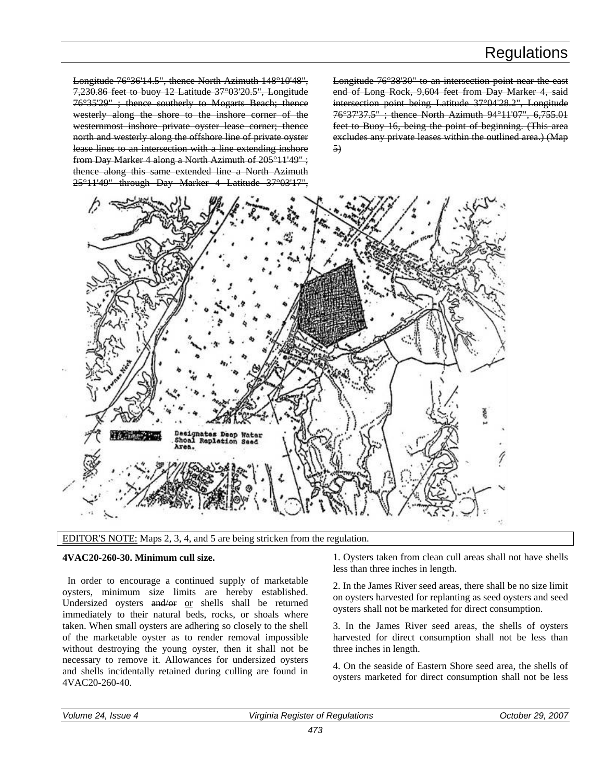Longitude 76°36'14.5", thence North Azimuth 148°10'48", 7,230.86 feet to buoy 12 Latitude 37°03'20.5", Longitude 76°35'29" ; thence southerly to Mogarts Beach; thence westerly along the shore to the inshore corner of the westernmost inshore private oyster lease corner; thence north and westerly along the offshore line of private oyster lease lines to an intersection with a line extending inshore from Day Marker 4 along a North Azimuth of 205°11'49" ; thence along this same extended line a North Azimuth 25°11'49" through Day Marker 4 Latitude 37°03'17",

Longitude 76°38'30" to an intersection point near the east end of Long Rock, 9,604 feet from Day Marker 4, said intersection point being Latitude 37°04'28.2", Longitude 76°37'37.5" ; thence North Azimuth 94°11'07", 6,755.01 feet to Buoy 16, being the point of beginning. (This area excludes any private leases within the outlined area.) (Map 5)





#### **4VAC20-260-30. Minimum cull size.**

In order to encourage a continued supply of marketable oysters, minimum size limits are hereby established. Undersized oysters and/or or shells shall be returned immediately to their natural beds, rocks, or shoals where taken. When small oysters are adhering so closely to the shell of the marketable oyster as to render removal impossible without destroying the young oyster, then it shall not be necessary to remove it. Allowances for undersized oysters and shells incidentally retained during culling are found in 4VAC20-260-40.

1. Oysters taken from clean cull areas shall not have shells less than three inches in length.

2. In the James River seed areas, there shall be no size limit on oysters harvested for replanting as seed oysters and seed oysters shall not be marketed for direct consumption.

3. In the James River seed areas, the shells of oysters harvested for direct consumption shall not be less than three inches in length.

4. On the seaside of Eastern Shore seed area, the shells of oysters marketed for direct consumption shall not be less

| Volume.       | ı Reaister of Reaulations | .2007         |
|---------------|---------------------------|---------------|
| : 24. Issue 4 | Virginia                  | October 29. 2 |
|               |                           |               |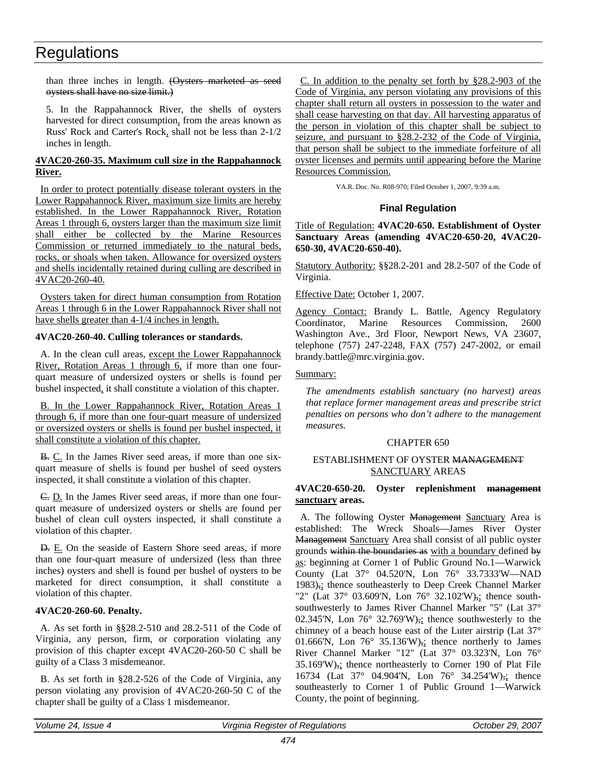<span id="page-30-0"></span>than three inches in length. (Oysters marketed as seed oysters shall have no size limit.)

5. In the Rappahannock River, the shells of oysters harvested for direct consumption, from the areas known as Russ' Rock and Carter's Rock, shall not be less than 2-1/2 inches in length.

## **4VAC20-260-35. Maximum cull size in the Rappahannock River.**

In order to protect potentially disease tolerant oysters in the Lower Rappahannock River, maximum size limits are hereby established. In the Lower Rappahannock River, Rotation Areas 1 through 6, oysters larger than the maximum size limit shall either be collected by the Marine Resources Commission or returned immediately to the natural beds, rocks, or shoals when taken. Allowance for oversized oysters and shells incidentally retained during culling are described in 4VAC20-260-40.

Oysters taken for direct human consumption from Rotation Areas 1 through 6 in the Lower Rappahannock River shall not have shells greater than 4-1/4 inches in length.

### **4VAC20-260-40. Culling tolerances or standards.**

A. In the clean cull areas, except the Lower Rappahannock River, Rotation Areas 1 through 6, if more than one fourquart measure of undersized oysters or shells is found per bushel inspected, it shall constitute a violation of this chapter.

B. In the Lower Rappahannock River, Rotation Areas 1 through 6, if more than one four-quart measure of undersized or oversized oysters or shells is found per bushel inspected, it shall constitute a violation of this chapter.

B. C. In the James River seed areas, if more than one sixquart measure of shells is found per bushel of seed oysters inspected, it shall constitute a violation of this chapter.

C. D. In the James River seed areas, if more than one fourquart measure of undersized oysters or shells are found per bushel of clean cull oysters inspected, it shall constitute a violation of this chapter.

D. E. On the seaside of Eastern Shore seed areas, if more than one four-quart measure of undersized (less than three inches) oysters and shell is found per bushel of oysters to be marketed for direct consumption, it shall constitute a violation of this chapter.

### **4VAC20-260-60. Penalty.**

A. As set forth in §§28.2-510 and 28.2-511 of the Code of Virginia, any person, firm, or corporation violating any provision of this chapter except 4VAC20-260-50 C shall be guilty of a Class 3 misdemeanor.

B. As set forth in §28.2-526 of the Code of Virginia, any person violating any provision of 4VAC20-260-50 C of the chapter shall be guilty of a Class 1 misdemeanor.

C. In addition to the penalty set forth by §28.2-903 of the Code of Virginia, any person violating any provisions of this chapter shall return all oysters in possession to the water and shall cease harvesting on that day. All harvesting apparatus of the person in violation of this chapter shall be subject to seizure, and pursuant to §28.2-232 of the Code of Virginia, that person shall be subject to the immediate forfeiture of all oyster licenses and permits until appearing before the Marine Resources Commission.

VA.R. Doc. No. R08-970; Filed October 1, 2007, 9:39 a.m.

## **Final Regulation**

Title of Regulation: **4VAC20-650. Establishment of Oyster Sanctuary Areas (amending 4VAC20-650-20, 4VAC20- 650-30, 4VAC20-650-40).**

Statutory Authority: §§28.2-201 and 28.2-507 of the Code of Virginia.

Effective Date: October 1, 2007.

Agency Contact: Brandy L. Battle, Agency Regulatory Coordinator, Marine Resources Commission, 2600 Washington Ave., 3rd Floor, Newport News, VA 23607, telephone (757) 247-2248, FAX (757) 247-2002, or email brandy.battle@mrc.virginia.gov.

Summary:

*The amendments establish sanctuary (no harvest) areas that replace former management areas and prescribe strict penalties on persons who don't adhere to the management measures.* 

#### CHAPTER 650

### ESTABLISHMENT OF OYSTER MANAGEMENT SANCTUARY AREAS

### **4VAC20-650-20. Oyster replenishment management sanctuary areas.**

A. The following Oyster Management Sanctuary Area is established: The Wreck Shoals—James River Oyster Management Sanctuary Area shall consist of all public oyster grounds within the boundaries as with a boundary defined by as: beginning at Corner 1 of Public Ground No.1—Warwick County (Lat 37° 04.520'N, Lon 76° 33.7333'W—NAD 1983),; thence southeasterly to Deep Creek Channel Marker "2" (Lat 37° 03.609'N, Lon 76° 32.102'W), thence southsouthwesterly to James River Channel Marker "5" (Lat 37° 02.345'N, Lon  $76^{\circ}$  32.769'W), thence southwesterly to the chimney of a beach house east of the Luter airstrip (Lat 37° 01.666'N, Lon  $76^{\circ}$  35.136'W), thence northerly to James River Channel Marker "12" (Lat 37° 03.323'N, Lon 76° 35.169'W), thence northeasterly to Corner 190 of Plat File 16734 (Lat 37° 04.904'N, Lon 76° 34.254'W)<sub>7</sub>; thence southeasterly to Corner 1 of Public Ground 1—Warwick County, the point of beginning.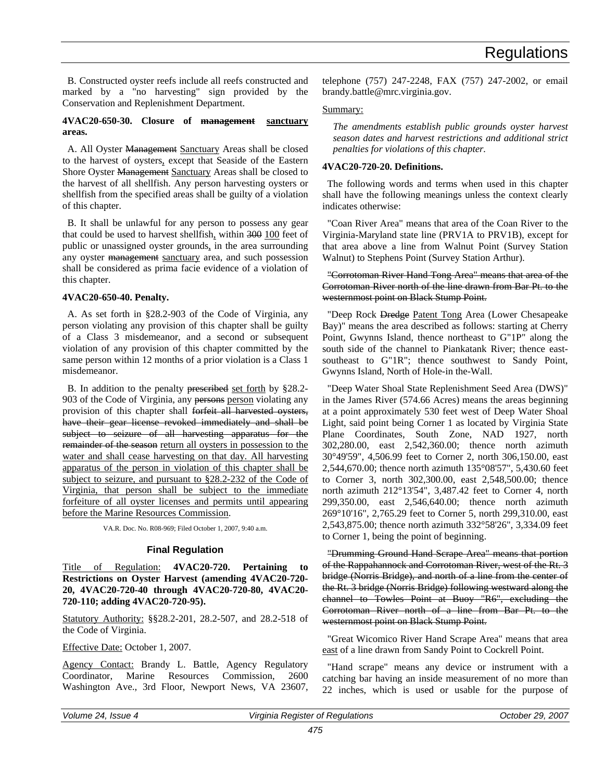<span id="page-31-0"></span>B. Constructed oyster reefs include all reefs constructed and marked by a "no harvesting" sign provided by the Conservation and Replenishment Department.

### **4VAC20-650-30. Closure of management sanctuary areas.**

A. All Oyster Management Sanctuary Areas shall be closed to the harvest of oysters, except that Seaside of the Eastern Shore Oyster Management Sanctuary Areas shall be closed to the harvest of all shellfish. Any person harvesting oysters or shellfish from the specified areas shall be guilty of a violation of this chapter.

B. It shall be unlawful for any person to possess any gear that could be used to harvest shellfish, within 300 100 feet of public or unassigned oyster grounds, in the area surrounding any oyster management sanctuary area, and such possession shall be considered as prima facie evidence of a violation of this chapter.

### **4VAC20-650-40. Penalty.**

A. As set forth in §28.2-903 of the Code of Virginia, any person violating any provision of this chapter shall be guilty of a Class 3 misdemeanor, and a second or subsequent violation of any provision of this chapter committed by the same person within 12 months of a prior violation is a Class 1 misdemeanor.

B. In addition to the penalty prescribed set forth by §28.2- 903 of the Code of Virginia, any persons person violating any provision of this chapter shall forfeit all harvested oysters, have their gear license revoked immediately and shall be subject to seizure of all harvesting apparatus for the remainder of the season return all oysters in possession to the water and shall cease harvesting on that day. All harvesting apparatus of the person in violation of this chapter shall be subject to seizure, and pursuant to §28.2-232 of the Code of Virginia, that person shall be subject to the immediate forfeiture of all oyster licenses and permits until appearing before the Marine Resources Commission.

VA.R. Doc. No. R08-969; Filed October 1, 2007, 9:40 a.m.

### **Final Regulation**

Title of Regulation: **4VAC20-720. Pertaining to Restrictions on Oyster Harvest (amending 4VAC20-720- 20, 4VAC20-720-40 through 4VAC20-720-80, 4VAC20- 720-110; adding 4VAC20-720-95).**

Statutory Authority: §§28.2-201, 28.2-507, and 28.2-518 of the Code of Virginia.

Effective Date: October 1, 2007.

Agency Contact: Brandy L. Battle, Agency Regulatory Coordinator, Marine Resources Commission, 2600 Washington Ave., 3rd Floor, Newport News, VA 23607, telephone (757) 247-2248, FAX (757) 247-2002, or email brandy.battle@mrc.virginia.gov.

## Summary:

*The amendments establish public grounds oyster harvest season dates and harvest restrictions and additional strict penalties for violations of this chapter.*

### **4VAC20-720-20. Definitions.**

The following words and terms when used in this chapter shall have the following meanings unless the context clearly indicates otherwise:

"Coan River Area" means that area of the Coan River to the Virginia-Maryland state line (PRV1A to PRV1B), except for that area above a line from Walnut Point (Survey Station Walnut) to Stephens Point (Survey Station Arthur).

### "Corrotoman River Hand Tong Area" means that area of the Corrotoman River north of the line drawn from Bar Pt. to the westernmost point on Black Stump Point.

"Deep Rock Dredge Patent Tong Area (Lower Chesapeake Bay)" means the area described as follows: starting at Cherry Point, Gwynns Island, thence northeast to G"1P" along the south side of the channel to Piankatank River; thence eastsoutheast to G"1R"; thence southwest to Sandy Point, Gwynns Island, North of Hole-in the-Wall.

"Deep Water Shoal State Replenishment Seed Area (DWS)" in the James River (574.66 Acres) means the areas beginning at a point approximately 530 feet west of Deep Water Shoal Light, said point being Corner 1 as located by Virginia State Plane Coordinates, South Zone, NAD 1927, north 302,280.00, east 2,542,360.00; thence north azimuth 30°49'59", 4,506.99 feet to Corner 2, north 306,150.00, east 2,544,670.00; thence north azimuth 135°08'57", 5,430.60 feet to Corner 3, north 302,300.00, east 2,548,500.00; thence north azimuth 212°13'54", 3,487.42 feet to Corner 4, north 299,350.00, east 2,546,640.00; thence north azimuth 269°10'16", 2,765.29 feet to Corner 5, north 299,310.00, east 2,543,875.00; thence north azimuth 332°58'26", 3,334.09 feet to Corner 1, being the point of beginning.

"Drumming Ground Hand Scrape Area" means that portion of the Rappahannock and Corrotoman River, west of the Rt. 3 bridge (Norris Bridge), and north of a line from the center of the Rt. 3 bridge (Norris Bridge) following westward along the channel to Towles Point at Buoy "R6", excluding the Corrotoman River north of a line from Bar Pt. to the westernmost point on Black Stump Point.

"Great Wicomico River Hand Scrape Area" means that area east of a line drawn from Sandy Point to Cockrell Point.

"Hand scrape" means any device or instrument with a catching bar having an inside measurement of no more than 22 inches, which is used or usable for the purpose of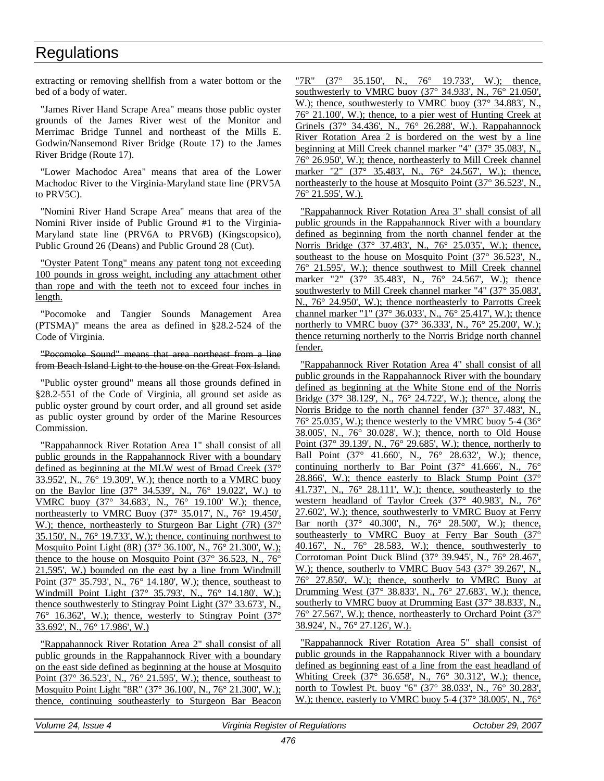extracting or removing shellfish from a water bottom or the bed of a body of water.

"James River Hand Scrape Area" means those public oyster grounds of the James River west of the Monitor and Merrimac Bridge Tunnel and northeast of the Mills E. Godwin/Nansemond River Bridge (Route 17) to the James River Bridge (Route 17).

"Lower Machodoc Area" means that area of the Lower Machodoc River to the Virginia-Maryland state line (PRV5A to PRV5C).

"Nomini River Hand Scrape Area" means that area of the Nomini River inside of Public Ground #1 to the Virginia-Maryland state line (PRV6A to PRV6B) (Kingscopsico), Public Ground 26 (Deans) and Public Ground 28 (Cut).

"Oyster Patent Tong" means any patent tong not exceeding 100 pounds in gross weight, including any attachment other than rope and with the teeth not to exceed four inches in length.

"Pocomoke and Tangier Sounds Management Area (PTSMA)" means the area as defined in §28.2-524 of the Code of Virginia.

### "Pocomoke Sound" means that area northeast from a line from Beach Island Light to the house on the Great Fox Island.

"Public oyster ground" means all those grounds defined in §28.2-551 of the Code of Virginia, all ground set aside as public oyster ground by court order, and all ground set aside as public oyster ground by order of the Marine Resources Commission.

"Rappahannock River Rotation Area 1" shall consist of all public grounds in the Rappahannock River with a boundary defined as beginning at the MLW west of Broad Creek (37° 33.952', N., 76° 19.309', W.); thence north to a VMRC buoy on the Baylor line (37° 34.539', N., 76° 19.022', W.) to VMRC buoy (37° 34.683', N., 76° 19.100' W.); thence, northeasterly to VMRC Buoy (37° 35.017', N., 76° 19.450', W.); thence, northeasterly to Sturgeon Bar Light (7R) (37° 35.150', N., 76° 19.733', W.); thence, continuing northwest to Mosquito Point Light (8R) (37° 36.100', N., 76° 21.300', W.); thence to the house on Mosquito Point (37° 36.523, N., 76° 21.595', W.) bounded on the east by a line from Windmill Point (37° 35.793', N., 76° 14.180', W.); thence, southeast to Windmill Point Light (37° 35.793', N., 76° 14.180', W.); thence southwesterly to Stingray Point Light (37° 33.673', N.,  $76^{\circ}$  16.362', W.); thence, westerly to Stingray Point  $(37^{\circ})$ 33.692', N., 76° 17.986', W.)

"Rappahannock River Rotation Area 2" shall consist of all public grounds in the Rappahannock River with a boundary on the east side defined as beginning at the house at Mosquito Point (37° 36.523', N., 76° 21.595', W.); thence, southeast to Mosquito Point Light "8R" (37° 36.100', N., 76° 21.300', W.); thence, continuing southeasterly to Sturgeon Bar Beacon "7R" (37° 35.150', N., 76° 19.733', W.); thence, southwesterly to VMRC buoy (37° 34.933', N., 76° 21.050', W.); thence, southwesterly to VMRC buoy (37° 34.883', N., 76° 21.100', W.); thence, to a pier west of Hunting Creek at Grinels (37° 34.436', N., 76° 26.288', W.). Rappahannock River Rotation Area 2 is bordered on the west by a line beginning at Mill Creek channel marker "4" (37° 35.083', N., 76° 26.950', W.); thence, northeasterly to Mill Creek channel marker "2" (37° 35.483', N., 76° 24.567', W.); thence, northeasterly to the house at Mosquito Point (37° 36.523', N., 76° 21.595', W.).

"Rappahannock River Rotation Area 3" shall consist of all public grounds in the Rappahannock River with a boundary defined as beginning from the north channel fender at the Norris Bridge (37° 37.483', N., 76° 25.035', W.); thence, southeast to the house on Mosquito Point (37° 36.523', N., 76° 21.595', W.); thence southwest to Mill Creek channel marker "2" (37° 35.483', N., 76° 24.567', W.); thence southwesterly to Mill Creek channel marker "4" (37° 35.083', N., 76° 24.950', W.); thence northeasterly to Parrotts Creek channel marker "1" (37° 36.033', N., 76° 25.417', W.); thence northerly to VMRC buoy (37° 36.333', N., 76° 25.200', W.); thence returning northerly to the Norris Bridge north channel fender.

"Rappahannock River Rotation Area 4" shall consist of all public grounds in the Rappahannock River with the boundary defined as beginning at the White Stone end of the Norris Bridge (37° 38.129', N., 76° 24.722', W.); thence, along the Norris Bridge to the north channel fender (37° 37.483', N.,  $76^{\circ}$  25.035', W.); thence westerly to the VMRC buoy 5-4 (36 $^{\circ}$ ) 38.005', N., 76° 30.028', W.); thence, north to Old House Point (37° 39.139', N., 76° 29.685', W.); thence, northerly to Ball Point (37° 41.660', N., 76° 28.632', W.); thence, continuing northerly to Bar Point  $(37^{\circ}$  41.666', N.,  $76^{\circ}$ 28.866', W.); thence easterly to Black Stump Point  $(37^{\circ})$ 41.737', N., 76° 28.111', W.); thence, southeasterly to the western headland of Taylor Creek (37° 40.983', N., 76° 27.602', W.); thence, southwesterly to VMRC Buoy at Ferry Bar north (37° 40.300', N., 76° 28.500', W.); thence, southeasterly to VMRC Buoy at Ferry Bar South (37° 40.167', N., 76° 28.583, W.); thence, southwesterly to Corrotoman Point Duck Blind (37° 39.945', N., 76° 28.467', W.); thence, southerly to VMRC Buoy 543 (37° 39.267', N., 76° 27.850', W.); thence, southerly to VMRC Buoy at Drumming West (37° 38.833', N., 76° 27.683', W.); thence, southerly to VMRC buoy at Drumming East (37° 38.833', N., 76° 27.567', W.); thence, northeasterly to Orchard Point (37° 38.924', N., 76° 27.126', W.).

"Rappahannock River Rotation Area 5" shall consist of public grounds in the Rappahannock River with a boundary defined as beginning east of a line from the east headland of Whiting Creek (37° 36.658', N., 76° 30.312', W.); thence, north to Towlest Pt. buoy "6" (37° 38.033', N., 76° 30.283', W.); thence, easterly to VMRC buoy 5-4 (37° 38.005', N., 76°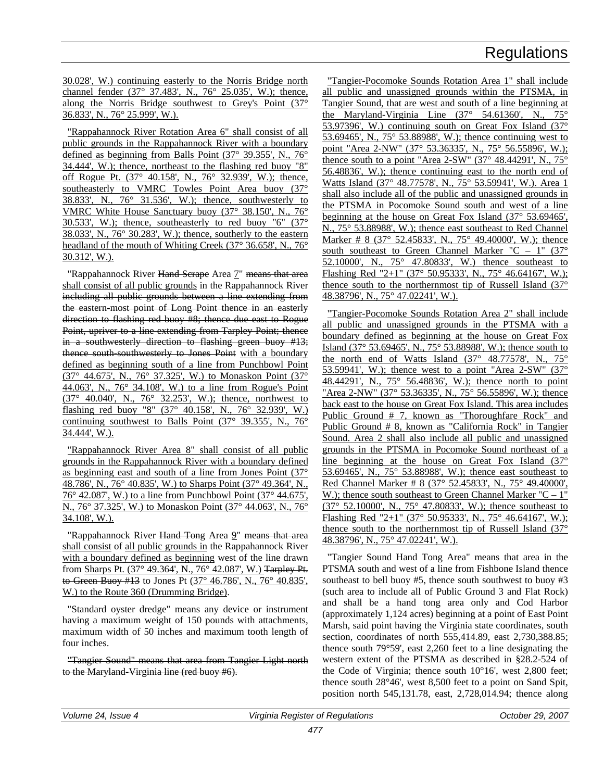30.028', W.) continuing easterly to the Norris Bridge north channel fender (37° 37.483', N., 76° 25.035', W.); thence, along the Norris Bridge southwest to Grey's Point (37° 36.833', N., 76° 25.999', W.).

"Rappahannock River Rotation Area 6" shall consist of all public grounds in the Rappahannock River with a boundary defined as beginning from Balls Point (37° 39.355', N., 76° 34.444', W.); thence, northeast to the flashing red buoy "8" off Rogue Pt. (37° 40.158', N., 76° 32.939', W.); thence, southeasterly to VMRC Towles Point Area buoy (37° 38.833', N., 76° 31.536', W.); thence, southwesterly to VMRC White House Sanctuary buoy (37° 38.150', N., 76° 30.533', W.); thence, southeasterly to red buoy "6"  $(37^{\circ})$ 38.033', N., 76° 30.283', W.); thence, southerly to the eastern headland of the mouth of Whiting Creek (37° 36.658', N., 76° 30.312', W.).

"Rappahannock River Hand Scrape Area 7" means that area shall consist of all public grounds in the Rappahannock River including all public grounds between a line extending from the eastern most point of Long Point thence in an easterly direction to flashing red buoy #8; thence due east to Rogue Point, upriver to a line extending from Tarpley Point; thence in a southwesterly direction to flashing green buoy #13; thence south-southwesterly to Jones Point with a boundary defined as beginning south of a line from Punchbowl Point (37° 44.675', N., 76° 37.325', W.) to Monaskon Point (37° 44.063', N., 76° 34.108', W.) to a line from Rogue's Point (37° 40.040', N., 76° 32.253', W.); thence, northwest to flashing red buoy "8" (37° 40.158', N., 76° 32.939', W.) continuing southwest to Balls Point (37° 39.355', N., 76° 34.444', W.).

"Rappahannock River Area 8" shall consist of all public grounds in the Rappahannock River with a boundary defined as beginning east and south of a line from Jones Point (37° 48.786', N., 76° 40.835', W.) to Sharps Point (37° 49.364', N., 76° 42.087', W.) to a line from Punchbowl Point (37° 44.675', N., 76° 37.325', W.) to Monaskon Point (37° 44.063', N., 76° 34.108', W.).

"Rappahannock River Hand Tong Area 9" means that area shall consist of all public grounds in the Rappahannock River with a boundary defined as beginning west of the line drawn from Sharps Pt. (37° 49.364', N., 76° 42.087', W.) Tarpley Pt. to Green Buoy #13 to Jones Pt (37° 46.786', N., 76° 40.835', W.) to the Route 360 (Drumming Bridge).

"Standard oyster dredge" means any device or instrument having a maximum weight of 150 pounds with attachments, maximum width of 50 inches and maximum tooth length of four inches.

"Tangier Sound" means that area from Tangier Light north to the Maryland-Virginia line (red buoy #6).

"Tangier-Pocomoke Sounds Rotation Area 1" shall include all public and unassigned grounds within the PTSMA, in Tangier Sound, that are west and south of a line beginning at the Maryland-Virginia Line (37° 54.61360', N., 75° 53.97396', W.) continuing south on Great Fox Island (37° 53.69465', N., 75° 53.88988', W.); thence continuing west to point "Area 2-NW" (37° 53.36335', N., 75° 56.55896', W.); thence south to a point "Area 2-SW" (37° 48.44291', N., 75° 56.48836', W.); thence continuing east to the north end of Watts Island (37° 48.77578', N., 75° 53.59941', W.). Area 1 shall also include all of the public and unassigned grounds in the PTSMA in Pocomoke Sound south and west of a line beginning at the house on Great Fox Island (37° 53.69465', N., 75° 53.88988', W.); thence east southeast to Red Channel Marker # 8 (37° 52.45833', N., 75° 49.40000', W.); thence south southeast to Green Channel Marker "C – 1"  $(37^{\circ}$ 52.10000', N., 75° 47.80833', W.) thence southeast to Flashing Red "2+1" (37° 50.95333', N., 75° 46.64167', W.); thence south to the northernmost tip of Russell Island (37° 48.38796', N., 75° 47.02241', W.).

"Tangier-Pocomoke Sounds Rotation Area 2" shall include all public and unassigned grounds in the PTSMA with a boundary defined as beginning at the house on Great Fox Island (37° 53.69465', N., 75° 53.88988', W.); thence south to the north end of Watts Island (37° 48.77578', N., 75° 53.59941', W.); thence west to a point "Area 2-SW"  $(37^{\circ})$ 48.44291', N., 75° 56.48836', W.); thence north to point "Area 2-NW" (37° 53.36335', N., 75° 56.55896', W.); thence back east to the house on Great Fox Island. This area includes Public Ground # 7, known as "Thoroughfare Rock" and Public Ground # 8, known as "California Rock" in Tangier Sound. Area 2 shall also include all public and unassigned grounds in the PTSMA in Pocomoke Sound northeast of a line beginning at the house on Great Fox Island (37° 53.69465', N., 75° 53.88988', W.); thence east southeast to Red Channel Marker # 8 (37° 52.45833', N., 75° 49.40000', W.); thence south southeast to Green Channel Marker " $C - 1$ " (37° 52.10000', N., 75° 47.80833', W.); thence southeast to Flashing Red "2+1" (37° 50.95333', N., 75° 46.64167', W.); thence south to the northernmost tip of Russell Island (37° 48.38796', N., 75° 47.02241', W.).

"Tangier Sound Hand Tong Area" means that area in the PTSMA south and west of a line from Fishbone Island thence southeast to bell buoy #5, thence south southwest to buoy #3 (such area to include all of Public Ground 3 and Flat Rock) and shall be a hand tong area only and Cod Harbor (approximately 1,124 acres) beginning at a point of East Point Marsh, said point having the Virginia state coordinates, south section, coordinates of north 555,414.89, east 2,730,388.85; thence south 79°59', east 2,260 feet to a line designating the western extent of the PTSMA as described in §28.2-524 of the Code of Virginia; thence south 10°16', west 2,800 feet; thence south 28°46', west 8,500 feet to a point on Sand Spit, position north 545,131.78, east, 2,728,014.94; thence along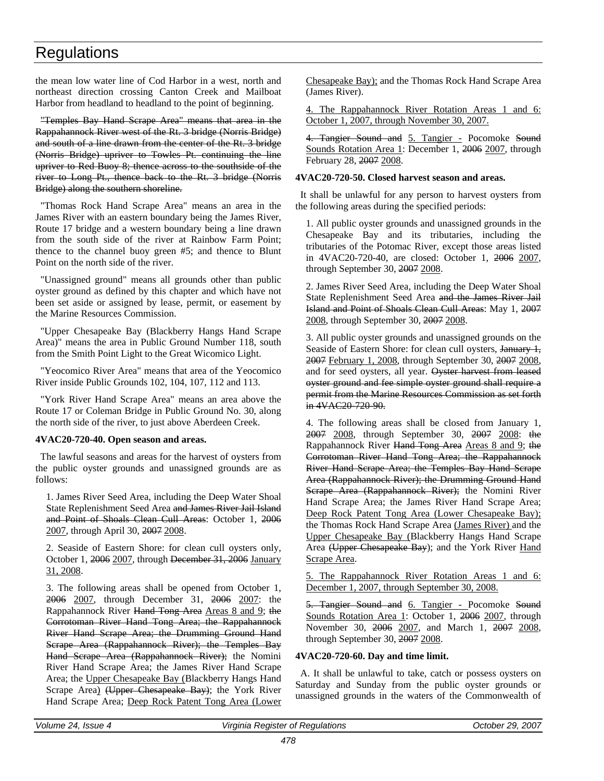the mean low water line of Cod Harbor in a west, north and northeast direction crossing Canton Creek and Mailboat Harbor from headland to headland to the point of beginning.

"Temples Bay Hand Scrape Area" means that area in the Rappahannock River west of the Rt. 3 bridge (Norris Bridge) and south of a line drawn from the center of the Rt. 3 bridge (Norris Bridge) upriver to Towles Pt. continuing the line upriver to Red Buoy 8; thence across to the southside of the river to Long Pt., thence back to the Rt. 3 bridge (Norris Bridge) along the southern shoreline.

"Thomas Rock Hand Scrape Area" means an area in the James River with an eastern boundary being the James River, Route 17 bridge and a western boundary being a line drawn from the south side of the river at Rainbow Farm Point; thence to the channel buoy green #5; and thence to Blunt Point on the north side of the river.

"Unassigned ground" means all grounds other than public oyster ground as defined by this chapter and which have not been set aside or assigned by lease, permit, or easement by the Marine Resources Commission.

"Upper Chesapeake Bay (Blackberry Hangs Hand Scrape Area)" means the area in Public Ground Number 118, south from the Smith Point Light to the Great Wicomico Light.

"Yeocomico River Area" means that area of the Yeocomico River inside Public Grounds 102, 104, 107, 112 and 113.

"York River Hand Scrape Area" means an area above the Route 17 or Coleman Bridge in Public Ground No. 30, along the north side of the river, to just above Aberdeen Creek.

### **4VAC20-720-40. Open season and areas.**

The lawful seasons and areas for the harvest of oysters from the public oyster grounds and unassigned grounds are as follows:

1. James River Seed Area, including the Deep Water Shoal State Replenishment Seed Area and James River Jail Island and Point of Shoals Clean Cull Areas: October 1, 2006 2007, through April 30, 2007 2008.

2. Seaside of Eastern Shore: for clean cull oysters only, October 1, 2006 2007, through December 31, 2006 January 31, 2008.

3. The following areas shall be opened from October 1, 2006 2007, through December 31, 2006 2007: the Rappahannock River Hand Tong Area Areas 8 and 9; the Corrotoman River Hand Tong Area; the Rappahannock River Hand Scrape Area; the Drumming Ground Hand Scrape Area (Rappahannock River); the Temples Bay Hand Serape Area (Rappahannock River); the Nomini River Hand Scrape Area; the James River Hand Scrape Area; the Upper Chesapeake Bay (Blackberry Hangs Hand Scrape Area) (Upper Chesapeake Bay); the York River Hand Scrape Area; Deep Rock Patent Tong Area (Lower

Chesapeake Bay); and the Thomas Rock Hand Scrape Area (James River).

4. The Rappahannock River Rotation Areas 1 and 6: October 1, 2007, through November 30, 2007.

4. Tangier Sound and 5. Tangier - Pocomoke Sound Sounds Rotation Area 1: December 1, 2006 2007, through February 28, 2007 2008.

## **4VAC20-720-50. Closed harvest season and areas.**

It shall be unlawful for any person to harvest oysters from the following areas during the specified periods:

1. All public oyster grounds and unassigned grounds in the Chesapeake Bay and its tributaries, including the tributaries of the Potomac River, except those areas listed in 4VAC20-720-40, are closed: October 1, 2006 2007, through September 30, 2007 2008.

2. James River Seed Area, including the Deep Water Shoal State Replenishment Seed Area and the James River Jail Island and Point of Shoals Clean Cull Areas: May 1, 2007 2008, through September 30, 2007 2008.

3. All public oyster grounds and unassigned grounds on the Seaside of Eastern Shore: for clean cull oysters, January 1, 2007 February 1, 2008, through September 30, 2007 2008, and for seed oysters, all year. Oyster harvest from leased oyster ground and fee simple oyster ground shall require a permit from the Marine Resources Commission as set forth in 4VAC20 720 90.

4. The following areas shall be closed from January 1, 2007 2008, through September 30, 2007 2008: the Rappahannock River Hand Tong Area Areas 8 and 9; the Corrotoman River Hand Tong Area; the Rappahannock River Hand Scrape Area; the Temples Bay Hand Scrape Area (Rappahannock River); the Drumming Ground Hand Scrape Area (Rappahannock River); the Nomini River Hand Scrape Area; the James River Hand Scrape Area; Deep Rock Patent Tong Area (Lower Chesapeake Bay); the Thomas Rock Hand Scrape Area (James River) and the Upper Chesapeake Bay (Blackberry Hangs Hand Scrape Area (Upper Chesapeake Bay); and the York River Hand Scrape Area.

5. The Rappahannock River Rotation Areas 1 and 6: December 1, 2007, through September 30, 2008.

5. Tangier Sound and 6. Tangier - Pocomoke Sound Sounds Rotation Area 1: October 1, 2006 2007, through November 30, 2006 2007, and March 1, 2007 2008, through September 30, 2007 2008.

## **4VAC20-720-60. Day and time limit.**

A. It shall be unlawful to take, catch or possess oysters on Saturday and Sunday from the public oyster grounds or unassigned grounds in the waters of the Commonwealth of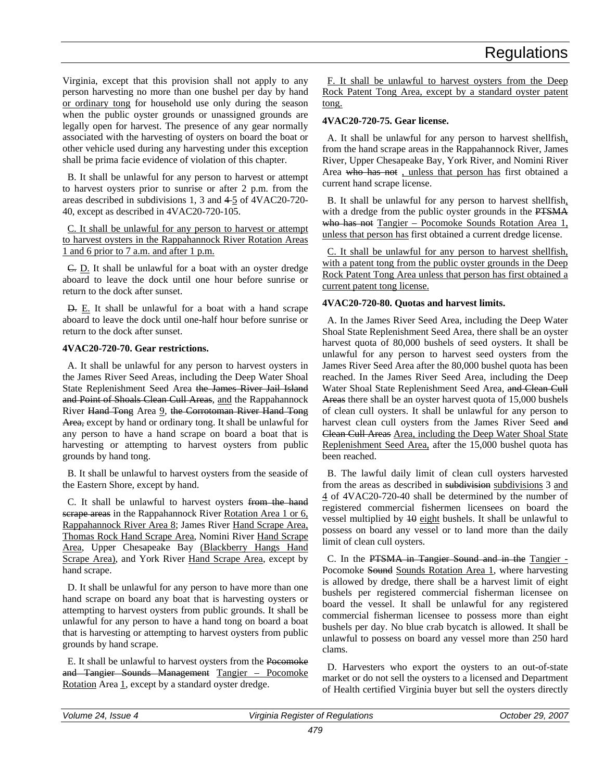Virginia, except that this provision shall not apply to any person harvesting no more than one bushel per day by hand or ordinary tong for household use only during the season when the public oyster grounds or unassigned grounds are legally open for harvest. The presence of any gear normally associated with the harvesting of oysters on board the boat or other vehicle used during any harvesting under this exception shall be prima facie evidence of violation of this chapter.

B. It shall be unlawful for any person to harvest or attempt to harvest oysters prior to sunrise or after 2 p.m. from the areas described in subdivisions 1, 3 and 4-5 of 4VAC20-720-40, except as described in 4VAC20-720-105.

C. It shall be unlawful for any person to harvest or attempt to harvest oysters in the Rappahannock River Rotation Areas 1 and 6 prior to 7 a.m. and after 1 p.m.

C. D. It shall be unlawful for a boat with an oyster dredge aboard to leave the dock until one hour before sunrise or return to the dock after sunset.

D. E. It shall be unlawful for a boat with a hand scrape aboard to leave the dock until one-half hour before sunrise or return to the dock after sunset.

### **4VAC20-720-70. Gear restrictions.**

A. It shall be unlawful for any person to harvest oysters in the James River Seed Areas, including the Deep Water Shoal State Replenishment Seed Area the James River Jail Island and Point of Shoals Clean Cull Areas, and the Rappahannock River Hand Tong Area 9, the Corrotoman River Hand Tong Area, except by hand or ordinary tong. It shall be unlawful for any person to have a hand scrape on board a boat that is harvesting or attempting to harvest oysters from public grounds by hand tong.

B. It shall be unlawful to harvest oysters from the seaside of the Eastern Shore, except by hand.

C. It shall be unlawful to harvest oysters from the hand scrape areas in the Rappahannock River Rotation Area 1 or 6, Rappahannock River Area 8; James River Hand Scrape Area, Thomas Rock Hand Scrape Area, Nomini River Hand Scrape Area, Upper Chesapeake Bay (Blackberry Hangs Hand Scrape Area), and York River Hand Scrape Area, except by hand scrape.

D. It shall be unlawful for any person to have more than one hand scrape on board any boat that is harvesting oysters or attempting to harvest oysters from public grounds. It shall be unlawful for any person to have a hand tong on board a boat that is harvesting or attempting to harvest oysters from public grounds by hand scrape.

E. It shall be unlawful to harvest oysters from the Pocomoke and Tangier Sounds Management Tangier – Pocomoke Rotation Area 1, except by a standard oyster dredge.

F. It shall be unlawful to harvest oysters from the Deep Rock Patent Tong Area, except by a standard oyster patent tong.

## **4VAC20-720-75. Gear license.**

A. It shall be unlawful for any person to harvest shellfish, from the hand scrape areas in the Rappahannock River, James River, Upper Chesapeake Bay, York River, and Nomini River Area who has not , unless that person has first obtained a current hand scrape license.

B. It shall be unlawful for any person to harvest shellfish, with a dredge from the public oyster grounds in the PTSMA who has not Tangier – Pocomoke Sounds Rotation Area 1, unless that person has first obtained a current dredge license.

C. It shall be unlawful for any person to harvest shellfish, with a patent tong from the public oyster grounds in the Deep Rock Patent Tong Area unless that person has first obtained a current patent tong license.

## **4VAC20-720-80. Quotas and harvest limits.**

A. In the James River Seed Area, including the Deep Water Shoal State Replenishment Seed Area, there shall be an oyster harvest quota of 80,000 bushels of seed oysters. It shall be unlawful for any person to harvest seed oysters from the James River Seed Area after the 80,000 bushel quota has been reached. In the James River Seed Area, including the Deep Water Shoal State Replenishment Seed Area, and Clean Cull Areas there shall be an oyster harvest quota of 15,000 bushels of clean cull oysters. It shall be unlawful for any person to harvest clean cull oysters from the James River Seed and Clean Cull Areas Area, including the Deep Water Shoal State Replenishment Seed Area, after the 15,000 bushel quota has been reached.

B. The lawful daily limit of clean cull oysters harvested from the areas as described in subdivision subdivisions 3 and 4 of 4VAC20-720-40 shall be determined by the number of registered commercial fishermen licensees on board the vessel multiplied by  $\frac{10}{10}$  eight bushels. It shall be unlawful to possess on board any vessel or to land more than the daily limit of clean cull oysters.

C. In the PTSMA in Tangier Sound and in the Tangier - Pocomoke Sound Sounds Rotation Area 1, where harvesting is allowed by dredge, there shall be a harvest limit of eight bushels per registered commercial fisherman licensee on board the vessel. It shall be unlawful for any registered commercial fisherman licensee to possess more than eight bushels per day. No blue crab bycatch is allowed. It shall be unlawful to possess on board any vessel more than 250 hard clams.

D. Harvesters who export the oysters to an out-of-state market or do not sell the oysters to a licensed and Department of Health certified Virginia buyer but sell the oysters directly

| Volume<br>Issue<br>24 | Virginia<br>Register of Regulations | 2007<br>29.<br><i>Jctober</i> |
|-----------------------|-------------------------------------|-------------------------------|
|                       |                                     |                               |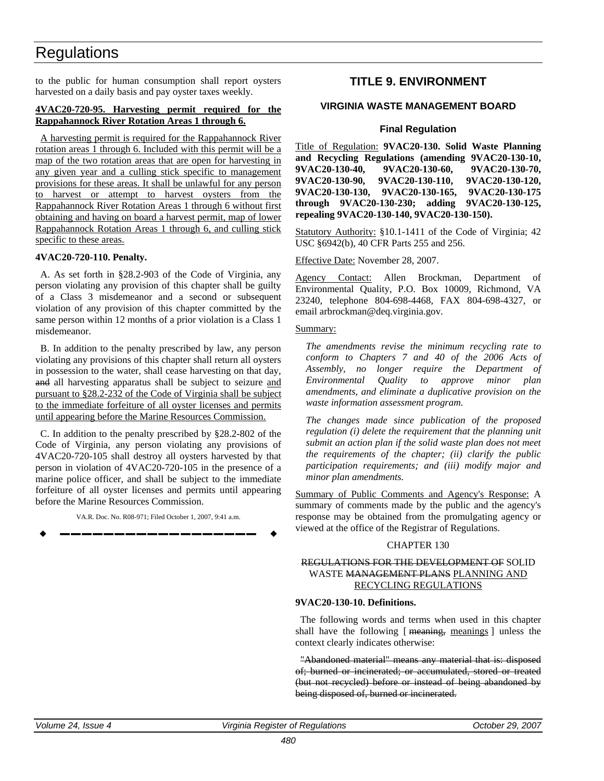to the public for human consumption shall report oysters harvested on a daily basis and pay oyster taxes weekly.

### **4VAC20-720-95. Harvesting permit required for the Rappahannock River Rotation Areas 1 through 6.**

A harvesting permit is required for the Rappahannock River rotation areas 1 through 6. Included with this permit will be a map of the two rotation areas that are open for harvesting in any given year and a culling stick specific to management provisions for these areas. It shall be unlawful for any person to harvest or attempt to harvest oysters from the Rappahannock River Rotation Areas 1 through 6 without first obtaining and having on board a harvest permit, map of lower Rappahannock Rotation Areas 1 through 6, and culling stick specific to these areas.

### **4VAC20-720-110. Penalty.**

A. As set forth in §28.2-903 of the Code of Virginia, any person violating any provision of this chapter shall be guilty of a Class 3 misdemeanor and a second or subsequent violation of any provision of this chapter committed by the same person within 12 months of a prior violation is a Class 1 misdemeanor.

B. In addition to the penalty prescribed by law, any person violating any provisions of this chapter shall return all oysters in possession to the water, shall cease harvesting on that day, and all harvesting apparatus shall be subject to seizure and pursuant to §28.2-232 of the Code of Virginia shall be subject to the immediate forfeiture of all oyster licenses and permits until appearing before the Marine Resources Commission.

C. In addition to the penalty prescribed by §28.2-802 of the Code of Virginia, any person violating any provisions of 4VAC20-720-105 shall destroy all oysters harvested by that person in violation of 4VAC20-720-105 in the presence of a marine police officer, and shall be subject to the immediate forfeiture of all oyster licenses and permits until appearing before the Marine Resources Commission.

VA.R. Doc. No. R08-971; Filed October 1, 2007, 9:41 a.m. **––––––––––––––––––** **TITLE 9. ENVIRONMENT** 

### **VIRGINIA WASTE MANAGEMENT BOARD**

### **Final Regulation**

Title of Regulation: **9VAC20-130. Solid Waste Planning and Recycling Regulations (amending 9VAC20-130-10, 9VAC20-130-40, 9VAC20-130-60, 9VAC20-130-70, 9VAC20-130-90, 9VAC20-130-110, 9VAC20-130-120, 9VAC20-130-130, 9VAC20-130-165, 9VAC20-130-175 through 9VAC20-130-230; adding 9VAC20-130-125, repealing 9VAC20-130-140, 9VAC20-130-150).**

Statutory Authority: §10.1-1411 of the Code of Virginia; 42 USC §6942(b), 40 CFR Parts 255 and 256.

Effective Date: November 28, 2007.

Agency Contact: Allen Brockman, Department of Environmental Quality, P.O. Box 10009, Richmond, VA 23240, telephone 804-698-4468, FAX 804-698-4327, or email arbrockman@deq.virginia.gov.

#### Summary:

*The amendments revise the minimum recycling rate to conform to Chapters 7 and 40 of the 2006 Acts of Assembly, no longer require the Department of Environmental Quality to approve minor plan amendments, and eliminate a duplicative provision on the waste information assessment program.*

*The changes made since publication of the proposed regulation (i) delete the requirement that the planning unit submit an action plan if the solid waste plan does not meet the requirements of the chapter; (ii) clarify the public participation requirements; and (iii) modify major and minor plan amendments.*

Summary of Public Comments and Agency's Response: A summary of comments made by the public and the agency's response may be obtained from the promulgating agency or viewed at the office of the Registrar of Regulations.

#### CHAPTER 130

### REGULATIONS FOR THE DEVELOPMENT OF SOLID WASTE MANAGEMENT PLANS PLANNING AND RECYCLING REGULATIONS

### **9VAC20-130-10. Definitions.**

The following words and terms when used in this chapter shall have the following [ meaning, meanings ] unless the context clearly indicates otherwise:

"Abandoned material" means any material that is: disposed of; burned or incinerated; or accumulated, stored or treated (but not recycled) before or instead of being abandoned by being disposed of, burned or incinerated.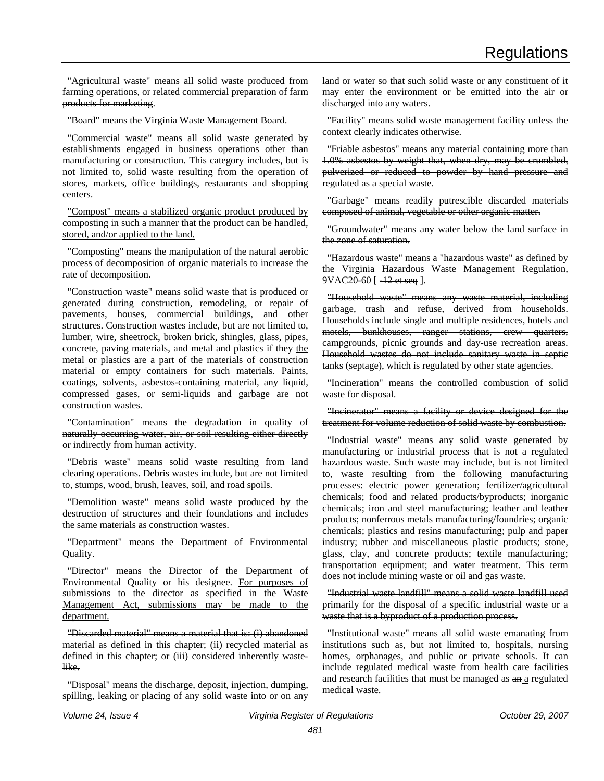"Agricultural waste" means all solid waste produced from farming operations<del>, or related commercial preparation of farm</del> products for marketing.

"Board" means the Virginia Waste Management Board.

"Commercial waste" means all solid waste generated by establishments engaged in business operations other than manufacturing or construction. This category includes, but is not limited to, solid waste resulting from the operation of stores, markets, office buildings, restaurants and shopping centers.

"Compost" means a stabilized organic product produced by composting in such a manner that the product can be handled, stored, and/or applied to the land.

"Composting" means the manipulation of the natural aerobic process of decomposition of organic materials to increase the rate of decomposition.

"Construction waste" means solid waste that is produced or generated during construction, remodeling, or repair of pavements, houses, commercial buildings, and other structures. Construction wastes include, but are not limited to, lumber, wire, sheetrock, broken brick, shingles, glass, pipes, concrete, paving materials, and metal and plastics if they the metal or plastics are a part of the materials of construction material or empty containers for such materials. Paints, coatings, solvents, asbestos-containing material, any liquid, compressed gases, or semi-liquids and garbage are not construction wastes.

"Contamination" means the degradation in quality of naturally occurring water, air, or soil resulting either directly or indirectly from human activity.

"Debris waste" means solid waste resulting from land clearing operations. Debris wastes include, but are not limited to, stumps, wood, brush, leaves, soil, and road spoils.

"Demolition waste" means solid waste produced by the destruction of structures and their foundations and includes the same materials as construction wastes.

"Department" means the Department of Environmental Quality.

"Director" means the Director of the Department of Environmental Quality or his designee. For purposes of submissions to the director as specified in the Waste Management Act, submissions may be made to the department.

"Discarded material" means a material that is: (i) abandoned material as defined in this chapter; (ii) recycled material as defined in this chapter; or (iii) considered inherently wastelike.

"Disposal" means the discharge, deposit, injection, dumping, spilling, leaking or placing of any solid waste into or on any land or water so that such solid waste or any constituent of it may enter the environment or be emitted into the air or discharged into any waters.

"Facility" means solid waste management facility unless the context clearly indicates otherwise.

"Friable asbestos" means any material containing more than 1.0% asbestos by weight that, when dry, may be crumbled, pulverized or reduced to powder by hand pressure and regulated as a special waste.

"Garbage" means readily putrescible discarded materials composed of animal, vegetable or other organic matter.

"Groundwater" means any water below the land surface in the zone of saturation.

"Hazardous waste" means a "hazardous waste" as defined by the Virginia Hazardous Waste Management Regulation, 9VAC20-60 [  $-12$  et seq ].

"Household waste" means any waste material, including garbage, trash and refuse, derived from households. Households include single and multiple residences, hotels and motels, bunkhouses, ranger stations, crew quarters, campgrounds, picnic grounds and day-use recreation areas. Household wastes do not include sanitary waste in septic tanks (septage), which is regulated by other state agencies.

"Incineration" means the controlled combustion of solid waste for disposal.

"Incinerator" means a facility or device designed for the treatment for volume reduction of solid waste by combustion.

"Industrial waste" means any solid waste generated by manufacturing or industrial process that is not a regulated hazardous waste. Such waste may include, but is not limited to, waste resulting from the following manufacturing processes: electric power generation; fertilizer/agricultural chemicals; food and related products/byproducts; inorganic chemicals; iron and steel manufacturing; leather and leather products; nonferrous metals manufacturing/foundries; organic chemicals; plastics and resins manufacturing; pulp and paper industry; rubber and miscellaneous plastic products; stone, glass, clay, and concrete products; textile manufacturing; transportation equipment; and water treatment. This term does not include mining waste or oil and gas waste.

"Industrial waste landfill" means a solid waste landfill used primarily for the disposal of a specific industrial waste or a waste that is a byproduct of a production process.

"Institutional waste" means all solid waste emanating from institutions such as, but not limited to, hospitals, nursing homes, orphanages, and public or private schools. It can include regulated medical waste from health care facilities and research facilities that must be managed as  $an a$  regulated medical waste.

| Volume 24, Issue 4 |
|--------------------|
|--------------------|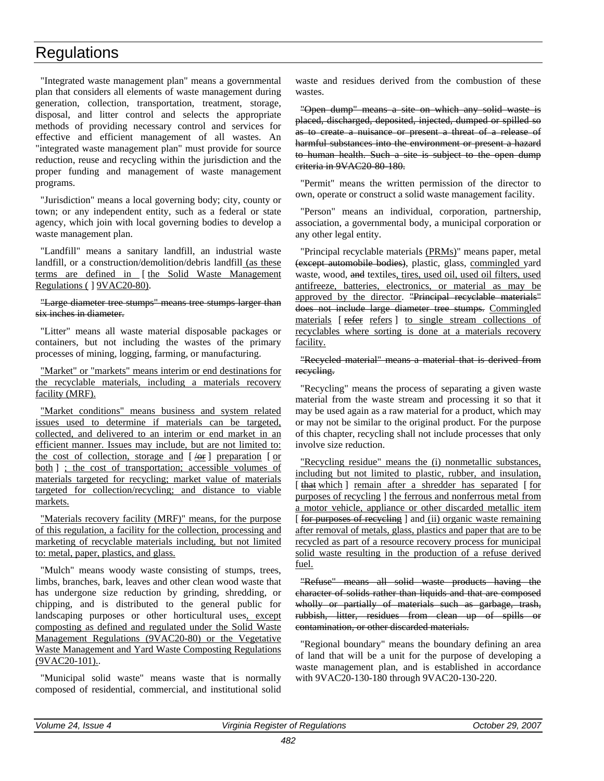"Integrated waste management plan" means a governmental plan that considers all elements of waste management during generation, collection, transportation, treatment, storage, disposal, and litter control and selects the appropriate methods of providing necessary control and services for effective and efficient management of all wastes. An "integrated waste management plan" must provide for source reduction, reuse and recycling within the jurisdiction and the proper funding and management of waste management programs.

"Jurisdiction" means a local governing body; city, county or town; or any independent entity, such as a federal or state agency, which join with local governing bodies to develop a waste management plan.

"Landfill" means a sanitary landfill, an industrial waste landfill, or a construction/demolition/debris landfill (as these terms are defined in [the Solid Waste Management Regulations ( ] 9VAC20-80).

#### "Large diameter tree stumps" means tree stumps larger than six inches in diameter.

"Litter" means all waste material disposable packages or containers, but not including the wastes of the primary processes of mining, logging, farming, or manufacturing.

"Market" or "markets" means interim or end destinations for the recyclable materials, including a materials recovery facility (MRF).

"Market conditions" means business and system related issues used to determine if materials can be targeted, collected, and delivered to an interim or end market in an efficient manner. Issues may include, but are not limited to: the cost of collection, storage and  $\left[\frac{\theta}{\theta} \right]$  preparation  $\left[\frac{\theta}{\theta}\right]$ both ] ; the cost of transportation; accessible volumes of materials targeted for recycling; market value of materials targeted for collection/recycling; and distance to viable markets.

"Materials recovery facility (MRF)" means, for the purpose of this regulation, a facility for the collection, processing and marketing of recyclable materials including, but not limited to: metal, paper, plastics, and glass.

"Mulch" means woody waste consisting of stumps, trees, limbs, branches, bark, leaves and other clean wood waste that has undergone size reduction by grinding, shredding, or chipping, and is distributed to the general public for landscaping purposes or other horticultural uses, except composting as defined and regulated under the Solid Waste Management Regulations (9VAC20-80) or the Vegetative Waste Management and Yard Waste Composting Regulations (9VAC20-101)..

"Municipal solid waste" means waste that is normally composed of residential, commercial, and institutional solid waste and residues derived from the combustion of these wastes.

"Open dump" means a site on which any solid waste is placed, discharged, deposited, injected, dumped or spilled so as to create a nuisance or present a threat of a release of harmful substances into the environment or present a hazard to human health. Such a site is subject to the open dump criteria in 9VAC20-80-180.

"Permit" means the written permission of the director to own, operate or construct a solid waste management facility.

"Person" means an individual, corporation, partnership, association, a governmental body, a municipal corporation or any other legal entity.

"Principal recyclable materials (PRMs)" means paper, metal (except automobile bodies), plastic, glass, commingled yard waste, wood, and textiles, tires, used oil, used oil filters, used antifreeze, batteries, electronics, or material as may be approved by the director. "Principal recyclable materials" does not include large diameter tree stumps. Commingled materials [ refer refers ] to single stream collections of recyclables where sorting is done at a materials recovery facility.

#### "Recycled material" means a material that is derived from recycling.

"Recycling" means the process of separating a given waste material from the waste stream and processing it so that it may be used again as a raw material for a product, which may or may not be similar to the original product. For the purpose of this chapter, recycling shall not include processes that only involve size reduction.

"Recycling residue" means the (i) nonmetallic substances, including but not limited to plastic, rubber, and insulation, [that which ] remain after a shredder has separated [for purposes of recycling ] the ferrous and nonferrous metal from a motor vehicle, appliance or other discarded metallic item [ for purposes of recycling ] and (ii) organic waste remaining after removal of metals, glass, plastics and paper that are to be recycled as part of a resource recovery process for municipal solid waste resulting in the production of a refuse derived fuel.

"Refuse" means all solid waste products having the character of solids rather than liquids and that are composed wholly or partially of materials such as garbage, trash, rubbish, litter, residues from clean up of spills or contamination, or other discarded materials.

"Regional boundary" means the boundary defining an area of land that will be a unit for the purpose of developing a waste management plan, and is established in accordance with 9VAC20-130-180 through 9VAC20-130-220.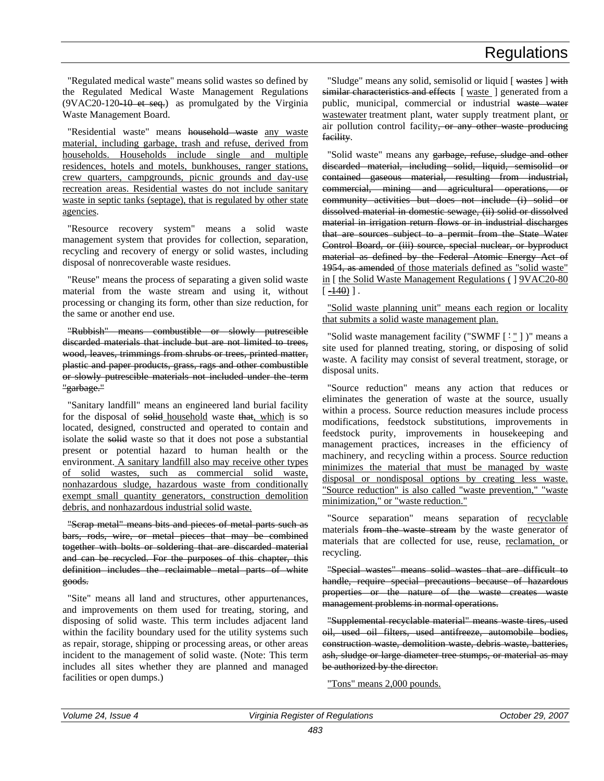"Regulated medical waste" means solid wastes so defined by the Regulated Medical Waste Management Regulations (9VAC20-120-10 et seq.) as promulgated by the Virginia Waste Management Board.

"Residential waste" means household waste any waste material, including garbage, trash and refuse, derived from households. Households include single and multiple residences, hotels and motels, bunkhouses, ranger stations, crew quarters, campgrounds, picnic grounds and day-use recreation areas. Residential wastes do not include sanitary waste in septic tanks (septage), that is regulated by other state agencies.

"Resource recovery system" means a solid waste management system that provides for collection, separation, recycling and recovery of energy or solid wastes, including disposal of nonrecoverable waste residues.

"Reuse" means the process of separating a given solid waste material from the waste stream and using it, without processing or changing its form, other than size reduction, for the same or another end use.

"Rubbish" means combustible or slowly putrescible discarded materials that include but are not limited to trees, wood, leaves, trimmings from shrubs or trees, printed matter, plastic and paper products, grass, rags and other combustible or slowly putrescible materials not included under the term "garbage."

"Sanitary landfill" means an engineered land burial facility for the disposal of solid household waste that, which is so located, designed, constructed and operated to contain and isolate the solid waste so that it does not pose a substantial present or potential hazard to human health or the environment. A sanitary landfill also may receive other types of solid wastes, such as commercial solid waste, nonhazardous sludge, hazardous waste from conditionally exempt small quantity generators, construction demolition debris, and nonhazardous industrial solid waste.

"Scrap metal" means bits and pieces of metal parts such as bars, rods, wire, or metal pieces that may be combined together with bolts or soldering that are discarded material and can be recycled. For the purposes of this chapter, this definition includes the reclaimable metal parts of white goods.

"Site" means all land and structures, other appurtenances, and improvements on them used for treating, storing, and disposing of solid waste. This term includes adjacent land within the facility boundary used for the utility systems such as repair, storage, shipping or processing areas, or other areas incident to the management of solid waste. (Note: This term includes all sites whether they are planned and managed facilities or open dumps.)

"Sludge" means any solid, semisolid or liquid [ wastes ] with similar characteristics and effects [ waste ] generated from a public, municipal, commercial or industrial waste water wastewater treatment plant, water supply treatment plant, or air pollution control facility, or any other waste producing facility.

"Solid waste" means any garbage, refuse, sludge and other discarded material, including solid, liquid, semisolid or contained gaseous material, resulting from industrial, commercial, mining and agricultural operations, or community activities but does not include (i) solid or dissolved material in domestic sewage, (ii) solid or dissolved material in irrigation return flows or in industrial discharges that are sources subject to a permit from the State Water Control Board, or (iii) source, special nuclear, or byproduct material as defined by the Federal Atomic Energy Act of 1954, as amended of those materials defined as "solid waste" in [ the Solid Waste Management Regulations ( ] 9VAC20-80  $[\frac{+40}{-}].$ 

"Solid waste planning unit" means each region or locality that submits a solid waste management plan.

"Solid waste management facility ("SWMF $\lceil \cdot \rceil$ )" means a site used for planned treating, storing, or disposing of solid waste. A facility may consist of several treatment, storage, or disposal units.

"Source reduction" means any action that reduces or eliminates the generation of waste at the source, usually within a process. Source reduction measures include process modifications, feedstock substitutions, improvements in feedstock purity, improvements in housekeeping and management practices, increases in the efficiency of machinery, and recycling within a process. Source reduction minimizes the material that must be managed by waste disposal or nondisposal options by creating less waste. "Source reduction" is also called "waste prevention," "waste minimization," or "waste reduction."

"Source separation" means separation of recyclable materials from the waste stream by the waste generator of materials that are collected for use, reuse, reclamation, or recycling.

"Special wastes" means solid wastes that are difficult to handle, require special precautions because of hazardous properties or the nature of the waste creates waste management problems in normal operations.

"Supplemental recyclable material" means waste tires, used oil, used oil filters, used antifreeze, automobile bodies, construction waste, demolition waste, debris waste, batteries, ash, sludge or large diameter tree stumps, or material as may be authorized by the director.

"Tons" means 2,000 pounds.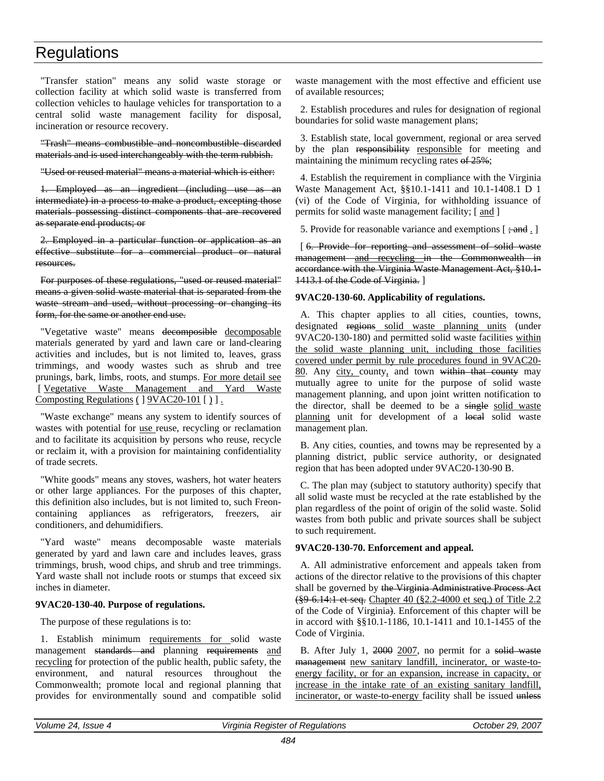"Transfer station" means any solid waste storage or collection facility at which solid waste is transferred from collection vehicles to haulage vehicles for transportation to a central solid waste management facility for disposal, incineration or resource recovery.

"Trash" means combustible and noncombustible discarded materials and is used interchangeably with the term rubbish.

"Used or reused material" means a material which is either:

1. Employed as an ingredient (including use as an intermediate) in a process to make a product, excepting those materials possessing distinct components that are recovered as separate end products; or

2. Employed in a particular function or application as an effective substitute for a commercial product or natural resources.

For purposes of these regulations, "used or reused material" means a given solid waste material that is separated from the waste stream and used, without processing or changing its form, for the same or another end use.

"Vegetative waste" means decomposible decomposable materials generated by yard and lawn care or land-clearing activities and includes, but is not limited to, leaves, grass trimmings, and woody wastes such as shrub and tree prunings, bark, limbs, roots, and stumps. For more detail see [ Vegetative Waste Management and Yard Waste Composting Regulations ( ] 9VAC20-101 [ ) ].

"Waste exchange" means any system to identify sources of wastes with potential for <u>use</u> reuse, recycling or reclamation and to facilitate its acquisition by persons who reuse, recycle or reclaim it, with a provision for maintaining confidentiality of trade secrets.

"White goods" means any stoves, washers, hot water heaters or other large appliances. For the purposes of this chapter, this definition also includes, but is not limited to, such Freoncontaining appliances as refrigerators, freezers, air conditioners, and dehumidifiers.

"Yard waste" means decomposable waste materials generated by yard and lawn care and includes leaves, grass trimmings, brush, wood chips, and shrub and tree trimmings. Yard waste shall not include roots or stumps that exceed six inches in diameter.

### **9VAC20-130-40. Purpose of regulations.**

The purpose of these regulations is to:

1. Establish minimum requirements for solid waste management standards and planning requirements and recycling for protection of the public health, public safety, the environment, and natural resources throughout the Commonwealth; promote local and regional planning that provides for environmentally sound and compatible solid

waste management with the most effective and efficient use of available resources;

2. Establish procedures and rules for designation of regional boundaries for solid waste management plans;

3. Establish state, local government, regional or area served by the plan responsibility responsible for meeting and maintaining the minimum recycling rates of 25%;

4. Establish the requirement in compliance with the Virginia Waste Management Act, §§10.1-1411 and 10.1-1408.1 D 1 (vi) of the Code of Virginia, for withholding issuance of permits for solid waste management facility; [ and ]

5. Provide for reasonable variance and exemptions  $[$ ; and .  $]$ 

[ 6. Provide for reporting and assessment of solid waste management and recycling in the Commonwealth in accordance with the Virginia Waste Management Act, §10.1- 1413.1 of the Code of Virginia.

### **9VAC20-130-60. Applicability of regulations.**

A. This chapter applies to all cities, counties, towns, designated regions solid waste planning units (under 9VAC20-130-180) and permitted solid waste facilities within the solid waste planning unit, including those facilities covered under permit by rule procedures found in 9VAC20- 80. Any city, county, and town within that county may mutually agree to unite for the purpose of solid waste management planning, and upon joint written notification to the director, shall be deemed to be a single solid waste planning unit for development of a local solid waste management plan.

B. Any cities, counties, and towns may be represented by a planning district, public service authority, or designated region that has been adopted under 9VAC20-130-90 B.

C. The plan may (subject to statutory authority) specify that all solid waste must be recycled at the rate established by the plan regardless of the point of origin of the solid waste. Solid wastes from both public and private sources shall be subject to such requirement.

### **9VAC20-130-70. Enforcement and appeal.**

A. All administrative enforcement and appeals taken from actions of the director relative to the provisions of this chapter shall be governed by the Virginia Administrative Process Act (§9-6.14:1 et seq. Chapter 40 (§2.2-4000 et seq.) of Title 2.2 of the Code of Virginia). Enforcement of this chapter will be in accord with §§10.1-1186, 10.1-1411 and 10.1-1455 of the Code of Virginia.

B. After July 1, 2000 2007, no permit for a solid waste management new sanitary landfill, incinerator, or waste-toenergy facility, or for an expansion, increase in capacity, or increase in the intake rate of an existing sanitary landfill, incinerator, or waste-to-energy facility shall be issued unless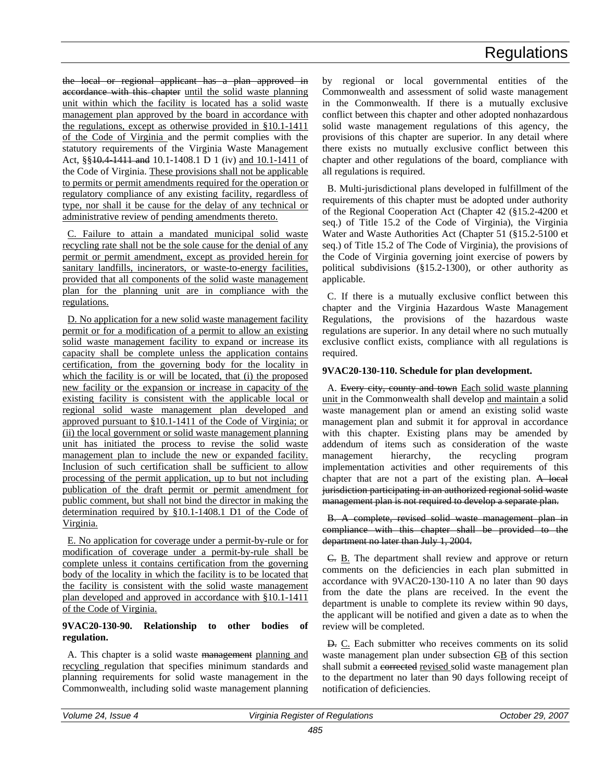the local or regional applicant has a plan approved in accordance with this chapter until the solid waste planning unit within which the facility is located has a solid waste management plan approved by the board in accordance with the regulations, except as otherwise provided in §10.1-1411 of the Code of Virginia and the permit complies with the statutory requirements of the Virginia Waste Management Act, §§10.4-1411 and 10.1-1408.1 D 1 (iv) and 10.1-1411 of the Code of Virginia. These provisions shall not be applicable to permits or permit amendments required for the operation or regulatory compliance of any existing facility, regardless of type, nor shall it be cause for the delay of any technical or administrative review of pending amendments thereto.

C. Failure to attain a mandated municipal solid waste recycling rate shall not be the sole cause for the denial of any permit or permit amendment, except as provided herein for sanitary landfills, incinerators, or waste-to-energy facilities, provided that all components of the solid waste management plan for the planning unit are in compliance with the regulations.

D. No application for a new solid waste management facility permit or for a modification of a permit to allow an existing solid waste management facility to expand or increase its capacity shall be complete unless the application contains certification, from the governing body for the locality in which the facility is or will be located, that (i) the proposed new facility or the expansion or increase in capacity of the existing facility is consistent with the applicable local or regional solid waste management plan developed and approved pursuant to §10.1-1411 of the Code of Virginia; or (ii) the local government or solid waste management planning unit has initiated the process to revise the solid waste management plan to include the new or expanded facility. Inclusion of such certification shall be sufficient to allow processing of the permit application, up to but not including publication of the draft permit or permit amendment for public comment, but shall not bind the director in making the determination required by §10.1-1408.1 D1 of the Code of Virginia.

E. No application for coverage under a permit-by-rule or for modification of coverage under a permit-by-rule shall be complete unless it contains certification from the governing body of the locality in which the facility is to be located that the facility is consistent with the solid waste management plan developed and approved in accordance with §10.1-1411 of the Code of Virginia.

### **9VAC20-130-90. Relationship to other bodies of regulation.**

A. This chapter is a solid waste management planning and recycling regulation that specifies minimum standards and planning requirements for solid waste management in the Commonwealth, including solid waste management planning

by regional or local governmental entities of the Commonwealth and assessment of solid waste management in the Commonwealth. If there is a mutually exclusive conflict between this chapter and other adopted nonhazardous solid waste management regulations of this agency, the provisions of this chapter are superior. In any detail where there exists no mutually exclusive conflict between this chapter and other regulations of the board, compliance with all regulations is required.

B. Multi-jurisdictional plans developed in fulfillment of the requirements of this chapter must be adopted under authority of the Regional Cooperation Act (Chapter 42 (§15.2-4200 et seq.) of Title 15.2 of the Code of Virginia), the Virginia Water and Waste Authorities Act (Chapter 51 (§15.2-5100 et seq.) of Title 15.2 of The Code of Virginia), the provisions of the Code of Virginia governing joint exercise of powers by political subdivisions (§15.2-1300), or other authority as applicable.

C. If there is a mutually exclusive conflict between this chapter and the Virginia Hazardous Waste Management Regulations, the provisions of the hazardous waste regulations are superior. In any detail where no such mutually exclusive conflict exists, compliance with all regulations is required.

### **9VAC20-130-110. Schedule for plan development.**

A. Every city, county and town Each solid waste planning unit in the Commonwealth shall develop and maintain a solid waste management plan or amend an existing solid waste management plan and submit it for approval in accordance with this chapter. Existing plans may be amended by addendum of items such as consideration of the waste management hierarchy, the recycling program implementation activities and other requirements of this chapter that are not a part of the existing plan. A local jurisdiction participating in an authorized regional solid waste management plan is not required to develop a separate plan.

B. A complete, revised solid waste management plan in compliance with this chapter shall be provided to the department no later than July 1, 2004.

C. B. The department shall review and approve or return comments on the deficiencies in each plan submitted in accordance with 9VAC20-130-110 A no later than 90 days from the date the plans are received. In the event the department is unable to complete its review within 90 days, the applicant will be notified and given a date as to when the review will be completed.

D. C. Each submitter who receives comments on its solid waste management plan under subsection  $\overline{CB}$  of this section shall submit a corrected revised solid waste management plan to the department no later than 90 days following receipt of notification of deficiencies.

| Volume 24, Issue 4 | Virginia Register of Regulations | 2007<br>October 29. . |
|--------------------|----------------------------------|-----------------------|
|                    |                                  |                       |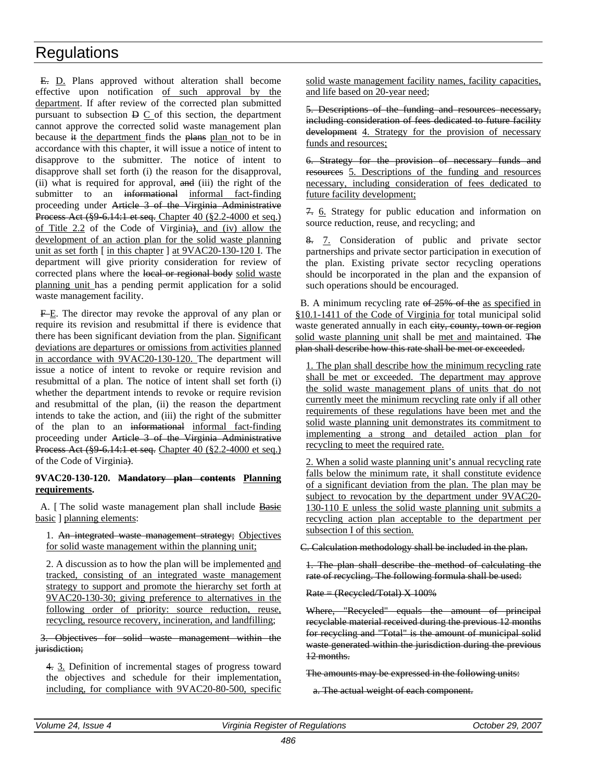E. D. Plans approved without alteration shall become effective upon notification of such approval by the department. If after review of the corrected plan submitted pursuant to subsection  $\overline{D} \overline{C}$  of this section, the department cannot approve the corrected solid waste management plan because it the department finds the plans plan not to be in accordance with this chapter, it will issue a notice of intent to disapprove to the submitter. The notice of intent to disapprove shall set forth (i) the reason for the disapproval, (ii) what is required for approval, and (iii) the right of the submitter to an informational informal fact-finding proceeding under Article 3 of the Virginia Administrative Process Act (§9-6.14:1 et seq. Chapter 40 (§2.2-4000 et seq.) of Title 2.2 of the Code of Virginia), and (iv) allow the development of an action plan for the solid waste planning unit as set forth [ in this chapter ] at 9VAC20-130-120 I. The department will give priority consideration for review of corrected plans where the local or regional body solid waste planning unit has a pending permit application for a solid waste management facility.

F-E. The director may revoke the approval of any plan or require its revision and resubmittal if there is evidence that there has been significant deviation from the plan. Significant deviations are departures or omissions from activities planned in accordance with 9VAC20-130-120. The department will issue a notice of intent to revoke or require revision and resubmittal of a plan. The notice of intent shall set forth (i) whether the department intends to revoke or require revision and resubmittal of the plan, (ii) the reason the department intends to take the action, and (iii) the right of the submitter of the plan to an informational informal fact-finding proceeding under Article 3 of the Virginia Administrative Process Act (§9-6.14:1 et seq. Chapter 40 (§2.2-4000 et seq.) of the Code of Virginia).

### **9VAC20-130-120. Mandatory plan contents Planning requirements.**

A. [ The solid waste management plan shall include Basie basic ] planning elements:

1. An integrated waste management strategy; Objectives for solid waste management within the planning unit;

2. A discussion as to how the plan will be implemented and tracked, consisting of an integrated waste management strategy to support and promote the hierarchy set forth at 9VAC20-130-30; giving preference to alternatives in the following order of priority: source reduction, reuse, recycling, resource recovery, incineration, and landfilling;

3. Objectives for solid waste management within the jurisdiction;

4. 3. Definition of incremental stages of progress toward the objectives and schedule for their implementation, including, for compliance with 9VAC20-80-500, specific

solid waste management facility names, facility capacities, and life based on 20-year need;

5. Descriptions of the funding and resources necessary, including consideration of fees dedicated to future facility development 4. Strategy for the provision of necessary funds and resources;

6. Strategy for the provision of necessary funds and resources 5. Descriptions of the funding and resources necessary, including consideration of fees dedicated to future facility development;

7. 6. Strategy for public education and information on source reduction, reuse, and recycling; and

8. 7. Consideration of public and private sector partnerships and private sector participation in execution of the plan. Existing private sector recycling operations should be incorporated in the plan and the expansion of such operations should be encouraged.

B. A minimum recycling rate of 25% of the as specified in §10.1-1411 of the Code of Virginia for total municipal solid waste generated annually in each eity, county, town or region solid waste planning unit shall be met and maintained. The plan shall describe how this rate shall be met or exceeded.

1. The plan shall describe how the minimum recycling rate shall be met or exceeded. The department may approve the solid waste management plans of units that do not currently meet the minimum recycling rate only if all other requirements of these regulations have been met and the solid waste planning unit demonstrates its commitment to implementing a strong and detailed action plan for recycling to meet the required rate.

2. When a solid waste planning unit's annual recycling rate falls below the minimum rate, it shall constitute evidence of a significant deviation from the plan. The plan may be subject to revocation by the department under 9VAC20- 130-110 E unless the solid waste planning unit submits a recycling action plan acceptable to the department per subsection I of this section.

C. Calculation methodology shall be included in the plan.

1. The plan shall describe the method of calculating the rate of recycling. The following formula shall be used:

Rate = (Recycled/Total) X 100%

Where, "Recycled" equals the amount of principal recyclable material received during the previous 12 months for recycling and "Total" is the amount of municipal solid waste generated within the jurisdiction during the previous 12 months.

The amounts may be expressed in the following units:

a. The actual weight of each component.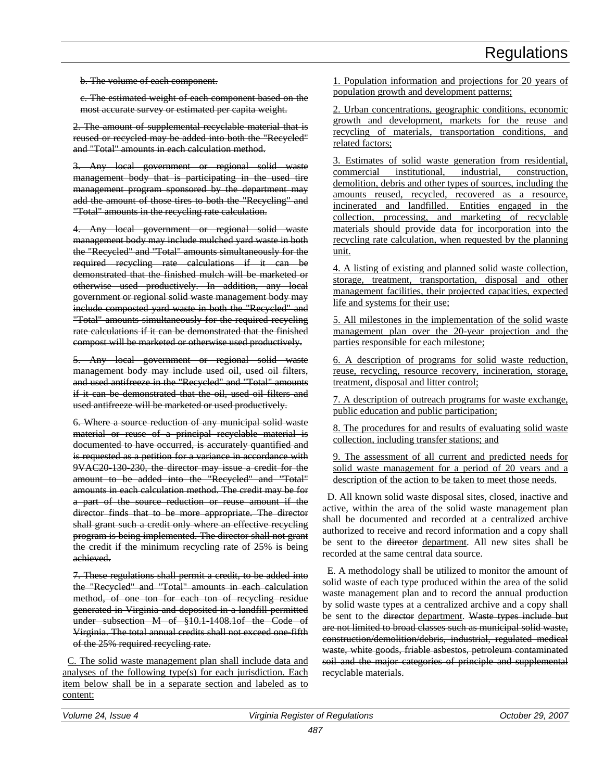b. The volume of each component.

c. The estimated weight of each component based on the most accurate survey or estimated per capita weight.

2. The amount of supplemental recyclable material that is reused or recycled may be added into both the "Recycled" and "Total" amounts in each calculation method.

Any local government or regional solid waste management body that is participating in the used tire management program sponsored by the department may add the amount of those tires to both the "Recycling" and "Total" amounts in the recycling rate calculation.

4. Any local government or regional solid waste management body may include mulched yard waste in both the "Recycled" and "Total" amounts simultaneously for the required recycling rate calculations if it can be demonstrated that the finished mulch will be marketed or otherwise used productively. In addition, any local government or regional solid waste management body may include composted yard waste in both the "Recycled" and "Total" amounts simultaneously for the required recycling rate calculations if it can be demonstrated that the finished compost will be marketed or otherwise used productively.

5. Any local government or regional solid waste management body may include used oil, used oil filters, and used antifreeze in the "Recycled" and "Total" amounts if it can be demonstrated that the oil, used oil filters and used antifreeze will be marketed or used productively.

6. Where a source reduction of any municipal solid waste material or reuse of a principal recyclable material is documented to have occurred, is accurately quantified and is requested as a petition for a variance in accordance with 9VAC20-130-230, the director may issue a credit for the amount to be added into the "Recycled" and "Total" amounts in each calculation method. The credit may be for a part of the source reduction or reuse amount if the director finds that to be more appropriate. The director shall grant such a credit only where an effective recycling program is being implemented. The director shall not grant the credit if the minimum recycling rate of 25% is being achieved.

7. These regulations shall permit a credit, to be added into the "Recycled" and "Total" amounts in each calculation method, of one ton for each ton of recycling residue generated in Virginia and deposited in a landfill permitted under subsection M of §10.1-1408.1of the Code of Virginia. The total annual credits shall not exceed one-fifth of the 25% required recycling rate.

C. The solid waste management plan shall include data and analyses of the following type(s) for each jurisdiction. Each item below shall be in a separate section and labeled as to content:

1. Population information and projections for 20 years of population growth and development patterns;

2. Urban concentrations, geographic conditions, economic growth and development, markets for the reuse and recycling of materials, transportation conditions, and related factors;

3. Estimates of solid waste generation from residential, commercial institutional, industrial, construction, demolition, debris and other types of sources, including the amounts reused, recycled, recovered as a resource, incinerated and landfilled. Entities engaged in the collection, processing, and marketing of recyclable materials should provide data for incorporation into the recycling rate calculation, when requested by the planning unit.

4. A listing of existing and planned solid waste collection, storage, treatment, transportation, disposal and other management facilities, their projected capacities, expected life and systems for their use;

5. All milestones in the implementation of the solid waste management plan over the 20-year projection and the parties responsible for each milestone;

6. A description of programs for solid waste reduction, reuse, recycling, resource recovery, incineration, storage, treatment, disposal and litter control;

7. A description of outreach programs for waste exchange, public education and public participation;

8. The procedures for and results of evaluating solid waste collection, including transfer stations; and

9. The assessment of all current and predicted needs for solid waste management for a period of 20 years and a description of the action to be taken to meet those needs.

D. All known solid waste disposal sites, closed, inactive and active, within the area of the solid waste management plan shall be documented and recorded at a centralized archive authorized to receive and record information and a copy shall be sent to the director department. All new sites shall be recorded at the same central data source.

E. A methodology shall be utilized to monitor the amount of solid waste of each type produced within the area of the solid waste management plan and to record the annual production by solid waste types at a centralized archive and a copy shall be sent to the <del>director</del> department. Waste types include but are not limited to broad classes such as municipal solid waste, construction/demolition/debris, industrial, regulated medical waste, white goods, friable asbestos, petroleum contaminated soil and the major categories of principle and supplemental recyclable materials.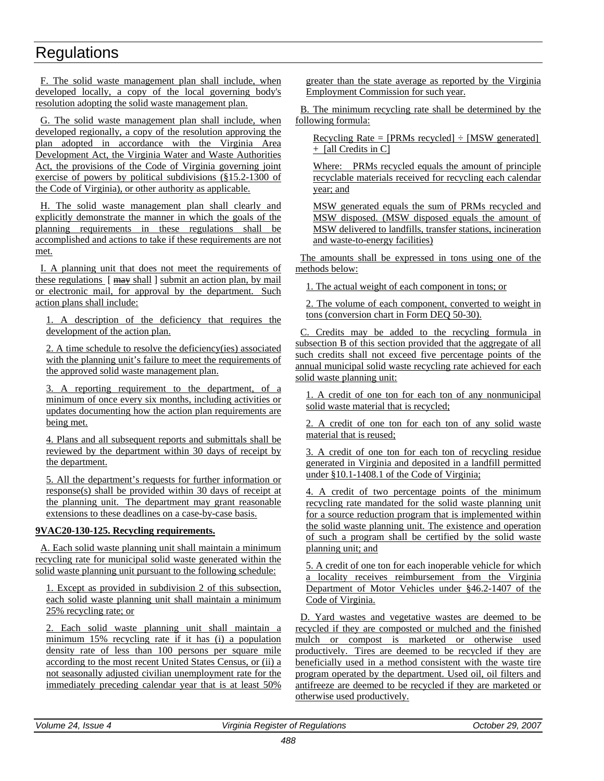F. The solid waste management plan shall include, when developed locally, a copy of the local governing body's resolution adopting the solid waste management plan.

G. The solid waste management plan shall include, when developed regionally, a copy of the resolution approving the plan adopted in accordance with the Virginia Area Development Act, the Virginia Water and Waste Authorities Act, the provisions of the Code of Virginia governing joint exercise of powers by political subdivisions (§15.2-1300 of the Code of Virginia), or other authority as applicable.

H. The solid waste management plan shall clearly and explicitly demonstrate the manner in which the goals of the planning requirements in these regulations shall be accomplished and actions to take if these requirements are not met.

I. A planning unit that does not meet the requirements of these regulations [ may shall ] submit an action plan, by mail or electronic mail, for approval by the department. Such action plans shall include:

1. A description of the deficiency that requires the development of the action plan.

2. A time schedule to resolve the deficiency(ies) associated with the planning unit's failure to meet the requirements of the approved solid waste management plan.

3. A reporting requirement to the department, of a minimum of once every six months, including activities or updates documenting how the action plan requirements are being met.

4. Plans and all subsequent reports and submittals shall be reviewed by the department within 30 days of receipt by the department.

5. All the department's requests for further information or response(s) shall be provided within 30 days of receipt at the planning unit. The department may grant reasonable extensions to these deadlines on a case-by-case basis.

### **9VAC20-130-125. Recycling requirements.**

A. Each solid waste planning unit shall maintain a minimum recycling rate for municipal solid waste generated within the solid waste planning unit pursuant to the following schedule:

1. Except as provided in subdivision 2 of this subsection, each solid waste planning unit shall maintain a minimum 25% recycling rate; or

2. Each solid waste planning unit shall maintain a minimum 15% recycling rate if it has (i) a population density rate of less than 100 persons per square mile according to the most recent United States Census, or (ii) a not seasonally adjusted civilian unemployment rate for the immediately preceding calendar year that is at least 50%

greater than the state average as reported by the Virginia Employment Commission for such year.

B. The minimum recycling rate shall be determined by the following formula:

Recycling Rate =  $[PRMs$  recycled $] \div [MSW]$  generated + [all Credits in C]

Where: PRMs recycled equals the amount of principle recyclable materials received for recycling each calendar year; and

MSW generated equals the sum of PRMs recycled and MSW disposed. (MSW disposed equals the amount of MSW delivered to landfills, transfer stations, incineration and waste-to-energy facilities)

The amounts shall be expressed in tons using one of the methods below:

1. The actual weight of each component in tons; or

2. The volume of each component, converted to weight in tons (conversion chart in Form DEQ 50-30).

C. Credits may be added to the recycling formula in subsection B of this section provided that the aggregate of all such credits shall not exceed five percentage points of the annual municipal solid waste recycling rate achieved for each solid waste planning unit:

1. A credit of one ton for each ton of any nonmunicipal solid waste material that is recycled;

2. A credit of one ton for each ton of any solid waste material that is reused;

3. A credit of one ton for each ton of recycling residue generated in Virginia and deposited in a landfill permitted under §10.1-1408.1 of the Code of Virginia;

4. A credit of two percentage points of the minimum recycling rate mandated for the solid waste planning unit for a source reduction program that is implemented within the solid waste planning unit. The existence and operation of such a program shall be certified by the solid waste planning unit; and

5. A credit of one ton for each inoperable vehicle for which a locality receives reimbursement from the Virginia Department of Motor Vehicles under §46.2-1407 of the Code of Virginia.

D. Yard wastes and vegetative wastes are deemed to be recycled if they are composted or mulched and the finished mulch or compost is marketed or otherwise used productively. Tires are deemed to be recycled if they are beneficially used in a method consistent with the waste tire program operated by the department. Used oil, oil filters and antifreeze are deemed to be recycled if they are marketed or otherwise used productively.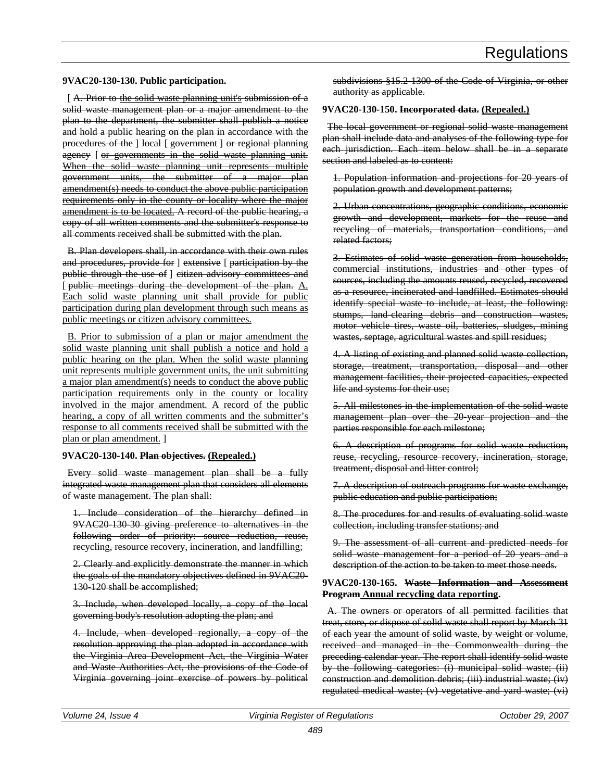#### **9VAC20-130-130. Public participation.**

[A. Prior to the solid waste planning unit's submission of a solid waste management plan or a major amendment to the plan to the department, the submitter shall publish a notice and hold a public hearing on the plan in accordance with the procedures of the ] local [ government ] or regional planning agency [ or governments in the solid waste planning unit. When the solid waste planning unit represents multiple government units, the submitter of a major plan amendment(s) needs to conduct the above public participation requirements only in the county or locality where the major amendment is to be located. A record of the public hearing, a copy of all written comments and the submitter's response to all comments received shall be submitted with the plan.

B. Plan developers shall, in accordance with their own rules and procedures, provide for ] extensive [ participation by the public through the use of ] citizen advisory committees and [ public meetings during the development of the plan.  $A$ . Each solid waste planning unit shall provide for public participation during plan development through such means as public meetings or citizen advisory committees.

B. Prior to submission of a plan or major amendment the solid waste planning unit shall publish a notice and hold a public hearing on the plan. When the solid waste planning unit represents multiple government units, the unit submitting a major plan amendment(s) needs to conduct the above public participation requirements only in the county or locality involved in the major amendment. A record of the public hearing, a copy of all written comments and the submitter's response to all comments received shall be submitted with the plan or plan amendment. ]

#### **9VAC20-130-140. Plan objectives. (Repealed.)**

Every solid waste management plan shall be a fully integrated waste management plan that considers all elements of waste management. The plan shall:

1. Include consideration of the hierarchy defined in 9VAC20-130-30 giving preference to alternatives in the following order of priority: source reduction, reuse, recycling, resource recovery, incineration, and landfilling;

2. Clearly and explicitly demonstrate the manner in which the goals of the mandatory objectives defined in 9VAC20- 130-120 shall be accomplished;

3. Include, when developed locally, a copy of the local governing body's resolution adopting the plan; and

4. Include, when developed regionally, a copy of the resolution approving the plan adopted in accordance with the Virginia Area Development Act, the Virginia Water and Waste Authorities Act, the provisions of the Code of Virginia governing joint exercise of powers by political subdivisions §15.2-1300 of the Code of Virginia, or other authority as applicable.

### **9VAC20-130-150. Incorporated data. (Repealed.)**

The local government or regional solid waste management plan shall include data and analyses of the following type for each jurisdiction. Each item below shall be in a separate section and labeled as to content:

1. Population information and projections for 20 years of population growth and development patterns;

2. Urban concentrations, geographic conditions, economic growth and development, markets for the reuse and recycling of materials, transportation conditions, and related factors;

3. Estimates of solid waste generation from households, commercial institutions, industries and other types of sources, including the amounts reused, recycled, recovered as a resource, incinerated and landfilled. Estimates should identify special waste to include, at least, the following: stumps, land-clearing debris and construction wastes, motor vehicle tires, waste oil, batteries, sludges, mining wastes, septage, agricultural wastes and spill residues;

4. A listing of existing and planned solid waste collection, storage, treatment, transportation, disposal and other management facilities, their projected capacities, expected life and systems for their use;

5. All milestones in the implementation of the solid waste management plan over the 20-year projection and the parties responsible for each milestone;

6. A description of programs for solid waste reduction, reuse, recycling, resource recovery, incineration, storage, treatment, disposal and litter control;

7. A description of outreach programs for waste exchange, public education and public participation;

8. The procedures for and results of evaluating solid waste collection, including transfer stations; and

9. The assessment of all current and predicted needs for solid waste management for a period of 20 years and a description of the action to be taken to meet those needs.

#### **9VAC20-130-165. Waste Information and Assessment Program Annual recycling data reporting.**

A. The owners or operators of all permitted facilities that treat, store, or dispose of solid waste shall report by March 31 of each year the amount of solid waste, by weight or volume, received and managed in the Commonwealth during the preceding calendar year. The report shall identify solid waste by the following categories: (i) municipal solid waste; (ii) construction and demolition debris; (iii) industrial waste; (iv) regulated medical waste; (v) vegetative and yard waste; (vi)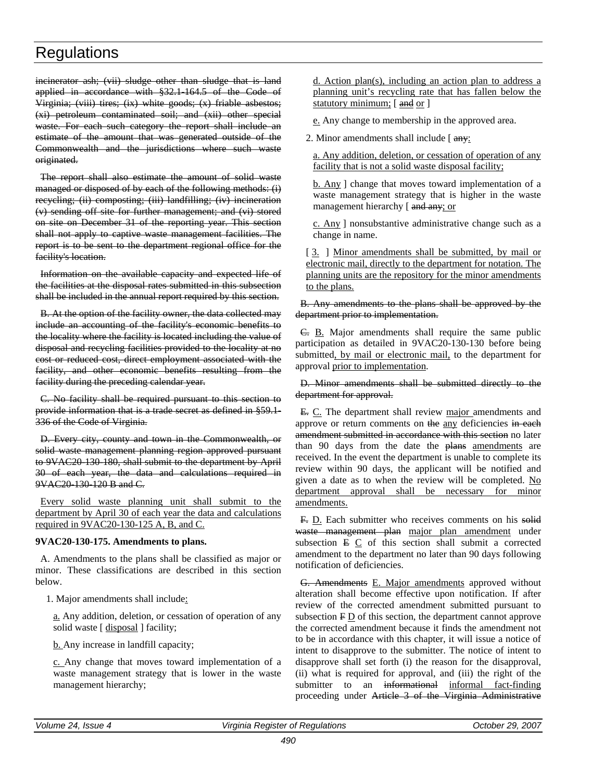incinerator ash; (vii) sludge other than sludge that is land applied in accordance with §32.1-164.5 of the Code of Virginia; (viii) tires; (ix) white goods; (x) friable asbestos; (xi) petroleum contaminated soil; and (xii) other special waste. For each such category the report shall include an estimate of the amount that was generated outside of the Commonwealth and the jurisdictions where such waste originated.

The report shall also estimate the amount of solid waste managed or disposed of by each of the following methods: (i) recycling; (ii) composting; (iii) landfilling; (iv) incineration (v) sending off site for further management; and (vi) stored on site on December 31 of the reporting year. This section shall not apply to captive waste management facilities. The report is to be sent to the department regional office for the facility's location.

Information on the available capacity and expected life of the facilities at the disposal rates submitted in this subsection shall be included in the annual report required by this section.

B. At the option of the facility owner, the data collected may include an accounting of the facility's economic benefits to the locality where the facility is located including the value of disposal and recycling facilities provided to the locality at no cost or reduced cost, direct employment associated with the facility, and other economic benefits resulting from the facility during the preceding calendar year.

C. No facility shall be required pursuant to this section to provide information that is a trade secret as defined in §59.1- 336 of the Code of Virginia.

D. Every city, county and town in the Commonwealth, or solid waste management planning region approved pursuant to 9VAC20-130-180, shall submit to the department by April 30 of each year, the data and calculations required in 9VAC20-130-120 B and C.

Every solid waste planning unit shall submit to the department by April 30 of each year the data and calculations required in 9VAC20-130-125 A, B, and C.

### **9VAC20-130-175. Amendments to plans.**

A. Amendments to the plans shall be classified as major or minor. These classifications are described in this section below.

1. Major amendments shall include:

a. Any addition, deletion, or cessation of operation of any solid waste [ disposal ] facility;

b. Any increase in landfill capacity;

c. Any change that moves toward implementation of a waste management strategy that is lower in the waste management hierarchy;

d. Action plan(s), including an action plan to address a planning unit's recycling rate that has fallen below the statutory minimum; [and or ]

e. Any change to membership in the approved area.

2. Minor amendments shall include  $\int \frac{day}{l}$ :

a. Any addition, deletion, or cessation of operation of any facility that is not a solid waste disposal facility;

b. Any ] change that moves toward implementation of a waste management strategy that is higher in the waste management hierarchy [ and any; or

c. Any ] nonsubstantive administrative change such as a change in name.

[3. ] Minor amendments shall be submitted, by mail or electronic mail, directly to the department for notation. The planning units are the repository for the minor amendments to the plans.

B. Any amendments to the plans shall be approved by the department prior to implementation.

C. B. Major amendments shall require the same public participation as detailed in 9VAC20-130-130 before being submitted, by mail or electronic mail, to the department for approval prior to implementation.

### D. Minor amendments shall be submitted directly to the department for approval.

E. C. The department shall review major amendments and approve or return comments on the any deficiencies in each amendment submitted in accordance with this section no later than 90 days from the date the plans amendments are received. In the event the department is unable to complete its review within 90 days, the applicant will be notified and given a date as to when the review will be completed. No department approval shall be necessary for minor amendments.

F. D. Each submitter who receives comments on his solid waste management plan major plan amendment under subsection  $E \subseteq C$  of this section shall submit a corrected amendment to the department no later than 90 days following notification of deficiencies.

G. Amendments E. Major amendments approved without alteration shall become effective upon notification. If after review of the corrected amendment submitted pursuant to subsection F D of this section, the department cannot approve the corrected amendment because it finds the amendment not to be in accordance with this chapter, it will issue a notice of intent to disapprove to the submitter. The notice of intent to disapprove shall set forth (i) the reason for the disapproval, (ii) what is required for approval, and (iii) the right of the submitter to an informational informal fact-finding proceeding under Article 3 of the Virginia Administrative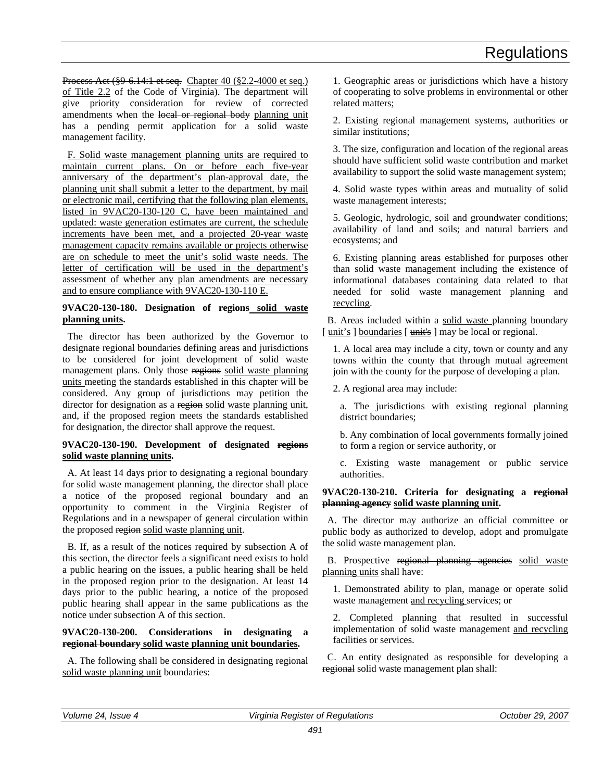Process Act (§9-6.14:1 et seq. Chapter 40 (§2.2-4000 et seq.) of Title 2.2 of the Code of Virginia). The department will give priority consideration for review of corrected amendments when the local or regional body planning unit has a pending permit application for a solid waste management facility.

F. Solid waste management planning units are required to maintain current plans. On or before each five-year anniversary of the department's plan-approval date, the planning unit shall submit a letter to the department, by mail or electronic mail, certifying that the following plan elements, listed in 9VAC20-130-120 C, have been maintained and updated: waste generation estimates are current, the schedule increments have been met, and a projected 20-year waste management capacity remains available or projects otherwise are on schedule to meet the unit's solid waste needs. The letter of certification will be used in the department's assessment of whether any plan amendments are necessary and to ensure compliance with 9VAC20-130-110 E.

### **9VAC20-130-180. Designation of regions solid waste planning units.**

The director has been authorized by the Governor to designate regional boundaries defining areas and jurisdictions to be considered for joint development of solid waste management plans. Only those regions solid waste planning units meeting the standards established in this chapter will be considered. Any group of jurisdictions may petition the director for designation as a region solid waste planning unit, and, if the proposed region meets the standards established for designation, the director shall approve the request.

### **9VAC20-130-190. Development of designated regions solid waste planning units.**

A. At least 14 days prior to designating a regional boundary for solid waste management planning, the director shall place a notice of the proposed regional boundary and an opportunity to comment in the Virginia Register of Regulations and in a newspaper of general circulation within the proposed region solid waste planning unit.

B. If, as a result of the notices required by subsection A of this section, the director feels a significant need exists to hold a public hearing on the issues, a public hearing shall be held in the proposed region prior to the designation. At least 14 days prior to the public hearing, a notice of the proposed public hearing shall appear in the same publications as the notice under subsection A of this section.

### **9VAC20-130-200. Considerations in designating a regional boundary solid waste planning unit boundaries.**

A. The following shall be considered in designating regional solid waste planning unit boundaries:

1. Geographic areas or jurisdictions which have a history of cooperating to solve problems in environmental or other related matters;

2. Existing regional management systems, authorities or similar institutions;

3. The size, configuration and location of the regional areas should have sufficient solid waste contribution and market availability to support the solid waste management system;

4. Solid waste types within areas and mutuality of solid waste management interests;

5. Geologic, hydrologic, soil and groundwater conditions; availability of land and soils; and natural barriers and ecosystems; and

6. Existing planning areas established for purposes other than solid waste management including the existence of informational databases containing data related to that needed for solid waste management planning and recycling.

B. Areas included within a solid waste planning boundary [unit's ] boundaries [unit's ] may be local or regional.

1. A local area may include a city, town or county and any towns within the county that through mutual agreement join with the county for the purpose of developing a plan.

2. A regional area may include:

a. The jurisdictions with existing regional planning district boundaries;

b. Any combination of local governments formally joined to form a region or service authority, or

c. Existing waste management or public service authorities.

### **9VAC20-130-210. Criteria for designating a regional planning agency solid waste planning unit.**

A. The director may authorize an official committee or public body as authorized to develop, adopt and promulgate the solid waste management plan.

B. Prospective regional planning agencies solid waste planning units shall have:

1. Demonstrated ability to plan, manage or operate solid waste management and recycling services; or

2. Completed planning that resulted in successful implementation of solid waste management and recycling facilities or services.

C. An entity designated as responsible for developing a regional solid waste management plan shall: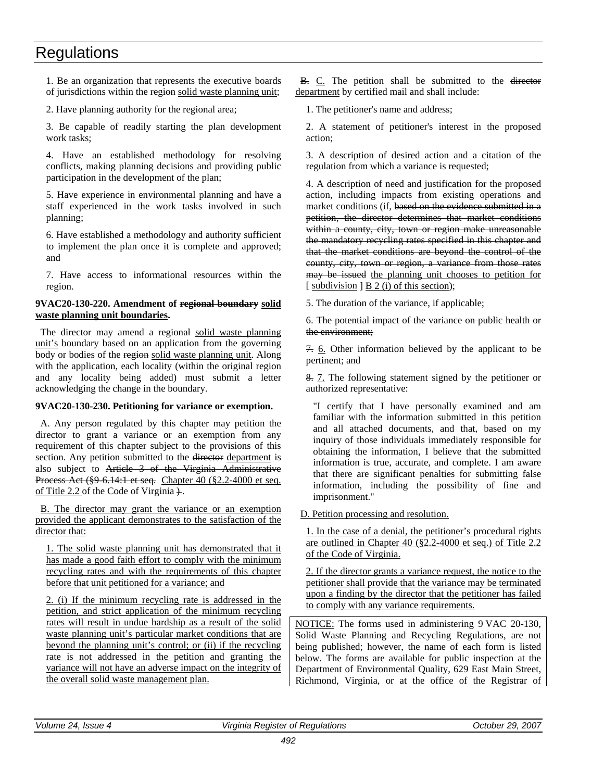1. Be an organization that represents the executive boards of jurisdictions within the region solid waste planning unit;

2. Have planning authority for the regional area;

3. Be capable of readily starting the plan development work tasks;

4. Have an established methodology for resolving conflicts, making planning decisions and providing public participation in the development of the plan;

5. Have experience in environmental planning and have a staff experienced in the work tasks involved in such planning;

6. Have established a methodology and authority sufficient to implement the plan once it is complete and approved; and

7. Have access to informational resources within the region.

### **9VAC20-130-220. Amendment of regional boundary solid waste planning unit boundaries.**

The director may amend a regional solid waste planning unit's boundary based on an application from the governing body or bodies of the region solid waste planning unit. Along with the application, each locality (within the original region and any locality being added) must submit a letter acknowledging the change in the boundary.

### **9VAC20-130-230. Petitioning for variance or exemption.**

A. Any person regulated by this chapter may petition the director to grant a variance or an exemption from any requirement of this chapter subject to the provisions of this section. Any petition submitted to the director department is also subject to Article 3 of the Virginia Administrative Process Act (§9-6.14:1 et seq. Chapter 40 (§2.2-4000 et seq. of Title 2.2 of the Code of Virginia  $\ddot{+}$ .

B. The director may grant the variance or an exemption provided the applicant demonstrates to the satisfaction of the director that:

1. The solid waste planning unit has demonstrated that it has made a good faith effort to comply with the minimum recycling rates and with the requirements of this chapter before that unit petitioned for a variance; and

2. (i) If the minimum recycling rate is addressed in the petition, and strict application of the minimum recycling rates will result in undue hardship as a result of the solid waste planning unit's particular market conditions that are beyond the planning unit's control; or (ii) if the recycling rate is not addressed in the petition and granting the variance will not have an adverse impact on the integrity of the overall solid waste management plan.

B. C. The petition shall be submitted to the director department by certified mail and shall include:

1. The petitioner's name and address;

2. A statement of petitioner's interest in the proposed action;

3. A description of desired action and a citation of the regulation from which a variance is requested;

4. A description of need and justification for the proposed action, including impacts from existing operations and market conditions (if, based on the evidence submitted in a petition, the director determines that market conditions within a county, city, town or region make unreasonable the mandatory recycling rates specified in this chapter and that the market conditions are beyond the control of the county, city, town or region, a variance from those rates may be issued the planning unit chooses to petition for [ subdivision ] B 2 (i) of this section);

5. The duration of the variance, if applicable;

6. The potential impact of the variance on public health or the environment;

7. 6. Other information believed by the applicant to be pertinent; and

8. 7. The following statement signed by the petitioner or authorized representative:

"I certify that I have personally examined and am familiar with the information submitted in this petition and all attached documents, and that, based on my inquiry of those individuals immediately responsible for obtaining the information, I believe that the submitted information is true, accurate, and complete. I am aware that there are significant penalties for submitting false information, including the possibility of fine and imprisonment."

D. Petition processing and resolution.

1. In the case of a denial, the petitioner's procedural rights are outlined in Chapter 40 (§2.2-4000 et seq.) of Title 2.2 of the Code of Virginia.

2. If the director grants a variance request, the notice to the petitioner shall provide that the variance may be terminated upon a finding by the director that the petitioner has failed to comply with any variance requirements.

NOTICE: The forms used in administering 9 VAC 20-130, Solid Waste Planning and Recycling Regulations, are not being published; however, the name of each form is listed below. The forms are available for public inspection at the Department of Environmental Quality, 629 East Main Street, Richmond, Virginia, or at the office of the Registrar of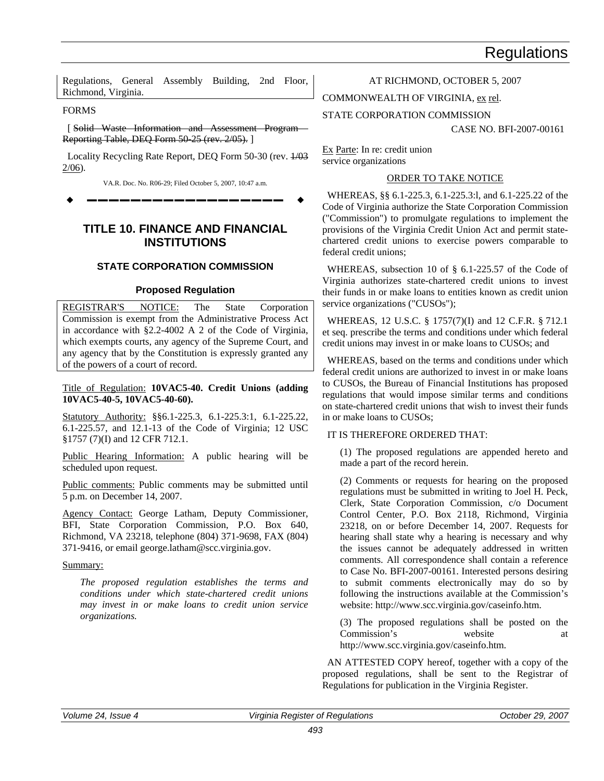Regulations, General Assembly Building, 2nd Floor, Richmond, Virginia.

#### FORMS

[ Solid Waste Information and Assessment Program Reporting Table, DEQ Form 50-25 (rev. 2/05). ]

Locality Recycling Rate Report, DEQ Form 50-30 (rev. 1/03 2/06).

VA.R. Doc. No. R06-29; Filed October 5, 2007, 10:47 a.m.

**––––––––––––––––––**

### **TITLE 10. FINANCE AND FINANCIAL INSTITUTIONS**

### **STATE CORPORATION COMMISSION**

### **Proposed Regulation**

REGISTRAR'S NOTICE: The State Corporation Commission is exempt from the Administrative Process Act in accordance with §2.2-4002 A 2 of the Code of Virginia, which exempts courts, any agency of the Supreme Court, and any agency that by the Constitution is expressly granted any of the powers of a court of record.

Title of Regulation: **10VAC5-40. Credit Unions (adding 10VAC5-40-5, 10VAC5-40-60).**

Statutory Authority: §§6.1-225.3, 6.1-225.3:1, 6.1-225.22, 6.1-225.57, and 12.1-13 of the Code of Virginia; 12 USC §1757 (7)(I) and 12 CFR 712.1.

Public Hearing Information: A public hearing will be scheduled upon request.

Public comments: Public comments may be submitted until 5 p.m. on December 14, 2007.

Agency Contact: George Latham, Deputy Commissioner, BFI, State Corporation Commission, P.O. Box 640, Richmond, VA 23218, telephone (804) 371-9698, FAX (804) 371-9416, or email george.latham@scc.virginia.gov.

### Summary:

*The proposed regulation establishes the terms and conditions under which state-chartered credit unions may invest in or make loans to credit union service organizations.*

### AT RICHMOND, OCTOBER 5, 2007

COMMONWEALTH OF VIRGINIA, ex rel.

STATE CORPORATION COMMISSION

CASE NO. BFI-2007-00161

Ex Parte: In re: credit union service organizations

### ORDER TO TAKE NOTICE

WHEREAS, §§ 6.1-225.3, 6.1-225.3:l, and 6.1-225.22 of the Code of Virginia authorize the State Corporation Commission ("Commission") to promulgate regulations to implement the provisions of the Virginia Credit Union Act and permit statechartered credit unions to exercise powers comparable to federal credit unions;

WHEREAS, subsection 10 of § 6.1-225.57 of the Code of Virginia authorizes state-chartered credit unions to invest their funds in or make loans to entities known as credit union service organizations ("CUSOs");

WHEREAS, 12 U.S.C. § 1757(7)(I) and 12 C.F.R. § 712.1 et seq. prescribe the terms and conditions under which federal credit unions may invest in or make loans to CUSOs; and

WHEREAS, based on the terms and conditions under which federal credit unions are authorized to invest in or make loans to CUSOs, the Bureau of Financial Institutions has proposed regulations that would impose similar terms and conditions on state-chartered credit unions that wish to invest their funds in or make loans to CUSOs;

### IT IS THEREFORE ORDERED THAT:

(1) The proposed regulations are appended hereto and made a part of the record herein.

(2) Comments or requests for hearing on the proposed regulations must be submitted in writing to Joel H. Peck, Clerk, State Corporation Commission, c/o Document Control Center, P.O. Box 2118, Richmond, Virginia 23218, on or before December 14, 2007. Requests for hearing shall state why a hearing is necessary and why the issues cannot be adequately addressed in written comments. All correspondence shall contain a reference to Case No. BFI-2007-00161. Interested persons desiring to submit comments electronically may do so by following the instructions available at the Commission's website: http://www.scc.virginia.gov/caseinfo.htm.

(3) The proposed regulations shall be posted on the Commission's website at http://www.scc.virginia.gov/caseinfo.htm.

AN ATTESTED COPY hereof, together with a copy of the proposed regulations, shall be sent to the Registrar of Regulations for publication in the Virginia Register.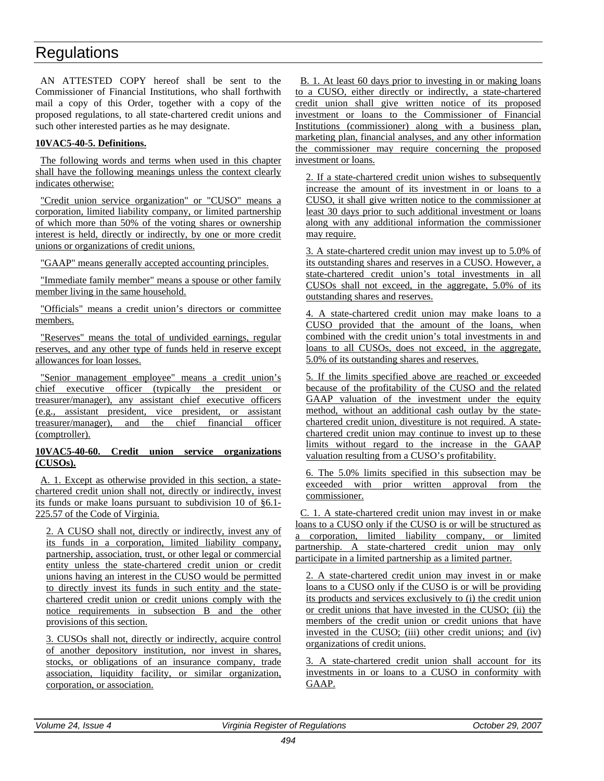AN ATTESTED COPY hereof shall be sent to the Commissioner of Financial Institutions, who shall forthwith mail a copy of this Order, together with a copy of the proposed regulations, to all state-chartered credit unions and such other interested parties as he may designate.

### **10VAC5-40-5. Definitions.**

The following words and terms when used in this chapter shall have the following meanings unless the context clearly indicates otherwise:

"Credit union service organization" or "CUSO" means a corporation, limited liability company, or limited partnership of which more than 50% of the voting shares or ownership interest is held, directly or indirectly, by one or more credit unions or organizations of credit unions.

"GAAP" means generally accepted accounting principles.

"Immediate family member" means a spouse or other family member living in the same household.

"Officials" means a credit union's directors or committee members.

"Reserves" means the total of undivided earnings, regular reserves, and any other type of funds held in reserve except allowances for loan losses.

"Senior management employee" means a credit union's chief executive officer (typically the president or treasurer/manager), any assistant chief executive officers (e.g., assistant president, vice president, or assistant treasurer/manager), and the chief financial officer (comptroller).

### **10VAC5-40-60. Credit union service organizations (CUSOs).**

A. 1. Except as otherwise provided in this section, a statechartered credit union shall not, directly or indirectly, invest its funds or make loans pursuant to subdivision 10 of §6.1- 225.57 of the Code of Virginia.

2. A CUSO shall not, directly or indirectly, invest any of its funds in a corporation, limited liability company, partnership, association, trust, or other legal or commercial entity unless the state-chartered credit union or credit unions having an interest in the CUSO would be permitted to directly invest its funds in such entity and the statechartered credit union or credit unions comply with the notice requirements in subsection B and the other provisions of this section.

3. CUSOs shall not, directly or indirectly, acquire control of another depository institution, nor invest in shares, stocks, or obligations of an insurance company, trade association, liquidity facility, or similar organization, corporation, or association.

B. 1. At least 60 days prior to investing in or making loans to a CUSO, either directly or indirectly, a state-chartered credit union shall give written notice of its proposed investment or loans to the Commissioner of Financial Institutions (commissioner) along with a business plan, marketing plan, financial analyses, and any other information the commissioner may require concerning the proposed investment or loans.

2. If a state-chartered credit union wishes to subsequently increase the amount of its investment in or loans to a CUSO, it shall give written notice to the commissioner at least 30 days prior to such additional investment or loans along with any additional information the commissioner may require.

3. A state-chartered credit union may invest up to 5.0% of its outstanding shares and reserves in a CUSO. However, a state-chartered credit union's total investments in all CUSOs shall not exceed, in the aggregate, 5.0% of its outstanding shares and reserves.

4. A state-chartered credit union may make loans to a CUSO provided that the amount of the loans, when combined with the credit union's total investments in and loans to all CUSOs, does not exceed, in the aggregate, 5.0% of its outstanding shares and reserves.

5. If the limits specified above are reached or exceeded because of the profitability of the CUSO and the related GAAP valuation of the investment under the equity method, without an additional cash outlay by the statechartered credit union, divestiture is not required. A statechartered credit union may continue to invest up to these limits without regard to the increase in the GAAP valuation resulting from a CUSO's profitability.

6. The 5.0% limits specified in this subsection may be exceeded with prior written approval from the commissioner.

C. 1. A state-chartered credit union may invest in or make loans to a CUSO only if the CUSO is or will be structured as a corporation, limited liability company, or limited partnership. A state-chartered credit union may only participate in a limited partnership as a limited partner.

2. A state-chartered credit union may invest in or make loans to a CUSO only if the CUSO is or will be providing its products and services exclusively to (i) the credit union or credit unions that have invested in the CUSO; (ii) the members of the credit union or credit unions that have invested in the CUSO; (iii) other credit unions; and (iv) organizations of credit unions.

3. A state-chartered credit union shall account for its investments in or loans to a CUSO in conformity with GAAP.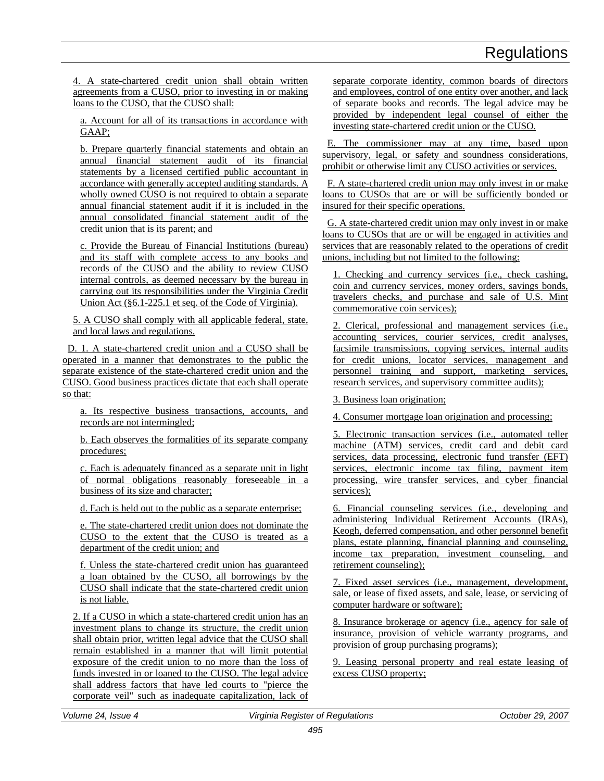4. A state-chartered credit union shall obtain written agreements from a CUSO, prior to investing in or making loans to the CUSO, that the CUSO shall:

a. Account for all of its transactions in accordance with GAAP;

b. Prepare quarterly financial statements and obtain an annual financial statement audit of its financial statements by a licensed certified public accountant in accordance with generally accepted auditing standards. A wholly owned CUSO is not required to obtain a separate annual financial statement audit if it is included in the annual consolidated financial statement audit of the credit union that is its parent; and

c. Provide the Bureau of Financial Institutions (bureau) and its staff with complete access to any books and records of the CUSO and the ability to review CUSO internal controls, as deemed necessary by the bureau in carrying out its responsibilities under the Virginia Credit Union Act (§6.1-225.1 et seq. of the Code of Virginia).

5. A CUSO shall comply with all applicable federal, state, and local laws and regulations.

D. 1. A state-chartered credit union and a CUSO shall be operated in a manner that demonstrates to the public the separate existence of the state-chartered credit union and the CUSO. Good business practices dictate that each shall operate so that:

a. Its respective business transactions, accounts, and records are not intermingled;

b. Each observes the formalities of its separate company procedures;

c. Each is adequately financed as a separate unit in light of normal obligations reasonably foreseeable in a business of its size and character;

d. Each is held out to the public as a separate enterprise;

e. The state-chartered credit union does not dominate the CUSO to the extent that the CUSO is treated as a department of the credit union; and

f. Unless the state-chartered credit union has guaranteed a loan obtained by the CUSO, all borrowings by the CUSO shall indicate that the state-chartered credit union is not liable.

2. If a CUSO in which a state-chartered credit union has an investment plans to change its structure, the credit union shall obtain prior, written legal advice that the CUSO shall remain established in a manner that will limit potential exposure of the credit union to no more than the loss of funds invested in or loaned to the CUSO. The legal advice shall address factors that have led courts to "pierce the corporate veil" such as inadequate capitalization, lack of separate corporate identity, common boards of directors and employees, control of one entity over another, and lack of separate books and records. The legal advice may be provided by independent legal counsel of either the investing state-chartered credit union or the CUSO.

E. The commissioner may at any time, based upon supervisory, legal, or safety and soundness considerations, prohibit or otherwise limit any CUSO activities or services.

F. A state-chartered credit union may only invest in or make loans to CUSOs that are or will be sufficiently bonded or insured for their specific operations.

G. A state-chartered credit union may only invest in or make loans to CUSOs that are or will be engaged in activities and services that are reasonably related to the operations of credit unions, including but not limited to the following:

1. Checking and currency services (i.e., check cashing, coin and currency services, money orders, savings bonds, travelers checks, and purchase and sale of U.S. Mint commemorative coin services);

2. Clerical, professional and management services (i.e., accounting services, courier services, credit analyses, facsimile transmissions, copying services, internal audits for credit unions, locator services, management and personnel training and support, marketing services, research services, and supervisory committee audits);

3. Business loan origination;

4. Consumer mortgage loan origination and processing;

5. Electronic transaction services (i.e., automated teller machine (ATM) services, credit card and debit card services, data processing, electronic fund transfer (EFT) services, electronic income tax filing, payment item processing, wire transfer services, and cyber financial services);

6. Financial counseling services (i.e., developing and administering Individual Retirement Accounts (IRAs), Keogh, deferred compensation, and other personnel benefit plans, estate planning, financial planning and counseling, income tax preparation, investment counseling, and retirement counseling);

7. Fixed asset services (i.e., management, development, sale, or lease of fixed assets, and sale, lease, or servicing of computer hardware or software);

8. Insurance brokerage or agency (i.e., agency for sale of insurance, provision of vehicle warranty programs, and provision of group purchasing programs);

9. Leasing personal property and real estate leasing of excess CUSO property;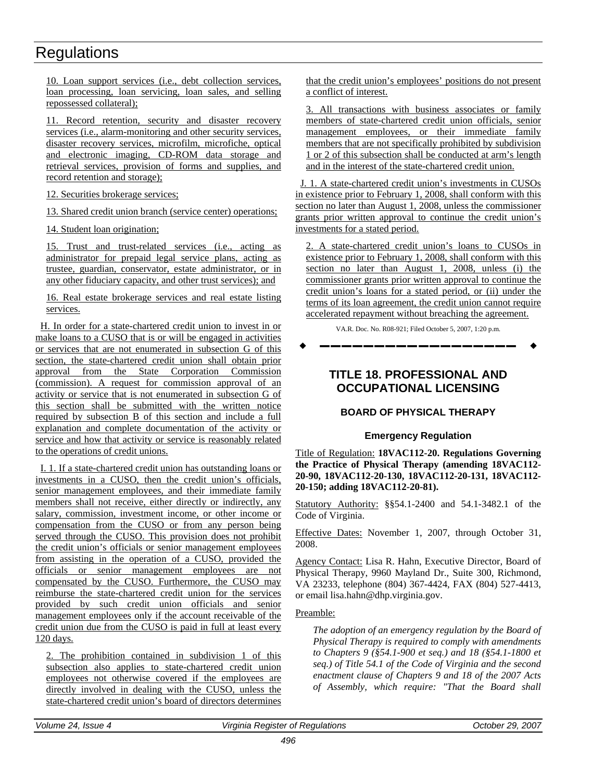10. Loan support services (i.e., debt collection services, loan processing, loan servicing, loan sales, and selling repossessed collateral);

11. Record retention, security and disaster recovery services (i.e., alarm-monitoring and other security services, disaster recovery services, microfilm, microfiche, optical and electronic imaging, CD-ROM data storage and retrieval services, provision of forms and supplies, and record retention and storage);

12. Securities brokerage services;

13. Shared credit union branch (service center) operations;

14. Student loan origination;

15. Trust and trust-related services (i.e., acting as administrator for prepaid legal service plans, acting as trustee, guardian, conservator, estate administrator, or in any other fiduciary capacity, and other trust services); and

16. Real estate brokerage services and real estate listing services.

H. In order for a state-chartered credit union to invest in or make loans to a CUSO that is or will be engaged in activities or services that are not enumerated in subsection G of this section, the state-chartered credit union shall obtain prior approval from the State Corporation Commission (commission). A request for commission approval of an activity or service that is not enumerated in subsection G of this section shall be submitted with the written notice required by subsection B of this section and include a full explanation and complete documentation of the activity or service and how that activity or service is reasonably related to the operations of credit unions.

I. 1. If a state-chartered credit union has outstanding loans or investments in a CUSO, then the credit union's officials, senior management employees, and their immediate family members shall not receive, either directly or indirectly, any salary, commission, investment income, or other income or compensation from the CUSO or from any person being served through the CUSO. This provision does not prohibit the credit union's officials or senior management employees from assisting in the operation of a CUSO, provided the officials or senior management employees are not compensated by the CUSO. Furthermore, the CUSO may reimburse the state-chartered credit union for the services provided by such credit union officials and senior management employees only if the account receivable of the credit union due from the CUSO is paid in full at least every 120 days.

2. The prohibition contained in subdivision 1 of this subsection also applies to state-chartered credit union employees not otherwise covered if the employees are directly involved in dealing with the CUSO, unless the state-chartered credit union's board of directors determines that the credit union's employees' positions do not present a conflict of interest.

3. All transactions with business associates or family members of state-chartered credit union officials, senior management employees, or their immediate family members that are not specifically prohibited by subdivision 1 or 2 of this subsection shall be conducted at arm's length and in the interest of the state-chartered credit union.

J. 1. A state-chartered credit union's investments in CUSOs in existence prior to February 1, 2008, shall conform with this section no later than August 1, 2008, unless the commissioner grants prior written approval to continue the credit union's investments for a stated period.

2. A state-chartered credit union's loans to CUSOs in existence prior to February 1, 2008, shall conform with this section no later than August 1, 2008, unless (i) the commissioner grants prior written approval to continue the credit union's loans for a stated period, or (ii) under the terms of its loan agreement, the credit union cannot require accelerated repayment without breaching the agreement.

VA.R. Doc. No. R08-921; Filed October 5, 2007, 1:20 p.m.

**––––––––––––––––––**

### **TITLE 18. PROFESSIONAL AND OCCUPATIONAL LICENSING**

### **BOARD OF PHYSICAL THERAPY**

### **Emergency Regulation**

Title of Regulation: **18VAC112-20. Regulations Governing the Practice of Physical Therapy (amending 18VAC112- 20-90, 18VAC112-20-130, 18VAC112-20-131, 18VAC112- 20-150; adding 18VAC112-20-81).**

Statutory Authority: §§54.1-2400 and 54.1-3482.1 of the Code of Virginia.

Effective Dates: November 1, 2007, through October 31, 2008.

Agency Contact: Lisa R. Hahn, Executive Director, Board of Physical Therapy, 9960 Mayland Dr., Suite 300, Richmond, VA 23233, telephone (804) 367-4424, FAX (804) 527-4413, or email lisa.hahn@dhp.virginia.gov.

### Preamble:

*The adoption of an emergency regulation by the Board of Physical Therapy is required to comply with amendments to Chapters 9 (§54.1-900 et seq.) and 18 (§54.1-1800 et seq.) of Title 54.1 of the Code of Virginia and the second enactment clause of Chapters 9 and 18 of the 2007 Acts of Assembly, which require: "That the Board shall*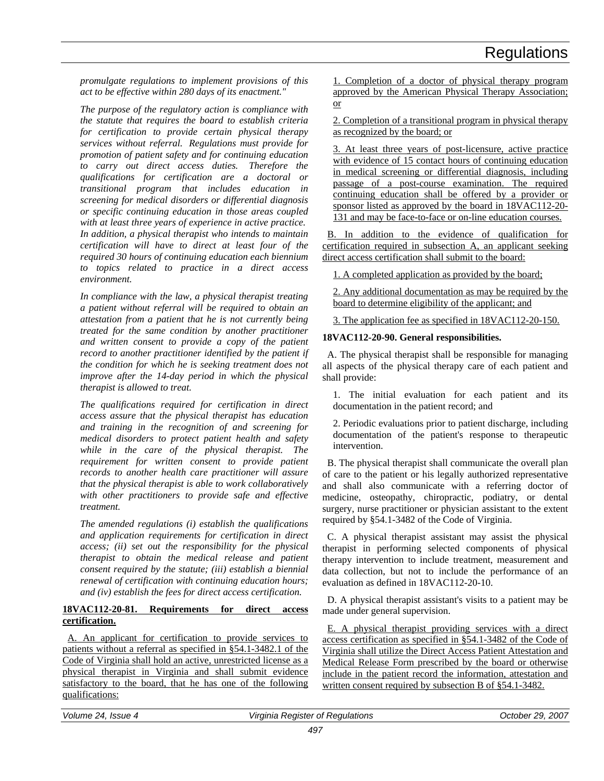*promulgate regulations to implement provisions of this act to be effective within 280 days of its enactment."*

*The purpose of the regulatory action is compliance with the statute that requires the board to establish criteria for certification to provide certain physical therapy services without referral. Regulations must provide for promotion of patient safety and for continuing education to carry out direct access duties. Therefore the qualifications for certification are a doctoral or transitional program that includes education in screening for medical disorders or differential diagnosis or specific continuing education in those areas coupled with at least three years of experience in active practice. In addition, a physical therapist who intends to maintain certification will have to direct at least four of the required 30 hours of continuing education each biennium to topics related to practice in a direct access environment.*

*In compliance with the law, a physical therapist treating a patient without referral will be required to obtain an attestation from a patient that he is not currently being treated for the same condition by another practitioner and written consent to provide a copy of the patient record to another practitioner identified by the patient if the condition for which he is seeking treatment does not improve after the 14-day period in which the physical therapist is allowed to treat.*

*The qualifications required for certification in direct access assure that the physical therapist has education and training in the recognition of and screening for medical disorders to protect patient health and safety while in the care of the physical therapist. The requirement for written consent to provide patient records to another health care practitioner will assure that the physical therapist is able to work collaboratively with other practitioners to provide safe and effective treatment.*

*The amended regulations (i) establish the qualifications and application requirements for certification in direct access; (ii) set out the responsibility for the physical therapist to obtain the medical release and patient consent required by the statute; (iii) establish a biennial renewal of certification with continuing education hours; and (iv) establish the fees for direct access certification.*

### **18VAC112-20-81. Requirements for direct access certification.**

A. An applicant for certification to provide services to patients without a referral as specified in §54.1-3482.1 of the Code of Virginia shall hold an active, unrestricted license as a physical therapist in Virginia and shall submit evidence satisfactory to the board, that he has one of the following qualifications:

1. Completion of a doctor of physical therapy program approved by the American Physical Therapy Association; or

2. Completion of a transitional program in physical therapy as recognized by the board; or

3. At least three years of post-licensure, active practice with evidence of 15 contact hours of continuing education in medical screening or differential diagnosis, including passage of a post-course examination. The required continuing education shall be offered by a provider or sponsor listed as approved by the board in 18VAC112-20- 131 and may be face-to-face or on-line education courses.

B. In addition to the evidence of qualification for certification required in subsection A, an applicant seeking direct access certification shall submit to the board:

1. A completed application as provided by the board;

2. Any additional documentation as may be required by the board to determine eligibility of the applicant; and

3. The application fee as specified in 18VAC112-20-150.

### **18VAC112-20-90. General responsibilities.**

A. The physical therapist shall be responsible for managing all aspects of the physical therapy care of each patient and shall provide:

1. The initial evaluation for each patient and its documentation in the patient record; and

2. Periodic evaluations prior to patient discharge, including documentation of the patient's response to therapeutic intervention.

B. The physical therapist shall communicate the overall plan of care to the patient or his legally authorized representative and shall also communicate with a referring doctor of medicine, osteopathy, chiropractic, podiatry, or dental surgery, nurse practitioner or physician assistant to the extent required by §54.1-3482 of the Code of Virginia.

C. A physical therapist assistant may assist the physical therapist in performing selected components of physical therapy intervention to include treatment, measurement and data collection, but not to include the performance of an evaluation as defined in 18VAC112-20-10.

D. A physical therapist assistant's visits to a patient may be made under general supervision.

E. A physical therapist providing services with a direct access certification as specified in §54.1-3482 of the Code of Virginia shall utilize the Direct Access Patient Attestation and Medical Release Form prescribed by the board or otherwise include in the patient record the information, attestation and written consent required by subsection B of §54.1-3482.

| ⊾ Volume<br>Issue<br>24<br>$\overline{A}$ | । Reaister of Reaulations<br>Virainia | . 2007<br>-29.<br>Jctober |
|-------------------------------------------|---------------------------------------|---------------------------|
|                                           |                                       |                           |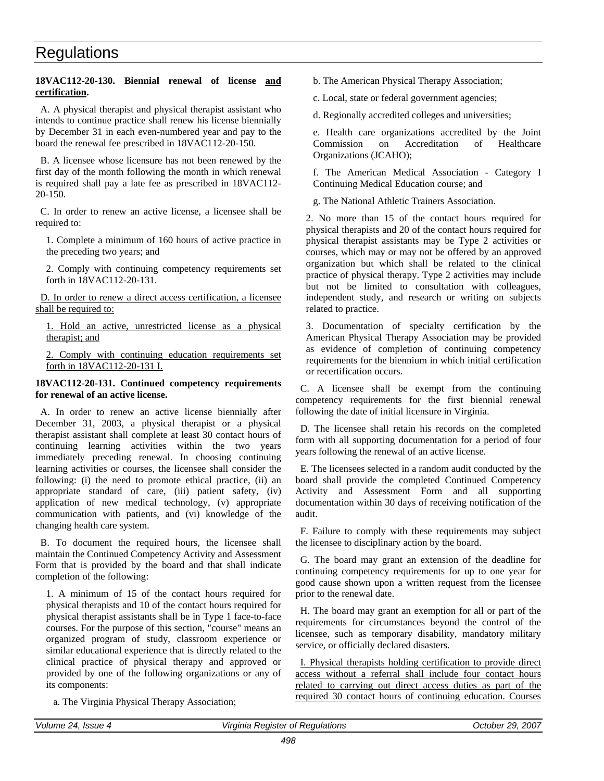### **18VAC112-20-130. Biennial renewal of license and certification.**

A. A physical therapist and physical therapist assistant who intends to continue practice shall renew his license biennially by December 31 in each even-numbered year and pay to the board the renewal fee prescribed in 18VAC112-20-150.

B. A licensee whose licensure has not been renewed by the first day of the month following the month in which renewal is required shall pay a late fee as prescribed in 18VAC112- 20-150.

C. In order to renew an active license, a licensee shall be required to:

1. Complete a minimum of 160 hours of active practice in the preceding two years; and

2. Comply with continuing competency requirements set forth in 18VAC112-20-131.

D. In order to renew a direct access certification, a licensee shall be required to:

1. Hold an active, unrestricted license as a physical therapist; and

2. Comply with continuing education requirements set forth in 18VAC112-20-131 I.

### **18VAC112-20-131. Continued competency requirements for renewal of an active license.**

A. In order to renew an active license biennially after December 31, 2003, a physical therapist or a physical therapist assistant shall complete at least 30 contact hours of continuing learning activities within the two years immediately preceding renewal. In choosing continuing learning activities or courses, the licensee shall consider the following: (i) the need to promote ethical practice, (ii) an appropriate standard of care, (iii) patient safety, (iv) application of new medical technology, (v) appropriate communication with patients, and (vi) knowledge of the changing health care system.

B. To document the required hours, the licensee shall maintain the Continued Competency Activity and Assessment Form that is provided by the board and that shall indicate completion of the following:

1. A minimum of 15 of the contact hours required for physical therapists and 10 of the contact hours required for physical therapist assistants shall be in Type 1 face-to-face courses. For the purpose of this section, "course" means an organized program of study, classroom experience or similar educational experience that is directly related to the clinical practice of physical therapy and approved or provided by one of the following organizations or any of its components:

a. The Virginia Physical Therapy Association;

b. The American Physical Therapy Association;

c. Local, state or federal government agencies;

d. Regionally accredited colleges and universities;

e. Health care organizations accredited by the Joint Commission on Accreditation of Healthcare Organizations (JCAHO);

f. The American Medical Association - Category I Continuing Medical Education course; and

g. The National Athletic Trainers Association.

2. No more than 15 of the contact hours required for physical therapists and 20 of the contact hours required for physical therapist assistants may be Type 2 activities or courses, which may or may not be offered by an approved organization but which shall be related to the clinical practice of physical therapy. Type 2 activities may include but not be limited to consultation with colleagues, independent study, and research or writing on subjects related to practice.

3. Documentation of specialty certification by the American Physical Therapy Association may be provided as evidence of completion of continuing competency requirements for the biennium in which initial certification or recertification occurs.

C. A licensee shall be exempt from the continuing competency requirements for the first biennial renewal following the date of initial licensure in Virginia.

D. The licensee shall retain his records on the completed form with all supporting documentation for a period of four years following the renewal of an active license.

E. The licensees selected in a random audit conducted by the board shall provide the completed Continued Competency Activity and Assessment Form and all supporting documentation within 30 days of receiving notification of the audit.

F. Failure to comply with these requirements may subject the licensee to disciplinary action by the board.

G. The board may grant an extension of the deadline for continuing competency requirements for up to one year for good cause shown upon a written request from the licensee prior to the renewal date.

H. The board may grant an exemption for all or part of the requirements for circumstances beyond the control of the licensee, such as temporary disability, mandatory military service, or officially declared disasters.

I. Physical therapists holding certification to provide direct access without a referral shall include four contact hours related to carrying out direct access duties as part of the required 30 contact hours of continuing education. Courses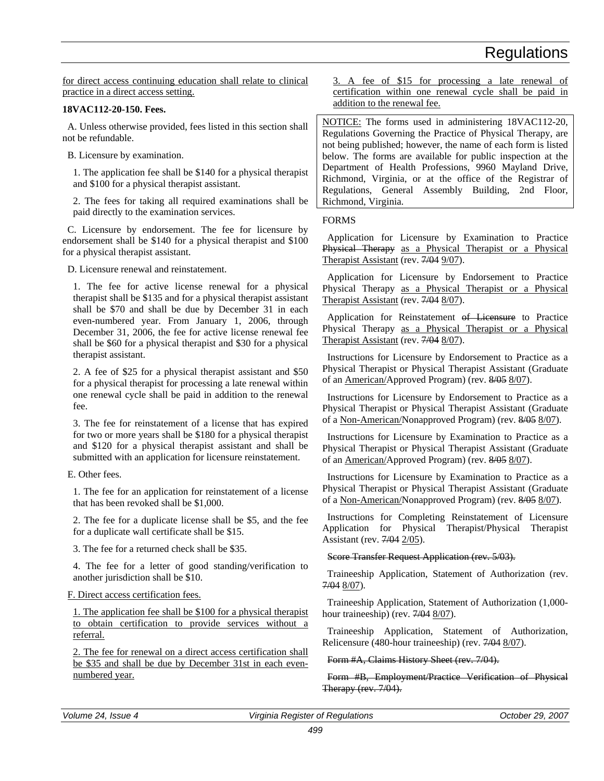for direct access continuing education shall relate to clinical practice in a direct access setting.

### **18VAC112-20-150. Fees.**

A. Unless otherwise provided, fees listed in this section shall not be refundable.

B. Licensure by examination.

1. The application fee shall be \$140 for a physical therapist and \$100 for a physical therapist assistant.

2. The fees for taking all required examinations shall be paid directly to the examination services.

C. Licensure by endorsement. The fee for licensure by endorsement shall be \$140 for a physical therapist and \$100 for a physical therapist assistant.

D. Licensure renewal and reinstatement.

1. The fee for active license renewal for a physical therapist shall be \$135 and for a physical therapist assistant shall be \$70 and shall be due by December 31 in each even-numbered year. From January 1, 2006, through December 31, 2006, the fee for active license renewal fee shall be \$60 for a physical therapist and \$30 for a physical therapist assistant.

2. A fee of \$25 for a physical therapist assistant and \$50 for a physical therapist for processing a late renewal within one renewal cycle shall be paid in addition to the renewal fee.

3. The fee for reinstatement of a license that has expired for two or more years shall be \$180 for a physical therapist and \$120 for a physical therapist assistant and shall be submitted with an application for licensure reinstatement.

E. Other fees.

1. The fee for an application for reinstatement of a license that has been revoked shall be \$1,000.

2. The fee for a duplicate license shall be \$5, and the fee for a duplicate wall certificate shall be \$15.

3. The fee for a returned check shall be \$35.

4. The fee for a letter of good standing/verification to another jurisdiction shall be \$10.

### F. Direct access certification fees.

1. The application fee shall be \$100 for a physical therapist to obtain certification to provide services without a referral.

2. The fee for renewal on a direct access certification shall be \$35 and shall be due by December 31st in each evennumbered year.

3. A fee of \$15 for processing a late renewal of certification within one renewal cycle shall be paid in addition to the renewal fee.

NOTICE: The forms used in administering 18VAC112-20, Regulations Governing the Practice of Physical Therapy, are not being published; however, the name of each form is listed below. The forms are available for public inspection at the Department of Health Professions, 9960 Mayland Drive, Richmond, Virginia, or at the office of the Registrar of Regulations, General Assembly Building, 2nd Floor, Richmond, Virginia.

### FORMS

Application for Licensure by Examination to Practice Physical Therapy as a Physical Therapist or a Physical Therapist Assistant (rev.  $7/04$  9/07).

Application for Licensure by Endorsement to Practice Physical Therapy as a Physical Therapist or a Physical Therapist Assistant (rev.  $7/04$  8/07).

Application for Reinstatement of Licensure to Practice Physical Therapy as a Physical Therapist or a Physical Therapist Assistant (rev. 7/04 8/07).

Instructions for Licensure by Endorsement to Practice as a Physical Therapist or Physical Therapist Assistant (Graduate of an American/Approved Program) (rev. 8/05 8/07).

Instructions for Licensure by Endorsement to Practice as a Physical Therapist or Physical Therapist Assistant (Graduate of a Non-American/Nonapproved Program) (rev. 8/05 8/07).

Instructions for Licensure by Examination to Practice as a Physical Therapist or Physical Therapist Assistant (Graduate of an American/Approved Program) (rev. 8/05 8/07).

Instructions for Licensure by Examination to Practice as a Physical Therapist or Physical Therapist Assistant (Graduate of a Non-American/Nonapproved Program) (rev. 8/05 8/07).

Instructions for Completing Reinstatement of Licensure Application for Physical Therapist/Physical Therapist Assistant (rev. 7/04 2/05).

Score Transfer Request Application (rev. 5/03).

Traineeship Application, Statement of Authorization (rev. 7/04 8/07).

Traineeship Application, Statement of Authorization (1,000 hour traineeship) (rev.  $7/048/07$ ).

Traineeship Application, Statement of Authorization, Relicensure (480-hour traineeship) (rev. 7/04 8/07).

Form #A, Claims History Sheet (rev. 7/04).

Form #B, Employment/Practice Verification of Physical Therapy (rev. 7/04).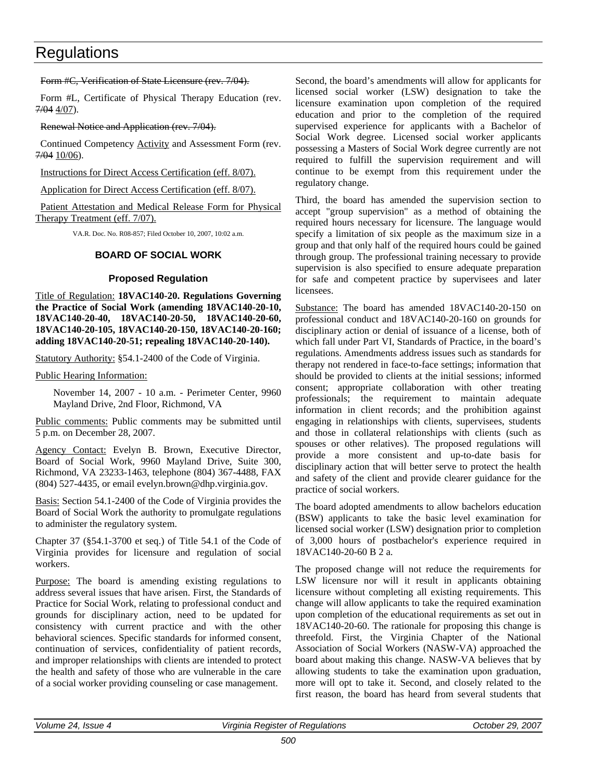Form #C, Verification of State Licensure (rev. 7/04).

Form #L, Certificate of Physical Therapy Education (rev. 7/04 4/07).

### Renewal Notice and Application (rev. 7/04).

Continued Competency Activity and Assessment Form (rev. 7/04 10/06).

Instructions for Direct Access Certification (eff. 8/07).

Application for Direct Access Certification (eff. 8/07).

Patient Attestation and Medical Release Form for Physical Therapy Treatment (eff. 7/07).

VA.R. Doc. No. R08-857; Filed October 10, 2007, 10:02 a.m.

### **BOARD OF SOCIAL WORK**

### **Proposed Regulation**

Title of Regulation: **18VAC140-20. Regulations Governing the Practice of Social Work (amending 18VAC140-20-10, 18VAC140-20-40, 18VAC140-20-50, 18VAC140-20-60, 18VAC140-20-105, 18VAC140-20-150, 18VAC140-20-160; adding 18VAC140-20-51; repealing 18VAC140-20-140).**

Statutory Authority: §54.1-2400 of the Code of Virginia.

Public Hearing Information:

November 14, 2007 - 10 a.m. - Perimeter Center, 9960 Mayland Drive, 2nd Floor, Richmond, VA

Public comments: Public comments may be submitted until 5 p.m. on December 28, 2007.

Agency Contact: Evelyn B. Brown, Executive Director, Board of Social Work, 9960 Mayland Drive, Suite 300, Richmond, VA 23233-1463, telephone (804) 367-4488, FAX (804) 527-4435, or email evelyn.brown@dhp.virginia.gov.

Basis: Section 54.1-2400 of the Code of Virginia provides the Board of Social Work the authority to promulgate regulations to administer the regulatory system.

Chapter 37 (§54.1-3700 et seq.) of Title 54.1 of the Code of Virginia provides for licensure and regulation of social workers.

Purpose: The board is amending existing regulations to address several issues that have arisen. First, the Standards of Practice for Social Work, relating to professional conduct and grounds for disciplinary action, need to be updated for consistency with current practice and with the other behavioral sciences. Specific standards for informed consent, continuation of services, confidentiality of patient records, and improper relationships with clients are intended to protect the health and safety of those who are vulnerable in the care of a social worker providing counseling or case management.

Second, the board's amendments will allow for applicants for licensed social worker (LSW) designation to take the licensure examination upon completion of the required education and prior to the completion of the required supervised experience for applicants with a Bachelor of Social Work degree. Licensed social worker applicants possessing a Masters of Social Work degree currently are not required to fulfill the supervision requirement and will continue to be exempt from this requirement under the regulatory change.

Third, the board has amended the supervision section to accept "group supervision" as a method of obtaining the required hours necessary for licensure. The language would specify a limitation of six people as the maximum size in a group and that only half of the required hours could be gained through group. The professional training necessary to provide supervision is also specified to ensure adequate preparation for safe and competent practice by supervisees and later licensees.

Substance: The board has amended 18VAC140-20-150 on professional conduct and 18VAC140-20-160 on grounds for disciplinary action or denial of issuance of a license, both of which fall under Part VI, Standards of Practice, in the board's regulations. Amendments address issues such as standards for therapy not rendered in face-to-face settings; information that should be provided to clients at the initial sessions; informed consent; appropriate collaboration with other treating professionals; the requirement to maintain adequate information in client records; and the prohibition against engaging in relationships with clients, supervisees, students and those in collateral relationships with clients (such as spouses or other relatives). The proposed regulations will provide a more consistent and up-to-date basis for disciplinary action that will better serve to protect the health and safety of the client and provide clearer guidance for the practice of social workers.

The board adopted amendments to allow bachelors education (BSW) applicants to take the basic level examination for licensed social worker (LSW) designation prior to completion of 3,000 hours of postbachelor's experience required in 18VAC140-20-60 B 2 a.

The proposed change will not reduce the requirements for LSW licensure nor will it result in applicants obtaining licensure without completing all existing requirements. This change will allow applicants to take the required examination upon completion of the educational requirements as set out in 18VAC140-20-60. The rationale for proposing this change is threefold. First, the Virginia Chapter of the National Association of Social Workers (NASW-VA) approached the board about making this change. NASW-VA believes that by allowing students to take the examination upon graduation, more will opt to take it. Second, and closely related to the first reason, the board has heard from several students that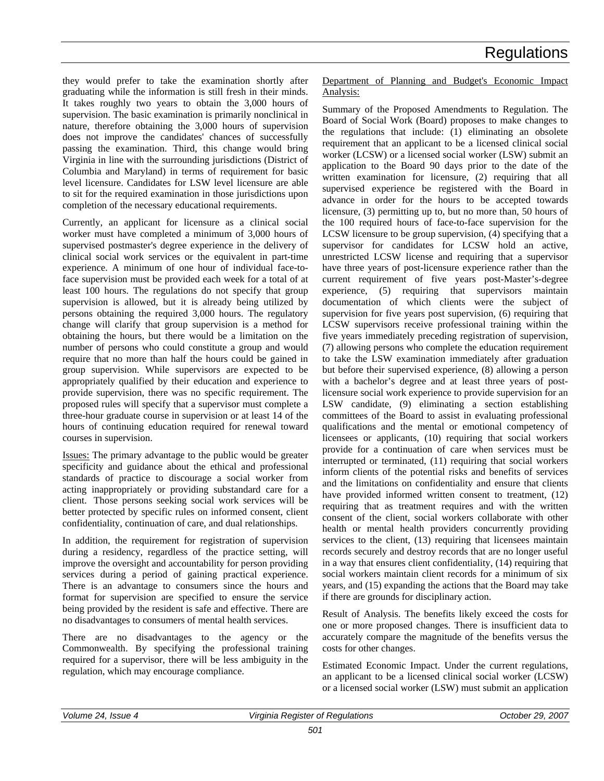they would prefer to take the examination shortly after graduating while the information is still fresh in their minds. It takes roughly two years to obtain the 3,000 hours of supervision. The basic examination is primarily nonclinical in nature, therefore obtaining the 3,000 hours of supervision does not improve the candidates' chances of successfully passing the examination. Third, this change would bring Virginia in line with the surrounding jurisdictions (District of Columbia and Maryland) in terms of requirement for basic level licensure. Candidates for LSW level licensure are able to sit for the required examination in those jurisdictions upon completion of the necessary educational requirements.

Currently, an applicant for licensure as a clinical social worker must have completed a minimum of 3,000 hours of supervised postmaster's degree experience in the delivery of clinical social work services or the equivalent in part-time experience. A minimum of one hour of individual face-toface supervision must be provided each week for a total of at least 100 hours. The regulations do not specify that group supervision is allowed, but it is already being utilized by persons obtaining the required 3,000 hours. The regulatory change will clarify that group supervision is a method for obtaining the hours, but there would be a limitation on the number of persons who could constitute a group and would require that no more than half the hours could be gained in group supervision. While supervisors are expected to be appropriately qualified by their education and experience to provide supervision, there was no specific requirement. The proposed rules will specify that a supervisor must complete a three-hour graduate course in supervision or at least 14 of the hours of continuing education required for renewal toward courses in supervision.

Issues: The primary advantage to the public would be greater specificity and guidance about the ethical and professional standards of practice to discourage a social worker from acting inappropriately or providing substandard care for a client. Those persons seeking social work services will be better protected by specific rules on informed consent, client confidentiality, continuation of care, and dual relationships.

In addition, the requirement for registration of supervision during a residency, regardless of the practice setting, will improve the oversight and accountability for person providing services during a period of gaining practical experience. There is an advantage to consumers since the hours and format for supervision are specified to ensure the service being provided by the resident is safe and effective. There are no disadvantages to consumers of mental health services.

There are no disadvantages to the agency or the Commonwealth. By specifying the professional training required for a supervisor, there will be less ambiguity in the regulation, which may encourage compliance.

Department of Planning and Budget's Economic Impact Analysis:

Summary of the Proposed Amendments to Regulation. The Board of Social Work (Board) proposes to make changes to the regulations that include: (1) eliminating an obsolete requirement that an applicant to be a licensed clinical social worker (LCSW) or a licensed social worker (LSW) submit an application to the Board 90 days prior to the date of the written examination for licensure, (2) requiring that all supervised experience be registered with the Board in advance in order for the hours to be accepted towards licensure, (3) permitting up to, but no more than, 50 hours of the 100 required hours of face-to-face supervision for the LCSW licensure to be group supervision, (4) specifying that a supervisor for candidates for LCSW hold an active, unrestricted LCSW license and requiring that a supervisor have three years of post-licensure experience rather than the current requirement of five years post-Master's-degree experience, (5) requiring that supervisors maintain documentation of which clients were the subject of supervision for five years post supervision, (6) requiring that LCSW supervisors receive professional training within the five years immediately preceding registration of supervision, (7) allowing persons who complete the education requirement to take the LSW examination immediately after graduation but before their supervised experience, (8) allowing a person with a bachelor's degree and at least three years of postlicensure social work experience to provide supervision for an LSW candidate, (9) eliminating a section establishing committees of the Board to assist in evaluating professional qualifications and the mental or emotional competency of licensees or applicants, (10) requiring that social workers provide for a continuation of care when services must be interrupted or terminated, (11) requiring that social workers inform clients of the potential risks and benefits of services and the limitations on confidentiality and ensure that clients have provided informed written consent to treatment,  $(12)$ requiring that as treatment requires and with the written consent of the client, social workers collaborate with other health or mental health providers concurrently providing services to the client, (13) requiring that licensees maintain records securely and destroy records that are no longer useful in a way that ensures client confidentiality, (14) requiring that social workers maintain client records for a minimum of six years, and (15) expanding the actions that the Board may take if there are grounds for disciplinary action.

Result of Analysis. The benefits likely exceed the costs for one or more proposed changes. There is insufficient data to accurately compare the magnitude of the benefits versus the costs for other changes.

Estimated Economic Impact. Under the current regulations, an applicant to be a licensed clinical social worker (LCSW) or a licensed social worker (LSW) must submit an application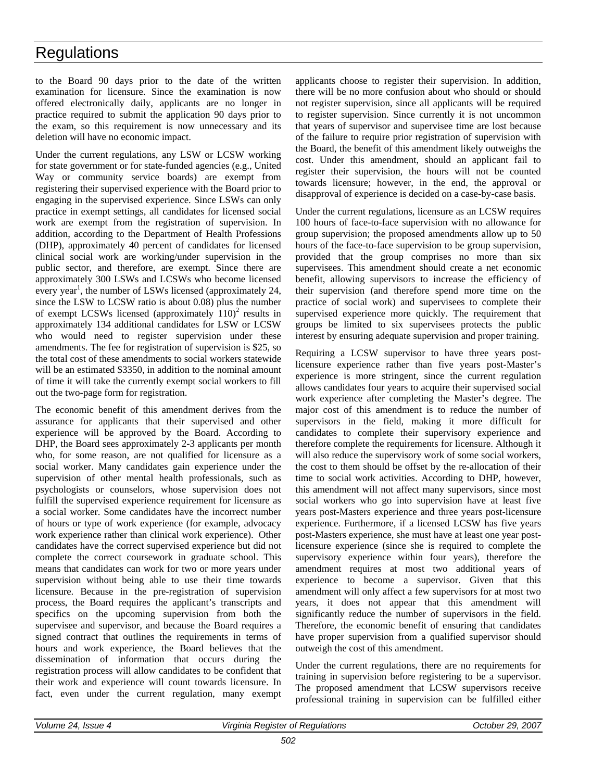to the Board 90 days prior to the date of the written examination for licensure. Since the examination is now offered electronically daily, applicants are no longer in practice required to submit the application 90 days prior to the exam, so this requirement is now unnecessary and its deletion will have no economic impact.

Under the current regulations, any LSW or LCSW working for state government or for state-funded agencies (e.g., United Way or community service boards) are exempt from registering their supervised experience with the Board prior to engaging in the supervised experience. Since LSWs can only practice in exempt settings, all candidates for licensed social work are exempt from the registration of supervision. In addition, according to the Department of Health Professions (DHP), approximately 40 percent of candidates for licensed clinical social work are working/under supervision in the public sector, and therefore, are exempt. Since there are approximately 300 LSWs and LCSWs who become licensed every year<sup>1</sup>, the number of LSWs licensed (approximately 24, since the LSW to LCSW ratio is about 0.08) plus the number of exempt LCSWs licensed (approximately  $110)^2$  results in approximately 134 additional candidates for LSW or LCSW who would need to register supervision under these amendments. The fee for registration of supervision is \$25, so the total cost of these amendments to social workers statewide will be an estimated \$3350, in addition to the nominal amount of time it will take the currently exempt social workers to fill out the two-page form for registration.

The economic benefit of this amendment derives from the assurance for applicants that their supervised and other experience will be approved by the Board. According to DHP, the Board sees approximately 2-3 applicants per month who, for some reason, are not qualified for licensure as a social worker. Many candidates gain experience under the supervision of other mental health professionals, such as psychologists or counselors, whose supervision does not fulfill the supervised experience requirement for licensure as a social worker. Some candidates have the incorrect number of hours or type of work experience (for example, advocacy work experience rather than clinical work experience). Other candidates have the correct supervised experience but did not complete the correct coursework in graduate school. This means that candidates can work for two or more years under supervision without being able to use their time towards licensure. Because in the pre-registration of supervision process, the Board requires the applicant's transcripts and specifics on the upcoming supervision from both the supervisee and supervisor, and because the Board requires a signed contract that outlines the requirements in terms of hours and work experience, the Board believes that the dissemination of information that occurs during the registration process will allow candidates to be confident that their work and experience will count towards licensure. In fact, even under the current regulation, many exempt

applicants choose to register their supervision. In addition, there will be no more confusion about who should or should not register supervision, since all applicants will be required to register supervision. Since currently it is not uncommon that years of supervisor and supervisee time are lost because of the failure to require prior registration of supervision with the Board, the benefit of this amendment likely outweighs the cost. Under this amendment, should an applicant fail to register their supervision, the hours will not be counted towards licensure; however, in the end, the approval or disapproval of experience is decided on a case-by-case basis.

Under the current regulations, licensure as an LCSW requires 100 hours of face-to-face supervision with no allowance for group supervision; the proposed amendments allow up to 50 hours of the face-to-face supervision to be group supervision, provided that the group comprises no more than six supervisees. This amendment should create a net economic benefit, allowing supervisors to increase the efficiency of their supervision (and therefore spend more time on the practice of social work) and supervisees to complete their supervised experience more quickly. The requirement that groups be limited to six supervisees protects the public interest by ensuring adequate supervision and proper training.

Requiring a LCSW supervisor to have three years postlicensure experience rather than five years post-Master's experience is more stringent, since the current regulation allows candidates four years to acquire their supervised social work experience after completing the Master's degree. The major cost of this amendment is to reduce the number of supervisors in the field, making it more difficult for candidates to complete their supervisory experience and therefore complete the requirements for licensure. Although it will also reduce the supervisory work of some social workers, the cost to them should be offset by the re-allocation of their time to social work activities. According to DHP, however, this amendment will not affect many supervisors, since most social workers who go into supervision have at least five years post-Masters experience and three years post-licensure experience. Furthermore, if a licensed LCSW has five years post-Masters experience, she must have at least one year postlicensure experience (since she is required to complete the supervisory experience within four years), therefore the amendment requires at most two additional years of experience to become a supervisor. Given that this amendment will only affect a few supervisors for at most two years, it does not appear that this amendment will significantly reduce the number of supervisors in the field. Therefore, the economic benefit of ensuring that candidates have proper supervision from a qualified supervisor should outweigh the cost of this amendment.

Under the current regulations, there are no requirements for training in supervision before registering to be a supervisor. The proposed amendment that LCSW supervisors receive professional training in supervision can be fulfilled either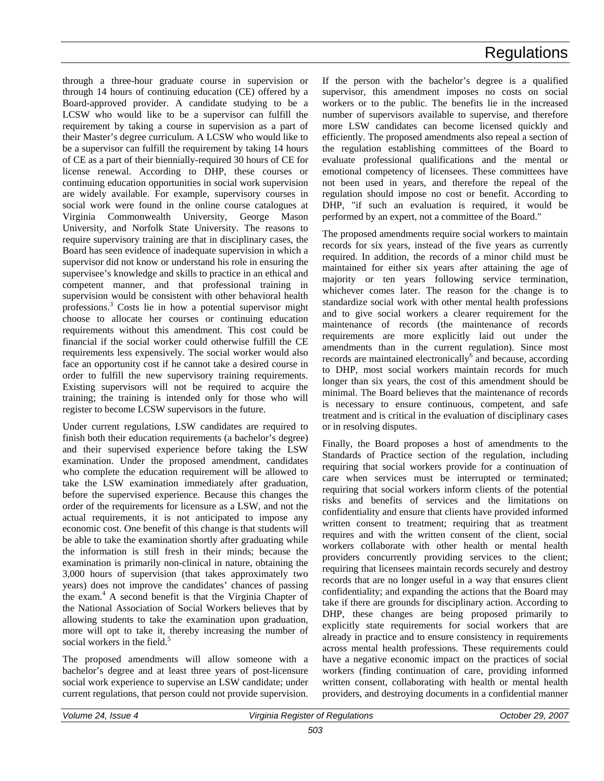through a three-hour graduate course in supervision or through 14 hours of continuing education (CE) offered by a Board-approved provider. A candidate studying to be a LCSW who would like to be a supervisor can fulfill the requirement by taking a course in supervision as a part of their Master's degree curriculum. A LCSW who would like to be a supervisor can fulfill the requirement by taking 14 hours of CE as a part of their biennially-required 30 hours of CE for license renewal. According to DHP, these courses or continuing education opportunities in social work supervision are widely available. For example, supervisory courses in social work were found in the online course catalogues at Virginia Commonwealth University, George Mason University, and Norfolk State University. The reasons to require supervisory training are that in disciplinary cases, the Board has seen evidence of inadequate supervision in which a supervisor did not know or understand his role in ensuring the supervisee's knowledge and skills to practice in an ethical and competent manner, and that professional training in supervision would be consistent with other behavioral health professions.<sup>3</sup> Costs lie in how a potential supervisor might choose to allocate her courses or continuing education requirements without this amendment. This cost could be financial if the social worker could otherwise fulfill the CE requirements less expensively. The social worker would also face an opportunity cost if he cannot take a desired course in order to fulfill the new supervisory training requirements. Existing supervisors will not be required to acquire the training; the training is intended only for those who will register to become LCSW supervisors in the future.

Under current regulations, LSW candidates are required to finish both their education requirements (a bachelor's degree) and their supervised experience before taking the LSW examination. Under the proposed amendment, candidates who complete the education requirement will be allowed to take the LSW examination immediately after graduation, before the supervised experience. Because this changes the order of the requirements for licensure as a LSW, and not the actual requirements, it is not anticipated to impose any economic cost. One benefit of this change is that students will be able to take the examination shortly after graduating while the information is still fresh in their minds; because the examination is primarily non-clinical in nature, obtaining the 3,000 hours of supervision (that takes approximately two years) does not improve the candidates' chances of passing the exam.<sup>4</sup> A second benefit is that the Virginia Chapter of the National Association of Social Workers believes that by allowing students to take the examination upon graduation, more will opt to take it, thereby increasing the number of social workers in the field.<sup>5</sup>

The proposed amendments will allow someone with a bachelor's degree and at least three years of post-licensure social work experience to supervise an LSW candidate; under current regulations, that person could not provide supervision. If the person with the bachelor's degree is a qualified supervisor, this amendment imposes no costs on social workers or to the public. The benefits lie in the increased number of supervisors available to supervise, and therefore more LSW candidates can become licensed quickly and efficiently. The proposed amendments also repeal a section of the regulation establishing committees of the Board to evaluate professional qualifications and the mental or emotional competency of licensees. These committees have not been used in years, and therefore the repeal of the regulation should impose no cost or benefit. According to DHP, "if such an evaluation is required, it would be performed by an expert, not a committee of the Board."

The proposed amendments require social workers to maintain records for six years, instead of the five years as currently required. In addition, the records of a minor child must be maintained for either six years after attaining the age of majority or ten years following service termination, whichever comes later. The reason for the change is to standardize social work with other mental health professions and to give social workers a clearer requirement for the maintenance of records (the maintenance of records requirements are more explicitly laid out under the amendments than in the current regulation). Since most records are maintained electronically $<sup>6</sup>$  and because, according</sup> to DHP, most social workers maintain records for much longer than six years, the cost of this amendment should be minimal. The Board believes that the maintenance of records is necessary to ensure continuous, competent, and safe treatment and is critical in the evaluation of disciplinary cases or in resolving disputes.

Finally, the Board proposes a host of amendments to the Standards of Practice section of the regulation, including requiring that social workers provide for a continuation of care when services must be interrupted or terminated; requiring that social workers inform clients of the potential risks and benefits of services and the limitations on confidentiality and ensure that clients have provided informed written consent to treatment; requiring that as treatment requires and with the written consent of the client, social workers collaborate with other health or mental health providers concurrently providing services to the client; requiring that licensees maintain records securely and destroy records that are no longer useful in a way that ensures client confidentiality; and expanding the actions that the Board may take if there are grounds for disciplinary action. According to DHP, these changes are being proposed primarily to explicitly state requirements for social workers that are already in practice and to ensure consistency in requirements across mental health professions. These requirements could have a negative economic impact on the practices of social workers (finding continuation of care, providing informed written consent, collaborating with health or mental health providers, and destroying documents in a confidential manner

| Issue<br>Volume<br>$\overline{a}$<br> | . Reaister<br>Reaulations<br>Virginia<br>Οt | 2007<br>29.<br><i><b>October</b></i> |
|---------------------------------------|---------------------------------------------|--------------------------------------|
|                                       | $  -$                                       |                                      |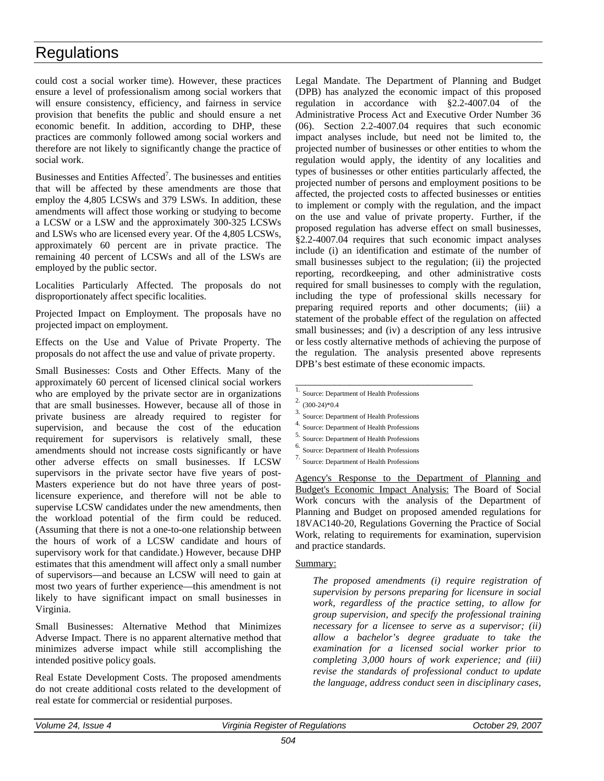could cost a social worker time). However, these practices ensure a level of professionalism among social workers that will ensure consistency, efficiency, and fairness in service provision that benefits the public and should ensure a net economic benefit. In addition, according to DHP, these practices are commonly followed among social workers and therefore are not likely to significantly change the practice of social work.

Businesses and Entities Affected<sup>7</sup>. The businesses and entities that will be affected by these amendments are those that employ the 4,805 LCSWs and 379 LSWs. In addition, these amendments will affect those working or studying to become a LCSW or a LSW and the approximately 300-325 LCSWs and LSWs who are licensed every year. Of the 4,805 LCSWs, approximately 60 percent are in private practice. The remaining 40 percent of LCSWs and all of the LSWs are employed by the public sector.

Localities Particularly Affected. The proposals do not disproportionately affect specific localities.

Projected Impact on Employment. The proposals have no projected impact on employment.

Effects on the Use and Value of Private Property. The proposals do not affect the use and value of private property.

Small Businesses: Costs and Other Effects. Many of the approximately 60 percent of licensed clinical social workers who are employed by the private sector are in organizations that are small businesses. However, because all of those in private business are already required to register for supervision, and because the cost of the education requirement for supervisors is relatively small, these amendments should not increase costs significantly or have other adverse effects on small businesses. If LCSW supervisors in the private sector have five years of post-Masters experience but do not have three years of postlicensure experience, and therefore will not be able to supervise LCSW candidates under the new amendments, then the workload potential of the firm could be reduced. (Assuming that there is not a one-to-one relationship between the hours of work of a LCSW candidate and hours of supervisory work for that candidate.) However, because DHP estimates that this amendment will affect only a small number of supervisors—and because an LCSW will need to gain at most two years of further experience—this amendment is not likely to have significant impact on small businesses in Virginia.

Small Businesses: Alternative Method that Minimizes Adverse Impact. There is no apparent alternative method that minimizes adverse impact while still accomplishing the intended positive policy goals.

Real Estate Development Costs. The proposed amendments do not create additional costs related to the development of real estate for commercial or residential purposes.

Legal Mandate. The Department of Planning and Budget (DPB) has analyzed the economic impact of this proposed regulation in accordance with §2.2-4007.04 of the Administrative Process Act and Executive Order Number 36 (06). Section 2.2-4007.04 requires that such economic impact analyses include, but need not be limited to, the projected number of businesses or other entities to whom the regulation would apply, the identity of any localities and types of businesses or other entities particularly affected, the projected number of persons and employment positions to be affected, the projected costs to affected businesses or entities to implement or comply with the regulation, and the impact on the use and value of private property. Further, if the proposed regulation has adverse effect on small businesses, §2.2-4007.04 requires that such economic impact analyses include (i) an identification and estimate of the number of small businesses subject to the regulation; (ii) the projected reporting, recordkeeping, and other administrative costs required for small businesses to comply with the regulation, including the type of professional skills necessary for preparing required reports and other documents; (iii) a statement of the probable effect of the regulation on affected small businesses; and (iv) a description of any less intrusive or less costly alternative methods of achieving the purpose of the regulation. The analysis presented above represents DPB's best estimate of these economic impacts.

 $\overline{1.}$  Source: Department of Health Professions

\_\_\_\_\_\_\_\_\_\_\_\_\_\_\_\_\_\_\_\_\_\_\_\_\_\_\_\_\_\_\_\_\_\_\_\_

- 2. (300-24)\*0.4
- 3. Source: Department of Health Professions
- 4. Source: Department of Health Professions
- 5. Source: Department of Health Professions
- 6. Source: Department of Health Professions
- 7. Source: Department of Health Professions

Agency's Response to the Department of Planning and Budget's Economic Impact Analysis: The Board of Social Work concurs with the analysis of the Department of Planning and Budget on proposed amended regulations for 18VAC140-20, Regulations Governing the Practice of Social Work, relating to requirements for examination, supervision and practice standards.

#### Summary:

*The proposed amendments (i) require registration of supervision by persons preparing for licensure in social work, regardless of the practice setting, to allow for group supervision, and specify the professional training necessary for a licensee to serve as a supervisor; (ii) allow a bachelor's degree graduate to take the examination for a licensed social worker prior to completing 3,000 hours of work experience; and (iii) revise the standards of professional conduct to update the language, address conduct seen in disciplinary cases,*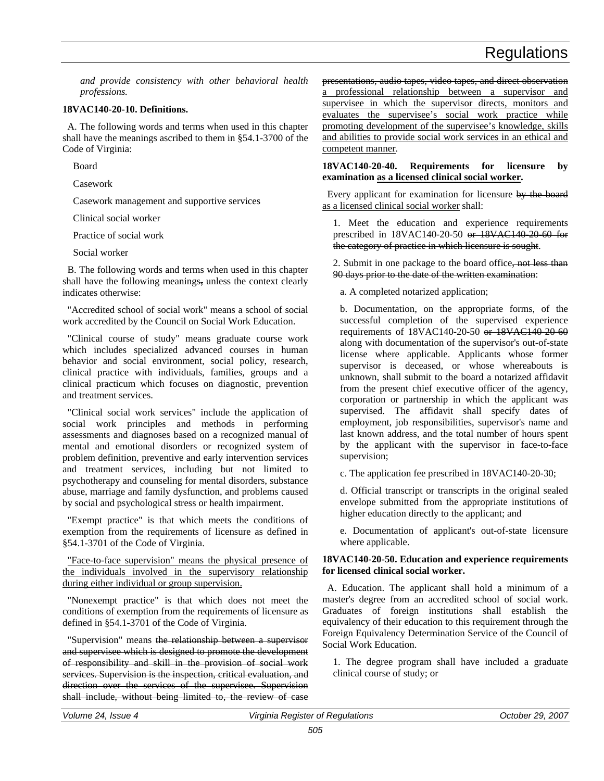*and provide consistency with other behavioral health professions.*

#### **18VAC140-20-10. Definitions.**

A. The following words and terms when used in this chapter shall have the meanings ascribed to them in §54.1-3700 of the Code of Virginia:

Board

Casework

Casework management and supportive services

Clinical social worker

Practice of social work

Social worker

B. The following words and terms when used in this chapter shall have the following meanings, unless the context clearly indicates otherwise:

"Accredited school of social work" means a school of social work accredited by the Council on Social Work Education.

"Clinical course of study" means graduate course work which includes specialized advanced courses in human behavior and social environment, social policy, research, clinical practice with individuals, families, groups and a clinical practicum which focuses on diagnostic, prevention and treatment services.

"Clinical social work services" include the application of social work principles and methods in performing assessments and diagnoses based on a recognized manual of mental and emotional disorders or recognized system of problem definition, preventive and early intervention services and treatment services, including but not limited to psychotherapy and counseling for mental disorders, substance abuse, marriage and family dysfunction, and problems caused by social and psychological stress or health impairment.

"Exempt practice" is that which meets the conditions of exemption from the requirements of licensure as defined in §54.1-3701 of the Code of Virginia.

"Face-to-face supervision" means the physical presence of the individuals involved in the supervisory relationship during either individual or group supervision.

"Nonexempt practice" is that which does not meet the conditions of exemption from the requirements of licensure as defined in §54.1-3701 of the Code of Virginia.

"Supervision" means the relationship between a supervisor and supervisee which is designed to promote the development of responsibility and skill in the provision of social work services. Supervision is the inspection, critical evaluation, and direction over the services of the supervisee. Supervision shall include, without being limited to, the review of case

presentations, audio tapes, video tapes, and direct observation a professional relationship between a supervisor and supervisee in which the supervisor directs, monitors and evaluates the supervisee's social work practice while promoting development of the supervisee's knowledge, skills and abilities to provide social work services in an ethical and competent manner.

### **18VAC140-20-40. Requirements for licensure by examination as a licensed clinical social worker.**

Every applicant for examination for licensure by the board as a licensed clinical social worker shall:

1. Meet the education and experience requirements prescribed in 18VAC140-20-50 or 18VAC140-20-60 for the category of practice in which licensure is sought.

2. Submit in one package to the board office, not less than 90 days prior to the date of the written examination:

a. A completed notarized application;

b. Documentation, on the appropriate forms, of the successful completion of the supervised experience requirements of 18VAC140-20-50 or 18VAC140-20-60 along with documentation of the supervisor's out-of-state license where applicable. Applicants whose former supervisor is deceased, or whose whereabouts is unknown, shall submit to the board a notarized affidavit from the present chief executive officer of the agency, corporation or partnership in which the applicant was supervised. The affidavit shall specify dates of employment, job responsibilities, supervisor's name and last known address, and the total number of hours spent by the applicant with the supervisor in face-to-face supervision;

c. The application fee prescribed in 18VAC140-20-30;

d. Official transcript or transcripts in the original sealed envelope submitted from the appropriate institutions of higher education directly to the applicant; and

e. Documentation of applicant's out-of-state licensure where applicable.

### **18VAC140-20-50. Education and experience requirements for licensed clinical social worker.**

A. Education. The applicant shall hold a minimum of a master's degree from an accredited school of social work. Graduates of foreign institutions shall establish the equivalency of their education to this requirement through the Foreign Equivalency Determination Service of the Council of Social Work Education.

1. The degree program shall have included a graduate clinical course of study; or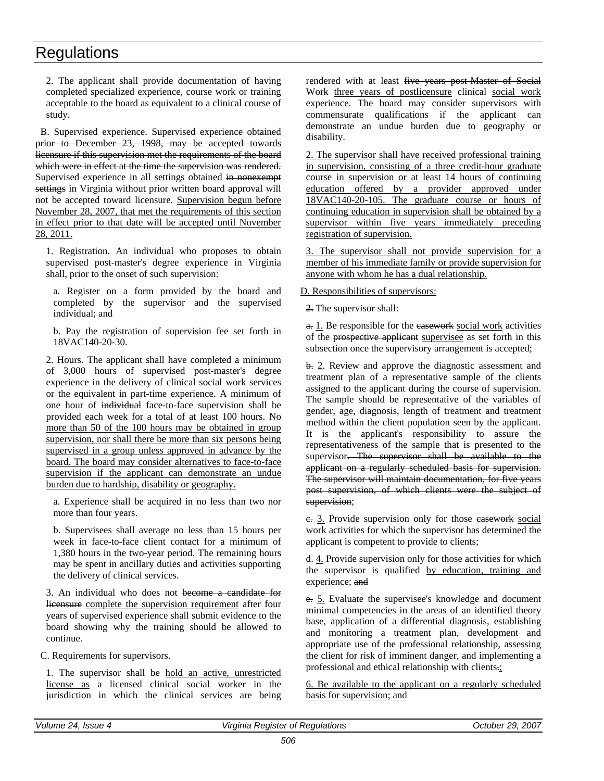2. The applicant shall provide documentation of having completed specialized experience, course work or training acceptable to the board as equivalent to a clinical course of study.

B. Supervised experience. Supervised experience obtained prior to December 23, 1998, may be accepted towards licensure if this supervision met the requirements of the board which were in effect at the time the supervision was rendered. Supervised experience in all settings obtained in nonexempt settings in Virginia without prior written board approval will not be accepted toward licensure. Supervision begun before November 28, 2007, that met the requirements of this section in effect prior to that date will be accepted until November 28, 2011.

1. Registration. An individual who proposes to obtain supervised post-master's degree experience in Virginia shall, prior to the onset of such supervision:

a. Register on a form provided by the board and completed by the supervisor and the supervised individual; and

b. Pay the registration of supervision fee set forth in 18VAC140-20-30.

2. Hours. The applicant shall have completed a minimum of 3,000 hours of supervised post-master's degree experience in the delivery of clinical social work services or the equivalent in part-time experience. A minimum of one hour of individual face-to-face supervision shall be provided each week for a total of at least 100 hours. No more than 50 of the 100 hours may be obtained in group supervision, nor shall there be more than six persons being supervised in a group unless approved in advance by the board. The board may consider alternatives to face-to-face supervision if the applicant can demonstrate an undue burden due to hardship, disability or geography.

a. Experience shall be acquired in no less than two nor more than four years.

b. Supervisees shall average no less than 15 hours per week in face-to-face client contact for a minimum of 1,380 hours in the two-year period. The remaining hours may be spent in ancillary duties and activities supporting the delivery of clinical services.

3. An individual who does not become a candidate for licensure complete the supervision requirement after four years of supervised experience shall submit evidence to the board showing why the training should be allowed to continue.

C. Requirements for supervisors.

1. The supervisor shall be hold an active, unrestricted license as a licensed clinical social worker in the jurisdiction in which the clinical services are being rendered with at least five years post-Master of Social Work three years of postlicensure clinical social work experience. The board may consider supervisors with commensurate qualifications if the applicant can demonstrate an undue burden due to geography or disability.

2. The supervisor shall have received professional training in supervision, consisting of a three credit-hour graduate course in supervision or at least 14 hours of continuing education offered by a provider approved under 18VAC140-20-105. The graduate course or hours of continuing education in supervision shall be obtained by a supervisor within five years immediately preceding registration of supervision.

3. The supervisor shall not provide supervision for a member of his immediate family or provide supervision for anyone with whom he has a dual relationship.

#### D. Responsibilities of supervisors:

2. The supervisor shall:

a. 1. Be responsible for the easework social work activities of the prospective applicant supervisee as set forth in this subsection once the supervisory arrangement is accepted;

b. 2. Review and approve the diagnostic assessment and treatment plan of a representative sample of the clients assigned to the applicant during the course of supervision. The sample should be representative of the variables of gender, age, diagnosis, length of treatment and treatment method within the client population seen by the applicant. It is the applicant's responsibility to assure the representativeness of the sample that is presented to the supervisor. The supervisor shall be available to the applicant on a regularly scheduled basis for supervision. The supervisor will maintain documentation, for five years post supervision, of which clients were the subject of supervision;

e. 3. Provide supervision only for those easework social work activities for which the supervisor has determined the applicant is competent to provide to clients;

d. 4. Provide supervision only for those activities for which the supervisor is qualified by education, training and experience; and

e. 5. Evaluate the supervisee's knowledge and document minimal competencies in the areas of an identified theory base, application of a differential diagnosis, establishing and monitoring a treatment plan, development and appropriate use of the professional relationship, assessing the client for risk of imminent danger, and implementing a professional and ethical relationship with clients.;

6. Be available to the applicant on a regularly scheduled basis for supervision; and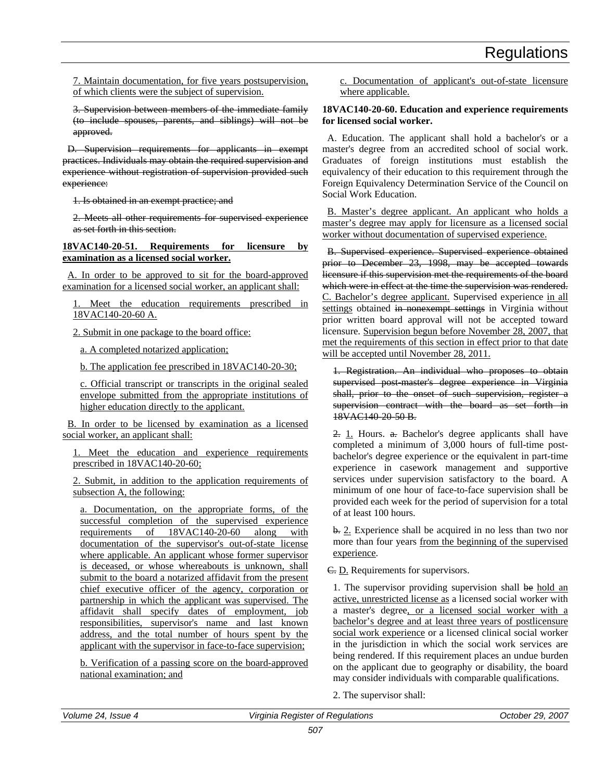7. Maintain documentation, for five years postsupervision, of which clients were the subject of supervision.

3. Supervision between members of the immediate family (to include spouses, parents, and siblings) will not be approved.

D. Supervision requirements for applicants in exempt practices. Individuals may obtain the required supervision and experience without registration of supervision provided such experience:

1. Is obtained in an exempt practice; and

2. Meets all other requirements for supervised experience as set forth in this section.

**18VAC140-20-51. Requirements for licensure by examination as a licensed social worker.**

A. In order to be approved to sit for the board-approved examination for a licensed social worker, an applicant shall:

1. Meet the education requirements prescribed in 18VAC140-20-60 A.

2. Submit in one package to the board office:

a. A completed notarized application;

b. The application fee prescribed in 18VAC140-20-30;

c. Official transcript or transcripts in the original sealed envelope submitted from the appropriate institutions of higher education directly to the applicant.

B. In order to be licensed by examination as a licensed social worker, an applicant shall:

1. Meet the education and experience requirements prescribed in 18VAC140-20-60;

2. Submit, in addition to the application requirements of subsection A, the following:

a. Documentation, on the appropriate forms, of the successful completion of the supervised experience requirements of 18VAC140-20-60 along with documentation of the supervisor's out-of-state license where applicable. An applicant whose former supervisor is deceased, or whose whereabouts is unknown, shall submit to the board a notarized affidavit from the present chief executive officer of the agency, corporation or partnership in which the applicant was supervised. The affidavit shall specify dates of employment, job responsibilities, supervisor's name and last known address, and the total number of hours spent by the applicant with the supervisor in face-to-face supervision;

b. Verification of a passing score on the board-approved national examination; and

c. Documentation of applicant's out-of-state licensure where applicable.

### **18VAC140-20-60. Education and experience requirements for licensed social worker.**

A. Education. The applicant shall hold a bachelor's or a master's degree from an accredited school of social work. Graduates of foreign institutions must establish the equivalency of their education to this requirement through the Foreign Equivalency Determination Service of the Council on Social Work Education.

B. Master's degree applicant. An applicant who holds a master's degree may apply for licensure as a licensed social worker without documentation of supervised experience.

B. Supervised experience. Supervised experience obtained prior to December 23, 1998, may be accepted towards licensure if this supervision met the requirements of the board which were in effect at the time the supervision was rendered. C. Bachelor's degree applicant. Supervised experience in all settings obtained in nonexempt settings in Virginia without prior written board approval will not be accepted toward licensure. Supervision begun before November 28, 2007, that met the requirements of this section in effect prior to that date will be accepted until November 28, 2011.

1. Registration. An individual who proposes to obtain supervised post-master's degree experience in Virginia shall, prior to the onset of such supervision, register a supervision contract with the board as set forth in 18VAC140-20-50 B.

2. 1. Hours. a. Bachelor's degree applicants shall have completed a minimum of 3,000 hours of full-time postbachelor's degree experience or the equivalent in part-time experience in casework management and supportive services under supervision satisfactory to the board. A minimum of one hour of face-to-face supervision shall be provided each week for the period of supervision for a total of at least 100 hours.

b. 2. Experience shall be acquired in no less than two nor more than four years from the beginning of the supervised experience.

C. D. Requirements for supervisors.

1. The supervisor providing supervision shall be hold an active, unrestricted license as a licensed social worker with a master's degree, or a licensed social worker with a bachelor's degree and at least three years of postlicensure social work experience or a licensed clinical social worker in the jurisdiction in which the social work services are being rendered. If this requirement places an undue burden on the applicant due to geography or disability, the board may consider individuals with comparable qualifications.

2. The supervisor shall: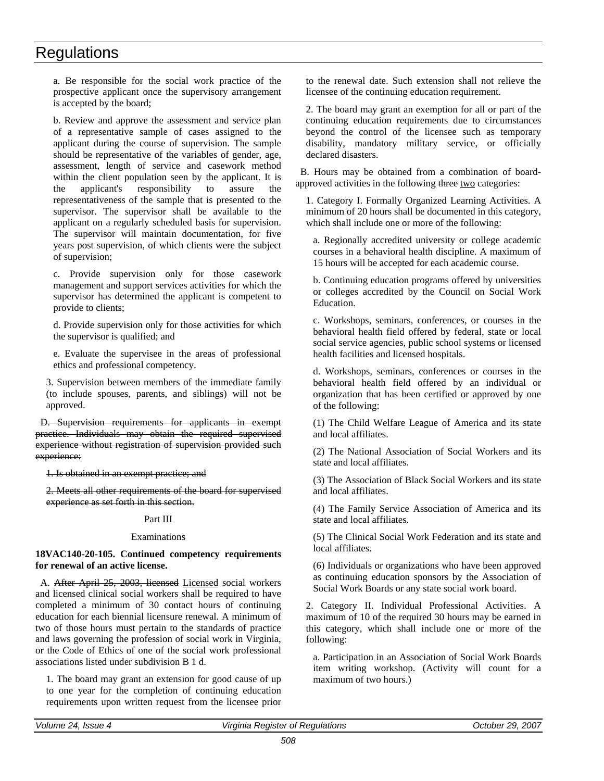a. Be responsible for the social work practice of the prospective applicant once the supervisory arrangement is accepted by the board;

b. Review and approve the assessment and service plan of a representative sample of cases assigned to the applicant during the course of supervision. The sample should be representative of the variables of gender, age, assessment, length of service and casework method within the client population seen by the applicant. It is the applicant's responsibility to assure the representativeness of the sample that is presented to the supervisor. The supervisor shall be available to the applicant on a regularly scheduled basis for supervision. The supervisor will maintain documentation, for five years post supervision, of which clients were the subject of supervision;

c. Provide supervision only for those casework management and support services activities for which the supervisor has determined the applicant is competent to provide to clients;

d. Provide supervision only for those activities for which the supervisor is qualified; and

e. Evaluate the supervisee in the areas of professional ethics and professional competency.

3. Supervision between members of the immediate family (to include spouses, parents, and siblings) will not be approved.

D. Supervision requirements for applicants in exempt practice. Individuals may obtain the required supervised experience without registration of supervision provided such experience:

1. Is obtained in an exempt practice; and

2. Meets all other requirements of the board for supervised experience as set forth in this section.

### Part III

#### Examinations

**18VAC140-20-105. Continued competency requirements for renewal of an active license.** 

A. After April 25, 2003, licensed Licensed social workers and licensed clinical social workers shall be required to have completed a minimum of 30 contact hours of continuing education for each biennial licensure renewal. A minimum of two of those hours must pertain to the standards of practice and laws governing the profession of social work in Virginia, or the Code of Ethics of one of the social work professional associations listed under subdivision B 1 d.

1. The board may grant an extension for good cause of up to one year for the completion of continuing education requirements upon written request from the licensee prior

to the renewal date. Such extension shall not relieve the licensee of the continuing education requirement.

2. The board may grant an exemption for all or part of the continuing education requirements due to circumstances beyond the control of the licensee such as temporary disability, mandatory military service, or officially declared disasters.

B. Hours may be obtained from a combination of boardapproved activities in the following three two categories:

1. Category I. Formally Organized Learning Activities. A minimum of 20 hours shall be documented in this category, which shall include one or more of the following:

a. Regionally accredited university or college academic courses in a behavioral health discipline. A maximum of 15 hours will be accepted for each academic course.

b. Continuing education programs offered by universities or colleges accredited by the Council on Social Work Education.

c. Workshops, seminars, conferences, or courses in the behavioral health field offered by federal, state or local social service agencies, public school systems or licensed health facilities and licensed hospitals.

d. Workshops, seminars, conferences or courses in the behavioral health field offered by an individual or organization that has been certified or approved by one of the following:

(1) The Child Welfare League of America and its state and local affiliates.

(2) The National Association of Social Workers and its state and local affiliates.

(3) The Association of Black Social Workers and its state and local affiliates.

(4) The Family Service Association of America and its state and local affiliates.

(5) The Clinical Social Work Federation and its state and local affiliates.

(6) Individuals or organizations who have been approved as continuing education sponsors by the Association of Social Work Boards or any state social work board.

2. Category II. Individual Professional Activities. A maximum of 10 of the required 30 hours may be earned in this category, which shall include one or more of the following:

a. Participation in an Association of Social Work Boards item writing workshop. (Activity will count for a maximum of two hours.)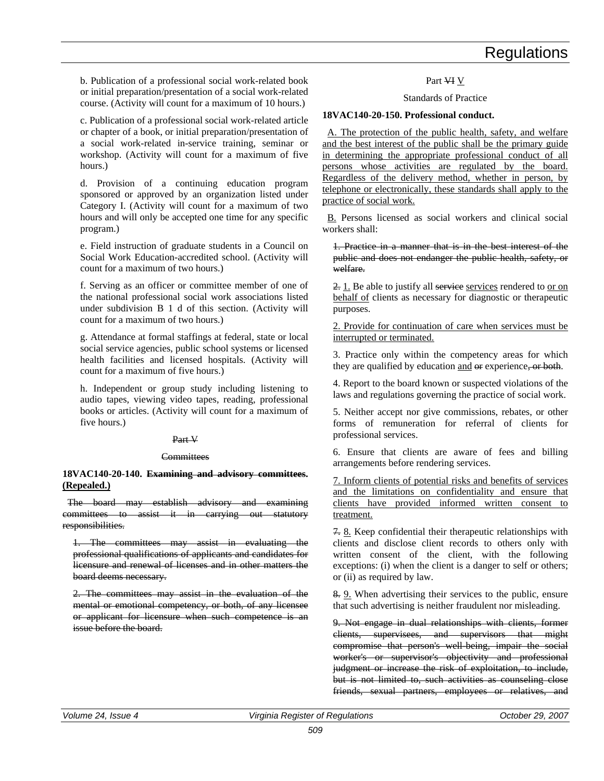b. Publication of a professional social work-related book or initial preparation/presentation of a social work-related course. (Activity will count for a maximum of 10 hours.)

c. Publication of a professional social work-related article or chapter of a book, or initial preparation/presentation of a social work-related in-service training, seminar or workshop. (Activity will count for a maximum of five hours.)

d. Provision of a continuing education program sponsored or approved by an organization listed under Category I. (Activity will count for a maximum of two hours and will only be accepted one time for any specific program.)

e. Field instruction of graduate students in a Council on Social Work Education-accredited school. (Activity will count for a maximum of two hours.)

f. Serving as an officer or committee member of one of the national professional social work associations listed under subdivision B 1 d of this section. (Activity will count for a maximum of two hours.)

g. Attendance at formal staffings at federal, state or local social service agencies, public school systems or licensed health facilities and licensed hospitals. (Activity will count for a maximum of five hours.)

h. Independent or group study including listening to audio tapes, viewing video tapes, reading, professional books or articles. (Activity will count for a maximum of five hours.)

#### Part V

#### **Committees**

#### **18VAC140-20-140. Examining and advisory committees. (Repealed.)**

The board may establish advisory and examining committees to assist it in carrying out statutory responsibilities.

1. The committees may assist in evaluating the professional qualifications of applicants and candidates for licensure and renewal of licenses and in other matters the board deems necessary.

2. The committees may assist in the evaluation of the mental or emotional competency, or both, of any licensee or applicant for licensure when such competence is an issue before the board.

#### Part VI V

Standards of Practice

### **18VAC140-20-150. Professional conduct.**

A. The protection of the public health, safety, and welfare and the best interest of the public shall be the primary guide in determining the appropriate professional conduct of all persons whose activities are regulated by the board. Regardless of the delivery method, whether in person, by telephone or electronically, these standards shall apply to the practice of social work.

B. Persons licensed as social workers and clinical social workers shall:

1. Practice in a manner that is in the best interest of the public and does not endanger the public health, safety, or welfare.

2. 1. Be able to justify all services rendered to or on behalf of clients as necessary for diagnostic or therapeutic purposes.

2. Provide for continuation of care when services must be interrupted or terminated.

3. Practice only within the competency areas for which they are qualified by education and  $\Theta$  experience, or both.

4. Report to the board known or suspected violations of the laws and regulations governing the practice of social work.

5. Neither accept nor give commissions, rebates, or other forms of remuneration for referral of clients for professional services.

6. Ensure that clients are aware of fees and billing arrangements before rendering services.

7. Inform clients of potential risks and benefits of services and the limitations on confidentiality and ensure that clients have provided informed written consent to treatment.

7. 8. Keep confidential their therapeutic relationships with clients and disclose client records to others only with written consent of the client, with the following exceptions: (i) when the client is a danger to self or others; or (ii) as required by law.

8. 9. When advertising their services to the public, ensure that such advertising is neither fraudulent nor misleading.

9. Not engage in dual relationships with clients, former clients, supervisees, and supervisors that might compromise that person's well-being, impair the social worker's or supervisor's objectivity and professional judgment or increase the risk of exploitation, to include, but is not limited to, such activities as counseling close friends, sexual partners, employees or relatives, and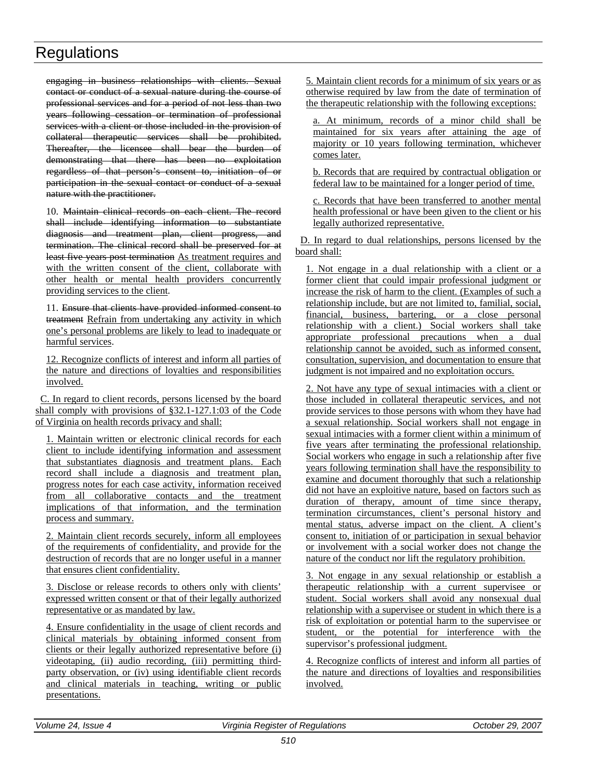engaging in business relationships with clients. Sexual contact or conduct of a sexual nature during the course of professional services and for a period of not less than two years following cessation or termination of professional services with a client or those included in the provision of collateral therapeutic services shall be prohibited. Thereafter, the licensee shall bear the burden of demonstrating that there has been no exploitation regardless of that person's consent to, initiation of or participation in the sexual contact or conduct of a sexual nature with the practitioner.

10. Maintain clinical records on each client. The record shall include identifying information to substantiate diagnosis and treatment plan, client progress, and termination. The clinical record shall be preserved for at least five years post termination As treatment requires and with the written consent of the client, collaborate with other health or mental health providers concurrently providing services to the client.

11. Ensure that clients have provided informed consent to treatment Refrain from undertaking any activity in which one's personal problems are likely to lead to inadequate or harmful services.

12. Recognize conflicts of interest and inform all parties of the nature and directions of loyalties and responsibilities involved.

C. In regard to client records, persons licensed by the board shall comply with provisions of §32.1-127.1:03 of the Code of Virginia on health records privacy and shall:

1. Maintain written or electronic clinical records for each client to include identifying information and assessment that substantiates diagnosis and treatment plans. Each record shall include a diagnosis and treatment plan, progress notes for each case activity, information received from all collaborative contacts and the treatment implications of that information, and the termination process and summary.

2. Maintain client records securely, inform all employees of the requirements of confidentiality, and provide for the destruction of records that are no longer useful in a manner that ensures client confidentiality.

3. Disclose or release records to others only with clients' expressed written consent or that of their legally authorized representative or as mandated by law.

4. Ensure confidentiality in the usage of client records and clinical materials by obtaining informed consent from clients or their legally authorized representative before (i) videotaping, (ii) audio recording, (iii) permitting thirdparty observation, or (iv) using identifiable client records and clinical materials in teaching, writing or public presentations.

5. Maintain client records for a minimum of six years or as otherwise required by law from the date of termination of the therapeutic relationship with the following exceptions:

a. At minimum, records of a minor child shall be maintained for six years after attaining the age of majority or 10 years following termination, whichever comes later.

b. Records that are required by contractual obligation or federal law to be maintained for a longer period of time.

c. Records that have been transferred to another mental health professional or have been given to the client or his legally authorized representative.

D. In regard to dual relationships, persons licensed by the board shall:

1. Not engage in a dual relationship with a client or a former client that could impair professional judgment or increase the risk of harm to the client. (Examples of such a relationship include, but are not limited to, familial, social, financial, business, bartering, or a close personal relationship with a client.) Social workers shall take appropriate professional precautions when a dual relationship cannot be avoided, such as informed consent, consultation, supervision, and documentation to ensure that judgment is not impaired and no exploitation occurs.

2. Not have any type of sexual intimacies with a client or those included in collateral therapeutic services, and not provide services to those persons with whom they have had a sexual relationship. Social workers shall not engage in sexual intimacies with a former client within a minimum of five years after terminating the professional relationship. Social workers who engage in such a relationship after five years following termination shall have the responsibility to examine and document thoroughly that such a relationship did not have an exploitive nature, based on factors such as duration of therapy, amount of time since therapy, termination circumstances, client's personal history and mental status, adverse impact on the client. A client's consent to, initiation of or participation in sexual behavior or involvement with a social worker does not change the nature of the conduct nor lift the regulatory prohibition.

3. Not engage in any sexual relationship or establish a therapeutic relationship with a current supervisee or student. Social workers shall avoid any nonsexual dual relationship with a supervisee or student in which there is a risk of exploitation or potential harm to the supervisee or student, or the potential for interference with the supervisor's professional judgment.

4. Recognize conflicts of interest and inform all parties of the nature and directions of loyalties and responsibilities involved.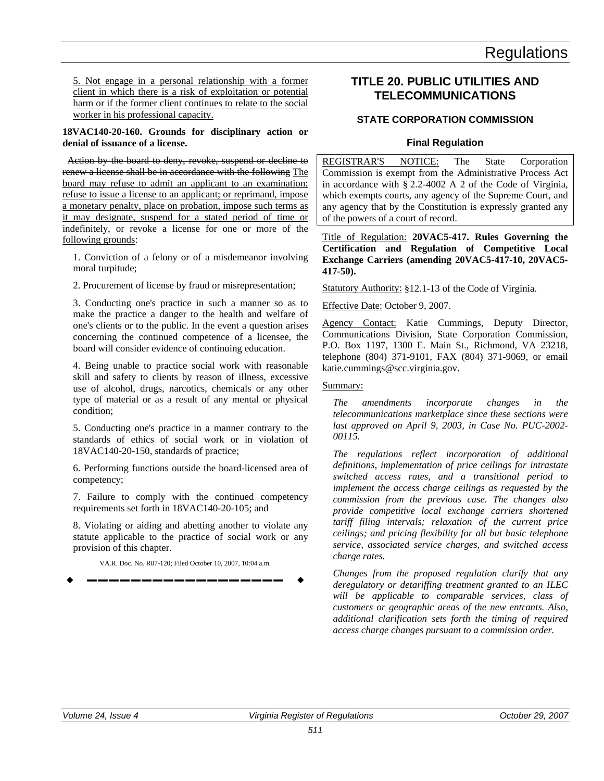5. Not engage in a personal relationship with a former client in which there is a risk of exploitation or potential harm or if the former client continues to relate to the social worker in his professional capacity.

#### **18VAC140-20-160. Grounds for disciplinary action or denial of issuance of a license.**

Action by the board to deny, revoke, suspend or decline to renew a license shall be in accordance with the following The board may refuse to admit an applicant to an examination; refuse to issue a license to an applicant; or reprimand, impose a monetary penalty, place on probation, impose such terms as it may designate, suspend for a stated period of time or indefinitely, or revoke a license for one or more of the following grounds:

1. Conviction of a felony or of a misdemeanor involving moral turpitude;

2. Procurement of license by fraud or misrepresentation;

3. Conducting one's practice in such a manner so as to make the practice a danger to the health and welfare of one's clients or to the public. In the event a question arises concerning the continued competence of a licensee, the board will consider evidence of continuing education.

4. Being unable to practice social work with reasonable skill and safety to clients by reason of illness, excessive use of alcohol, drugs, narcotics, chemicals or any other type of material or as a result of any mental or physical condition;

5. Conducting one's practice in a manner contrary to the standards of ethics of social work or in violation of 18VAC140-20-150, standards of practice;

6. Performing functions outside the board-licensed area of competency;

7. Failure to comply with the continued competency requirements set forth in 18VAC140-20-105; and

8. Violating or aiding and abetting another to violate any statute applicable to the practice of social work or any provision of this chapter.

VA.R. Doc. No. R07-120; Filed October 10, 2007, 10:04 a.m. **––––––––––––––––––**

### **TITLE 20. PUBLIC UTILITIES AND TELECOMMUNICATIONS**

### **STATE CORPORATION COMMISSION**

### **Final Regulation**

REGISTRAR'S NOTICE: The State Corporation Commission is exempt from the Administrative Process Act in accordance with § 2.2-4002 A 2 of the Code of Virginia, which exempts courts, any agency of the Supreme Court, and any agency that by the Constitution is expressly granted any of the powers of a court of record.

### Title of Regulation: **20VAC5-417. Rules Governing the Certification and Regulation of Competitive Local Exchange Carriers (amending 20VAC5-417-10, 20VAC5- 417-50).**

Statutory Authority: §12.1-13 of the Code of Virginia.

### Effective Date: October 9, 2007.

Agency Contact: Katie Cummings, Deputy Director, Communications Division, State Corporation Commission, P.O. Box 1197, 1300 E. Main St., Richmond, VA 23218, telephone (804) 371-9101, FAX (804) 371-9069, or email katie.cummings@scc.virginia.gov.

### Summary:

*The amendments incorporate changes in the telecommunications marketplace since these sections were last approved on April 9, 2003, in Case No. PUC-2002- 00115.*

*The regulations reflect incorporation of additional definitions, implementation of price ceilings for intrastate switched access rates, and a transitional period to implement the access charge ceilings as requested by the commission from the previous case. The changes also provide competitive local exchange carriers shortened tariff filing intervals; relaxation of the current price ceilings; and pricing flexibility for all but basic telephone service, associated service charges, and switched access charge rates.*

*Changes from the proposed regulation clarify that any deregulatory or detariffing treatment granted to an ILEC will be applicable to comparable services, class of customers or geographic areas of the new entrants. Also, additional clarification sets forth the timing of required access charge changes pursuant to a commission order.*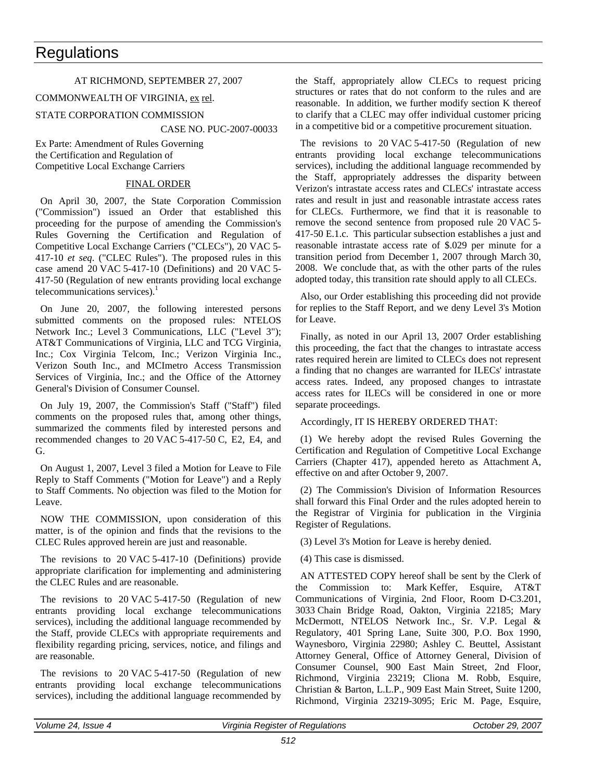### AT RICHMOND, SEPTEMBER 27, 2007

### COMMONWEALTH OF VIRGINIA, ex rel.

### STATE CORPORATION COMMISSION

CASE NO. PUC-2007-00033

Ex Parte: Amendment of Rules Governing the Certification and Regulation of Competitive Local Exchange Carriers

### FINAL ORDER

On April 30, 2007, the State Corporation Commission ("Commission") issued an Order that established this proceeding for the purpose of amending the Commission's Rules Governing the Certification and Regulation of Competitive Local Exchange Carriers ("CLECs"), 20 VAC 5- 417-10 *et seq*. ("CLEC Rules"). The proposed rules in this case amend 20 VAC 5-417-10 (Definitions) and 20 VAC 5- 417-50 (Regulation of new entrants providing local exchange telecommunications services). $<sup>1</sup>$ </sup>

On June 20, 2007, the following interested persons submitted comments on the proposed rules: NTELOS Network Inc.; Level 3 Communications, LLC ("Level 3"); AT&T Communications of Virginia, LLC and TCG Virginia, Inc.; Cox Virginia Telcom, Inc.; Verizon Virginia Inc., Verizon South Inc., and MCImetro Access Transmission Services of Virginia, Inc.; and the Office of the Attorney General's Division of Consumer Counsel.

On July 19, 2007, the Commission's Staff ("Staff") filed comments on the proposed rules that, among other things, summarized the comments filed by interested persons and recommended changes to 20 VAC 5-417-50 C, E2, E4, and G.

On August 1, 2007, Level 3 filed a Motion for Leave to File Reply to Staff Comments ("Motion for Leave") and a Reply to Staff Comments. No objection was filed to the Motion for Leave.

NOW THE COMMISSION, upon consideration of this matter, is of the opinion and finds that the revisions to the CLEC Rules approved herein are just and reasonable.

The revisions to 20 VAC 5-417-10 (Definitions) provide appropriate clarification for implementing and administering the CLEC Rules and are reasonable.

The revisions to 20 VAC 5-417-50 (Regulation of new entrants providing local exchange telecommunications services), including the additional language recommended by the Staff, provide CLECs with appropriate requirements and flexibility regarding pricing, services, notice, and filings and are reasonable.

The revisions to 20 VAC 5-417-50 (Regulation of new entrants providing local exchange telecommunications services), including the additional language recommended by

the Staff, appropriately allow CLECs to request pricing structures or rates that do not conform to the rules and are reasonable. In addition, we further modify section K thereof to clarify that a CLEC may offer individual customer pricing in a competitive bid or a competitive procurement situation.

The revisions to 20 VAC 5-417-50 (Regulation of new entrants providing local exchange telecommunications services), including the additional language recommended by the Staff, appropriately addresses the disparity between Verizon's intrastate access rates and CLECs' intrastate access rates and result in just and reasonable intrastate access rates for CLECs. Furthermore, we find that it is reasonable to remove the second sentence from proposed rule 20 VAC 5- 417-50 E.1.c. This particular subsection establishes a just and reasonable intrastate access rate of \$.029 per minute for a transition period from December 1, 2007 through March 30, 2008. We conclude that, as with the other parts of the rules adopted today, this transition rate should apply to all CLECs.

Also, our Order establishing this proceeding did not provide for replies to the Staff Report, and we deny Level 3's Motion for Leave.

Finally, as noted in our April 13, 2007 Order establishing this proceeding, the fact that the changes to intrastate access rates required herein are limited to CLECs does not represent a finding that no changes are warranted for ILECs' intrastate access rates. Indeed, any proposed changes to intrastate access rates for ILECs will be considered in one or more separate proceedings.

### Accordingly, IT IS HEREBY ORDERED THAT:

(1) We hereby adopt the revised Rules Governing the Certification and Regulation of Competitive Local Exchange Carriers (Chapter 417), appended hereto as Attachment A, effective on and after October 9, 2007.

(2) The Commission's Division of Information Resources shall forward this Final Order and the rules adopted herein to the Registrar of Virginia for publication in the Virginia Register of Regulations.

(3) Level 3's Motion for Leave is hereby denied.

(4) This case is dismissed.

AN ATTESTED COPY hereof shall be sent by the Clerk of the Commission to: Mark Keffer, Esquire, AT&T Communications of Virginia, 2nd Floor, Room D-C3.201, 3033 Chain Bridge Road, Oakton, Virginia 22185; Mary McDermott, NTELOS Network Inc., Sr. V.P. Legal & Regulatory, 401 Spring Lane, Suite 300, P.O. Box 1990, Waynesboro, Virginia 22980; Ashley C. Beuttel, Assistant Attorney General, Office of Attorney General, Division of Consumer Counsel, 900 East Main Street, 2nd Floor, Richmond, Virginia 23219; Cliona M. Robb, Esquire, Christian & Barton, L.L.P., 909 East Main Street, Suite 1200, Richmond, Virginia 23219-3095; Eric M. Page, Esquire,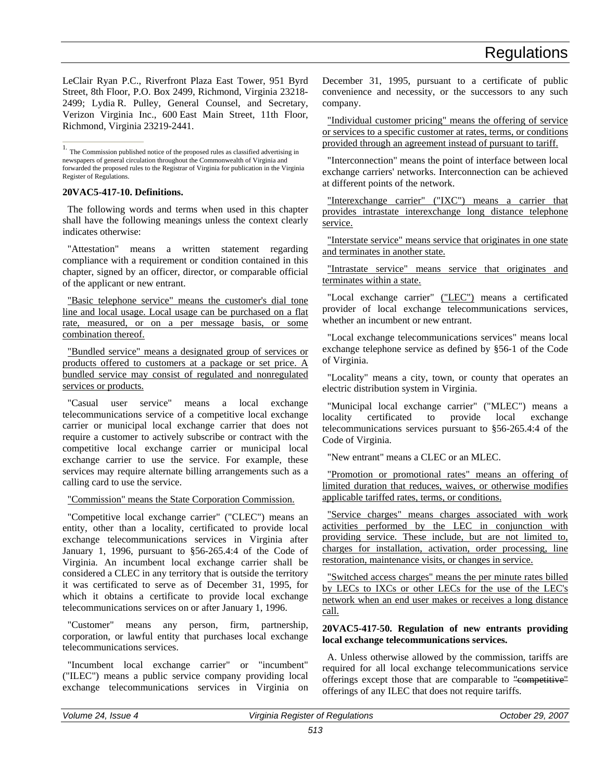LeClair Ryan P.C., Riverfront Plaza East Tower, 951 Byrd Street, 8th Floor, P.O. Box 2499, Richmond, Virginia 23218- 2499; Lydia R. Pulley, General Counsel, and Secretary, Verizon Virginia Inc., 600 East Main Street, 11th Floor, Richmond, Virginia 23219-2441.

#### **20VAC5-417-10. Definitions.**

The following words and terms when used in this chapter shall have the following meanings unless the context clearly indicates otherwise:

"Attestation" means a written statement regarding compliance with a requirement or condition contained in this chapter, signed by an officer, director, or comparable official of the applicant or new entrant.

"Basic telephone service" means the customer's dial tone line and local usage. Local usage can be purchased on a flat rate, measured, or on a per message basis, or some combination thereof.

"Bundled service" means a designated group of services or products offered to customers at a package or set price. A bundled service may consist of regulated and nonregulated services or products.

"Casual user service" means a local exchange telecommunications service of a competitive local exchange carrier or municipal local exchange carrier that does not require a customer to actively subscribe or contract with the competitive local exchange carrier or municipal local exchange carrier to use the service. For example, these services may require alternate billing arrangements such as a calling card to use the service.

"Commission" means the State Corporation Commission.

"Competitive local exchange carrier" ("CLEC") means an entity, other than a locality, certificated to provide local exchange telecommunications services in Virginia after January 1, 1996, pursuant to §56-265.4:4 of the Code of Virginia. An incumbent local exchange carrier shall be considered a CLEC in any territory that is outside the territory it was certificated to serve as of December 31, 1995, for which it obtains a certificate to provide local exchange telecommunications services on or after January 1, 1996.

"Customer" means any person, firm, partnership, corporation, or lawful entity that purchases local exchange telecommunications services.

"Incumbent local exchange carrier" or "incumbent" ("ILEC") means a public service company providing local exchange telecommunications services in Virginia on December 31, 1995, pursuant to a certificate of public convenience and necessity, or the successors to any such company.

"Individual customer pricing" means the offering of service or services to a specific customer at rates, terms, or conditions provided through an agreement instead of pursuant to tariff.

"Interconnection" means the point of interface between local exchange carriers' networks. Interconnection can be achieved at different points of the network.

"Interexchange carrier" ("IXC") means a carrier that provides intrastate interexchange long distance telephone service.

"Interstate service" means service that originates in one state and terminates in another state.

"Intrastate service" means service that originates and terminates within a state.

"Local exchange carrier" ("LEC") means a certificated provider of local exchange telecommunications services, whether an incumbent or new entrant.

"Local exchange telecommunications services" means local exchange telephone service as defined by §56-1 of the Code of Virginia.

"Locality" means a city, town, or county that operates an electric distribution system in Virginia.

"Municipal local exchange carrier" ("MLEC") means a locality certificated to provide local exchange telecommunications services pursuant to §56-265.4:4 of the Code of Virginia.

"New entrant" means a CLEC or an MLEC.

"Promotion or promotional rates" means an offering of limited duration that reduces, waives, or otherwise modifies applicable tariffed rates, terms, or conditions.

"Service charges" means charges associated with work activities performed by the LEC in conjunction with providing service. These include, but are not limited to, charges for installation, activation, order processing, line restoration, maintenance visits, or changes in service.

"Switched access charges" means the per minute rates billed by LECs to IXCs or other LECs for the use of the LEC's network when an end user makes or receives a long distance call.

### **20VAC5-417-50. Regulation of new entrants providing local exchange telecommunications services.**

A. Unless otherwise allowed by the commission, tariffs are required for all local exchange telecommunications service offerings except those that are comparable to "competitive" offerings of any ILEC that does not require tariffs.

| Volume<br>Issue<br>. 24 | Register of Regulations<br>Virginia | 2007<br>20<br><i><b>October</b></i> |
|-------------------------|-------------------------------------|-------------------------------------|
|                         |                                     |                                     |

 $^{\rm 1.}$  The Commission published notice of the proposed rules as classified advertising in newspapers of general circulation throughout the Commonwealth of Virginia and forwarded the proposed rules to the Registrar of Virginia for publication in the Virginia Register of Regulations.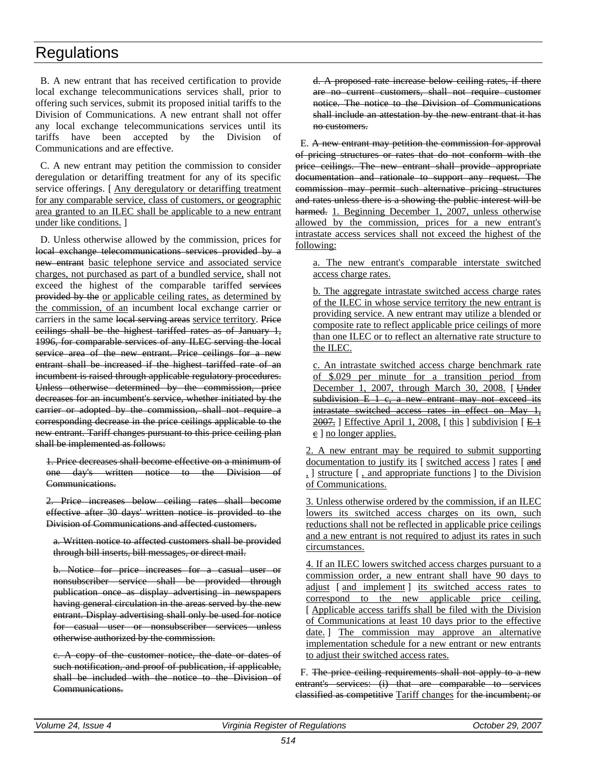B. A new entrant that has received certification to provide local exchange telecommunications services shall, prior to offering such services, submit its proposed initial tariffs to the Division of Communications. A new entrant shall not offer any local exchange telecommunications services until its tariffs have been accepted by the Division of Communications and are effective.

C. A new entrant may petition the commission to consider deregulation or detariffing treatment for any of its specific service offerings. [Any deregulatory or detariffing treatment] for any comparable service, class of customers, or geographic area granted to an ILEC shall be applicable to a new entrant under like conditions. ]

D. Unless otherwise allowed by the commission, prices for local exchange telecommunications services provided by a new entrant basic telephone service and associated service charges, not purchased as part of a bundled service, shall not exceed the highest of the comparable tariffed services provided by the or applicable ceiling rates, as determined by the commission, of an incumbent local exchange carrier or carriers in the same local serving areas service territory. Price ceilings shall be the highest tariffed rates as of January 1, 1996, for comparable services of any ILEC serving the local service area of the new entrant. Price ceilings for a new entrant shall be increased if the highest tariffed rate of an incumbent is raised through applicable regulatory procedures. Unless otherwise determined by the commission, price decreases for an incumbent's service, whether initiated by the carrier or adopted by the commission, shall not require a corresponding decrease in the price ceilings applicable to the new entrant. Tariff changes pursuant to this price ceiling plan shall be implemented as follows:

1. Price decreases shall become effective on a minimum of one day's written notice to the Division of Communications.

2. Price increases below ceiling rates shall become effective after 30 days' written notice is provided to the Division of Communications and affected customers.

a. Written notice to affected customers shall be provided through bill inserts, bill messages, or direct mail.

b. Notice for price increases for a casual user or nonsubscriber service shall be provided through publication once as display advertising in newspapers having general circulation in the areas served by the new entrant. Display advertising shall only be used for notice for casual user or nonsubscriber services unless otherwise authorized by the commission.

c. A copy of the customer notice, the date or dates of such notification, and proof of publication, if applicable, shall be included with the notice to the Division of Communications.

d. A proposed rate increase below ceiling rates, if there are no current customers, shall not require customer notice. The notice to the Division of Communications shall include an attestation by the new entrant that it has no customers.

E. A new entrant may petition the commission for approval of pricing structures or rates that do not conform with the price ceilings. The new entrant shall provide appropriate documentation and rationale to support any request. The commission may permit such alternative pricing structures and rates unless there is a showing the public interest will be harmed. 1. Beginning December 1, 2007, unless otherwise allowed by the commission, prices for a new entrant's intrastate access services shall not exceed the highest of the following:

a. The new entrant's comparable interstate switched access charge rates.

b. The aggregate intrastate switched access charge rates of the ILEC in whose service territory the new entrant is providing service. A new entrant may utilize a blended or composite rate to reflect applicable price ceilings of more than one ILEC or to reflect an alternative rate structure to the ILEC.

c. An intrastate switched access charge benchmark rate of \$.029 per minute for a transition period from December 1, 2007, through March 30, 2008. [ Under  $subdivision E 1 c, a new entrant may not exceed its$ intrastate switched access rates in effect on May 1,  $\frac{2007}{1}$ ] Effective April 1, 2008, [this ] subdivision [ $\angle$  E 1]  $\varepsilon$  ] no longer applies.

2. A new entrant may be required to submit supporting documentation to justify its [ switched access ] rates [ and , ] structure [ , and appropriate functions ] to the Division of Communications.

3. Unless otherwise ordered by the commission, if an ILEC lowers its switched access charges on its own, such reductions shall not be reflected in applicable price ceilings and a new entrant is not required to adjust its rates in such circumstances.

4. If an ILEC lowers switched access charges pursuant to a commission order, a new entrant shall have 90 days to adjust [ and implement ] its switched access rates to correspond to the new applicable price ceiling. [ Applicable access tariffs shall be filed with the Division of Communications at least 10 days prior to the effective date. The commission may approve an alternative implementation schedule for a new entrant or new entrants to adjust their switched access rates.

F. The price ceiling requirements shall not apply to a new entrant's services: (i) that are comparable to services classified as competitive Tariff changes for the incumbent; or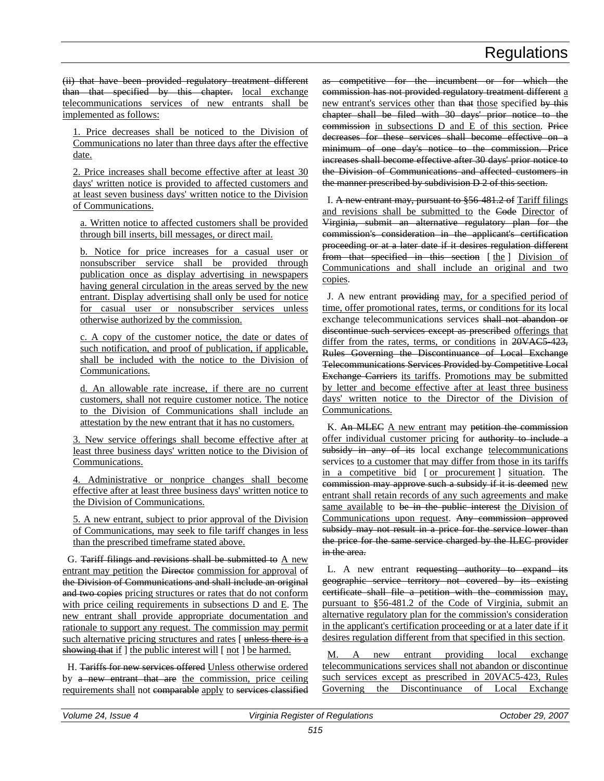(ii) that have been provided regulatory treatment different than that specified by this chapter. local exchange telecommunications services of new entrants shall be implemented as follows:

1. Price decreases shall be noticed to the Division of Communications no later than three days after the effective date.

2. Price increases shall become effective after at least 30 days' written notice is provided to affected customers and at least seven business days' written notice to the Division of Communications.

a. Written notice to affected customers shall be provided through bill inserts, bill messages, or direct mail.

b. Notice for price increases for a casual user or nonsubscriber service shall be provided through publication once as display advertising in newspapers having general circulation in the areas served by the new entrant. Display advertising shall only be used for notice for casual user or nonsubscriber services unless otherwise authorized by the commission.

c. A copy of the customer notice, the date or dates of such notification, and proof of publication, if applicable, shall be included with the notice to the Division of Communications.

d. An allowable rate increase, if there are no current customers, shall not require customer notice. The notice to the Division of Communications shall include an attestation by the new entrant that it has no customers.

3. New service offerings shall become effective after at least three business days' written notice to the Division of Communications.

4. Administrative or nonprice changes shall become effective after at least three business days' written notice to the Division of Communications.

5. A new entrant, subject to prior approval of the Division of Communications, may seek to file tariff changes in less than the prescribed timeframe stated above.

G. Tariff filings and revisions shall be submitted to A new entrant may petition the Director commission for approval of the Division of Communications and shall include an original and two copies pricing structures or rates that do not conform with price ceiling requirements in subsections D and E. The new entrant shall provide appropriate documentation and rationale to support any request. The commission may permit such alternative pricing structures and rates [ unless there is a showing that if ] the public interest will [ not ] be harmed.

H. Tariffs for new services offered Unless otherwise ordered by a new entrant that are the commission, price ceiling requirements shall not comparable apply to services classified as competitive for the incumbent or for which the commission has not provided regulatory treatment different a new entrant's services other than that those specified by this chapter shall be filed with 30 days' prior notice to the commission in subsections D and E of this section. Price decreases for these services shall become effective on a minimum of one day's notice to the commission. Price increases shall become effective after 30 days' prior notice to the Division of Communications and affected customers in the manner prescribed by subdivision D 2 of this section.

I. A new entrant may, pursuant to §56-481.2 of Tariff filings and revisions shall be submitted to the Code Director of Virginia, submit an alternative regulatory plan for the commission's consideration in the applicant's certification proceeding or at a later date if it desires regulation different from that specified in this section [the ] Division of Communications and shall include an original and two copies.

J. A new entrant providing may, for a specified period of time, offer promotional rates, terms, or conditions for its local exchange telecommunications services shall not abandon or discontinue such services except as prescribed offerings that differ from the rates, terms, or conditions in 20VAC5-423, Rules Governing the Discontinuance of Local Exchange Telecommunications Services Provided by Competitive Local Exchange Carriers its tariffs. Promotions may be submitted by letter and become effective after at least three business days' written notice to the Director of the Division of Communications.

K. An MLEC A new entrant may petition the commission offer individual customer pricing for authority to include a subsidy in any of its local exchange telecommunications services to a customer that may differ from those in its tariffs in a competitive bid [ or procurement ] situation. The commission may approve such a subsidy if it is deemed new entrant shall retain records of any such agreements and make same available to be in the public interest the Division of Communications upon request. Any commission approved subsidy may not result in a price for the service lower than the price for the same service charged by the ILEC provider in the area.

L. A new entrant requesting authority to expand its geographic service territory not covered by its existing certificate shall file a petition with the commission may, pursuant to §56-481.2 of the Code of Virginia, submit an alternative regulatory plan for the commission's consideration in the applicant's certification proceeding or at a later date if it desires regulation different from that specified in this section.

M. A new entrant providing local exchange telecommunications services shall not abandon or discontinue such services except as prescribed in 20VAC5-423, Rules Governing the Discontinuance of Local Exchange

| Volume:<br><i><b>Issue</b></i><br>24<br>$\epsilon$ | Virginia<br>Register of Regulations | 2007<br>29.<br><i>October</i> |
|----------------------------------------------------|-------------------------------------|-------------------------------|
|                                                    |                                     |                               |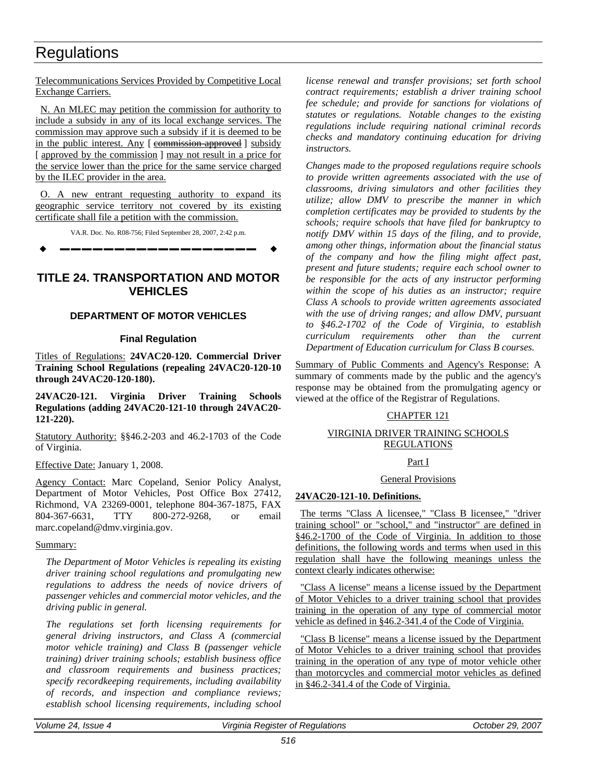Telecommunications Services Provided by Competitive Local Exchange Carriers.

N. An MLEC may petition the commission for authority to include a subsidy in any of its local exchange services. The commission may approve such a subsidy if it is deemed to be in the public interest. Any [ commission approved ] subsidy [approved by the commission] may not result in a price for the service lower than the price for the same service charged by the ILEC provider in the area.

O. A new entrant requesting authority to expand its geographic service territory not covered by its existing certificate shall file a petition with the commission.

VA.R. Doc. No. R08-756; Filed September 28, 2007, 2:42 p.m.

**––––––––––––––––––**

### **TITLE 24. TRANSPORTATION AND MOTOR VEHICLES**

### **DEPARTMENT OF MOTOR VEHICLES**

### **Final Regulation**

Titles of Regulations: **24VAC20-120. Commercial Driver Training School Regulations (repealing 24VAC20-120-10 through 24VAC20-120-180).** 

**24VAC20-121. Virginia Driver Training Schools Regulations (adding 24VAC20-121-10 through 24VAC20- 121-220).**

Statutory Authority: §§46.2-203 and 46.2-1703 of the Code of Virginia.

Effective Date: January 1, 2008.

Agency Contact: Marc Copeland, Senior Policy Analyst, Department of Motor Vehicles, Post Office Box 27412, Richmond, VA 23269-0001, telephone 804-367-1875, FAX 804-367-6631, TTY 800-272-9268, or email marc.copeland@dmv.virginia.gov.

#### Summary:

*The Department of Motor Vehicles is repealing its existing driver training school regulations and promulgating new regulations to address the needs of novice drivers of passenger vehicles and commercial motor vehicles, and the driving public in general.*

*The regulations set forth licensing requirements for general driving instructors, and Class A (commercial motor vehicle training) and Class B (passenger vehicle training) driver training schools; establish business office and classroom requirements and business practices; specify recordkeeping requirements, including availability of records, and inspection and compliance reviews; establish school licensing requirements, including school* 

*license renewal and transfer provisions; set forth school contract requirements; establish a driver training school fee schedule; and provide for sanctions for violations of statutes or regulations. Notable changes to the existing regulations include requiring national criminal records checks and mandatory continuing education for driving instructors.*

*Changes made to the proposed regulations require schools to provide written agreements associated with the use of classrooms, driving simulators and other facilities they utilize; allow DMV to prescribe the manner in which completion certificates may be provided to students by the schools; require schools that have filed for bankruptcy to notify DMV within 15 days of the filing, and to provide, among other things, information about the financial status of the company and how the filing might affect past, present and future students; require each school owner to be responsible for the acts of any instructor performing within the scope of his duties as an instructor; require Class A schools to provide written agreements associated with the use of driving ranges; and allow DMV, pursuant to §46.2-1702 of the Code of Virginia, to establish curriculum requirements other than the current Department of Education curriculum for Class B courses.*

Summary of Public Comments and Agency's Response: A summary of comments made by the public and the agency's response may be obtained from the promulgating agency or viewed at the office of the Registrar of Regulations.

### CHAPTER 121

### VIRGINIA DRIVER TRAINING SCHOOLS **REGULATIONS**

### Part I

#### General Provisions

### **24VAC20-121-10. Definitions.**

The terms "Class A licensee," "Class B licensee," "driver training school" or "school," and "instructor" are defined in §46.2-1700 of the Code of Virginia. In addition to those definitions, the following words and terms when used in this regulation shall have the following meanings unless the context clearly indicates otherwise:

"Class A license" means a license issued by the Department of Motor Vehicles to a driver training school that provides training in the operation of any type of commercial motor vehicle as defined in §46.2-341.4 of the Code of Virginia.

"Class B license" means a license issued by the Department of Motor Vehicles to a driver training school that provides training in the operation of any type of motor vehicle other than motorcycles and commercial motor vehicles as defined in §46.2-341.4 of the Code of Virginia.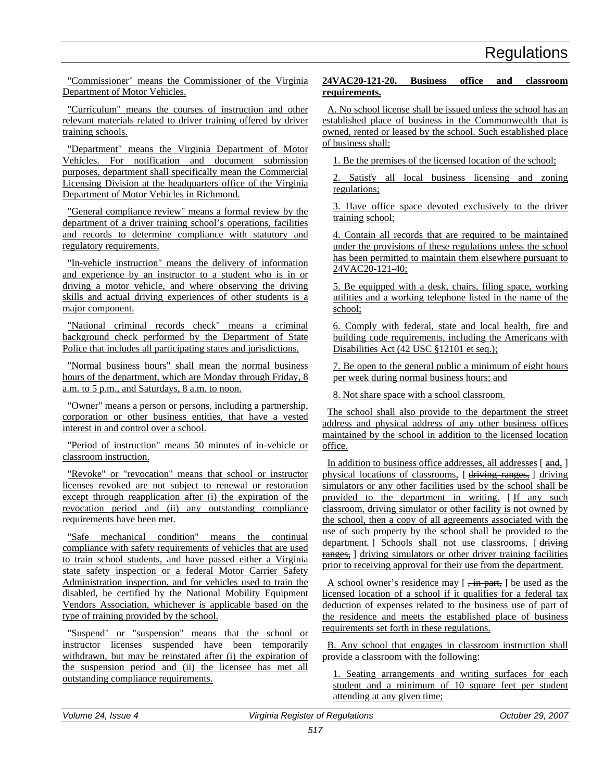"Commissioner" means the Commissioner of the Virginia Department of Motor Vehicles.

"Curriculum" means the courses of instruction and other relevant materials related to driver training offered by driver training schools.

"Department" means the Virginia Department of Motor Vehicles. For notification and document submission purposes, department shall specifically mean the Commercial Licensing Division at the headquarters office of the Virginia Department of Motor Vehicles in Richmond.

"General compliance review" means a formal review by the department of a driver training school's operations, facilities and records to determine compliance with statutory and regulatory requirements.

"In-vehicle instruction" means the delivery of information and experience by an instructor to a student who is in or driving a motor vehicle, and where observing the driving skills and actual driving experiences of other students is a major component.

"National criminal records check" means a criminal background check performed by the Department of State Police that includes all participating states and jurisdictions.

"Normal business hours" shall mean the normal business hours of the department, which are Monday through Friday, 8 a.m. to 5 p.m., and Saturdays, 8 a.m. to noon.

"Owner" means a person or persons, including a partnership, corporation or other business entities, that have a vested interest in and control over a school.

"Period of instruction" means 50 minutes of in-vehicle or classroom instruction.

"Revoke" or "revocation" means that school or instructor licenses revoked are not subject to renewal or restoration except through reapplication after (i) the expiration of the revocation period and (ii) any outstanding compliance requirements have been met.

"Safe mechanical condition" means the continual compliance with safety requirements of vehicles that are used to train school students, and have passed either a Virginia state safety inspection or a federal Motor Carrier Safety Administration inspection, and for vehicles used to train the disabled, be certified by the National Mobility Equipment Vendors Association, whichever is applicable based on the type of training provided by the school.

"Suspend" or "suspension" means that the school or instructor licenses suspended have been temporarily withdrawn, but may be reinstated after (i) the expiration of the suspension period and (ii) the licensee has met all outstanding compliance requirements.

### **24VAC20-121-20. Business office and classroom requirements.**

A. No school license shall be issued unless the school has an established place of business in the Commonwealth that is owned, rented or leased by the school. Such established place of business shall:

1. Be the premises of the licensed location of the school;

2. Satisfy all local business licensing and zoning regulations;

3. Have office space devoted exclusively to the driver training school;

4. Contain all records that are required to be maintained under the provisions of these regulations unless the school has been permitted to maintain them elsewhere pursuant to 24VAC20-121-40;

5. Be equipped with a desk, chairs, filing space, working utilities and a working telephone listed in the name of the school;

6. Comply with federal, state and local health, fire and building code requirements, including the Americans with Disabilities Act (42 USC §12101 et seq.);

7. Be open to the general public a minimum of eight hours per week during normal business hours; and

8. Not share space with a school classroom.

The school shall also provide to the department the street address and physical address of any other business offices maintained by the school in addition to the licensed location office.

In addition to business office addresses, all addresses [and, ] physical locations of classrooms, [ driving ranges, ] driving simulators or any other facilities used by the school shall be provided to the department in writing. [ If any such classroom, driving simulator or other facility is not owned by the school, then a copy of all agreements associated with the use of such property by the school shall be provided to the department. ] Schools shall not use classrooms, [ driving ranges, driving simulators or other driver training facilities prior to receiving approval for their use from the department.

A school owner's residence may  $\lceil$ , in part,  $\rceil$  be used as the licensed location of a school if it qualifies for a federal tax deduction of expenses related to the business use of part of the residence and meets the established place of business requirements set forth in these regulations.

B. Any school that engages in classroom instruction shall provide a classroom with the following:

1. Seating arrangements and writing surfaces for each student and a minimum of 10 square feet per student attending at any given time;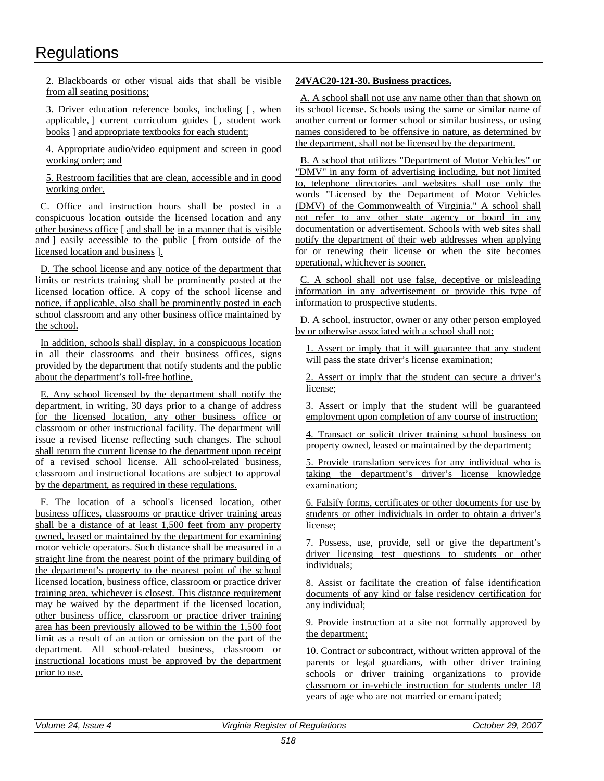2. Blackboards or other visual aids that shall be visible from all seating positions;

3. Driver education reference books, including [ , when applicable, ] current curriculum guides [ , student work books ] and appropriate textbooks for each student;

4. Appropriate audio/video equipment and screen in good working order; and

5. Restroom facilities that are clean, accessible and in good working order.

C. Office and instruction hours shall be posted in a conspicuous location outside the licensed location and any other business office [ and shall be in a manner that is visible and ] easily accessible to the public [ from outside of the licensed location and business ].

D. The school license and any notice of the department that limits or restricts training shall be prominently posted at the licensed location office. A copy of the school license and notice, if applicable, also shall be prominently posted in each school classroom and any other business office maintained by the school.

In addition, schools shall display, in a conspicuous location in all their classrooms and their business offices, signs provided by the department that notify students and the public about the department's toll-free hotline.

E. Any school licensed by the department shall notify the department, in writing, 30 days prior to a change of address for the licensed location, any other business office or classroom or other instructional facility. The department will issue a revised license reflecting such changes. The school shall return the current license to the department upon receipt of a revised school license. All school-related business, classroom and instructional locations are subject to approval by the department, as required in these regulations.

F. The location of a school's licensed location, other business offices, classrooms or practice driver training areas shall be a distance of at least 1,500 feet from any property owned, leased or maintained by the department for examining motor vehicle operators. Such distance shall be measured in a straight line from the nearest point of the primary building of the department's property to the nearest point of the school licensed location, business office, classroom or practice driver training area, whichever is closest. This distance requirement may be waived by the department if the licensed location, other business office, classroom or practice driver training area has been previously allowed to be within the 1,500 foot limit as a result of an action or omission on the part of the department. All school-related business, classroom or instructional locations must be approved by the department prior to use.

### **24VAC20-121-30. Business practices.**

A. A school shall not use any name other than that shown on its school license. Schools using the same or similar name of another current or former school or similar business, or using names considered to be offensive in nature, as determined by the department, shall not be licensed by the department.

B. A school that utilizes "Department of Motor Vehicles" or "DMV" in any form of advertising including, but not limited to, telephone directories and websites shall use only the words "Licensed by the Department of Motor Vehicles (DMV) of the Commonwealth of Virginia." A school shall not refer to any other state agency or board in any documentation or advertisement. Schools with web sites shall notify the department of their web addresses when applying for or renewing their license or when the site becomes operational, whichever is sooner.

C. A school shall not use false, deceptive or misleading information in any advertisement or provide this type of information to prospective students.

D. A school, instructor, owner or any other person employed by or otherwise associated with a school shall not:

1. Assert or imply that it will guarantee that any student will pass the state driver's license examination;

2. Assert or imply that the student can secure a driver's license;

3. Assert or imply that the student will be guaranteed employment upon completion of any course of instruction;

4. Transact or solicit driver training school business on property owned, leased or maintained by the department;

5. Provide translation services for any individual who is taking the department's driver's license knowledge examination;

6. Falsify forms, certificates or other documents for use by students or other individuals in order to obtain a driver's license;

7. Possess, use, provide, sell or give the department's driver licensing test questions to students or other individuals;

8. Assist or facilitate the creation of false identification documents of any kind or false residency certification for any individual;

9. Provide instruction at a site not formally approved by the department;

10. Contract or subcontract, without written approval of the parents or legal guardians, with other driver training schools or driver training organizations to provide classroom or in-vehicle instruction for students under 18 years of age who are not married or emancipated;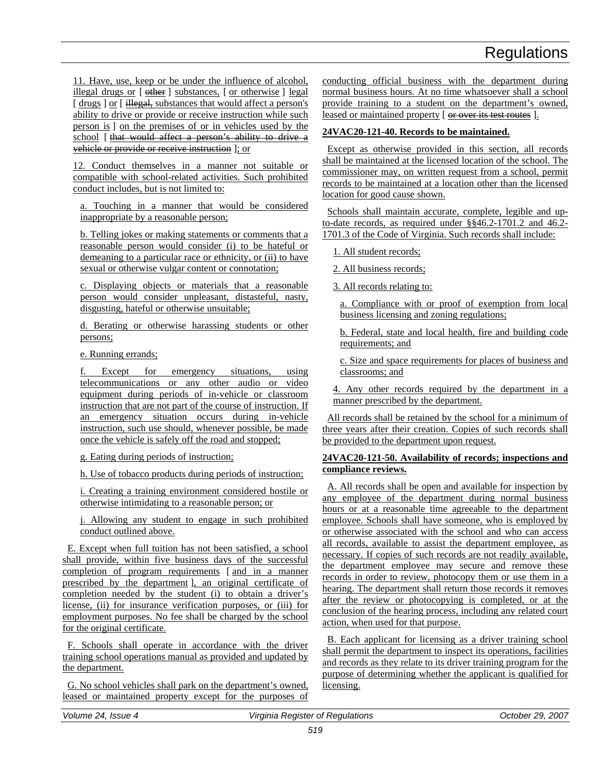11. Have, use, keep or be under the influence of alcohol, illegal drugs or [  $\theta$ ther ] substances, [ or otherwise ] legal [ drugs ] or [ illegal, substances that would affect a person's ability to drive or provide or receive instruction while such person is ] on the premises of or in vehicles used by the school [ that would affect a person's ability to drive a vehicle or provide or receive instruction ]; or

12. Conduct themselves in a manner not suitable or compatible with school-related activities. Such prohibited conduct includes, but is not limited to:

a. Touching in a manner that would be considered inappropriate by a reasonable person;

b. Telling jokes or making statements or comments that a reasonable person would consider (i) to be hateful or demeaning to a particular race or ethnicity, or (ii) to have sexual or otherwise vulgar content or connotation;

c. Displaying objects or materials that a reasonable person would consider unpleasant, distasteful, nasty, disgusting, hateful or otherwise unsuitable;

d. Berating or otherwise harassing students or other persons;

e. Running errands;

f. Except for emergency situations, using telecommunications or any other audio or video equipment during periods of in-vehicle or classroom instruction that are not part of the course of instruction. If an emergency situation occurs during in-vehicle instruction, such use should, whenever possible, be made once the vehicle is safely off the road and stopped;

g. Eating during periods of instruction;

h. Use of tobacco products during periods of instruction;

i. Creating a training environment considered hostile or otherwise intimidating to a reasonable person; or

j. Allowing any student to engage in such prohibited conduct outlined above.

E. Except when full tuition has not been satisfied, a school shall provide, within five business days of the successful completion of program requirements [ and in a manner prescribed by the department ], an original certificate of completion needed by the student (i) to obtain a driver's license, (ii) for insurance verification purposes, or (iii) for employment purposes. No fee shall be charged by the school for the original certificate.

F. Schools shall operate in accordance with the driver training school operations manual as provided and updated by the department.

G. No school vehicles shall park on the department's owned, leased or maintained property except for the purposes of conducting official business with the department during normal business hours. At no time whatsoever shall a school provide training to a student on the department's owned, leased or maintained property [ or over its test routes ].

### **24VAC20-121-40. Records to be maintained.**

Except as otherwise provided in this section, all records shall be maintained at the licensed location of the school. The commissioner may, on written request from a school, permit records to be maintained at a location other than the licensed location for good cause shown.

Schools shall maintain accurate, complete, legible and upto-date records, as required under §§46.2-1701.2 and 46.2- 1701.3 of the Code of Virginia. Such records shall include:

1. All student records;

2. All business records;

3. All records relating to:

a. Compliance with or proof of exemption from local business licensing and zoning regulations;

b. Federal, state and local health, fire and building code requirements; and

c. Size and space requirements for places of business and classrooms; and

4. Any other records required by the department in a manner prescribed by the department.

All records shall be retained by the school for a minimum of three years after their creation. Copies of such records shall be provided to the department upon request.

### **24VAC20-121-50. Availability of records; inspections and compliance reviews.**

A. All records shall be open and available for inspection by any employee of the department during normal business hours or at a reasonable time agreeable to the department employee. Schools shall have someone, who is employed by or otherwise associated with the school and who can access all records, available to assist the department employee, as necessary. If copies of such records are not readily available, the department employee may secure and remove these records in order to review, photocopy them or use them in a hearing. The department shall return those records it removes after the review or photocopying is completed, or at the conclusion of the hearing process, including any related court action, when used for that purpose.

B. Each applicant for licensing as a driver training school shall permit the department to inspect its operations, facilities and records as they relate to its driver training program for the purpose of determining whether the applicant is qualified for licensing.

*Volume 24, Issue 4 Virginia Register of Regulations October 29, 2007*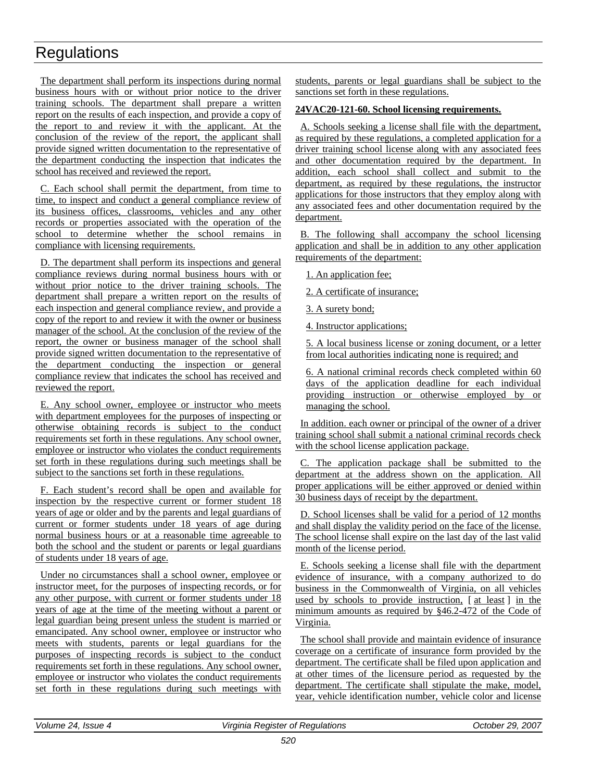The department shall perform its inspections during normal business hours with or without prior notice to the driver training schools. The department shall prepare a written report on the results of each inspection, and provide a copy of the report to and review it with the applicant. At the conclusion of the review of the report, the applicant shall provide signed written documentation to the representative of the department conducting the inspection that indicates the school has received and reviewed the report.

C. Each school shall permit the department, from time to time, to inspect and conduct a general compliance review of its business offices, classrooms, vehicles and any other records or properties associated with the operation of the school to determine whether the school remains in compliance with licensing requirements.

D. The department shall perform its inspections and general compliance reviews during normal business hours with or without prior notice to the driver training schools. The department shall prepare a written report on the results of each inspection and general compliance review, and provide a copy of the report to and review it with the owner or business manager of the school. At the conclusion of the review of the report, the owner or business manager of the school shall provide signed written documentation to the representative of the department conducting the inspection or general compliance review that indicates the school has received and reviewed the report.

E. Any school owner, employee or instructor who meets with department employees for the purposes of inspecting or otherwise obtaining records is subject to the conduct requirements set forth in these regulations. Any school owner, employee or instructor who violates the conduct requirements set forth in these regulations during such meetings shall be subject to the sanctions set forth in these regulations.

F. Each student's record shall be open and available for inspection by the respective current or former student 18 years of age or older and by the parents and legal guardians of current or former students under 18 years of age during normal business hours or at a reasonable time agreeable to both the school and the student or parents or legal guardians of students under 18 years of age.

Under no circumstances shall a school owner, employee or instructor meet, for the purposes of inspecting records, or for any other purpose, with current or former students under 18 years of age at the time of the meeting without a parent or legal guardian being present unless the student is married or emancipated. Any school owner, employee or instructor who meets with students, parents or legal guardians for the purposes of inspecting records is subject to the conduct requirements set forth in these regulations. Any school owner, employee or instructor who violates the conduct requirements set forth in these regulations during such meetings with

students, parents or legal guardians shall be subject to the sanctions set forth in these regulations.

### **24VAC20-121-60. School licensing requirements.**

A. Schools seeking a license shall file with the department, as required by these regulations, a completed application for a driver training school license along with any associated fees and other documentation required by the department. In addition, each school shall collect and submit to the department, as required by these regulations, the instructor applications for those instructors that they employ along with any associated fees and other documentation required by the department.

B. The following shall accompany the school licensing application and shall be in addition to any other application requirements of the department:

1. An application fee;

2. A certificate of insurance;

3. A surety bond;

4. Instructor applications;

5. A local business license or zoning document, or a letter from local authorities indicating none is required; and

6. A national criminal records check completed within 60 days of the application deadline for each individual providing instruction or otherwise employed by or managing the school.

In addition. each owner or principal of the owner of a driver training school shall submit a national criminal records check with the school license application package.

C. The application package shall be submitted to the department at the address shown on the application. All proper applications will be either approved or denied within 30 business days of receipt by the department.

D. School licenses shall be valid for a period of 12 months and shall display the validity period on the face of the license. The school license shall expire on the last day of the last valid month of the license period.

E. Schools seeking a license shall file with the department evidence of insurance, with a company authorized to do business in the Commonwealth of Virginia, on all vehicles used by schools to provide instruction, [at least] in the minimum amounts as required by §46.2-472 of the Code of Virginia.

The school shall provide and maintain evidence of insurance coverage on a certificate of insurance form provided by the department. The certificate shall be filed upon application and at other times of the licensure period as requested by the department. The certificate shall stipulate the make, model, year, vehicle identification number, vehicle color and license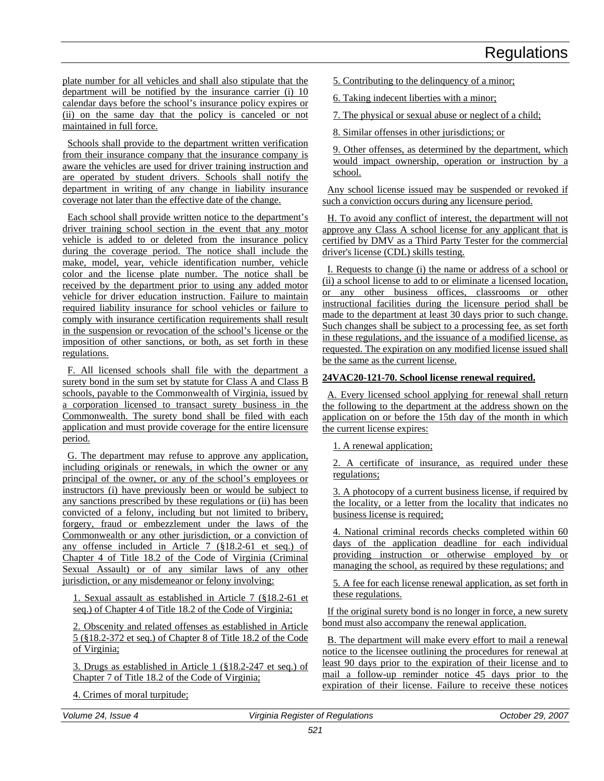plate number for all vehicles and shall also stipulate that the department will be notified by the insurance carrier (i) 10 calendar days before the school's insurance policy expires or (ii) on the same day that the policy is canceled or not maintained in full force.

Schools shall provide to the department written verification from their insurance company that the insurance company is aware the vehicles are used for driver training instruction and are operated by student drivers. Schools shall notify the department in writing of any change in liability insurance coverage not later than the effective date of the change.

Each school shall provide written notice to the department's driver training school section in the event that any motor vehicle is added to or deleted from the insurance policy during the coverage period. The notice shall include the make, model, year, vehicle identification number, vehicle color and the license plate number. The notice shall be received by the department prior to using any added motor vehicle for driver education instruction. Failure to maintain required liability insurance for school vehicles or failure to comply with insurance certification requirements shall result in the suspension or revocation of the school's license or the imposition of other sanctions, or both, as set forth in these regulations.

F. All licensed schools shall file with the department a surety bond in the sum set by statute for Class A and Class B schools, payable to the Commonwealth of Virginia, issued by a corporation licensed to transact surety business in the Commonwealth. The surety bond shall be filed with each application and must provide coverage for the entire licensure period.

G. The department may refuse to approve any application, including originals or renewals, in which the owner or any principal of the owner, or any of the school's employees or instructors (i) have previously been or would be subject to any sanctions prescribed by these regulations or (ii) has been convicted of a felony, including but not limited to bribery, forgery, fraud or embezzlement under the laws of the Commonwealth or any other jurisdiction, or a conviction of any offense included in Article 7 (§18.2-61 et seq.) of Chapter 4 of Title 18.2 of the Code of Virginia (Criminal Sexual Assault) or of any similar laws of any other jurisdiction, or any misdemeanor or felony involving:

1. Sexual assault as established in Article 7 (§18.2-61 et seq.) of Chapter 4 of Title 18.2 of the Code of Virginia;

2. Obscenity and related offenses as established in Article 5 (§18.2-372 et seq.) of Chapter 8 of Title 18.2 of the Code of Virginia;

3. Drugs as established in Article 1 (§18.2-247 et seq.) of Chapter 7 of Title 18.2 of the Code of Virginia;

4. Crimes of moral turpitude;

- 5. Contributing to the delinquency of a minor;
- 6. Taking indecent liberties with a minor;
- 7. The physical or sexual abuse or neglect of a child;
- 8. Similar offenses in other jurisdictions; or

9. Other offenses, as determined by the department, which would impact ownership, operation or instruction by a school.

Any school license issued may be suspended or revoked if such a conviction occurs during any licensure period.

H. To avoid any conflict of interest, the department will not approve any Class A school license for any applicant that is certified by DMV as a Third Party Tester for the commercial driver's license (CDL) skills testing.

I. Requests to change (i) the name or address of a school or (ii) a school license to add to or eliminate a licensed location, or any other business offices, classrooms or other instructional facilities during the licensure period shall be made to the department at least 30 days prior to such change. Such changes shall be subject to a processing fee, as set forth in these regulations, and the issuance of a modified license, as requested. The expiration on any modified license issued shall be the same as the current license.

### **24VAC20-121-70. School license renewal required.**

A. Every licensed school applying for renewal shall return the following to the department at the address shown on the application on or before the 15th day of the month in which the current license expires:

1. A renewal application;

2. A certificate of insurance, as required under these regulations;

3. A photocopy of a current business license, if required by the locality, or a letter from the locality that indicates no business license is required;

4. National criminal records checks completed within 60 days of the application deadline for each individual providing instruction or otherwise employed by or managing the school, as required by these regulations; and

5. A fee for each license renewal application, as set forth in these regulations.

If the original surety bond is no longer in force, a new surety bond must also accompany the renewal application.

B. The department will make every effort to mail a renewal notice to the licensee outlining the procedures for renewal at least 90 days prior to the expiration of their license and to mail a follow-up reminder notice 45 days prior to the expiration of their license. Failure to receive these notices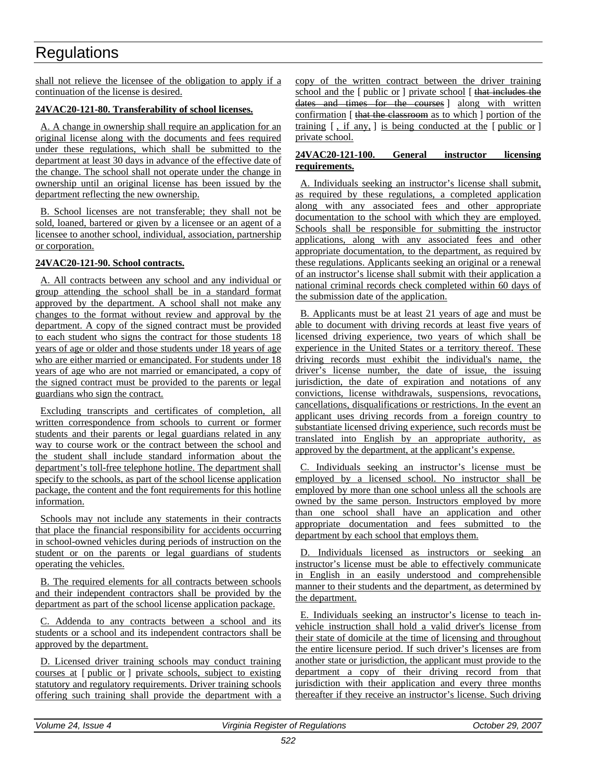shall not relieve the licensee of the obligation to apply if a continuation of the license is desired.

### **24VAC20-121-80. Transferability of school licenses.**

A. A change in ownership shall require an application for an original license along with the documents and fees required under these regulations, which shall be submitted to the department at least 30 days in advance of the effective date of the change. The school shall not operate under the change in ownership until an original license has been issued by the department reflecting the new ownership.

B. School licenses are not transferable; they shall not be sold, loaned, bartered or given by a licensee or an agent of a licensee to another school, individual, association, partnership or corporation.

### **24VAC20-121-90. School contracts.**

A. All contracts between any school and any individual or group attending the school shall be in a standard format approved by the department. A school shall not make any changes to the format without review and approval by the department. A copy of the signed contract must be provided to each student who signs the contract for those students 18 years of age or older and those students under 18 years of age who are either married or emancipated. For students under 18 years of age who are not married or emancipated, a copy of the signed contract must be provided to the parents or legal guardians who sign the contract.

Excluding transcripts and certificates of completion, all written correspondence from schools to current or former students and their parents or legal guardians related in any way to course work or the contract between the school and the student shall include standard information about the department's toll-free telephone hotline. The department shall specify to the schools, as part of the school license application package, the content and the font requirements for this hotline information.

Schools may not include any statements in their contracts that place the financial responsibility for accidents occurring in school-owned vehicles during periods of instruction on the student or on the parents or legal guardians of students operating the vehicles.

B. The required elements for all contracts between schools and their independent contractors shall be provided by the department as part of the school license application package.

C. Addenda to any contracts between a school and its students or a school and its independent contractors shall be approved by the department.

D. Licensed driver training schools may conduct training courses at [ public or ] private schools, subject to existing statutory and regulatory requirements. Driver training schools offering such training shall provide the department with a copy of the written contract between the driver training school and the [ public or ] private school [ that includes the dates and times for the courses ] along with written confirmation [ that the classroom as to which ] portion of the training  $\lceil$ , if any,  $\rceil$  is being conducted at the  $\lceil$  public or  $\rceil$ private school.

### **24VAC20-121-100. General instructor licensing requirements.**

A. Individuals seeking an instructor's license shall submit, as required by these regulations, a completed application along with any associated fees and other appropriate documentation to the school with which they are employed. Schools shall be responsible for submitting the instructor applications, along with any associated fees and other appropriate documentation, to the department, as required by these regulations. Applicants seeking an original or a renewal of an instructor's license shall submit with their application a national criminal records check completed within 60 days of the submission date of the application.

B. Applicants must be at least 21 years of age and must be able to document with driving records at least five years of licensed driving experience, two years of which shall be experience in the United States or a territory thereof. These driving records must exhibit the individual's name, the driver's license number, the date of issue, the issuing jurisdiction, the date of expiration and notations of any convictions, license withdrawals, suspensions, revocations, cancellations, disqualifications or restrictions. In the event an applicant uses driving records from a foreign country to substantiate licensed driving experience, such records must be translated into English by an appropriate authority, as approved by the department, at the applicant's expense.

C. Individuals seeking an instructor's license must be employed by a licensed school. No instructor shall be employed by more than one school unless all the schools are owned by the same person. Instructors employed by more than one school shall have an application and other appropriate documentation and fees submitted to the department by each school that employs them.

D. Individuals licensed as instructors or seeking an instructor's license must be able to effectively communicate in English in an easily understood and comprehensible manner to their students and the department, as determined by the department.

E. Individuals seeking an instructor's license to teach invehicle instruction shall hold a valid driver's license from their state of domicile at the time of licensing and throughout the entire licensure period. If such driver's licenses are from another state or jurisdiction, the applicant must provide to the department a copy of their driving record from that jurisdiction with their application and every three months thereafter if they receive an instructor's license. Such driving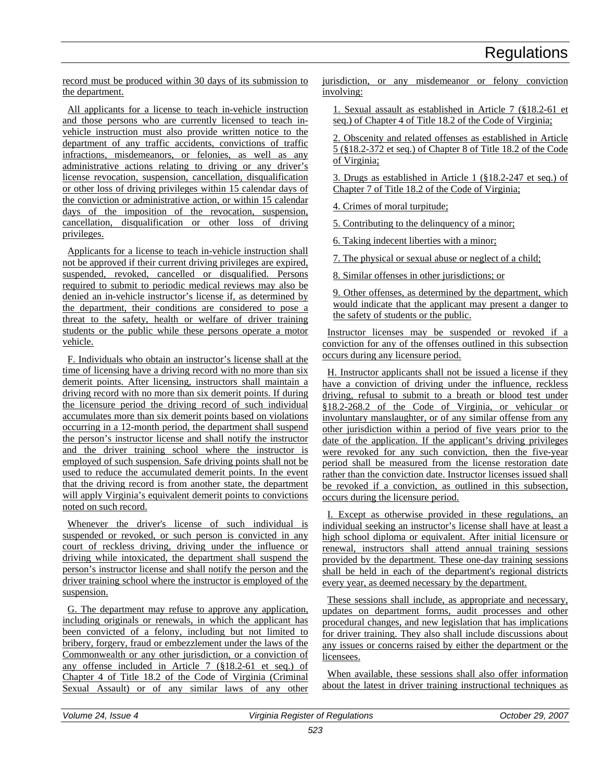record must be produced within 30 days of its submission to the department.

All applicants for a license to teach in-vehicle instruction and those persons who are currently licensed to teach invehicle instruction must also provide written notice to the department of any traffic accidents, convictions of traffic infractions, misdemeanors, or felonies, as well as any administrative actions relating to driving or any driver's license revocation, suspension, cancellation, disqualification or other loss of driving privileges within 15 calendar days of the conviction or administrative action, or within 15 calendar days of the imposition of the revocation, suspension, cancellation, disqualification or other loss of driving privileges.

Applicants for a license to teach in-vehicle instruction shall not be approved if their current driving privileges are expired, suspended, revoked, cancelled or disqualified. Persons required to submit to periodic medical reviews may also be denied an in-vehicle instructor's license if, as determined by the department, their conditions are considered to pose a threat to the safety, health or welfare of driver training students or the public while these persons operate a motor vehicle.

F. Individuals who obtain an instructor's license shall at the time of licensing have a driving record with no more than six demerit points. After licensing, instructors shall maintain a driving record with no more than six demerit points. If during the licensure period the driving record of such individual accumulates more than six demerit points based on violations occurring in a 12-month period, the department shall suspend the person's instructor license and shall notify the instructor and the driver training school where the instructor is employed of such suspension. Safe driving points shall not be used to reduce the accumulated demerit points. In the event that the driving record is from another state, the department will apply Virginia's equivalent demerit points to convictions noted on such record.

Whenever the driver's license of such individual is suspended or revoked, or such person is convicted in any court of reckless driving, driving under the influence or driving while intoxicated, the department shall suspend the person's instructor license and shall notify the person and the driver training school where the instructor is employed of the suspension.

G. The department may refuse to approve any application, including originals or renewals, in which the applicant has been convicted of a felony, including but not limited to bribery, forgery, fraud or embezzlement under the laws of the Commonwealth or any other jurisdiction, or a conviction of any offense included in Article 7 (§18.2-61 et seq.) of Chapter 4 of Title 18.2 of the Code of Virginia (Criminal Sexual Assault) or of any similar laws of any other jurisdiction, or any misdemeanor or felony conviction involving:

1. Sexual assault as established in Article 7 (§18.2-61 et seq.) of Chapter 4 of Title 18.2 of the Code of Virginia;

2. Obscenity and related offenses as established in Article 5 (§18.2-372 et seq.) of Chapter 8 of Title 18.2 of the Code of Virginia;

3. Drugs as established in Article 1 (§18.2-247 et seq.) of Chapter 7 of Title 18.2 of the Code of Virginia;

4. Crimes of moral turpitude;

5. Contributing to the delinquency of a minor;

6. Taking indecent liberties with a minor;

7. The physical or sexual abuse or neglect of a child;

8. Similar offenses in other jurisdictions; or

9. Other offenses, as determined by the department, which would indicate that the applicant may present a danger to the safety of students or the public.

Instructor licenses may be suspended or revoked if a conviction for any of the offenses outlined in this subsection occurs during any licensure period.

H. Instructor applicants shall not be issued a license if they have a conviction of driving under the influence, reckless driving, refusal to submit to a breath or blood test under §18.2-268.2 of the Code of Virginia, or vehicular or involuntary manslaughter, or of any similar offense from any other jurisdiction within a period of five years prior to the date of the application. If the applicant's driving privileges were revoked for any such conviction, then the five-year period shall be measured from the license restoration date rather than the conviction date. Instructor licenses issued shall be revoked if a conviction, as outlined in this subsection, occurs during the licensure period.

I. Except as otherwise provided in these regulations, an individual seeking an instructor's license shall have at least a high school diploma or equivalent. After initial licensure or renewal, instructors shall attend annual training sessions provided by the department. These one-day training sessions shall be held in each of the department's regional districts every year, as deemed necessary by the department.

These sessions shall include, as appropriate and necessary, updates on department forms, audit processes and other procedural changes, and new legislation that has implications for driver training. They also shall include discussions about any issues or concerns raised by either the department or the licensees.

When available, these sessions shall also offer information about the latest in driver training instructional techniques as

| Volume 24, Issue<br>$\boldsymbol{\mu}$ | Virginia Register of Regulations | 2007<br>October 29. |
|----------------------------------------|----------------------------------|---------------------|
|                                        |                                  |                     |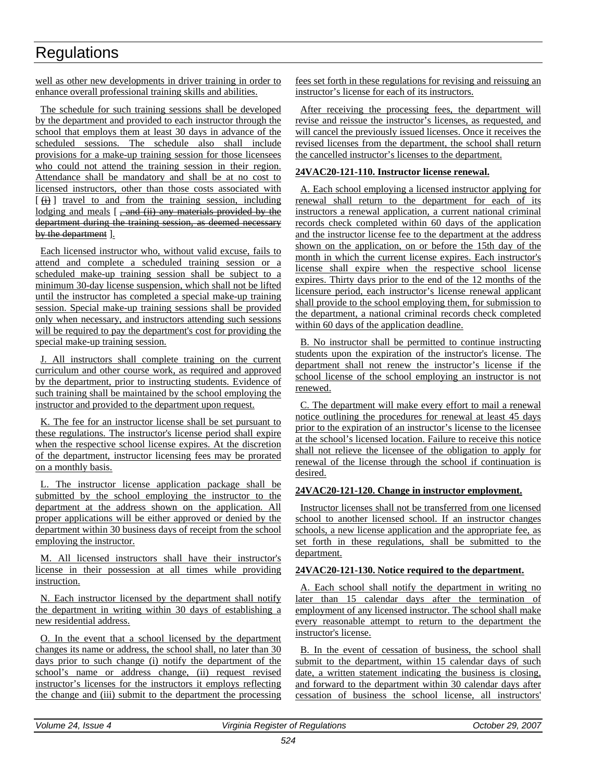well as other new developments in driver training in order to enhance overall professional training skills and abilities.

The schedule for such training sessions shall be developed by the department and provided to each instructor through the school that employs them at least 30 days in advance of the scheduled sessions. The schedule also shall include provisions for a make-up training session for those licensees who could not attend the training session in their region. Attendance shall be mandatory and shall be at no cost to licensed instructors, other than those costs associated with  $\lceil$  (i) ] travel to and from the training session, including lodging and meals [, and (ii) any materials provided by the department during the training session, as deemed necessary by the department ].

Each licensed instructor who, without valid excuse, fails to attend and complete a scheduled training session or a scheduled make-up training session shall be subject to a minimum 30-day license suspension, which shall not be lifted until the instructor has completed a special make-up training session. Special make-up training sessions shall be provided only when necessary, and instructors attending such sessions will be required to pay the department's cost for providing the special make-up training session.

J. All instructors shall complete training on the current curriculum and other course work, as required and approved by the department, prior to instructing students. Evidence of such training shall be maintained by the school employing the instructor and provided to the department upon request.

K. The fee for an instructor license shall be set pursuant to these regulations. The instructor's license period shall expire when the respective school license expires. At the discretion of the department, instructor licensing fees may be prorated on a monthly basis.

L. The instructor license application package shall be submitted by the school employing the instructor to the department at the address shown on the application. All proper applications will be either approved or denied by the department within 30 business days of receipt from the school employing the instructor.

M. All licensed instructors shall have their instructor's license in their possession at all times while providing instruction.

N. Each instructor licensed by the department shall notify the department in writing within 30 days of establishing a new residential address.

O. In the event that a school licensed by the department changes its name or address, the school shall, no later than 30 days prior to such change (i) notify the department of the school's name or address change, (ii) request revised instructor's licenses for the instructors it employs reflecting the change and (iii) submit to the department the processing fees set forth in these regulations for revising and reissuing an instructor's license for each of its instructors.

After receiving the processing fees, the department will revise and reissue the instructor's licenses, as requested, and will cancel the previously issued licenses. Once it receives the revised licenses from the department, the school shall return the cancelled instructor's licenses to the department.

### **24VAC20-121-110. Instructor license renewal.**

A. Each school employing a licensed instructor applying for renewal shall return to the department for each of its instructors a renewal application, a current national criminal records check completed within 60 days of the application and the instructor license fee to the department at the address shown on the application, on or before the 15th day of the month in which the current license expires. Each instructor's license shall expire when the respective school license expires. Thirty days prior to the end of the 12 months of the licensure period, each instructor's license renewal applicant shall provide to the school employing them, for submission to the department, a national criminal records check completed within 60 days of the application deadline.

B. No instructor shall be permitted to continue instructing students upon the expiration of the instructor's license. The department shall not renew the instructor's license if the school license of the school employing an instructor is not renewed.

C. The department will make every effort to mail a renewal notice outlining the procedures for renewal at least 45 days prior to the expiration of an instructor's license to the licensee at the school's licensed location. Failure to receive this notice shall not relieve the licensee of the obligation to apply for renewal of the license through the school if continuation is desired.

### **24VAC20-121-120. Change in instructor employment.**

Instructor licenses shall not be transferred from one licensed school to another licensed school. If an instructor changes schools, a new license application and the appropriate fee, as set forth in these regulations, shall be submitted to the department.

### **24VAC20-121-130. Notice required to the department.**

A. Each school shall notify the department in writing no later than 15 calendar days after the termination of employment of any licensed instructor. The school shall make every reasonable attempt to return to the department the instructor's license.

B. In the event of cessation of business, the school shall submit to the department, within 15 calendar days of such date, a written statement indicating the business is closing, and forward to the department within 30 calendar days after cessation of business the school license, all instructors'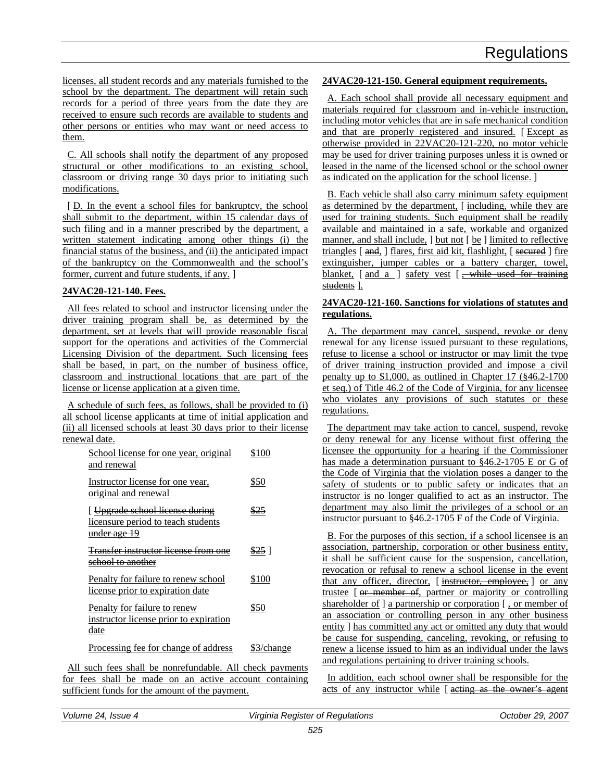licenses, all student records and any materials furnished to the school by the department. The department will retain such records for a period of three years from the date they are received to ensure such records are available to students and other persons or entities who may want or need access to them.

C. All schools shall notify the department of any proposed structural or other modifications to an existing school, classroom or driving range 30 days prior to initiating such modifications.

[ D. In the event a school files for bankruptcy, the school shall submit to the department, within 15 calendar days of such filing and in a manner prescribed by the department, a written statement indicating among other things (i) the financial status of the business, and (ii) the anticipated impact of the bankruptcy on the Commonwealth and the school's former, current and future students, if any. ]

### **24VAC20-121-140. Fees.**

All fees related to school and instructor licensing under the driver training program shall be, as determined by the department, set at levels that will provide reasonable fiscal support for the operations and activities of the Commercial Licensing Division of the department. Such licensing fees shall be based, in part, on the number of business office, classroom and instructional locations that are part of the license or license application at a given time.

A schedule of such fees, as follows, shall be provided to (i) all school license applicants at time of initial application and (ii) all licensed schools at least 30 days prior to their license renewal date.

| School license for one year, original<br>and renewal                                                                 | \$100      |
|----------------------------------------------------------------------------------------------------------------------|------------|
| Instructor license for one year,<br>original and renewal                                                             | \$50       |
| <del>Upgrade school license during</del><br><del>licensure period to teach students</del><br><del>under age 19</del> | \$25       |
| <b>Transfer instructor license from one</b><br><del>school to another</del>                                          | \$25 I     |
| Penalty for failure to renew school<br>license prior to expiration date                                              | \$100      |
| Penalty for failure to renew<br>instructor license prior to expiration<br>date                                       | \$50       |
| Processing fee for change of address                                                                                 | \$3/change |

All such fees shall be nonrefundable. All check payments for fees shall be made on an active account containing sufficient funds for the amount of the payment.

### **24VAC20-121-150. General equipment requirements.**

A. Each school shall provide all necessary equipment and materials required for classroom and in-vehicle instruction, including motor vehicles that are in safe mechanical condition and that are properly registered and insured. [ Except as otherwise provided in 22VAC20-121-220, no motor vehicle may be used for driver training purposes unless it is owned or leased in the name of the licensed school or the school owner as indicated on the application for the school license. ]

B. Each vehicle shall also carry minimum safety equipment as determined by the department, [including, while they are used for training students. Such equipment shall be readily available and maintained in a safe, workable and organized manner, and shall include, ] but not [ be ] limited to reflective triangles [ and, ] flares, first aid kit, flashlight, [ secured ] fire extinguisher, jumper cables or a battery charger, towel, blanket,  $[$  and  $a$   $]$  safety vest  $[$ , while used for training students ].

### **24VAC20-121-160. Sanctions for violations of statutes and regulations.**

A. The department may cancel, suspend, revoke or deny renewal for any license issued pursuant to these regulations, refuse to license a school or instructor or may limit the type of driver training instruction provided and impose a civil penalty up to \$1,000, as outlined in Chapter 17 (§46.2-1700 et seq.) of Title 46.2 of the Code of Virginia, for any licensee who violates any provisions of such statutes or these regulations.

The department may take action to cancel, suspend, revoke or deny renewal for any license without first offering the licensee the opportunity for a hearing if the Commissioner has made a determination pursuant to §46.2-1705 E or G of the Code of Virginia that the violation poses a danger to the safety of students or to public safety or indicates that an instructor is no longer qualified to act as an instructor. The department may also limit the privileges of a school or an instructor pursuant to §46.2-1705 F of the Code of Virginia.

B. For the purposes of this section, if a school licensee is an association, partnership, corporation or other business entity, it shall be sufficient cause for the suspension, cancellation, revocation or refusal to renew a school license in the event that any officer, director, [ instructor, employee, ] or any trustee [ or member of, partner or majority or controlling shareholder of ] a partnership or corporation [ , or member of an association or controlling person in any other business entity ] has committed any act or omitted any duty that would be cause for suspending, canceling, revoking, or refusing to renew a license issued to him as an individual under the laws and regulations pertaining to driver training schools.

In addition, each school owner shall be responsible for the acts of any instructor while [ acting as the owner's agent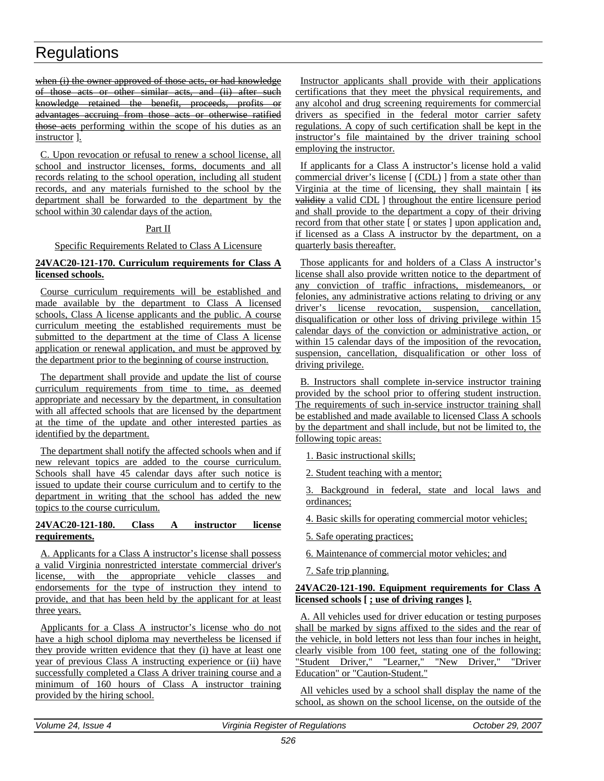when (i) the owner approved of those acts, or had knowledge of those acts or other similar acts, and (ii) after such knowledge retained the benefit, proceeds, profits or advantages accruing from those acts or otherwise ratified those acts performing within the scope of his duties as an instructor ].

C. Upon revocation or refusal to renew a school license, all school and instructor licenses, forms, documents and all records relating to the school operation, including all student records, and any materials furnished to the school by the department shall be forwarded to the department by the school within 30 calendar days of the action.

### Part II

### Specific Requirements Related to Class A Licensure

### **24VAC20-121-170. Curriculum requirements for Class A licensed schools.**

Course curriculum requirements will be established and made available by the department to Class A licensed schools, Class A license applicants and the public. A course curriculum meeting the established requirements must be submitted to the department at the time of Class A license application or renewal application, and must be approved by the department prior to the beginning of course instruction.

The department shall provide and update the list of course curriculum requirements from time to time, as deemed appropriate and necessary by the department, in consultation with all affected schools that are licensed by the department at the time of the update and other interested parties as identified by the department.

The department shall notify the affected schools when and if new relevant topics are added to the course curriculum. Schools shall have 45 calendar days after such notice is issued to update their course curriculum and to certify to the department in writing that the school has added the new topics to the course curriculum.

### **24VAC20-121-180. Class A instructor license requirements.**

A. Applicants for a Class A instructor's license shall possess a valid Virginia nonrestricted interstate commercial driver's license, with the appropriate vehicle classes and endorsements for the type of instruction they intend to provide, and that has been held by the applicant for at least three years.

Applicants for a Class A instructor's license who do not have a high school diploma may nevertheless be licensed if they provide written evidence that they (i) have at least one year of previous Class A instructing experience or (ii) have successfully completed a Class A driver training course and a minimum of 160 hours of Class A instructor training provided by the hiring school.

Instructor applicants shall provide with their applications certifications that they meet the physical requirements, and any alcohol and drug screening requirements for commercial drivers as specified in the federal motor carrier safety regulations. A copy of such certification shall be kept in the instructor's file maintained by the driver training school employing the instructor.

If applicants for a Class A instructor's license hold a valid commercial driver's license [ (CDL) ] from a state other than Virginia at the time of licensing, they shall maintain  $\left[\frac{1}{15}\right]$ validity a valid CDL ] throughout the entire licensure period and shall provide to the department a copy of their driving record from that other state [ or states ] upon application and, if licensed as a Class A instructor by the department, on a quarterly basis thereafter.

Those applicants for and holders of a Class A instructor's license shall also provide written notice to the department of any conviction of traffic infractions, misdemeanors, or felonies, any administrative actions relating to driving or any driver's license revocation, suspension, cancellation, disqualification or other loss of driving privilege within 15 calendar days of the conviction or administrative action, or within 15 calendar days of the imposition of the revocation, suspension, cancellation, disqualification or other loss of driving privilege.

B. Instructors shall complete in-service instructor training provided by the school prior to offering student instruction. The requirements of such in-service instructor training shall be established and made available to licensed Class A schools by the department and shall include, but not be limited to, the following topic areas:

1. Basic instructional skills;

2. Student teaching with a mentor;

3. Background in federal, state and local laws and ordinances;

4. Basic skills for operating commercial motor vehicles;

5. Safe operating practices;

6. Maintenance of commercial motor vehicles; and

7. Safe trip planning.

### **24VAC20-121-190. Equipment requirements for Class A licensed schools [ ; use of driving ranges ].**

A. All vehicles used for driver education or testing purposes shall be marked by signs affixed to the sides and the rear of the vehicle, in bold letters not less than four inches in height, clearly visible from 100 feet, stating one of the following: "Student Driver," "Learner," "New Driver," "Driver Education" or "Caution-Student."

All vehicles used by a school shall display the name of the school, as shown on the school license, on the outside of the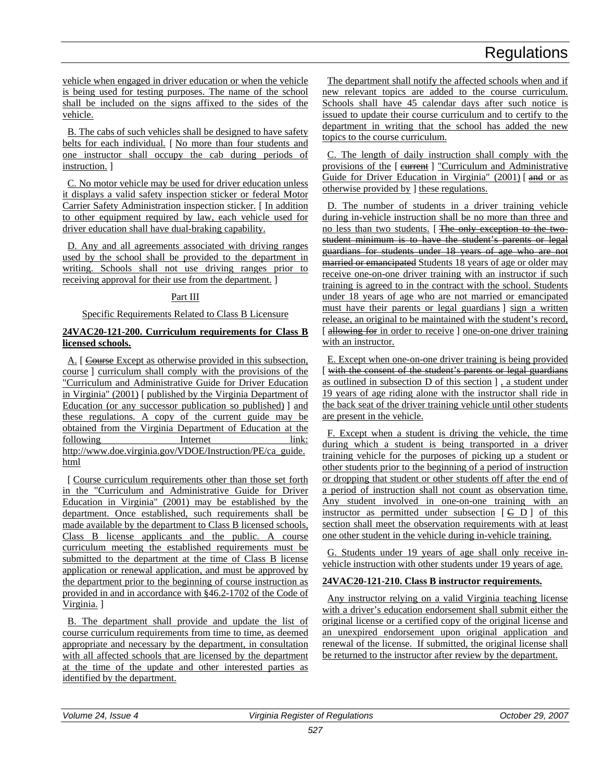vehicle when engaged in driver education or when the vehicle is being used for testing purposes. The name of the school shall be included on the signs affixed to the sides of the vehicle.

B. The cabs of such vehicles shall be designed to have safety belts for each individual. [ No more than four students and one instructor shall occupy the cab during periods of instruction. ]

C. No motor vehicle may be used for driver education unless it displays a valid safety inspection sticker or federal Motor Carrier Safety Administration inspection sticker. [ In addition to other equipment required by law, each vehicle used for driver education shall have dual-braking capability.

D. Any and all agreements associated with driving ranges used by the school shall be provided to the department in writing. Schools shall not use driving ranges prior to receiving approval for their use from the department. ]

### Part III

Specific Requirements Related to Class B Licensure

### **24VAC20-121-200. Curriculum requirements for Class B licensed schools.**

A. [ Course Except as otherwise provided in this subsection, course ] curriculum shall comply with the provisions of the "Curriculum and Administrative Guide for Driver Education in Virginia" (2001) [ published by the Virginia Department of Education (or any successor publication so published) ] and these regulations. A copy of the current guide may be obtained from the Virginia Department of Education at the following Internet link: http://www.doe.virginia.gov/VDOE/Instruction/PE/ca\_guide. html

[ Course curriculum requirements other than those set forth in the "Curriculum and Administrative Guide for Driver Education in Virginia" (2001) may be established by the department. Once established, such requirements shall be made available by the department to Class B licensed schools, Class B license applicants and the public. A course curriculum meeting the established requirements must be submitted to the department at the time of Class B license application or renewal application, and must be approved by the department prior to the beginning of course instruction as provided in and in accordance with §46.2-1702 of the Code of Virginia. ]

B. The department shall provide and update the list of course curriculum requirements from time to time, as deemed appropriate and necessary by the department, in consultation with all affected schools that are licensed by the department at the time of the update and other interested parties as identified by the department.

The department shall notify the affected schools when and if new relevant topics are added to the course curriculum. Schools shall have 45 calendar days after such notice is issued to update their course curriculum and to certify to the department in writing that the school has added the new topics to the course curriculum.

C. The length of daily instruction shall comply with the provisions of the [ curriculum and Administrative Guide for Driver Education in Virginia" (2001) [and or as otherwise provided by ] these regulations.

D. The number of students in a driver training vehicle during in-vehicle instruction shall be no more than three and no less than two students. [ The only exception to the twostudent minimum is to have the student's parents or legal guardians for students under 18 years of age who are not married or emancipated Students 18 years of age or older may receive one-on-one driver training with an instructor if such training is agreed to in the contract with the school. Students under 18 years of age who are not married or emancipated must have their parents or legal guardians ] sign a written release, an original to be maintained with the student's record, [ allowing for in order to receive ] one-on-one driver training with an instructor.

E. Except when one-on-one driver training is being provided [ with the consent of the student's parents or legal guardians as outlined in subsection D of this section ] , a student under 19 years of age riding alone with the instructor shall ride in the back seat of the driver training vehicle until other students are present in the vehicle.

F. Except when a student is driving the vehicle, the time during which a student is being transported in a driver training vehicle for the purposes of picking up a student or other students prior to the beginning of a period of instruction or dropping that student or other students off after the end of a period of instruction shall not count as observation time. Any student involved in one-on-one training with an instructor as permitted under subsection  $\begin{bmatrix} \in D \end{bmatrix}$  of this section shall meet the observation requirements with at least one other student in the vehicle during in-vehicle training.

G. Students under 19 years of age shall only receive invehicle instruction with other students under 19 years of age.

### **24VAC20-121-210. Class B instructor requirements.**

Any instructor relying on a valid Virginia teaching license with a driver's education endorsement shall submit either the original license or a certified copy of the original license and an unexpired endorsement upon original application and renewal of the license. If submitted, the original license shall be returned to the instructor after review by the department.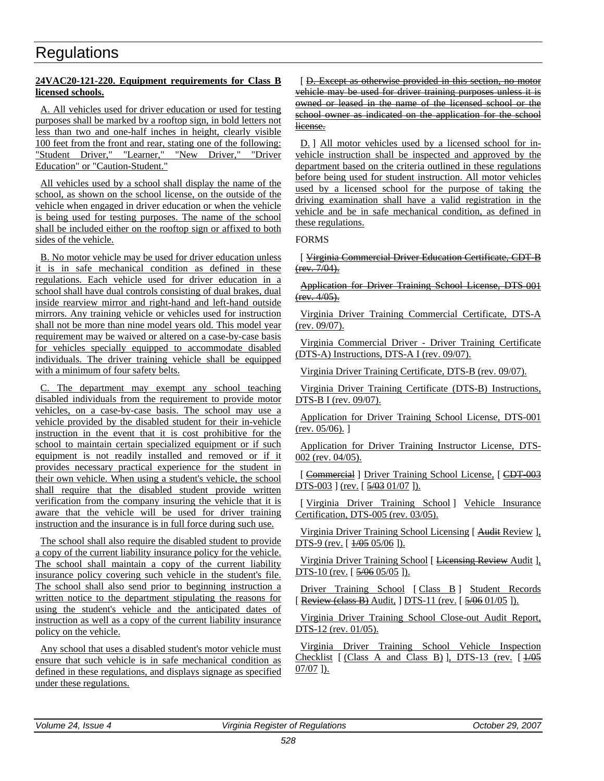### **24VAC20-121-220. Equipment requirements for Class B licensed schools.**

A. All vehicles used for driver education or used for testing purposes shall be marked by a rooftop sign, in bold letters not less than two and one-half inches in height, clearly visible 100 feet from the front and rear, stating one of the following: "Student Driver," "Learner," "New Driver," "Driver Education" or "Caution-Student."

All vehicles used by a school shall display the name of the school, as shown on the school license, on the outside of the vehicle when engaged in driver education or when the vehicle is being used for testing purposes. The name of the school shall be included either on the rooftop sign or affixed to both sides of the vehicle.

B. No motor vehicle may be used for driver education unless it is in safe mechanical condition as defined in these regulations. Each vehicle used for driver education in a school shall have dual controls consisting of dual brakes, dual inside rearview mirror and right-hand and left-hand outside mirrors. Any training vehicle or vehicles used for instruction shall not be more than nine model years old. This model year requirement may be waived or altered on a case-by-case basis for vehicles specially equipped to accommodate disabled individuals. The driver training vehicle shall be equipped with a minimum of four safety belts.

C. The department may exempt any school teaching disabled individuals from the requirement to provide motor vehicles, on a case-by-case basis. The school may use a vehicle provided by the disabled student for their in-vehicle instruction in the event that it is cost prohibitive for the school to maintain certain specialized equipment or if such equipment is not readily installed and removed or if it provides necessary practical experience for the student in their own vehicle. When using a student's vehicle, the school shall require that the disabled student provide written verification from the company insuring the vehicle that it is aware that the vehicle will be used for driver training instruction and the insurance is in full force during such use.

The school shall also require the disabled student to provide a copy of the current liability insurance policy for the vehicle. The school shall maintain a copy of the current liability insurance policy covering such vehicle in the student's file. The school shall also send prior to beginning instruction a written notice to the department stipulating the reasons for using the student's vehicle and the anticipated dates of instruction as well as a copy of the current liability insurance policy on the vehicle.

Any school that uses a disabled student's motor vehicle must ensure that such vehicle is in safe mechanical condition as defined in these regulations, and displays signage as specified under these regulations.

[ D. Except as otherwise provided in this section, no motor vehicle may be used for driver training purposes unless it is owned or leased in the name of the licensed school or the school owner as indicated on the application for the school license.

D. ] All motor vehicles used by a licensed school for invehicle instruction shall be inspected and approved by the department based on the criteria outlined in these regulations before being used for student instruction. All motor vehicles used by a licensed school for the purpose of taking the driving examination shall have a valid registration in the vehicle and be in safe mechanical condition, as defined in these regulations.

### FORMS

[ Virginia Commercial Driver Education Certificate, CDT-B  $(rev. 7/04)$ .

Application for Driver Training School License, DTS-001 (rev. 4/05).

Virginia Driver Training Commercial Certificate, DTS-A (rev. 09/07).

Virginia Commercial Driver - Driver Training Certificate (DTS-A) Instructions, DTS-A I (rev. 09/07).

Virginia Driver Training Certificate, DTS-B (rev. 09/07).

Virginia Driver Training Certificate (DTS-B) Instructions, DTS-B I (rev. 09/07).

Application for Driver Training School License, DTS-001 (rev. 05/06). ]

Application for Driver Training Instructor License, DTS-002 (rev. 04/05).

[ Commercial ] Driver Training School License, [ CDT-003 DTS-003 ] (rev. [  $\frac{5}{0.03}$  01/07 ]).

[ Virginia Driver Training School ] Vehicle Insurance Certification, DTS-005 (rev. 03/05).

Virginia Driver Training School Licensing [ Audit Review ], DTS-9 (rev. [  $\frac{1}{0.05}$  05/06 ]).

Virginia Driver Training School [ Licensing Review Audit ], DTS-10 (rev. [  $\frac{5}{06}$  05/05 ]).

Driver Training School [Class B] Student Records [ Review (class B) Audit, ] DTS-11 (rev. [  $\frac{5}{906}$  01/05 ]).

Virginia Driver Training School Close-out Audit Report, DTS-12 (rev. 01/05).

Virginia Driver Training School Vehicle Inspection Checklist  $[(Class A and Class B)], DTS-13 (rev. [1/05]$ 07/07 ]).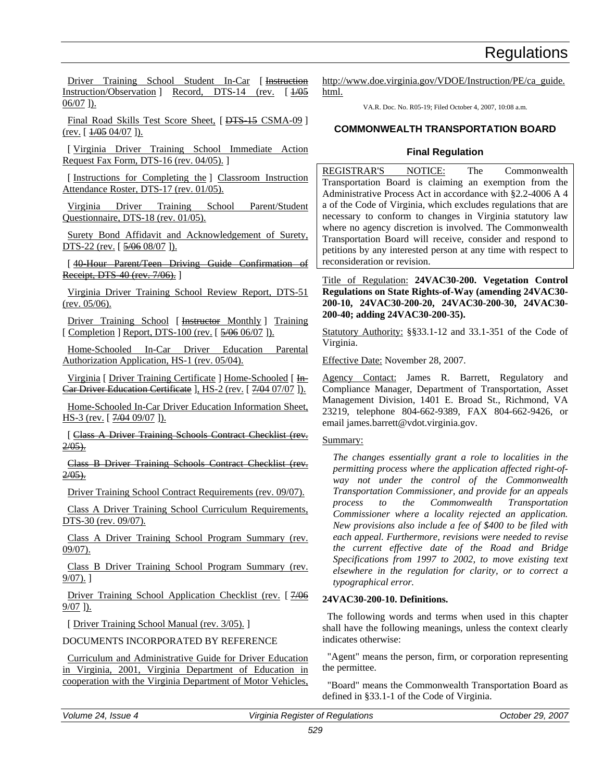Driver Training School Student In-Car [ Instruction Instruction/Observation ] Record, DTS-14 (rev. [  $\frac{1}{0.05}$  $06/07$  ]).

Final Road Skills Test Score Sheet, [DTS 15 CSMA-09 ]  $(rev. [1/05 04/07]).$ 

[ Virginia Driver Training School Immediate Action Request Fax Form, DTS-16 (rev. 04/05). ]

[Instructions for Completing the ] Classroom Instruction Attendance Roster, DTS-17 (rev. 01/05).

Virginia Driver Training School Parent/Student Questionnaire, DTS-18 (rev. 01/05).

Surety Bond Affidavit and Acknowledgement of Surety, DTS-22 (rev. [  $\frac{5}{906}$  08/07 ]).

[ 40-Hour Parent/Teen Driving Guide Confirmation of Receipt, DTS 40 (rev. 7/06). ]

Virginia Driver Training School Review Report, DTS-51 (rev. 05/06).

Driver Training School [ Instructor Monthly ] Training [ Completion ] Report, DTS-100 (rev. [  $\frac{5}{906}$  06/07 ]).

Home-Schooled In-Car Driver Education Parental Authorization Application, HS-1 (rev. 05/04).

Virginia [ Driver Training Certificate ] Home-Schooled [ In-Car Driver Education Certificate ], HS-2 (rev. [ 7/04 07/07 ]).

Home-Schooled In-Car Driver Education Information Sheet, HS-3 (rev. [  $7/0409/07$  ]).

[ Class A Driver Training Schools Contract Checklist (rev.  $2/05$ ).

Class B Driver Training Schools Contract Checklist (rev.  $2/05$ ).

Driver Training School Contract Requirements (rev. 09/07).

Class A Driver Training School Curriculum Requirements, DTS-30 (rev. 09/07).

Class A Driver Training School Program Summary (rev. 09/07).

Class B Driver Training School Program Summary (rev. 9/07). ]

Driver Training School Application Checklist (rev. [7/06] 9/07 ]).

[ Driver Training School Manual (rev. 3/05).]

DOCUMENTS INCORPORATED BY REFERENCE

Curriculum and Administrative Guide for Driver Education in Virginia, 2001, Virginia Department of Education in cooperation with the Virginia Department of Motor Vehicles,

http://www.doe.virginia.gov/VDOE/Instruction/PE/ca\_guide. html.

VA.R. Doc. No. R05-19; Filed October 4, 2007, 10:08 a.m.

### **COMMONWEALTH TRANSPORTATION BOARD**

### **Final Regulation**

REGISTRAR'S NOTICE: The Commonwealth Transportation Board is claiming an exemption from the Administrative Process Act in accordance with §2.2-4006 A 4 a of the Code of Virginia, which excludes regulations that are necessary to conform to changes in Virginia statutory law where no agency discretion is involved. The Commonwealth Transportation Board will receive, consider and respond to petitions by any interested person at any time with respect to reconsideration or revision.

Title of Regulation: **24VAC30-200. Vegetation Control Regulations on State Rights-of-Way (amending 24VAC30- 200-10, 24VAC30-200-20, 24VAC30-200-30, 24VAC30- 200-40; adding 24VAC30-200-35).**

Statutory Authority: §§33.1-12 and 33.1-351 of the Code of Virginia.

Effective Date: November 28, 2007.

Agency Contact: James R. Barrett, Regulatory and Compliance Manager, Department of Transportation, Asset Management Division, 1401 E. Broad St., Richmond, VA 23219, telephone 804-662-9389, FAX 804-662-9426, or email james.barrett@vdot.virginia.gov.

### Summary:

*The changes essentially grant a role to localities in the permitting process where the application affected right-ofway not under the control of the Commonwealth Transportation Commissioner, and provide for an appeals process to the Commonwealth Transportation Commissioner where a locality rejected an application. New provisions also include a fee of \$400 to be filed with each appeal. Furthermore, revisions were needed to revise the current effective date of the Road and Bridge Specifications from 1997 to 2002, to move existing text elsewhere in the regulation for clarity, or to correct a typographical error.*

### **24VAC30-200-10. Definitions.**

The following words and terms when used in this chapter shall have the following meanings, unless the context clearly indicates otherwise:

"Agent" means the person, firm, or corporation representing the permittee.

"Board" means the Commonwealth Transportation Board as defined in §33.1-1 of the Code of Virginia.

*Volume 24, Issue 4 Virginia Register of Regulations October 29, 2007*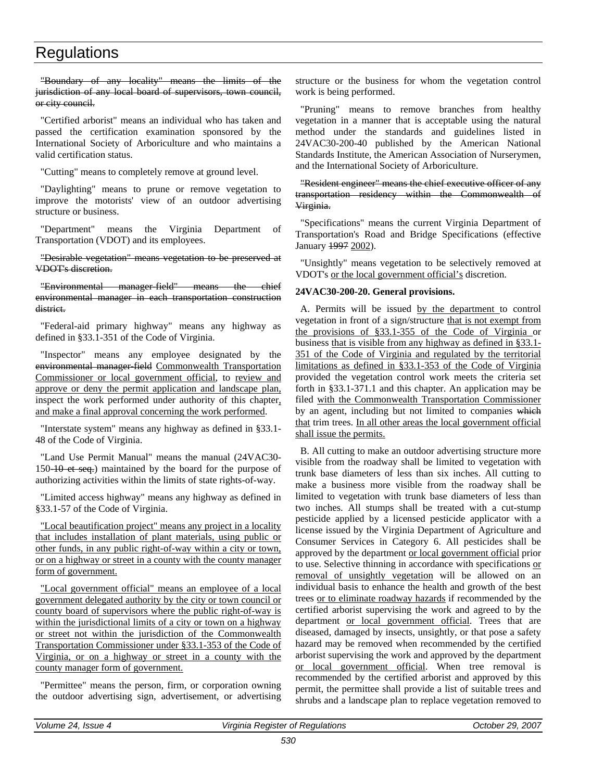"Boundary of any locality" means the limits of the jurisdiction of any local board of supervisors, town council, or city council.

"Certified arborist" means an individual who has taken and passed the certification examination sponsored by the International Society of Arboriculture and who maintains a valid certification status.

"Cutting" means to completely remove at ground level.

"Daylighting" means to prune or remove vegetation to improve the motorists' view of an outdoor advertising structure or business.

"Department" means the Virginia Department of Transportation (VDOT) and its employees.

"Desirable vegetation" means vegetation to be preserved at VDOT's discretion.

#### "Environmental manager-field" means the chief environmental manager in each transportation construction district.

"Federal-aid primary highway" means any highway as defined in §33.1-351 of the Code of Virginia.

"Inspector" means any employee designated by the environmental manager field Commonwealth Transportation Commissioner or local government official, to review and approve or deny the permit application and landscape plan, inspect the work performed under authority of this chapter, and make a final approval concerning the work performed.

"Interstate system" means any highway as defined in §33.1- 48 of the Code of Virginia.

"Land Use Permit Manual" means the manual (24VAC30- 150<del>-10 et seq.</del>) maintained by the board for the purpose of authorizing activities within the limits of state rights-of-way.

"Limited access highway" means any highway as defined in §33.1-57 of the Code of Virginia.

"Local beautification project" means any project in a locality that includes installation of plant materials, using public or other funds, in any public right-of-way within a city or town, or on a highway or street in a county with the county manager form of government.

"Local government official" means an employee of a local government delegated authority by the city or town council or county board of supervisors where the public right-of-way is within the jurisdictional limits of a city or town on a highway or street not within the jurisdiction of the Commonwealth Transportation Commissioner under §33.1-353 of the Code of Virginia, or on a highway or street in a county with the county manager form of government.

"Permittee" means the person, firm, or corporation owning the outdoor advertising sign, advertisement, or advertising structure or the business for whom the vegetation control work is being performed.

"Pruning" means to remove branches from healthy vegetation in a manner that is acceptable using the natural method under the standards and guidelines listed in 24VAC30-200-40 published by the American National Standards Institute, the American Association of Nurserymen, and the International Society of Arboriculture.

"Resident engineer" means the chief executive officer of any transportation residency within the Commonwealth of Virginia.

"Specifications" means the current Virginia Department of Transportation's Road and Bridge Specifications (effective January 1997 2002).

"Unsightly" means vegetation to be selectively removed at VDOT's or the local government official's discretion.

### **24VAC30-200-20. General provisions.**

A. Permits will be issued by the department to control vegetation in front of a sign/structure that is not exempt from the provisions of §33.1-355 of the Code of Virginia or business that is visible from any highway as defined in §33.1- 351 of the Code of Virginia and regulated by the territorial limitations as defined in §33.1-353 of the Code of Virginia provided the vegetation control work meets the criteria set forth in §33.1-371.1 and this chapter. An application may be filed with the Commonwealth Transportation Commissioner by an agent, including but not limited to companies which that trim trees. In all other areas the local government official shall issue the permits.

B. All cutting to make an outdoor advertising structure more visible from the roadway shall be limited to vegetation with trunk base diameters of less than six inches. All cutting to make a business more visible from the roadway shall be limited to vegetation with trunk base diameters of less than two inches. All stumps shall be treated with a cut-stump pesticide applied by a licensed pesticide applicator with a license issued by the Virginia Department of Agriculture and Consumer Services in Category 6. All pesticides shall be approved by the department or local government official prior to use. Selective thinning in accordance with specifications or removal of unsightly vegetation will be allowed on an individual basis to enhance the health and growth of the best trees or to eliminate roadway hazards if recommended by the certified arborist supervising the work and agreed to by the department or local government official. Trees that are diseased, damaged by insects, unsightly, or that pose a safety hazard may be removed when recommended by the certified arborist supervising the work and approved by the department or local government official. When tree removal is recommended by the certified arborist and approved by this permit, the permittee shall provide a list of suitable trees and shrubs and a landscape plan to replace vegetation removed to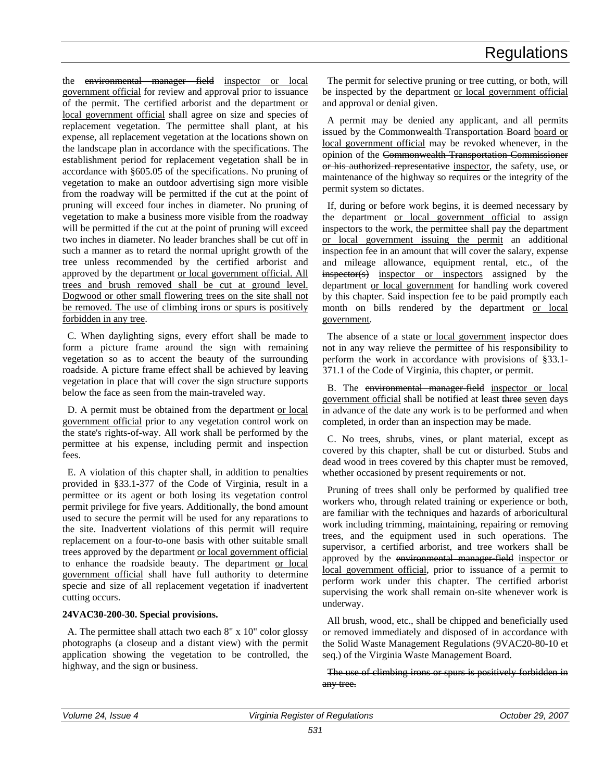the environmental manager field inspector or local government official for review and approval prior to issuance of the permit. The certified arborist and the department or local government official shall agree on size and species of replacement vegetation. The permittee shall plant, at his expense, all replacement vegetation at the locations shown on the landscape plan in accordance with the specifications. The establishment period for replacement vegetation shall be in accordance with §605.05 of the specifications. No pruning of vegetation to make an outdoor advertising sign more visible from the roadway will be permitted if the cut at the point of pruning will exceed four inches in diameter. No pruning of vegetation to make a business more visible from the roadway will be permitted if the cut at the point of pruning will exceed two inches in diameter. No leader branches shall be cut off in such a manner as to retard the normal upright growth of the tree unless recommended by the certified arborist and approved by the department or local government official. All trees and brush removed shall be cut at ground level. Dogwood or other small flowering trees on the site shall not be removed. The use of climbing irons or spurs is positively forbidden in any tree.

C. When daylighting signs, every effort shall be made to form a picture frame around the sign with remaining vegetation so as to accent the beauty of the surrounding roadside. A picture frame effect shall be achieved by leaving vegetation in place that will cover the sign structure supports below the face as seen from the main-traveled way.

D. A permit must be obtained from the department or local government official prior to any vegetation control work on the state's rights-of-way. All work shall be performed by the permittee at his expense, including permit and inspection fees.

E. A violation of this chapter shall, in addition to penalties provided in §33.1-377 of the Code of Virginia, result in a permittee or its agent or both losing its vegetation control permit privilege for five years. Additionally, the bond amount used to secure the permit will be used for any reparations to the site. Inadvertent violations of this permit will require replacement on a four-to-one basis with other suitable small trees approved by the department or local government official to enhance the roadside beauty. The department or local government official shall have full authority to determine specie and size of all replacement vegetation if inadvertent cutting occurs.

### **24VAC30-200-30. Special provisions.**

A. The permittee shall attach two each 8" x 10" color glossy photographs (a closeup and a distant view) with the permit application showing the vegetation to be controlled, the highway, and the sign or business.

The permit for selective pruning or tree cutting, or both, will be inspected by the department or local government official and approval or denial given.

A permit may be denied any applicant, and all permits issued by the Commonwealth Transportation Board board or local government official may be revoked whenever, in the opinion of the Commonwealth Transportation Commissioner or his authorized representative inspector, the safety, use, or maintenance of the highway so requires or the integrity of the permit system so dictates.

If, during or before work begins, it is deemed necessary by the department or local government official to assign inspectors to the work, the permittee shall pay the department or local government issuing the permit an additional inspection fee in an amount that will cover the salary, expense and mileage allowance, equipment rental, etc., of the inspector(s) inspector or inspectors assigned by the department or local government for handling work covered by this chapter. Said inspection fee to be paid promptly each month on bills rendered by the department or local government.

The absence of a state or local government inspector does not in any way relieve the permittee of his responsibility to perform the work in accordance with provisions of §33.1- 371.1 of the Code of Virginia, this chapter, or permit.

B. The environmental manager-field inspector or local government official shall be notified at least three seven days in advance of the date any work is to be performed and when completed, in order than an inspection may be made.

C. No trees, shrubs, vines, or plant material, except as covered by this chapter, shall be cut or disturbed. Stubs and dead wood in trees covered by this chapter must be removed, whether occasioned by present requirements or not.

Pruning of trees shall only be performed by qualified tree workers who, through related training or experience or both, are familiar with the techniques and hazards of arboricultural work including trimming, maintaining, repairing or removing trees, and the equipment used in such operations. The supervisor, a certified arborist, and tree workers shall be approved by the environmental manager-field inspector or local government official, prior to issuance of a permit to perform work under this chapter. The certified arborist supervising the work shall remain on-site whenever work is underway.

All brush, wood, etc., shall be chipped and beneficially used or removed immediately and disposed of in accordance with the Solid Waste Management Regulations (9VAC20-80-10 et seq.) of the Virginia Waste Management Board.

The use of climbing irons or spurs is positively forbidden in any tree.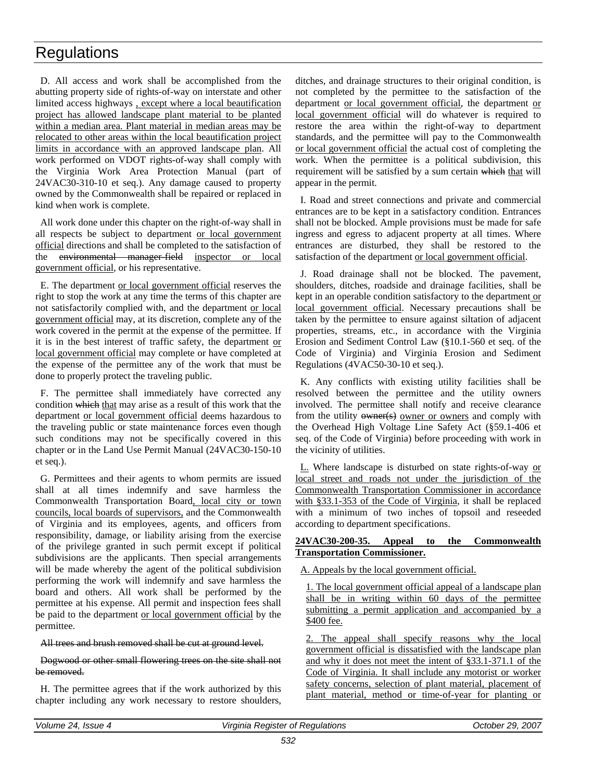D. All access and work shall be accomplished from the abutting property side of rights-of-way on interstate and other limited access highways , except where a local beautification project has allowed landscape plant material to be planted within a median area. Plant material in median areas may be relocated to other areas within the local beautification project limits in accordance with an approved landscape plan. All work performed on VDOT rights-of-way shall comply with the Virginia Work Area Protection Manual (part of 24VAC30-310-10 et seq.). Any damage caused to property owned by the Commonwealth shall be repaired or replaced in kind when work is complete.

All work done under this chapter on the right-of-way shall in all respects be subject to department or local government official directions and shall be completed to the satisfaction of the environmental manager-field inspector or local government official, or his representative.

E. The department or local government official reserves the right to stop the work at any time the terms of this chapter are not satisfactorily complied with, and the department or local government official may, at its discretion, complete any of the work covered in the permit at the expense of the permittee. If it is in the best interest of traffic safety, the department or local government official may complete or have completed at the expense of the permittee any of the work that must be done to properly protect the traveling public.

F. The permittee shall immediately have corrected any condition which that may arise as a result of this work that the department or local government official deems hazardous to the traveling public or state maintenance forces even though such conditions may not be specifically covered in this chapter or in the Land Use Permit Manual (24VAC30-150-10 et seq.).

G. Permittees and their agents to whom permits are issued shall at all times indemnify and save harmless the Commonwealth Transportation Board, local city or town councils, local boards of supervisors, and the Commonwealth of Virginia and its employees, agents, and officers from responsibility, damage, or liability arising from the exercise of the privilege granted in such permit except if political subdivisions are the applicants. Then special arrangements will be made whereby the agent of the political subdivision performing the work will indemnify and save harmless the board and others. All work shall be performed by the permittee at his expense. All permit and inspection fees shall be paid to the department or local government official by the permittee.

All trees and brush removed shall be cut at ground level.

### Dogwood or other small flowering trees on the site shall not be removed.

H. The permittee agrees that if the work authorized by this chapter including any work necessary to restore shoulders,

ditches, and drainage structures to their original condition, is not completed by the permittee to the satisfaction of the department or local government official, the department or local government official will do whatever is required to restore the area within the right-of-way to department standards, and the permittee will pay to the Commonwealth or local government official the actual cost of completing the work. When the permittee is a political subdivision, this requirement will be satisfied by a sum certain which that will appear in the permit.

I. Road and street connections and private and commercial entrances are to be kept in a satisfactory condition. Entrances shall not be blocked. Ample provisions must be made for safe ingress and egress to adjacent property at all times. Where entrances are disturbed, they shall be restored to the satisfaction of the department or local government official.

J. Road drainage shall not be blocked. The pavement, shoulders, ditches, roadside and drainage facilities, shall be kept in an operable condition satisfactory to the department or local government official. Necessary precautions shall be taken by the permittee to ensure against siltation of adjacent properties, streams, etc., in accordance with the Virginia Erosion and Sediment Control Law (§10.1-560 et seq. of the Code of Virginia) and Virginia Erosion and Sediment Regulations (4VAC50-30-10 et seq.).

K. Any conflicts with existing utility facilities shall be resolved between the permittee and the utility owners involved. The permittee shall notify and receive clearance from the utility owner(s) owner or owners and comply with the Overhead High Voltage Line Safety Act (§59.1-406 et seq. of the Code of Virginia) before proceeding with work in the vicinity of utilities.

L. Where landscape is disturbed on state rights-of-way or local street and roads not under the jurisdiction of the Commonwealth Transportation Commissioner in accordance with §33.1-353 of the Code of Virginia, it shall be replaced with a minimum of two inches of topsoil and reseeded according to department specifications.

### **24VAC30-200-35. Appeal to the Commonwealth Transportation Commissioner.**

A. Appeals by the local government official.

1. The local government official appeal of a landscape plan shall be in writing within 60 days of the permittee submitting a permit application and accompanied by a \$400 fee.

2. The appeal shall specify reasons why the local government official is dissatisfied with the landscape plan and why it does not meet the intent of §33.1-371.1 of the Code of Virginia. It shall include any motorist or worker safety concerns, selection of plant material, placement of plant material, method or time-of-year for planting or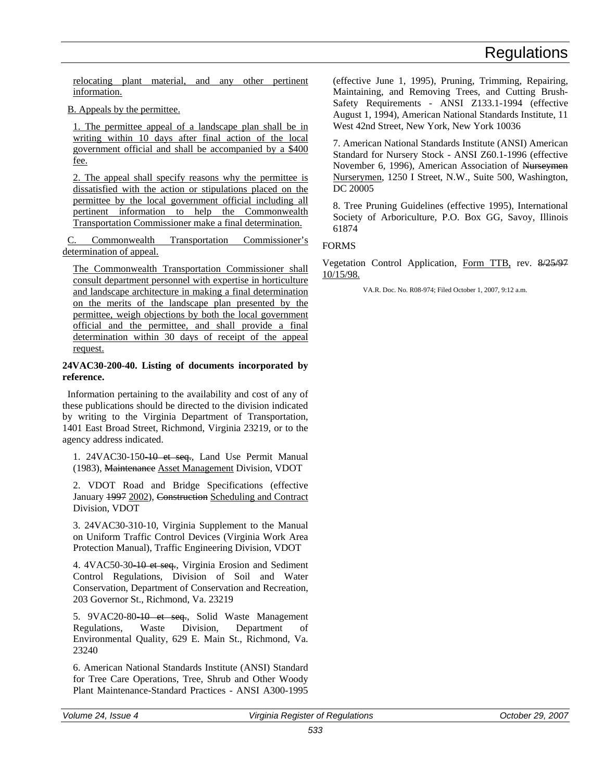relocating plant material, and any other pertinent information.

B. Appeals by the permittee.

1. The permittee appeal of a landscape plan shall be in writing within 10 days after final action of the local government official and shall be accompanied by a \$400 fee.

2. The appeal shall specify reasons why the permittee is dissatisfied with the action or stipulations placed on the permittee by the local government official including all pertinent information to help the Commonwealth Transportation Commissioner make a final determination.

Commonwealth Transportation Commissioner's determination of appeal.

The Commonwealth Transportation Commissioner shall consult department personnel with expertise in horticulture and landscape architecture in making a final determination on the merits of the landscape plan presented by the permittee, weigh objections by both the local government official and the permittee, and shall provide a final determination within 30 days of receipt of the appeal request.

#### **24VAC30-200-40. Listing of documents incorporated by reference.**

Information pertaining to the availability and cost of any of these publications should be directed to the division indicated by writing to the Virginia Department of Transportation, 1401 East Broad Street, Richmond, Virginia 23219, or to the agency address indicated.

1. 24VAC30-150-10 et seq., Land Use Permit Manual (1983), Maintenance Asset Management Division, VDOT

2. VDOT Road and Bridge Specifications (effective January 1997 2002), Construction Scheduling and Contract Division, VDOT

3. 24VAC30-310-10, Virginia Supplement to the Manual on Uniform Traffic Control Devices (Virginia Work Area Protection Manual), Traffic Engineering Division, VDOT

4. 4VAC50-30-10 et seq., Virginia Erosion and Sediment Control Regulations, Division of Soil and Water Conservation, Department of Conservation and Recreation, 203 Governor St., Richmond, Va. 23219

5. 9VAC20-80-10 et seq., Solid Waste Management Regulations, Waste Division, Department of Environmental Quality, 629 E. Main St., Richmond, Va. 23240

6. American National Standards Institute (ANSI) Standard for Tree Care Operations, Tree, Shrub and Other Woody Plant Maintenance-Standard Practices - ANSI A300-1995

(effective June 1, 1995), Pruning, Trimming, Repairing, Maintaining, and Removing Trees, and Cutting Brush-Safety Requirements - ANSI Z133.1-1994 (effective August 1, 1994), American National Standards Institute, 11 West 42nd Street, New York, New York 10036

7. American National Standards Institute (ANSI) American Standard for Nursery Stock - ANSI Z60.1-1996 (effective November 6, 1996), American Association of Nurseymen Nurserymen, 1250 I Street, N.W., Suite 500, Washington, DC 20005

8. Tree Pruning Guidelines (effective 1995), International Society of Arboriculture, P.O. Box GG, Savoy, Illinois 61874

### FORMS

Vegetation Control Application, Form TTB, rev. 8/25/97 10/15/98.

VA.R. Doc. No. R08-974; Filed October 1, 2007, 9:12 a.m.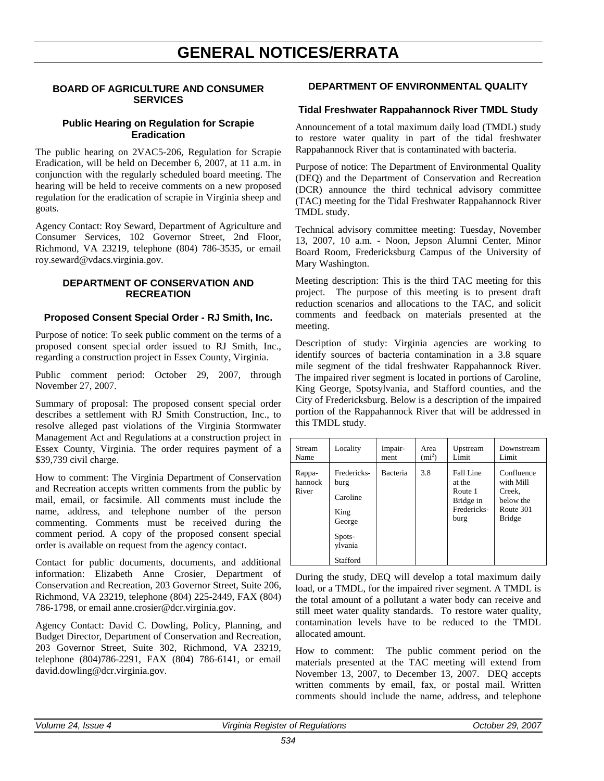# **GENERAL NOTICES/ERRATA**

### **BOARD OF AGRICULTURE AND CONSUMER SERVICES**

### **Public Hearing on Regulation for Scrapie Eradication**

The public hearing on 2VAC5-206, Regulation for Scrapie Eradication, will be held on December 6, 2007, at 11 a.m. in conjunction with the regularly scheduled board meeting. The hearing will be held to receive comments on a new proposed regulation for the eradication of scrapie in Virginia sheep and goats.

Agency Contact: Roy Seward, Department of Agriculture and Consumer Services, 102 Governor Street, 2nd Floor, Richmond, VA 23219, telephone (804) 786-3535, or email roy.seward@vdacs.virginia.gov.

### **DEPARTMENT OF CONSERVATION AND RECREATION**

### **Proposed Consent Special Order - RJ Smith, Inc.**

Purpose of notice: To seek public comment on the terms of a proposed consent special order issued to RJ Smith, Inc., regarding a construction project in Essex County, Virginia.

Public comment period: October 29, 2007, through November 27, 2007.

Summary of proposal: The proposed consent special order describes a settlement with RJ Smith Construction, Inc., to resolve alleged past violations of the Virginia Stormwater Management Act and Regulations at a construction project in Essex County, Virginia. The order requires payment of a \$39,739 civil charge.

How to comment: The Virginia Department of Conservation and Recreation accepts written comments from the public by mail, email, or facsimile. All comments must include the name, address, and telephone number of the person commenting. Comments must be received during the comment period. A copy of the proposed consent special order is available on request from the agency contact.

Contact for public documents, documents, and additional information: Elizabeth Anne Crosier, Department of Conservation and Recreation, 203 Governor Street, Suite 206, Richmond, VA 23219, telephone (804) 225-2449, FAX (804) 786-1798, or email anne.crosier@dcr.virginia.gov.

Agency Contact: David C. Dowling, Policy, Planning, and Budget Director, Department of Conservation and Recreation, 203 Governor Street, Suite 302, Richmond, VA 23219, telephone (804)786-2291, FAX (804) 786-6141, or email david.dowling@dcr.virginia.gov.

### **DEPARTMENT OF ENVIRONMENTAL QUALITY**

### **Tidal Freshwater Rappahannock River TMDL Study**

Announcement of a total maximum daily load (TMDL) study to restore water quality in part of the tidal freshwater Rappahannock River that is contaminated with bacteria.

Purpose of notice: The Department of Environmental Quality (DEQ) and the Department of Conservation and Recreation (DCR) announce the third technical advisory committee (TAC) meeting for the Tidal Freshwater Rappahannock River TMDL study.

Technical advisory committee meeting: Tuesday, November 13, 2007, 10 a.m. - Noon, Jepson Alumni Center, Minor Board Room, Fredericksburg Campus of the University of Mary Washington.

Meeting description: This is the third TAC meeting for this project. The purpose of this meeting is to present draft reduction scenarios and allocations to the TAC, and solicit comments and feedback on materials presented at the meeting.

Description of study: Virginia agencies are working to identify sources of bacteria contamination in a 3.8 square mile segment of the tidal freshwater Rappahannock River. The impaired river segment is located in portions of Caroline, King George, Spotsylvania, and Stafford counties, and the City of Fredericksburg. Below is a description of the impaired portion of the Rappahannock River that will be addressed in this TMDL study.

| Stream                     | Locality                                                                           | Impair-  | Area     | Upstream                                                           | Downstream                                                                   |
|----------------------------|------------------------------------------------------------------------------------|----------|----------|--------------------------------------------------------------------|------------------------------------------------------------------------------|
| Name                       |                                                                                    | ment     | $(mi^2)$ | Limit                                                              | Limit                                                                        |
| Rappa-<br>hannock<br>River | Fredericks-<br>burg<br>Caroline<br>King<br>George<br>Spots-<br>vlvania<br>Stafford | Bacteria | 3.8      | Fall Line<br>at the<br>Route 1<br>Bridge in<br>Fredericks-<br>burg | Confluence<br>with Mill<br>Creek.<br>below the<br>Route 301<br><b>Bridge</b> |

During the study, DEQ will develop a total maximum daily load, or a TMDL, for the impaired river segment. A TMDL is the total amount of a pollutant a water body can receive and still meet water quality standards. To restore water quality, contamination levels have to be reduced to the TMDL allocated amount.

How to comment: The public comment period on the materials presented at the TAC meeting will extend from November 13, 2007, to December 13, 2007. DEQ accepts written comments by email, fax, or postal mail. Written comments should include the name, address, and telephone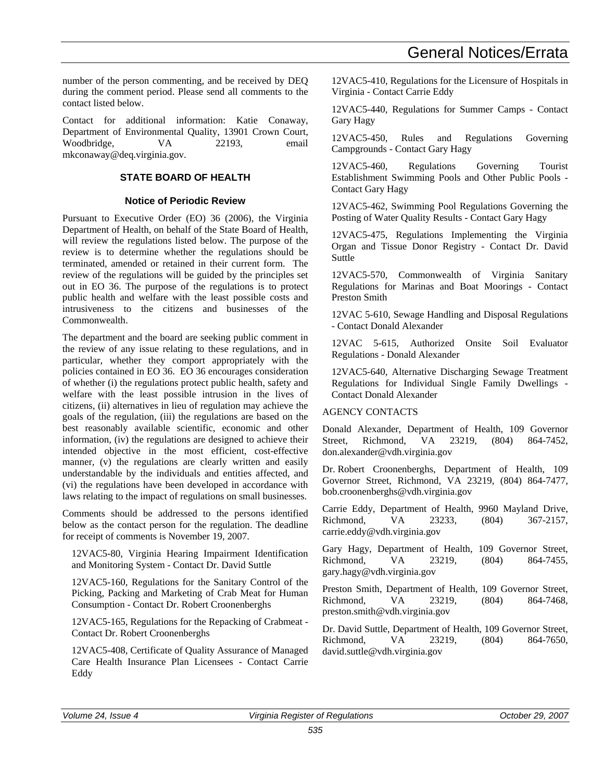number of the person commenting, and be received by DEQ during the comment period. Please send all comments to the contact listed below.

Contact for additional information: Katie Conaway, Department of Environmental Quality, 13901 Crown Court, Woodbridge, VA 22193, email mkconaway@deq.virginia.gov.

### **STATE BOARD OF HEALTH**

### **Notice of Periodic Review**

Pursuant to Executive Order (EO) 36 (2006), the Virginia Department of Health, on behalf of the State Board of Health, will review the regulations listed below. The purpose of the review is to determine whether the regulations should be terminated, amended or retained in their current form. The review of the regulations will be guided by the principles set out in EO 36. The purpose of the regulations is to protect public health and welfare with the least possible costs and intrusiveness to the citizens and businesses of the Commonwealth.

The department and the board are seeking public comment in the review of any issue relating to these regulations, and in particular, whether they comport appropriately with the policies contained in EO 36. EO 36 encourages consideration of whether (i) the regulations protect public health, safety and welfare with the least possible intrusion in the lives of citizens, (ii) alternatives in lieu of regulation may achieve the goals of the regulation, (iii) the regulations are based on the best reasonably available scientific, economic and other information, (iv) the regulations are designed to achieve their intended objective in the most efficient, cost-effective manner, (v) the regulations are clearly written and easily understandable by the individuals and entities affected, and (vi) the regulations have been developed in accordance with laws relating to the impact of regulations on small businesses.

Comments should be addressed to the persons identified below as the contact person for the regulation. The deadline for receipt of comments is November 19, 2007.

12VAC5-80, Virginia Hearing Impairment Identification and Monitoring System - Contact Dr. David Suttle

12VAC5-160, Regulations for the Sanitary Control of the Picking, Packing and Marketing of Crab Meat for Human Consumption - Contact Dr. Robert Croonenberghs

12VAC5-165, Regulations for the Repacking of Crabmeat - Contact Dr. Robert Croonenberghs

12VAC5-408, Certificate of Quality Assurance of Managed Care Health Insurance Plan Licensees - Contact Carrie Eddy

12VAC5-410, Regulations for the Licensure of Hospitals in Virginia - Contact Carrie Eddy

12VAC5-440, Regulations for Summer Camps - Contact Gary Hagy

12VAC5-450, Rules and Regulations Governing Campgrounds - Contact Gary Hagy

12VAC5-460, Regulations Governing Tourist Establishment Swimming Pools and Other Public Pools - Contact Gary Hagy

12VAC5-462, Swimming Pool Regulations Governing the Posting of Water Quality Results - Contact Gary Hagy

12VAC5-475, Regulations Implementing the Virginia Organ and Tissue Donor Registry - Contact Dr. David Suttle

12VAC5-570, Commonwealth of Virginia Sanitary Regulations for Marinas and Boat Moorings - Contact Preston Smith

12VAC 5-610, Sewage Handling and Disposal Regulations - Contact Donald Alexander

12VAC 5-615, Authorized Onsite Soil Evaluator Regulations - Donald Alexander

12VAC5-640, Alternative Discharging Sewage Treatment Regulations for Individual Single Family Dwellings - Contact Donald Alexander

### AGENCY CONTACTS

Donald Alexander, Department of Health, 109 Governor Street, Richmond, VA 23219, (804) 864-7452, don.alexander@vdh.virginia.gov

Dr. Robert Croonenberghs, Department of Health, 109 Governor Street, Richmond, VA 23219, (804) 864-7477, bob.croonenberghs@vdh.virginia.gov

Carrie Eddy, Department of Health, 9960 Mayland Drive, Richmond, VA 23233, (804) 367-2157, carrie.eddy@vdh.virginia.gov

Gary Hagy, Department of Health, 109 Governor Street, Richmond, VA 23219, (804) 864-7455, gary.hagy@vdh.virginia.gov

Preston Smith, Department of Health, 109 Governor Street, Richmond, VA 23219, (804) 864-7468, preston.smith@vdh.virginia.gov

Dr. David Suttle, Department of Health, 109 Governor Street, Richmond, VA 23219, (804) 864-7650, david.suttle@vdh.virginia.gov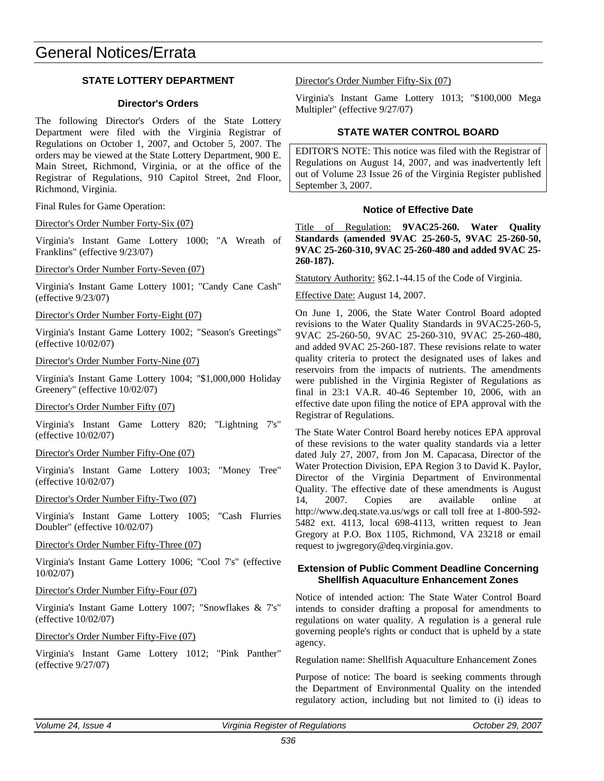### **STATE LOTTERY DEPARTMENT**

### **Director's Orders**

The following Director's Orders of the State Lottery Department were filed with the Virginia Registrar of Regulations on October 1, 2007, and October 5, 2007. The orders may be viewed at the State Lottery Department, 900 E. Main Street, Richmond, Virginia, or at the office of the Registrar of Regulations, 910 Capitol Street, 2nd Floor, Richmond, Virginia.

Final Rules for Game Operation:

Director's Order Number Forty-Six (07)

Virginia's Instant Game Lottery 1000; "A Wreath of Franklins" (effective 9/23/07)

Director's Order Number Forty-Seven (07)

Virginia's Instant Game Lottery 1001; "Candy Cane Cash" (effective 9/23/07)

Director's Order Number Forty-Eight (07)

Virginia's Instant Game Lottery 1002; "Season's Greetings" (effective 10/02/07)

### Director's Order Number Forty-Nine (07)

Virginia's Instant Game Lottery 1004; "\$1,000,000 Holiday Greenery" (effective 10/02/07)

Director's Order Number Fifty (07)

Virginia's Instant Game Lottery 820; "Lightning 7's" (effective 10/02/07)

### Director's Order Number Fifty-One (07)

Virginia's Instant Game Lottery 1003; "Money Tree" (effective 10/02/07)

### Director's Order Number Fifty-Two (07)

Virginia's Instant Game Lottery 1005; "Cash Flurries Doubler" (effective 10/02/07)

### Director's Order Number Fifty-Three (07)

Virginia's Instant Game Lottery 1006; "Cool 7's" (effective 10/02/07)

### Director's Order Number Fifty-Four (07)

Virginia's Instant Game Lottery 1007; "Snowflakes & 7's" (effective 10/02/07)

### Director's Order Number Fifty-Five (07)

Virginia's Instant Game Lottery 1012; "Pink Panther" (effective 9/27/07)

Director's Order Number Fifty-Six (07)

Virginia's Instant Game Lottery 1013; "\$100,000 Mega Multipler" (effective 9/27/07)

### **STATE WATER CONTROL BOARD**

EDITOR'S NOTE: This notice was filed with the Registrar of Regulations on August 14, 2007, and was inadvertently left out of Volume 23 Issue 26 of the Virginia Register published September 3, 2007.

### **Notice of Effective Date**

Title of Regulation: **9VAC25-260. Water Quality Standards (amended 9VAC 25-260-5, 9VAC 25-260-50, 9VAC 25-260-310, 9VAC 25-260-480 and added 9VAC 25- 260-187).**

Statutory Authority: §62.1-44.15 of the Code of Virginia.

Effective Date: August 14, 2007.

On June 1, 2006, the State Water Control Board adopted revisions to the Water Quality Standards in 9VAC25-260-5, 9VAC 25-260-50, 9VAC 25-260-310, 9VAC 25-260-480, and added 9VAC 25-260-187. These revisions relate to water quality criteria to protect the designated uses of lakes and reservoirs from the impacts of nutrients. The amendments were published in the Virginia Register of Regulations as final in 23:1 VA.R. 40-46 September 10, 2006, with an effective date upon filing the notice of EPA approval with the Registrar of Regulations.

The State Water Control Board hereby notices EPA approval of these revisions to the water quality standards via a letter dated July 27, 2007, from Jon M. Capacasa, Director of the Water Protection Division, EPA Region 3 to David K. Paylor, Director of the Virginia Department of Environmental Quality. The effective date of these amendments is August 14, 2007. Copies are available online at http://www.deq.state.va.us/wgs or call toll free at 1-800-592- 5482 ext. 4113, local 698-4113, written request to Jean Gregory at P.O. Box 1105, Richmond, VA 23218 or email request to jwgregory@deq.virginia.gov.

### **Extension of Public Comment Deadline Concerning Shellfish Aquaculture Enhancement Zones**

Notice of intended action: The State Water Control Board intends to consider drafting a proposal for amendments to regulations on water quality. A regulation is a general rule governing people's rights or conduct that is upheld by a state agency.

Regulation name: Shellfish Aquaculture Enhancement Zones

Purpose of notice: The board is seeking comments through the Department of Environmental Quality on the intended regulatory action, including but not limited to (i) ideas to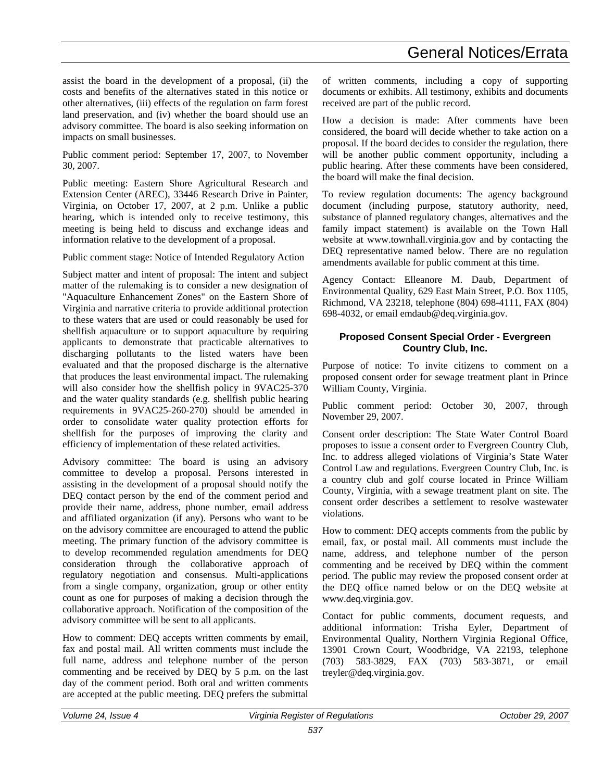assist the board in the development of a proposal, (ii) the costs and benefits of the alternatives stated in this notice or other alternatives, (iii) effects of the regulation on farm forest land preservation, and (iv) whether the board should use an advisory committee. The board is also seeking information on impacts on small businesses.

Public comment period: September 17, 2007, to November 30, 2007.

Public meeting: Eastern Shore Agricultural Research and Extension Center (AREC), 33446 Research Drive in Painter, Virginia, on October 17, 2007, at 2 p.m. Unlike a public hearing, which is intended only to receive testimony, this meeting is being held to discuss and exchange ideas and information relative to the development of a proposal.

Public comment stage: Notice of Intended Regulatory Action

Subject matter and intent of proposal: The intent and subject matter of the rulemaking is to consider a new designation of "Aquaculture Enhancement Zones" on the Eastern Shore of Virginia and narrative criteria to provide additional protection to these waters that are used or could reasonably be used for shellfish aquaculture or to support aquaculture by requiring applicants to demonstrate that practicable alternatives to discharging pollutants to the listed waters have been evaluated and that the proposed discharge is the alternative that produces the least environmental impact. The rulemaking will also consider how the shellfish policy in  $9VAC25-370$ and the water quality standards (e.g. shellfish public hearing requirements in 9VAC25-260-270) should be amended in order to consolidate water quality protection efforts for shellfish for the purposes of improving the clarity and efficiency of implementation of these related activities.

Advisory committee: The board is using an advisory committee to develop a proposal. Persons interested in assisting in the development of a proposal should notify the DEQ contact person by the end of the comment period and provide their name, address, phone number, email address and affiliated organization (if any). Persons who want to be on the advisory committee are encouraged to attend the public meeting. The primary function of the advisory committee is to develop recommended regulation amendments for DEQ consideration through the collaborative approach of regulatory negotiation and consensus. Multi-applications from a single company, organization, group or other entity count as one for purposes of making a decision through the collaborative approach. Notification of the composition of the advisory committee will be sent to all applicants.

How to comment: DEQ accepts written comments by email, fax and postal mail. All written comments must include the full name, address and telephone number of the person commenting and be received by DEQ by 5 p.m. on the last day of the comment period. Both oral and written comments are accepted at the public meeting. DEQ prefers the submittal

of written comments, including a copy of supporting documents or exhibits. All testimony, exhibits and documents received are part of the public record.

How a decision is made: After comments have been considered, the board will decide whether to take action on a proposal. If the board decides to consider the regulation, there will be another public comment opportunity, including a public hearing. After these comments have been considered, the board will make the final decision.

To review regulation documents: The agency background document (including purpose, statutory authority, need, substance of planned regulatory changes, alternatives and the family impact statement) is available on the Town Hall website at www.townhall.virginia.gov and by contacting the DEQ representative named below. There are no regulation amendments available for public comment at this time.

Agency Contact: Elleanore M. Daub, Department of Environmental Quality, 629 East Main Street, P.O. Box 1105, Richmond, VA 23218, telephone (804) 698-4111, FAX (804) 698-4032, or email emdaub@deq.virginia.gov.

### **Proposed Consent Special Order - Evergreen Country Club, Inc.**

Purpose of notice: To invite citizens to comment on a proposed consent order for sewage treatment plant in Prince William County, Virginia.

Public comment period: October 30, 2007, through November 29, 2007.

Consent order description: The State Water Control Board proposes to issue a consent order to Evergreen Country Club, Inc. to address alleged violations of Virginia's State Water Control Law and regulations. Evergreen Country Club, Inc. is a country club and golf course located in Prince William County, Virginia, with a sewage treatment plant on site. The consent order describes a settlement to resolve wastewater violations.

How to comment: DEQ accepts comments from the public by email, fax, or postal mail. All comments must include the name, address, and telephone number of the person commenting and be received by DEQ within the comment period. The public may review the proposed consent order at the DEQ office named below or on the DEQ website at www.deq.virginia.gov.

Contact for public comments, document requests, and additional information: Trisha Eyler, Department of Environmental Quality, Northern Virginia Regional Office, 13901 Crown Court, Woodbridge, VA 22193, telephone (703) 583-3829, FAX (703) 583-3871, or email treyler@deq.virginia.gov.

| Volume 24.<br>Issue 4 | .<br>Virginia<br>ı Reaister of Reaulations | .2007<br>October 29. |
|-----------------------|--------------------------------------------|----------------------|
|                       | $-0$                                       |                      |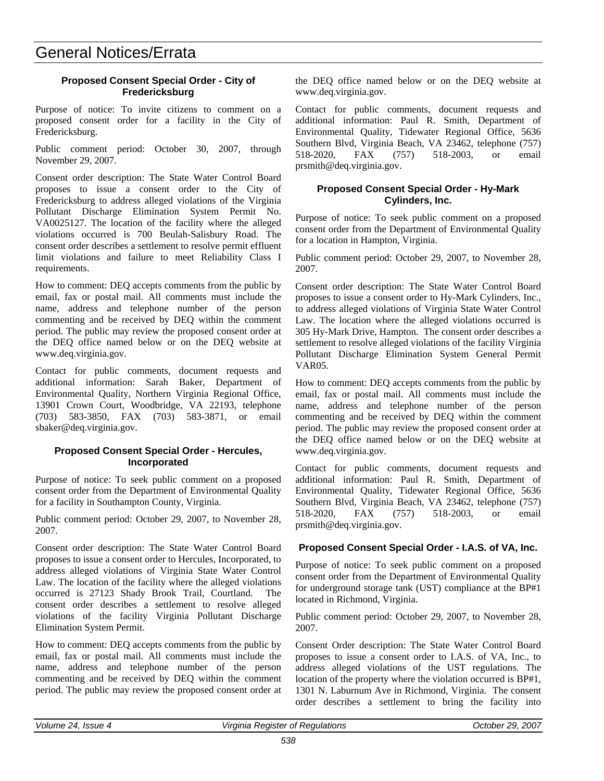# General Notices/Errata

### **Proposed Consent Special Order - City of Fredericksburg**

Purpose of notice: To invite citizens to comment on a proposed consent order for a facility in the City of Fredericksburg.

Public comment period: October 30, 2007, through November 29, 2007.

Consent order description: The State Water Control Board proposes to issue a consent order to the City of Fredericksburg to address alleged violations of the Virginia Pollutant Discharge Elimination System Permit No. VA0025127. The location of the facility where the alleged violations occurred is 700 Beulah-Salisbury Road. The consent order describes a settlement to resolve permit effluent limit violations and failure to meet Reliability Class I requirements.

How to comment: DEQ accepts comments from the public by email, fax or postal mail. All comments must include the name, address and telephone number of the person commenting and be received by DEQ within the comment period. The public may review the proposed consent order at the DEQ office named below or on the DEQ website at www.deq.virginia.gov.

Contact for public comments, document requests and additional information: Sarah Baker, Department of Environmental Quality, Northern Virginia Regional Office, 13901 Crown Court, Woodbridge, VA 22193, telephone (703) 583-3850, FAX (703) 583-3871, or email sbaker@deq.virginia.gov.

### **Proposed Consent Special Order - Hercules, Incorporated**

Purpose of notice: To seek public comment on a proposed consent order from the Department of Environmental Quality for a facility in Southampton County, Virginia.

Public comment period: October 29, 2007, to November 28, 2007.

Consent order description: The State Water Control Board proposes to issue a consent order to Hercules, Incorporated, to address alleged violations of Virginia State Water Control Law. The location of the facility where the alleged violations occurred is 27123 Shady Brook Trail, Courtland. The consent order describes a settlement to resolve alleged violations of the facility Virginia Pollutant Discharge Elimination System Permit.

How to comment: DEQ accepts comments from the public by email, fax or postal mail. All comments must include the name, address and telephone number of the person commenting and be received by DEQ within the comment period. The public may review the proposed consent order at the DEQ office named below or on the DEQ website at www.deq.virginia.gov.

Contact for public comments, document requests and additional information: Paul R. Smith, Department of Environmental Quality, Tidewater Regional Office, 5636 Southern Blvd, Virginia Beach, VA 23462, telephone (757) 518-2020, FAX (757) 518-2003, or email prsmith@deq.virginia.gov.

### **Proposed Consent Special Order - Hy-Mark Cylinders, Inc.**

Purpose of notice: To seek public comment on a proposed consent order from the Department of Environmental Quality for a location in Hampton, Virginia.

Public comment period: October 29, 2007, to November 28, 2007.

Consent order description: The State Water Control Board proposes to issue a consent order to Hy-Mark Cylinders, Inc., to address alleged violations of Virginia State Water Control Law. The location where the alleged violations occurred is 305 Hy-Mark Drive, Hampton. The consent order describes a settlement to resolve alleged violations of the facility Virginia Pollutant Discharge Elimination System General Permit VAR05.

How to comment: DEQ accepts comments from the public by email, fax or postal mail. All comments must include the name, address and telephone number of the person commenting and be received by DEQ within the comment period. The public may review the proposed consent order at the DEQ office named below or on the DEQ website at www.deq.virginia.gov.

Contact for public comments, document requests and additional information: Paul R. Smith, Department of Environmental Quality, Tidewater Regional Office, 5636 Southern Blvd, Virginia Beach, VA 23462, telephone (757) 518-2020, FAX (757) 518-2003, or email prsmith@deq.virginia.gov.

### **Proposed Consent Special Order - I.A.S. of VA, Inc.**

Purpose of notice: To seek public comment on a proposed consent order from the Department of Environmental Quality for underground storage tank (UST) compliance at the BP#1 located in Richmond, Virginia.

Public comment period: October 29, 2007, to November 28, 2007.

Consent Order description: The State Water Control Board proposes to issue a consent order to I.A.S. of VA, Inc., to address alleged violations of the UST regulations. The location of the property where the violation occurred is BP#1, 1301 N. Laburnum Ave in Richmond, Virginia. The consent order describes a settlement to bring the facility into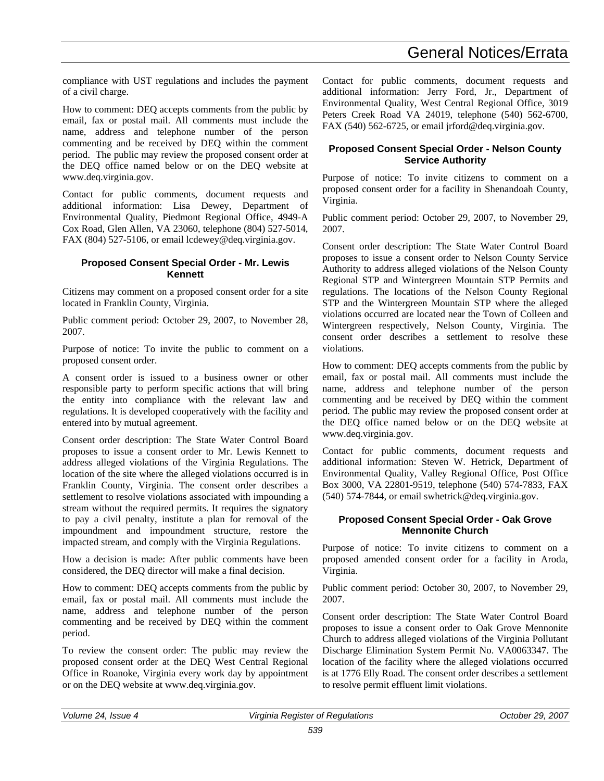## General Notices/Errata

compliance with UST regulations and includes the payment of a civil charge.

How to comment: DEQ accepts comments from the public by email, fax or postal mail. All comments must include the name, address and telephone number of the person commenting and be received by DEQ within the comment period. The public may review the proposed consent order at the DEQ office named below or on the DEQ website at www.deq.virginia.gov.

Contact for public comments, document requests and additional information: Lisa Dewey, Department of Environmental Quality, Piedmont Regional Office, 4949-A Cox Road, Glen Allen, VA 23060, telephone (804) 527-5014, FAX (804) 527-5106, or email lcdewey@deq.virginia.gov.

### **Proposed Consent Special Order - Mr. Lewis Kennett**

Citizens may comment on a proposed consent order for a site located in Franklin County, Virginia.

Public comment period: October 29, 2007, to November 28, 2007.

Purpose of notice: To invite the public to comment on a proposed consent order.

A consent order is issued to a business owner or other responsible party to perform specific actions that will bring the entity into compliance with the relevant law and regulations. It is developed cooperatively with the facility and entered into by mutual agreement.

Consent order description: The State Water Control Board proposes to issue a consent order to Mr. Lewis Kennett to address alleged violations of the Virginia Regulations. The location of the site where the alleged violations occurred is in Franklin County, Virginia. The consent order describes a settlement to resolve violations associated with impounding a stream without the required permits. It requires the signatory to pay a civil penalty, institute a plan for removal of the impoundment and impoundment structure, restore the impacted stream, and comply with the Virginia Regulations.

How a decision is made: After public comments have been considered, the DEQ director will make a final decision.

How to comment: DEQ accepts comments from the public by email, fax or postal mail. All comments must include the name, address and telephone number of the person commenting and be received by DEQ within the comment period.

To review the consent order: The public may review the proposed consent order at the DEQ West Central Regional Office in Roanoke, Virginia every work day by appointment or on the DEQ website at www.deq.virginia.gov.

Contact for public comments, document requests and additional information: Jerry Ford, Jr., Department of Environmental Quality, West Central Regional Office, 3019 Peters Creek Road VA 24019, telephone (540) 562-6700, FAX (540) 562-6725, or email jrford@deq.virginia.gov.

### **Proposed Consent Special Order - Nelson County Service Authority**

Purpose of notice: To invite citizens to comment on a proposed consent order for a facility in Shenandoah County, Virginia.

Public comment period: October 29, 2007, to November 29, 2007.

Consent order description: The State Water Control Board proposes to issue a consent order to Nelson County Service Authority to address alleged violations of the Nelson County Regional STP and Wintergreen Mountain STP Permits and regulations. The locations of the Nelson County Regional STP and the Wintergreen Mountain STP where the alleged violations occurred are located near the Town of Colleen and Wintergreen respectively, Nelson County, Virginia. The consent order describes a settlement to resolve these violations.

How to comment: DEQ accepts comments from the public by email, fax or postal mail. All comments must include the name, address and telephone number of the person commenting and be received by DEQ within the comment period. The public may review the proposed consent order at the DEQ office named below or on the DEQ website at www.deq.virginia.gov.

Contact for public comments, document requests and additional information: Steven W. Hetrick, Department of Environmental Quality, Valley Regional Office, Post Office Box 3000, VA 22801-9519, telephone (540) 574-7833, FAX (540) 574-7844, or email swhetrick@deq.virginia.gov.

### **Proposed Consent Special Order - Oak Grove Mennonite Church**

Purpose of notice: To invite citizens to comment on a proposed amended consent order for a facility in Aroda, Virginia.

Public comment period: October 30, 2007, to November 29, 2007.

Consent order description: The State Water Control Board proposes to issue a consent order to Oak Grove Mennonite Church to address alleged violations of the Virginia Pollutant Discharge Elimination System Permit No. VA0063347. The location of the facility where the alleged violations occurred is at 1776 Elly Road. The consent order describes a settlement to resolve permit effluent limit violations.

| Volume 24, Issue 4 | । Reaister of Reaulations<br>Virainia | 29, 2007<br><i>October</i> |
|--------------------|---------------------------------------|----------------------------|
|                    |                                       |                            |